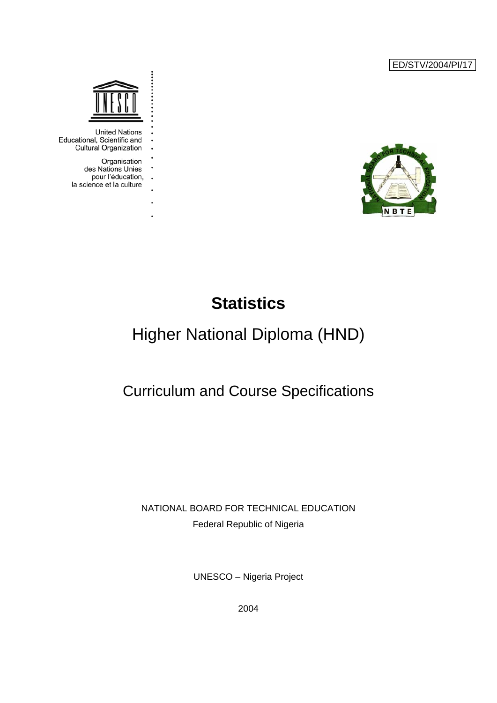ED/STV/2004/PI/17





**United Nations** Educational, Scientific and **Cultural Organization** 

> Organisation des Nations Unies pour l'éducation,  $\ddot{\phantom{a}}$ la science et la culture

> > l,

# **Statistics**

# Higher National Diploma (HND)

# Curriculum and Course Specifications

NATIONAL BOARD FOR TECHNICAL EDUCATION Federal Republic of Nigeria

UNESCO – Nigeria Project

2004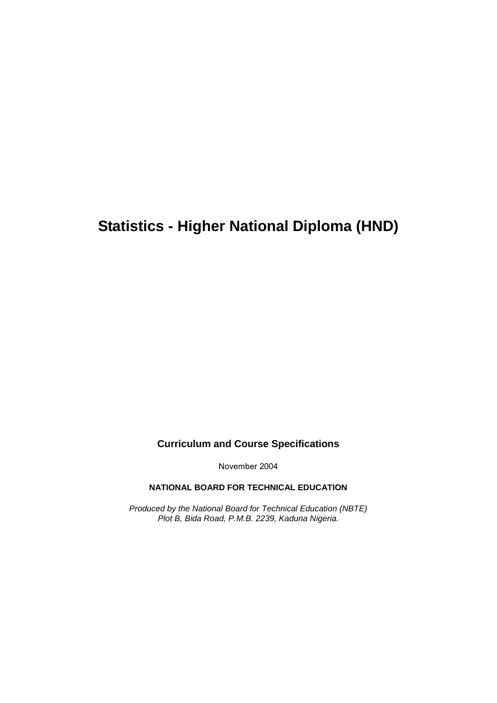# **Statistics - Higher National Diploma (HND)**

**Curriculum and Course Specifications** 

November 2004

**NATIONAL BOARD FOR TECHNICAL EDUCATION**

*Produced by the National Board for Technical Education (NBTE) Plot B, Bida Road, P.M.B. 2239, Kaduna Nigeria.*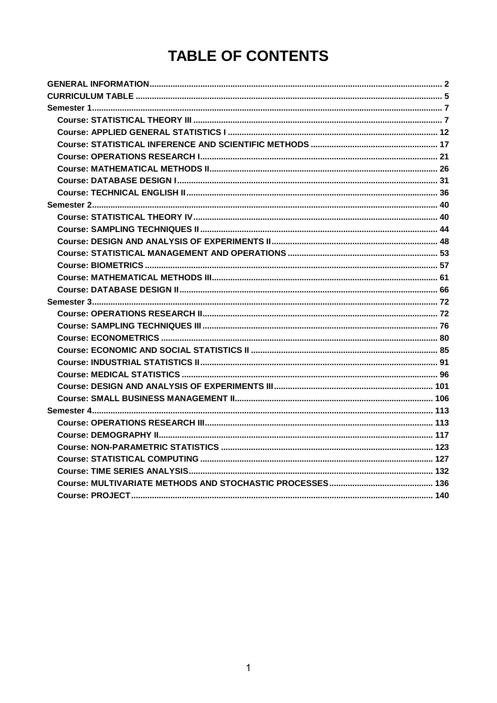# **TABLE OF CONTENTS**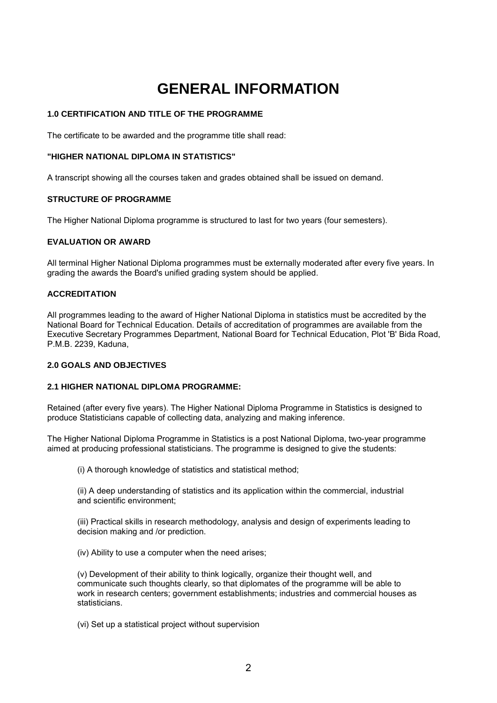# **GENERAL INFORMATION**

## <span id="page-3-0"></span>**1.0 CERTIFICATION AND TITLE OF THE PROGRAMME**

The certificate to be awarded and the programme title shall read:

### **"HIGHER NATIONAL DIPLOMA IN STATISTICS"**

A transcript showing all the courses taken and grades obtained shall be issued on demand.

## **STRUCTURE OF PROGRAMME**

The Higher National Diploma programme is structured to last for two years (four semesters).

#### **EVALUATION OR AWARD**

All terminal Higher National Diploma programmes must be externally moderated after every five years. In grading the awards the Board's unified grading system should be applied.

## **ACCREDITATION**

All programmes leading to the award of Higher National Diploma in statistics must be accredited by the National Board for Technical Education. Details of accreditation of programmes are available from the Executive Secretary Programmes Department, National Board for Technical Education, Plot 'B' Bida Road, P.M.B. 2239, Kaduna,

## **2.0 GOALS AND OBJECTIVES**

#### **2.1 HIGHER NATIONAL DIPLOMA PROGRAMME:**

Retained (after every five years). The Higher National Diploma Programme in Statistics is designed to produce Statisticians capable of collecting data, analyzing and making inference.

The Higher National Diploma Programme in Statistics is a post National Diploma, two-year programme aimed at producing professional statisticians. The programme is designed to give the students:

(i) A thorough knowledge of statistics and statistical method;

(ii) A deep understanding of statistics and its application within the commercial, industrial and scientific environment;

(iii) Practical skills in research methodology, analysis and design of experiments leading to decision making and /or prediction.

(iv) Ability to use a computer when the need arises;

(v) Development of their ability to think logically, organize their thought well, and communicate such thoughts clearly, so that diplomates of the programme will be able to work in research centers; government establishments; industries and commercial houses as statisticians.

(vi) Set up a statistical project without supervision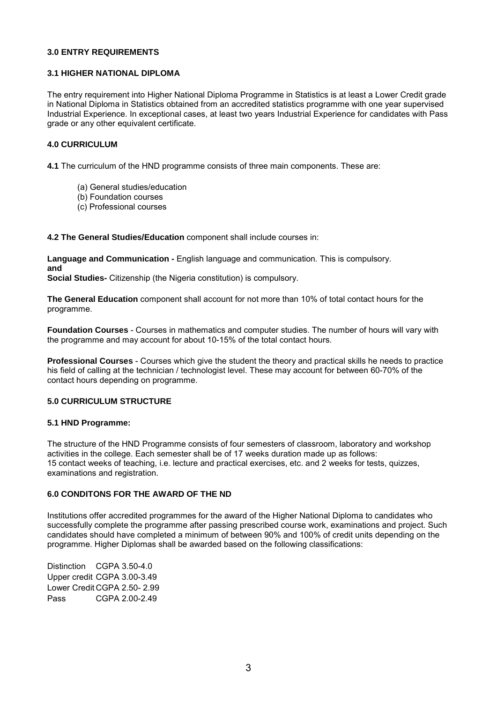#### **3.0 ENTRY REQUIREMENTS**

### **3.1 HIGHER NATIONAL DIPLOMA**

The entry requirement into Higher National Diploma Programme in Statistics is at least a Lower Credit grade in National Diploma in Statistics obtained from an accredited statistics programme with one year supervised Industrial Experience. In exceptional cases, at least two years Industrial Experience for candidates with Pass grade or any other equivalent certificate.

### **4.0 CURRICULUM**

**4.1** The curriculum of the HND programme consists of three main components. These are:

- (a) General studies/education
- (b) Foundation courses
- (c) Professional courses

**4.2 The General Studies/Education** component shall include courses in:

**Language and Communication -** English language and communication. This is compulsory. **and**

**Social Studies-** Citizenship (the Nigeria constitution) is compulsory.

**The General Education** component shall account for not more than 10% of total contact hours for the programme.

**Foundation Courses** - Courses in mathematics and computer studies. The number of hours will vary with the programme and may account for about 10-15% of the total contact hours.

**Professional Courses** - Courses which give the student the theory and practical skills he needs to practice his field of calling at the technician / technologist level. These may account for between 60-70% of the contact hours depending on programme.

## **5.0 CURRICULUM STRUCTURE**

#### **5.1 HND Programme:**

The structure of the HND Programme consists of four semesters of classroom, laboratory and workshop activities in the college. Each semester shall be of 17 weeks duration made up as follows: 15 contact weeks of teaching, i.e. lecture and practical exercises, etc. and 2 weeks for tests, quizzes, examinations and registration.

## **6.0 CONDITONS FOR THE AWARD OF THE ND**

Institutions offer accredited programmes for the award of the Higher National Diploma to candidates who successfully complete the programme after passing prescribed course work, examinations and project. Such candidates should have completed a minimum of between 90% and 100% of credit units depending on the programme. Higher Diplomas shall be awarded based on the following classifications:

Distinction CGPA 3.50-4.0 Upper credit CGPA 3.00-3.49 Lower Credit CGPA 2.50- 2.99 Pass CGPA 2.00-2.49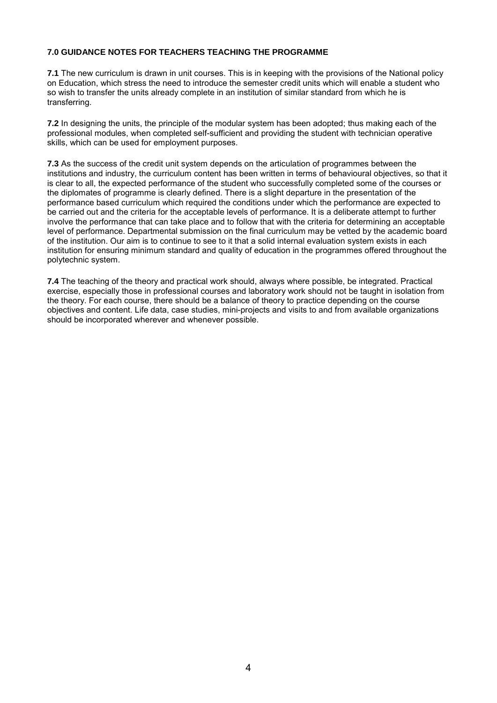## **7.0 GUIDANCE NOTES FOR TEACHERS TEACHING THE PROGRAMME**

**7.1** The new curriculum is drawn in unit courses. This is in keeping with the provisions of the National policy on Education, which stress the need to introduce the semester credit units which will enable a student who so wish to transfer the units already complete in an institution of similar standard from which he is transferring.

**7.2** In designing the units, the principle of the modular system has been adopted; thus making each of the professional modules, when completed self-sufficient and providing the student with technician operative skills, which can be used for employment purposes.

**7.3** As the success of the credit unit system depends on the articulation of programmes between the institutions and industry, the curriculum content has been written in terms of behavioural objectives, so that it is clear to all, the expected performance of the student who successfully completed some of the courses or the diplomates of programme is clearly defined. There is a slight departure in the presentation of the performance based curriculum which required the conditions under which the performance are expected to be carried out and the criteria for the acceptable levels of performance. It is a deliberate attempt to further involve the performance that can take place and to follow that with the criteria for determining an acceptable level of performance. Departmental submission on the final curriculum may be vetted by the academic board of the institution. Our aim is to continue to see to it that a solid internal evaluation system exists in each institution for ensuring minimum standard and quality of education in the programmes offered throughout the polytechnic system.

**7.4** The teaching of the theory and practical work should, always where possible, be integrated. Practical exercise, especially those in professional courses and laboratory work should not be taught in isolation from the theory. For each course, there should be a balance of theory to practice depending on the course objectives and content. Life data, case studies, mini-projects and visits to and from available organizations should be incorporated wherever and whenever possible.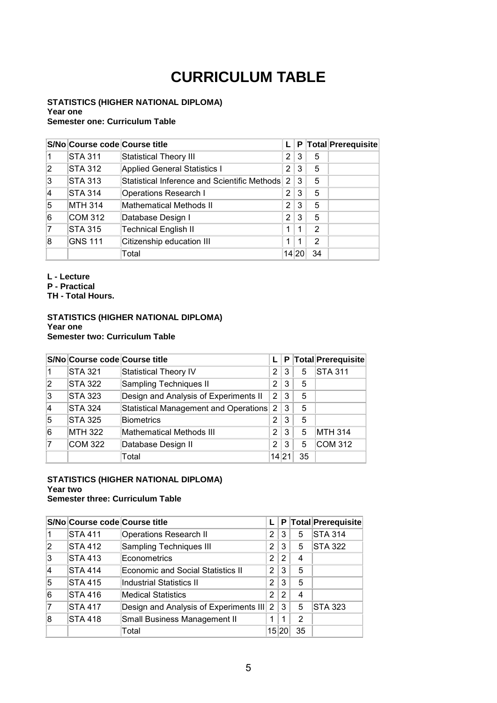# **CURRICULUM TABLE**

#### <span id="page-6-0"></span>**STATISTICS (HIGHER NATIONAL DIPLOMA) Year one Semester one: Curriculum Table**

|                | S/No Course code Course title |                                                | L.             | P |    | Total Prerequisite |
|----------------|-------------------------------|------------------------------------------------|----------------|---|----|--------------------|
|                | <b>STA 311</b>                | <b>Statistical Theory III</b>                  | $\overline{2}$ | 3 | 5  |                    |
| $\overline{2}$ | STA 312                       | <b>Applied General Statistics I</b>            | 2              | 3 | 5  |                    |
| 3              | <b>STA 313</b>                | Statistical Inference and Scientific Methods 2 |                | 3 | 5  |                    |
| 14             | STA 314                       | <b>Operations Research I</b>                   | $\overline{2}$ | 3 | 5  |                    |
| 5              | <b>MTH 314</b>                | Mathematical Methods II                        | $\overline{2}$ | 3 | 5  |                    |
| 6              | <b>COM 312</b>                | Database Design I                              | $\overline{2}$ | 3 | 5  |                    |
| 7              | <b>STA 315</b>                | <b>Technical English II</b>                    | 1              |   | 2  |                    |
| 8              | <b>GNS 111</b>                | Citizenship education III                      | 1              | 1 | 2  |                    |
|                |                               | Total                                          | 14 20          |   | 34 |                    |

**L - Lecture**

**P - Practical**

**TH - Total Hours.**

### **STATISTICS (HIGHER NATIONAL DIPLOMA) Year one Semester two: Curriculum Table**

|                | S/No Course code Course title |                                       |                |   |    | P Total Prerequisite |
|----------------|-------------------------------|---------------------------------------|----------------|---|----|----------------------|
|                | <b>STA 321</b>                | Statistical Theory IV                 | 2 <sup>1</sup> | 3 | 5  | <b>STA 311</b>       |
| $\overline{2}$ | <b>STA 322</b>                | Sampling Techniques II                | 2 <sup>1</sup> | 3 | 5  |                      |
| 3              | <b>STA 323</b>                | Design and Analysis of Experiments II | 2 3            |   | 5  |                      |
| 14             | <b>STA 324</b>                | Statistical Management and Operations | $\overline{2}$ | 3 | 5  |                      |
| 5              | <b>STA 325</b>                | <b>Biometrics</b>                     | 2 <sup>1</sup> | 3 | 5  |                      |
| 6              | <b>MTH 322</b>                | Mathematical Methods III              | 2 <sub>1</sub> | 3 | 5  | <b>MTH 314</b>       |
|                | <b>COM 322</b>                | Database Design II                    | 2 <sup>1</sup> | 3 | 5  | <b>COM 312</b>       |
|                |                               | Total                                 | 14 21          |   | 35 |                      |

#### **STATISTICS (HIGHER NATIONAL DIPLOMA) Year two Semester three: Curriculum Table**

## **S/No Course code Course title L P Total Prerequisite** 1 STA 411 Operations Research II 2 3 5 STA 314 2 STA 412 Sampling Techniques III 2 3 5 STA 322  $\begin{array}{|c|c|c|c|c|}\n 3 & \text{STA 413} & \text{Econometrics} \\
\hline\n 12 & 2 & 4\n \end{array}$ 4 STA 414 Economic and Social Statistics II 2 3 5 5 STA 415 Industrial Statistics II 2 3 5 6 STA 416 Medical Statistics 2 2 4 7 STA 417 Design and Analysis of Experiments III 2 3 5 STA 323 8 STA 418 Small Business Management II 1 1 2 Total 15 20 35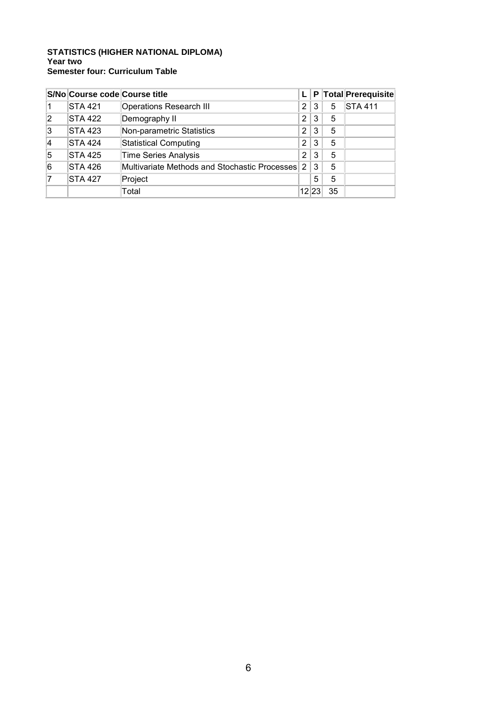## **STATISTICS (HIGHER NATIONAL DIPLOMA) Year two Semester four: Curriculum Table**

|                | S/No Course code Course title |                                               |                |   |    | P Total Prerequisite |
|----------------|-------------------------------|-----------------------------------------------|----------------|---|----|----------------------|
|                | <b>STA 421</b>                | <b>Operations Research III</b>                | 2              | 3 | 5  | <b>STA 411</b>       |
| $\overline{2}$ | <b>STA 422</b>                | Demography II                                 | 2              | 3 | 5  |                      |
| 3              | <b>STA 423</b>                | Non-parametric Statistics                     | $\overline{2}$ | 3 | 5  |                      |
| 4              | <b>STA 424</b>                | <b>Statistical Computing</b>                  | 2              | 3 | 5  |                      |
| 5              | <b>STA 425</b>                | <b>Time Series Analysis</b>                   | 2              | 3 | 5  |                      |
| 6              | <b>STA 426</b>                | Multivariate Methods and Stochastic Processes | 2              | 3 | 5  |                      |
|                | <b>STA 427</b>                | Project                                       |                | 5 | 5  |                      |
|                |                               | Total                                         | 12 23          |   | 35 |                      |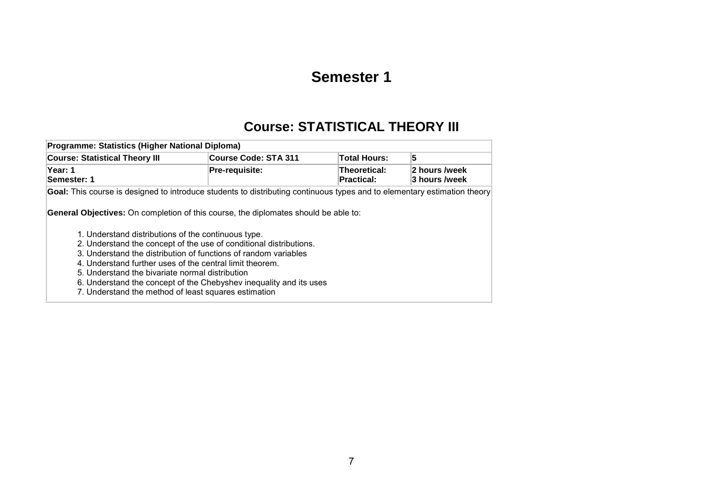# **Semester 1**

# **Course: STATISTICAL THEORY III**

<span id="page-8-0"></span>

| Programme: Statistics (Higher National Diploma)                                                                                                                                                                        |                                                                                                                                                                                                                                                                                                                                                                                                                                           |                            |                                |  |  |  |  |  |
|------------------------------------------------------------------------------------------------------------------------------------------------------------------------------------------------------------------------|-------------------------------------------------------------------------------------------------------------------------------------------------------------------------------------------------------------------------------------------------------------------------------------------------------------------------------------------------------------------------------------------------------------------------------------------|----------------------------|--------------------------------|--|--|--|--|--|
| <b>Course: Statistical Theory III</b>                                                                                                                                                                                  | Course Code: STA 311                                                                                                                                                                                                                                                                                                                                                                                                                      | Total Hours:               | 5                              |  |  |  |  |  |
| Year: 1<br>Semester: 1                                                                                                                                                                                                 | Pre-requisite:                                                                                                                                                                                                                                                                                                                                                                                                                            | Theoretical:<br>Practical: | 2 hours /week<br>3 hours /week |  |  |  |  |  |
| Goal: This course is designed to introduce students to distributing continuous types and to elementary estimation theory<br><b>General Objectives:</b> On completion of this course, the diplomates should be able to: |                                                                                                                                                                                                                                                                                                                                                                                                                                           |                            |                                |  |  |  |  |  |
|                                                                                                                                                                                                                        | 1. Understand distributions of the continuous type.<br>2. Understand the concept of the use of conditional distributions.<br>3. Understand the distribution of functions of random variables<br>4. Understand further uses of the central limit theorem.<br>5. Understand the bivariate normal distribution<br>6. Understand the concept of the Chebyshev inequality and its uses<br>7. Understand the method of least squares estimation |                            |                                |  |  |  |  |  |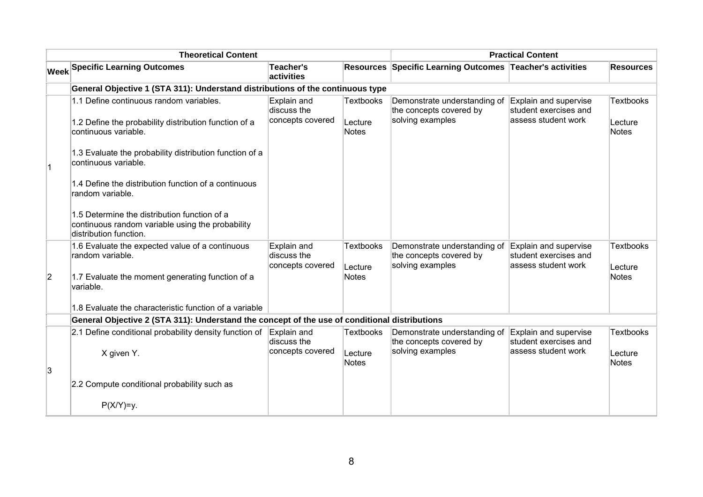| <b>Theoretical Content</b> |                                                                                                                            |                                                |                             | <b>Practical Content</b>                                                    |                                                                       |                             |
|----------------------------|----------------------------------------------------------------------------------------------------------------------------|------------------------------------------------|-----------------------------|-----------------------------------------------------------------------------|-----------------------------------------------------------------------|-----------------------------|
|                            | <b>Week Specific Learning Outcomes</b>                                                                                     | Teacher's<br>activities                        |                             | Resources Specific Learning Outcomes Teacher's activities                   |                                                                       | <b>Resources</b>            |
|                            | General Objective 1 (STA 311): Understand distributions of the continuous type                                             |                                                |                             |                                                                             |                                                                       |                             |
|                            | 1.1 Define continuous random variables.                                                                                    | Explain and<br>discuss the<br>concepts covered | <b>Textbooks</b>            | Demonstrate understanding of<br>the concepts covered by<br>solving examples | Explain and supervise<br>student exercises and<br>assess student work | <b>Textbooks</b>            |
|                            | 1.2 Define the probability distribution function of a<br>continuous variable.                                              |                                                | Lecture<br><b>Notes</b>     |                                                                             |                                                                       | Lecture<br>Notes            |
|                            | 1.3 Evaluate the probability distribution function of a<br>continuous variable.                                            |                                                |                             |                                                                             |                                                                       |                             |
|                            | 1.4 Define the distribution function of a continuous<br>random variable.                                                   |                                                |                             |                                                                             |                                                                       |                             |
|                            | 1.5 Determine the distribution function of a<br>continuous random variable using the probability<br>distribution function. |                                                |                             |                                                                             |                                                                       |                             |
|                            | 1.6 Evaluate the expected value of a continuous<br>random variable.                                                        | Explain and<br>discuss the<br>concepts covered | <b>Textbooks</b><br>Lecture | Demonstrate understanding of<br>the concepts covered by<br>solving examples | Explain and supervise<br>student exercises and<br>assess student work | <b>Textbooks</b><br>Lecture |
| $\overline{2}$             | 1.7 Evaluate the moment generating function of a<br>variable.                                                              |                                                | <b>Notes</b>                |                                                                             |                                                                       | <b>Notes</b>                |
|                            | 1.8 Evaluate the characteristic function of a variable                                                                     |                                                |                             |                                                                             |                                                                       |                             |
|                            | General Objective 2 (STA 311): Understand the concept of the use of conditional distributions                              |                                                |                             |                                                                             |                                                                       |                             |
|                            | 2.1 Define conditional probability density function of                                                                     | Explain and<br>discuss the                     | Textbooks                   | Demonstrate understanding of<br>the concepts covered by                     | Explain and supervise<br>student exercises and                        | <b>Textbooks</b>            |
| 3                          | X given Y.                                                                                                                 | concepts covered                               | Lecture<br>Notes            | solving examples                                                            | assess student work                                                   | Lecture<br>Notes            |
|                            | 2.2 Compute conditional probability such as                                                                                |                                                |                             |                                                                             |                                                                       |                             |
|                            | $P(X/Y)=y$ .                                                                                                               |                                                |                             |                                                                             |                                                                       |                             |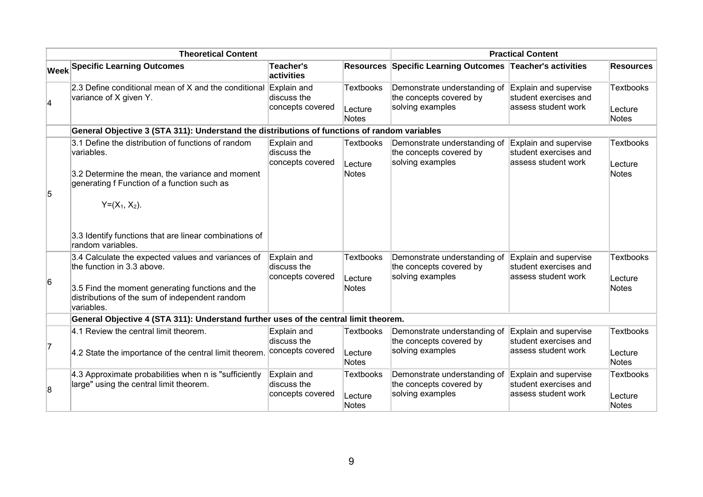|    | <b>Theoretical Content</b>                                                                                                                                                                           | <b>Practical Content</b>                       |                                             |                                                                             |                                                                       |                                      |
|----|------------------------------------------------------------------------------------------------------------------------------------------------------------------------------------------------------|------------------------------------------------|---------------------------------------------|-----------------------------------------------------------------------------|-----------------------------------------------------------------------|--------------------------------------|
|    | <b>Week Specific Learning Outcomes</b>                                                                                                                                                               | <b>Teacher's</b><br>activities                 |                                             | Resources Specific Learning Outcomes Teacher's activities                   |                                                                       | <b>Resources</b>                     |
| 4  | 2.3 Define conditional mean of X and the conditional<br>variance of X given Y.                                                                                                                       | Explain and<br>discuss the<br>concepts covered | <b>Textbooks</b><br>Lecture<br><b>Notes</b> | Demonstrate understanding of<br>the concepts covered by<br>solving examples | Explain and supervise<br>student exercises and<br>assess student work | <b>Textbooks</b><br>Lecture<br>Notes |
|    | General Objective 3 (STA 311): Understand the distributions of functions of random variables                                                                                                         |                                                |                                             |                                                                             |                                                                       |                                      |
| 5  | $3.1$ Define the distribution of functions of random<br>variables.<br>3.2 Determine the mean, the variance and moment<br>generating f Function of a function such as<br>$Y=(X_1, X_2).$              | Explain and<br>discuss the<br>concepts covered | <b>Textbooks</b><br>Lecture<br><b>Notes</b> | Demonstrate understanding of<br>the concepts covered by<br>solving examples | Explain and supervise<br>student exercises and<br>assess student work | <b>Textbooks</b><br>Lecture<br>Notes |
|    | 3.3 Identify functions that are linear combinations of<br>random variables.                                                                                                                          |                                                |                                             |                                                                             |                                                                       |                                      |
| 6  | 3.4 Calculate the expected values and variances of<br>the function in 3.3 above.<br>3.5 Find the moment generating functions and the<br>distributions of the sum of independent random<br>variables. | Explain and<br>discuss the<br>concepts covered | <b>Textbooks</b><br>Lecture<br>Notes        | Demonstrate understanding of<br>the concepts covered by<br>solving examples | Explain and supervise<br>student exercises and<br>assess student work | <b>Textbooks</b><br>Lecture<br>Notes |
|    | General Objective 4 (STA 311): Understand further uses of the central limit theorem.                                                                                                                 |                                                |                                             |                                                                             |                                                                       |                                      |
| 17 | 4.1 Review the central limit theorem.<br>4.2 State the importance of the central limit theorem.                                                                                                      | Explain and<br>discuss the<br>concepts covered | Textbooks<br>Lecture<br><b>Notes</b>        | Demonstrate understanding of<br>the concepts covered by<br>solving examples | Explain and supervise<br>student exercises and<br>assess student work | <b>Textbooks</b><br>Lecture<br>Notes |
| 8  | 4.3 Approximate probabilities when n is "sufficiently<br>large" using the central limit theorem.                                                                                                     | Explain and<br>discuss the<br>concepts covered | <b>Textbooks</b><br>Lecture<br>Notes        | Demonstrate understanding of<br>the concepts covered by<br>solving examples | Explain and supervise<br>student exercises and<br>assess student work | <b>Textbooks</b><br>Lecture<br>Notes |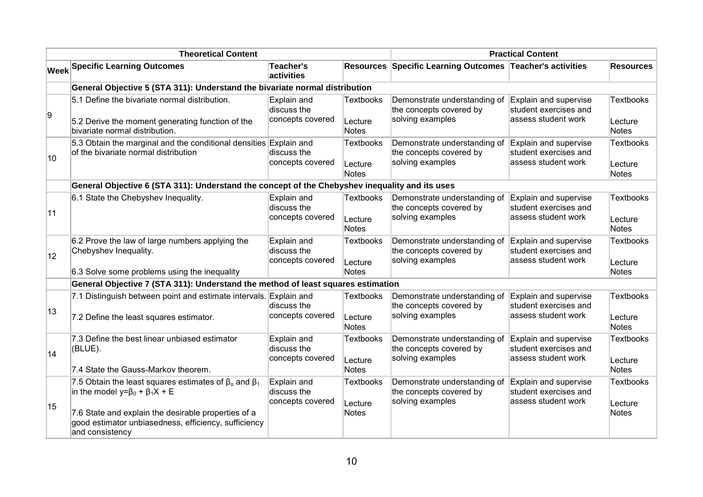|              | <b>Theoretical Content</b>                                                                                                                                                                                                                        |                                                |                                             | <b>Practical Content</b>                                                    |                                                                       |                                             |  |
|--------------|---------------------------------------------------------------------------------------------------------------------------------------------------------------------------------------------------------------------------------------------------|------------------------------------------------|---------------------------------------------|-----------------------------------------------------------------------------|-----------------------------------------------------------------------|---------------------------------------------|--|
|              | <b>Week Specific Learning Outcomes</b>                                                                                                                                                                                                            | Teacher's<br>activities                        |                                             | Resources Specific Learning Outcomes Teacher's activities                   |                                                                       | <b>Resources</b>                            |  |
|              | General Objective 5 (STA 311): Understand the bivariate normal distribution                                                                                                                                                                       |                                                |                                             |                                                                             |                                                                       |                                             |  |
| g,           | 5.1 Define the bivariate normal distribution.<br>5.2 Derive the moment generating function of the<br>bivariate normal distribution.                                                                                                               | Explain and<br>discuss the<br>concepts covered | <b>Textbooks</b><br>Lecture<br>Notes        | Demonstrate understanding of<br>the concepts covered by<br>solving examples | Explain and supervise<br>student exercises and<br>assess student work | <b>Textbooks</b><br>Lecture<br>Notes        |  |
| 10           | 5.3 Obtain the marginal and the conditional densities Explain and<br>of the bivariate normal distribution                                                                                                                                         | discuss the<br>concepts covered                | <b>Textbooks</b><br>Lecture<br>Notes        | Demonstrate understanding of<br>the concepts covered by<br>solving examples | Explain and supervise<br>student exercises and<br>assess student work | <b>Textbooks</b><br>Lecture<br>Notes        |  |
|              | General Objective 6 (STA 311): Understand the concept of the Chebyshev inequality and its uses                                                                                                                                                    |                                                |                                             |                                                                             |                                                                       |                                             |  |
| 11           | 6.1 State the Chebyshev Inequality.                                                                                                                                                                                                               | Explain and<br>discuss the<br>concepts covered | <b>Textbooks</b><br>Lecture<br><b>Notes</b> | Demonstrate understanding of<br>the concepts covered by<br>solving examples | Explain and supervise<br>student exercises and<br>assess student work | <b>Textbooks</b><br>Lecture<br><b>Notes</b> |  |
| $ 12\rangle$ | 6.2 Prove the law of large numbers applying the<br>Chebyshev Inequality.                                                                                                                                                                          | Explain and<br>discuss the<br>concepts covered | <b>Textbooks</b><br>Lecture                 | Demonstrate understanding of<br>the concepts covered by<br>solving examples | Explain and supervise<br>student exercises and<br>assess student work | <b>Textbooks</b><br>Lecture<br>Notes        |  |
|              | 6.3 Solve some problems using the inequality                                                                                                                                                                                                      |                                                | Notes                                       |                                                                             |                                                                       |                                             |  |
|              | General Objective 7 (STA 311): Understand the method of least squares estimation<br>7.1 Distinguish between point and estimate intervals. Explain and                                                                                             |                                                | <b>Textbooks</b>                            | Demonstrate understanding of                                                | Explain and supervise                                                 | <b>Textbooks</b>                            |  |
| 13           | 7.2 Define the least squares estimator.                                                                                                                                                                                                           | discuss the<br>concepts covered                | Lecture<br>Notes                            | the concepts covered by<br>solving examples                                 | student exercises and<br>assess student work                          | Lecture<br>Notes                            |  |
| 14           | 7.3 Define the best linear unbiased estimator<br>(BLUE).                                                                                                                                                                                          | Explain and<br>discuss the<br>concepts covered | <b>Textbooks</b><br>Lecture                 | Demonstrate understanding of<br>the concepts covered by<br>solving examples | Explain and supervise<br>student exercises and<br>assess student work | <b>Textbooks</b><br>Lecture                 |  |
|              | 7.4 State the Gauss-Markov theorem.                                                                                                                                                                                                               |                                                | <b>Notes</b>                                |                                                                             |                                                                       | <b>Notes</b>                                |  |
| 15           | 7.5 Obtain the least squares estimates of $\beta_0$ and $\beta_1$<br>in the model $y = \beta_0 + \beta_1 X + E$<br>7.6 State and explain the desirable properties of a<br>good estimator unbiasedness, efficiency, sufficiency<br>and consistency | Explain and<br>discuss the<br>concepts covered | <b>Textbooks</b><br>Lecture<br>Notes        | Demonstrate understanding of<br>the concepts covered by<br>solving examples | Explain and supervise<br>student exercises and<br>assess student work | <b>Textbooks</b><br>Lecture<br><b>Notes</b> |  |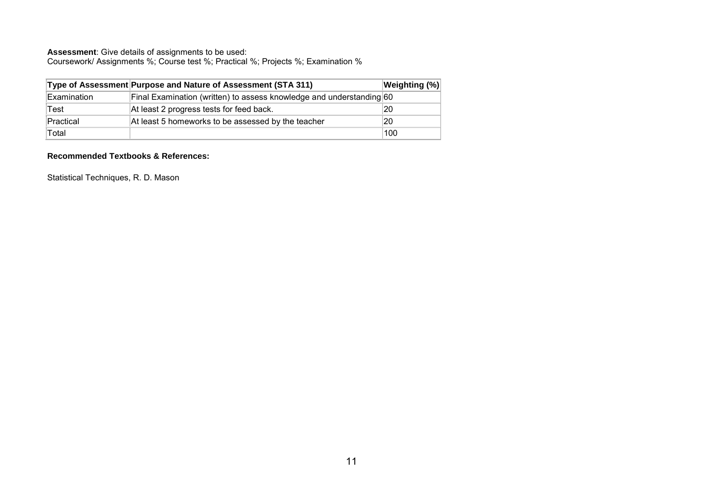Coursework/ Assignments %; Course test %; Practical %; Projects %; Examination %

|             | Type of Assessment Purpose and Nature of Assessment (STA 311)        | Weighting (%) |
|-------------|----------------------------------------------------------------------|---------------|
| Examination | Final Examination (written) to assess knowledge and understanding 60 |               |
| Test        | At least 2 progress tests for feed back.                             | 20            |
| Practical   | At least 5 homeworks to be assessed by the teacher                   | 20            |
| Total       |                                                                      | 100           |

#### **Recommended Textbooks & References:**

Statistical Techniques, R. D. Mason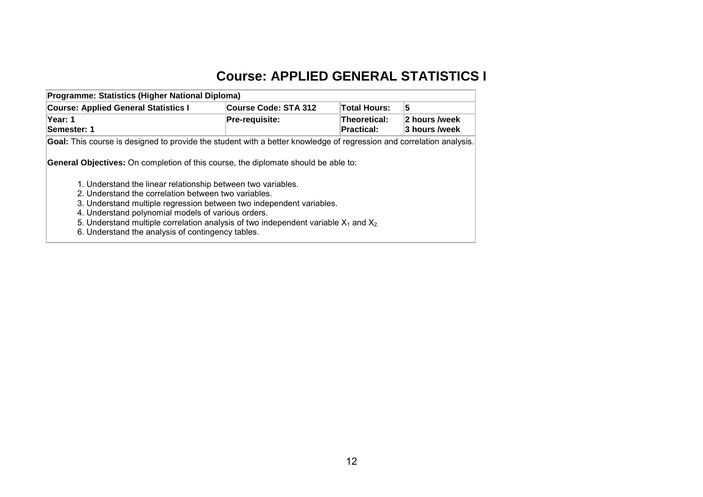## **Course: APPLIED GENERAL STATISTICS I**

| Programme: Statistics (Higher National Diploma)                                                                      |                      |                     |               |  |  |  |  |
|----------------------------------------------------------------------------------------------------------------------|----------------------|---------------------|---------------|--|--|--|--|
| <b>Course: Applied General Statistics I</b>                                                                          | Course Code: STA 312 | <b>Total Hours:</b> | כי            |  |  |  |  |
| Year: 1                                                                                                              | Pre-requisite:       | Theoretical:        | 2 hours /week |  |  |  |  |
| Semester: 1                                                                                                          |                      | <b>Practical:</b>   | 3 hours /week |  |  |  |  |
| Goal: This course is designed to provide the student with a better knowledge of regression and correlation analysis. |                      |                     |               |  |  |  |  |

**General Objectives:** On completion of this course, the diplomate should be able to:

- 1. Understand the linear relationship between two variables.
- 2. Understand the correlation between two variables.
- 3. Understand multiple regression between two independent variables.
- 4. Understand polynomial models of various orders.
- 5. Understand multiple correlation analysis of two independent variable  $X_1$  and  $X_2$ .
- <span id="page-13-0"></span>6. Understand the analysis of contingency tables.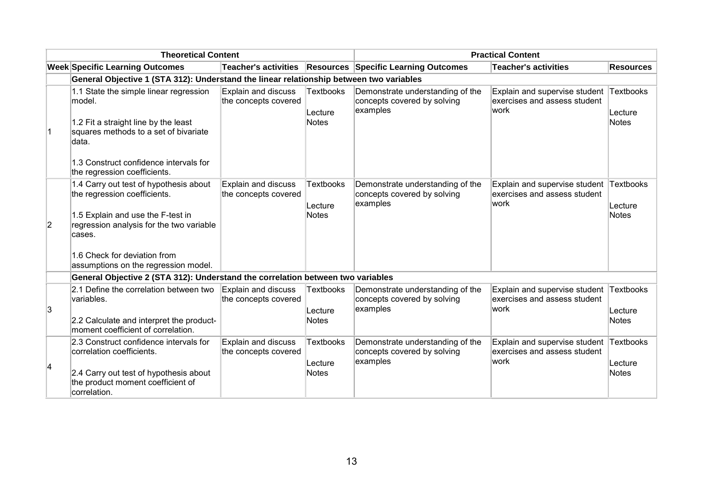| <b>Theoretical Content</b> |                                                                                                                                                                                                                                           |                                             |                                             | <b>Practical Content</b>                                                    |                                                                        |                                      |  |
|----------------------------|-------------------------------------------------------------------------------------------------------------------------------------------------------------------------------------------------------------------------------------------|---------------------------------------------|---------------------------------------------|-----------------------------------------------------------------------------|------------------------------------------------------------------------|--------------------------------------|--|
|                            | <b>Week Specific Learning Outcomes</b>                                                                                                                                                                                                    | <b>Teacher's activities</b>                 |                                             | <b>Resources Specific Learning Outcomes</b>                                 | <b>Teacher's activities</b>                                            | Resources                            |  |
|                            | General Objective 1 (STA 312): Understand the linear relationship between two variables                                                                                                                                                   |                                             |                                             |                                                                             |                                                                        |                                      |  |
| ∣1                         | 1.1 State the simple linear regression<br>lmodel.<br>1.2 Fit a straight line by the least<br>squares methods to a set of bivariate<br>data.<br>1.3 Construct confidence intervals for<br>the regression coefficients.                     | Explain and discuss<br>the concepts covered | <b>Textbooks</b><br>Lecture<br><b>Notes</b> | Demonstrate understanding of the<br>concepts covered by solving<br>examples | Explain and supervise student<br>exercises and assess student<br> work | Textbooks<br>Lecture<br><b>Notes</b> |  |
| $\overline{2}$             | 1.4 Carry out test of hypothesis about<br>the regression coefficients.<br>1.5 Explain and use the F-test in<br>regression analysis for the two variable<br>cases.<br>1.6 Check for deviation from<br>assumptions on the regression model. | Explain and discuss<br>the concepts covered | <b>Textbooks</b><br>Lecture<br>Notes        | Demonstrate understanding of the<br>concepts covered by solving<br>examples | Explain and supervise student<br>exercises and assess student<br> work | Textbooks<br>Lecture<br><b>Notes</b> |  |
|                            | General Objective 2 (STA 312): Understand the correlation between two variables                                                                                                                                                           |                                             |                                             |                                                                             |                                                                        |                                      |  |
| 3                          | 2.1 Define the correlation between two<br>variables.<br>2.2 Calculate and interpret the product-<br>moment coefficient of correlation.                                                                                                    | Explain and discuss<br>the concepts covered | <b>Textbooks</b><br>Lecture<br>Notes        | Demonstrate understanding of the<br>concepts covered by solving<br>examples | Explain and supervise student<br>exercises and assess student<br>work  | Textbooks<br>Lecture<br><b>Notes</b> |  |
| 14                         | 2.3 Construct confidence intervals for<br>correlation coefficients.<br>2.4 Carry out test of hypothesis about<br>the product moment coefficient of<br>correlation.                                                                        | Explain and discuss<br>the concepts covered | <b>Textbooks</b><br>Lecture<br>Notes        | Demonstrate understanding of the<br>concepts covered by solving<br>examples | Explain and supervise student<br>exercises and assess student<br>work  | Textbooks<br>Lecture<br><b>Notes</b> |  |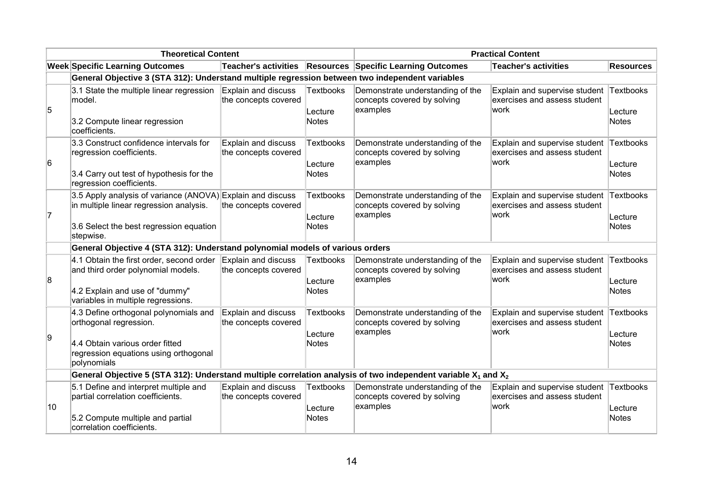| <b>Theoretical Content</b> |                                                                                                                                                               |                                             |                                             | <b>Practical Content</b>                                                    |                                                                        |                                      |  |
|----------------------------|---------------------------------------------------------------------------------------------------------------------------------------------------------------|---------------------------------------------|---------------------------------------------|-----------------------------------------------------------------------------|------------------------------------------------------------------------|--------------------------------------|--|
|                            | <b>Week Specific Learning Outcomes</b>                                                                                                                        | Teacher's activities                        |                                             | <b>Resources Specific Learning Outcomes</b>                                 | <b>Teacher's activities</b>                                            | <b>Resources</b>                     |  |
|                            | General Objective 3 (STA 312): Understand multiple regression between two independent variables                                                               |                                             |                                             |                                                                             |                                                                        |                                      |  |
| 5                          | 3.1 State the multiple linear regression<br>model.<br>3.2 Compute linear regression<br>coefficients.                                                          | Explain and discuss<br>the concepts covered | Textbooks<br>Lecture<br><b>Notes</b>        | Demonstrate understanding of the<br>concepts covered by solving<br>examples | Explain and supervise student<br>exercises and assess student<br>work  | Textbooks<br>Lecture<br><b>Notes</b> |  |
| 6                          | 3.3 Construct confidence intervals for<br>regression coefficients.<br>3.4 Carry out test of hypothesis for the<br>regression coefficients.                    | Explain and discuss<br>the concepts covered | <b>Textbooks</b><br>Lecture<br><b>Notes</b> | Demonstrate understanding of the<br>concepts covered by solving<br>examples | Explain and supervise student<br>exercises and assess student<br>work  | Textbooks<br>Lecture<br><b>Notes</b> |  |
| 17                         | 3.5 Apply analysis of variance (ANOVA) Explain and discuss<br>in multiple linear regression analysis.<br>3.6 Select the best regression equation<br>stepwise. | the concepts covered                        | <b>Textbooks</b><br>Lecture<br>Notes        | Demonstrate understanding of the<br>concepts covered by solving<br>examples | Explain and supervise student<br>exercises and assess student<br> work | Textbooks<br>Lecture<br><b>Notes</b> |  |
|                            | General Objective 4 (STA 312): Understand polynomial models of various orders                                                                                 |                                             |                                             |                                                                             |                                                                        |                                      |  |
| 8                          | 4.1 Obtain the first order, second order<br>and third order polynomial models.<br>4.2 Explain and use of "dummy"<br>variables in multiple regressions.        | Explain and discuss<br>the concepts covered | Textbooks<br>Lecture<br>Notes               | Demonstrate understanding of the<br>concepts covered by solving<br>examples | Explain and supervise student<br>exercises and assess student<br>work  | Textbooks<br>Lecture<br>Notes        |  |
| 9                          | 4.3 Define orthogonal polynomials and<br>orthogonal regression.<br>4.4 Obtain various order fitted<br>regression equations using orthogonal<br>polynomials    | Explain and discuss<br>the concepts covered | Textbooks<br>Lecture<br><b>Notes</b>        | Demonstrate understanding of the<br>concepts covered by solving<br>examples | Explain and supervise student<br>exercises and assess student<br>work  | Textbooks<br>Lecture<br><b>Notes</b> |  |
|                            | General Objective 5 (STA 312): Understand multiple correlation analysis of two independent variable $X_1$ and $X_2$                                           |                                             |                                             |                                                                             |                                                                        |                                      |  |
| 10                         | 5.1 Define and interpret multiple and<br>partial correlation coefficients.<br>5.2 Compute multiple and partial<br>correlation coefficients.                   | Explain and discuss<br>the concepts covered | Textbooks<br>Lecture<br><b>Notes</b>        | Demonstrate understanding of the<br>concepts covered by solving<br>examples | Explain and supervise student<br>exercises and assess student<br>work  | Textbooks<br>Lecture<br><b>Notes</b> |  |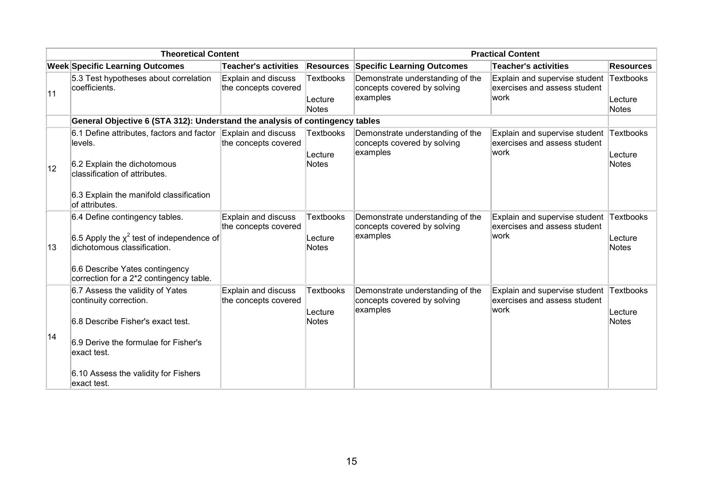| <b>Theoretical Content</b> |                                                                                                                                                                                                               |                                                    |                                             | <b>Practical Content</b>                                                    |                                                                                 |                                      |
|----------------------------|---------------------------------------------------------------------------------------------------------------------------------------------------------------------------------------------------------------|----------------------------------------------------|---------------------------------------------|-----------------------------------------------------------------------------|---------------------------------------------------------------------------------|--------------------------------------|
|                            | <b>Week Specific Learning Outcomes</b>                                                                                                                                                                        | <b>Teacher's activities</b>                        | <b>Resources</b>                            | <b>Specific Learning Outcomes</b>                                           | <b>Teacher's activities</b>                                                     | <b>Resources</b>                     |
| 11                         | 5.3 Test hypotheses about correlation<br>coefficients.                                                                                                                                                        | Explain and discuss<br>the concepts covered        | <b>Textbooks</b><br>Lecture<br><b>Notes</b> | Demonstrate understanding of the<br>concepts covered by solving<br>examples | Explain and supervise student Textbooks<br>exercises and assess student<br>work | Lecture<br><b>Notes</b>              |
|                            | General Objective 6 (STA 312): Understand the analysis of contingency tables                                                                                                                                  |                                                    |                                             |                                                                             |                                                                                 |                                      |
| 12                         | 6.1 Define attributes, factors and factor<br>levels.<br>6.2 Explain the dichotomous<br>classification of attributes.                                                                                          | Explain and discuss<br>the concepts covered        | <b>Textbooks</b><br>Lecture<br><b>Notes</b> | Demonstrate understanding of the<br>concepts covered by solving<br>examples | Explain and supervise student Textbooks<br>exercises and assess student<br>work | Lecture<br><b>Notes</b>              |
|                            | 6.3 Explain the manifold classification<br>lof attributes.                                                                                                                                                    |                                                    |                                             |                                                                             |                                                                                 |                                      |
| 13                         | 6.4 Define contingency tables.<br>6.5 Apply the $\chi^2$ test of independence of<br>dichotomous classification.<br>6.6 Describe Yates contingency<br>correction for a 2*2 contingency table.                  | Explain and discuss<br>the concepts covered        | <b>Textbooks</b><br>Lecture<br><b>Notes</b> | Demonstrate understanding of the<br>concepts covered by solving<br>examples | Explain and supervise student Textbooks<br>exercises and assess student<br>work | Lecture<br><b>Notes</b>              |
| 14                         | 6.7 Assess the validity of Yates<br>continuity correction.<br>6.8 Describe Fisher's exact test.<br>6.9 Derive the formulae for Fisher's<br>exact test.<br>6.10 Assess the validity for Fishers<br>exact test. | <b>Explain and discuss</b><br>the concepts covered | <b>Textbooks</b><br>Lecture<br><b>Notes</b> | Demonstrate understanding of the<br>concepts covered by solving<br>examples | Explain and supervise student<br>exercises and assess student<br>work           | Textbooks<br>Lecture<br><b>Notes</b> |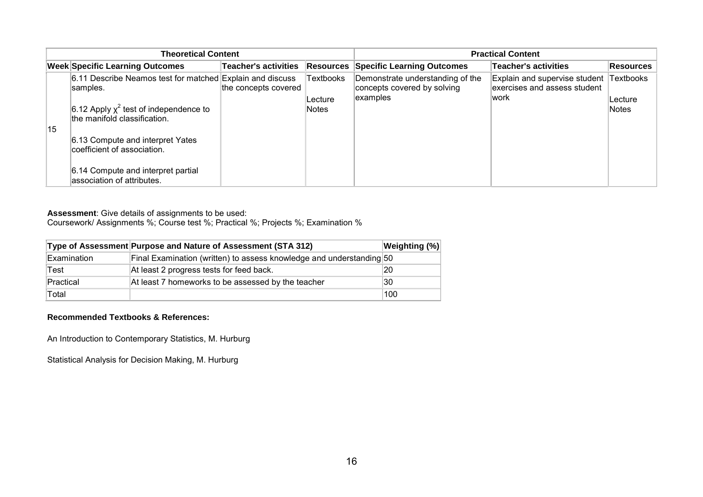| <b>Theoretical Content</b> |                                                                             |                             |                          | <b>Practical Content</b>                                                    |                                                                       |                   |
|----------------------------|-----------------------------------------------------------------------------|-----------------------------|--------------------------|-----------------------------------------------------------------------------|-----------------------------------------------------------------------|-------------------|
|                            | <b>Week Specific Learning Outcomes</b>                                      | <b>Teacher's activities</b> | Resources                | <b>Specific Learning Outcomes</b>                                           | Teacher's activities                                                  | <b>Resources</b>  |
| 15                         | 6.11 Describe Neamos test for matched Explain and discuss<br>samples.       | the concepts covered        | <b>Textbooks</b>         | Demonstrate understanding of the<br>concepts covered by solving<br>examples | Explain and supervise student<br>exercises and assess student<br>work | Textbooks         |
|                            | 6.12 Apply $\chi^2$ test of independence to<br>the manifold classification. |                             | ∣Lecture<br><b>Notes</b> |                                                                             |                                                                       | ∣Lecture<br>Notes |
|                            | 6.13 Compute and interpret Yates<br>coefficient of association.             |                             |                          |                                                                             |                                                                       |                   |
|                            | 6.14 Compute and interpret partial<br>association of attributes.            |                             |                          |                                                                             |                                                                       |                   |

Coursework/ Assignments %; Course test %; Practical %; Projects %; Examination %

|             | Type of Assessment Purpose and Nature of Assessment (STA 312)        | Weighting (%) |
|-------------|----------------------------------------------------------------------|---------------|
| Examination | Final Examination (written) to assess knowledge and understanding 50 |               |
| Test        | At least 2 progress tests for feed back.                             | 20            |
| Practical   | At least 7 homeworks to be assessed by the teacher                   | 30            |
| Total       |                                                                      | 100           |

#### **Recommended Textbooks & References:**

An Introduction to Contemporary Statistics, M. Hurburg

Statistical Analysis for Decision Making, M. Hurburg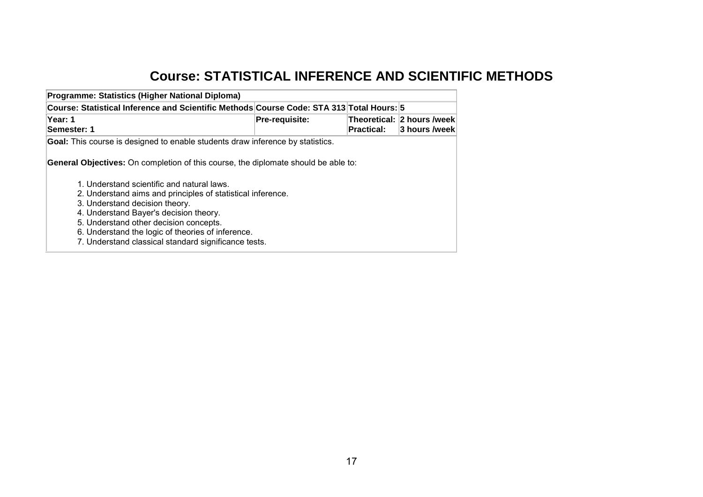# **Course: STATISTICAL INFERENCE AND SCIENTIFIC METHODS**

<span id="page-18-0"></span>

| Course: Statistical Inference and Scientific Methods Course Code: STA 313 Total Hours: 5                  |                |            |                                               |
|-----------------------------------------------------------------------------------------------------------|----------------|------------|-----------------------------------------------|
| <b>Year: 1</b><br>Semester: 1                                                                             | Pre-requisite: | Practical: | Theoretical: 2 hours /week<br>∣3 hours /week∣ |
| <b>Goal:</b> This course is designed to enable students draw inference by statistics.                     |                |            |                                               |
| <b>General Objectives:</b> On completion of this course, the diplomate should be able to:                 |                |            |                                               |
|                                                                                                           |                |            |                                               |
| 1. Understand scientific and natural laws.                                                                |                |            |                                               |
| 2. Understand aims and principles of statistical inference.                                               |                |            |                                               |
| 3. Understand decision theory.<br>4. Understand Bayer's decision theory.                                  |                |            |                                               |
| 5. Understand other decision concepts.                                                                    |                |            |                                               |
| 6. Understand the logic of theories of inference.<br>7. Understand classical standard significance tests. |                |            |                                               |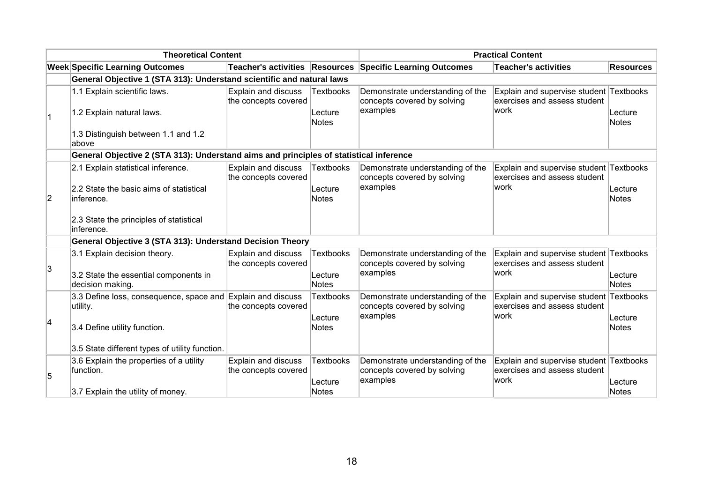| <b>Theoretical Content</b> |                                                                                                         |                                             |                                      | <b>Practical Content</b>                                                    |                                                                                  |                         |
|----------------------------|---------------------------------------------------------------------------------------------------------|---------------------------------------------|--------------------------------------|-----------------------------------------------------------------------------|----------------------------------------------------------------------------------|-------------------------|
|                            | <b>Week Specific Learning Outcomes</b>                                                                  | Teacher's activities Resources              |                                      | <b>Specific Learning Outcomes</b>                                           | Teacher's activities                                                             | <b>Resources</b>        |
|                            | General Objective 1 (STA 313): Understand scientific and natural laws                                   |                                             |                                      |                                                                             |                                                                                  |                         |
|                            | 1.1 Explain scientific laws.<br>1.2 Explain natural laws.                                               | Explain and discuss<br>the concepts covered | <b>Textbooks</b><br>Lecture          | Demonstrate understanding of the<br>concepts covered by solving<br>examples | Explain and supervise student Textbooks<br>exercises and assess student<br> work | Lecture                 |
| $\vert$ 1                  | 1.3 Distinguish between 1.1 and 1.2<br>above                                                            |                                             | Notes                                |                                                                             |                                                                                  | Notes                   |
|                            | General Objective 2 (STA 313): Understand aims and principles of statistical inference                  |                                             |                                      |                                                                             |                                                                                  |                         |
| $\overline{2}$             | 2.1 Explain statistical inference.<br>2.2 State the basic aims of statistical<br>linference.            | Explain and discuss<br>the concepts covered | <b>Textbooks</b><br>Lecture<br>Notes | Demonstrate understanding of the<br>concepts covered by solving<br>examples | Explain and supervise student Textbooks<br>exercises and assess student<br>work  | Lecture<br><b>Notes</b> |
|                            | 2.3 State the principles of statistical<br>inference.                                                   |                                             |                                      |                                                                             |                                                                                  |                         |
|                            | General Objective 3 (STA 313): Understand Decision Theory                                               |                                             |                                      |                                                                             |                                                                                  |                         |
| 3                          | 3.1 Explain decision theory.<br>3.2 State the essential components in<br>decision making.               | Explain and discuss<br>the concepts covered | <b>Textbooks</b><br>Lecture<br>Notes | Demonstrate understanding of the<br>concepts covered by solving<br>examples | Explain and supervise student Textbooks<br>exercises and assess student<br>lwork | Lecture<br>Notes        |
| 4                          | 3.3 Define loss, consequence, space and Explain and discuss<br>utility.<br>3.4 Define utility function. | the concepts covered                        | <b>Textbooks</b><br>Lecture<br>Notes | Demonstrate understanding of the<br>concepts covered by solving<br>examples | Explain and supervise student Textbooks<br>exercises and assess student<br>lwork | Lecture<br><b>Notes</b> |
|                            | 3.5 State different types of utility function.                                                          |                                             |                                      |                                                                             |                                                                                  |                         |
| 5                          | 3.6 Explain the properties of a utility<br>function.                                                    | Explain and discuss<br>the concepts covered | <b>Textbooks</b><br>Lecture          | Demonstrate understanding of the<br>concepts covered by solving<br>examples | Explain and supervise student Textbooks<br>exercises and assess student<br> work | Lecture                 |
|                            | 3.7 Explain the utility of money.                                                                       |                                             | Notes                                |                                                                             |                                                                                  | <b>Notes</b>            |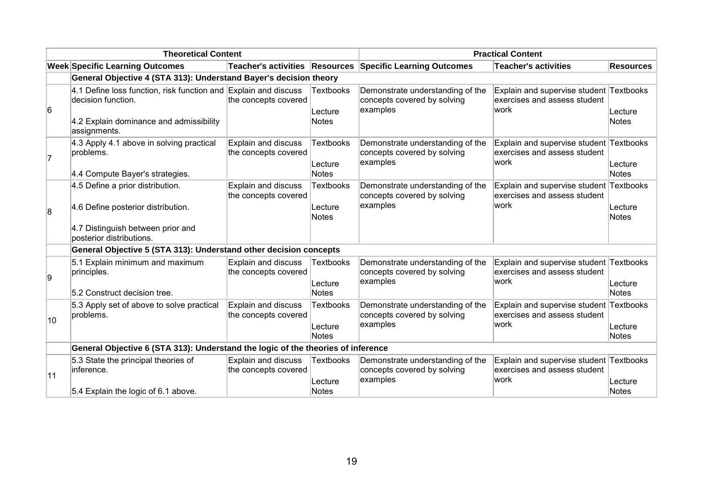| <b>Theoretical Content</b> |                                                                                                                                                  |                                             |                                             | <b>Practical Content</b>                                                    |                                                                                  |                         |
|----------------------------|--------------------------------------------------------------------------------------------------------------------------------------------------|---------------------------------------------|---------------------------------------------|-----------------------------------------------------------------------------|----------------------------------------------------------------------------------|-------------------------|
|                            | <b>Week Specific Learning Outcomes</b>                                                                                                           |                                             |                                             | Teacher's activities Resources Specific Learning Outcomes                   | Teacher's activities                                                             | <b>Resources</b>        |
|                            | General Objective 4 (STA 313): Understand Bayer's decision theory                                                                                |                                             |                                             |                                                                             |                                                                                  |                         |
| 6                          | 4.1 Define loss function, risk function and Explain and discuss<br>decision function.<br>4.2 Explain dominance and admissibility<br>assignments. | the concepts covered                        | <b>Textbooks</b><br>Lecture<br>Notes        | Demonstrate understanding of the<br>concepts covered by solving<br>examples | Explain and supervise student Textbooks<br>exercises and assess student<br>lwork | Lecture<br>Notes        |
| 7                          | 4.3 Apply 4.1 above in solving practical<br>problems.<br>4.4 Compute Bayer's strategies.                                                         | Explain and discuss<br>the concepts covered | <b>Textbooks</b><br>Lecture<br><b>Notes</b> | Demonstrate understanding of the<br>concepts covered by solving<br>examples | Explain and supervise student Textbooks<br>exercises and assess student<br> work | Lecture<br><b>Notes</b> |
| 8                          | 4.5 Define a prior distribution.<br>4.6 Define posterior distribution.<br>4.7 Distinguish between prior and<br>posterior distributions.          | Explain and discuss<br>the concepts covered | <b>Textbooks</b><br>Lecture<br>Notes        | Demonstrate understanding of the<br>concepts covered by solving<br>examples | Explain and supervise student Textbooks<br>exercises and assess student<br>work  | Lecture<br><b>Notes</b> |
|                            | General Objective 5 (STA 313): Understand other decision concepts                                                                                |                                             |                                             |                                                                             |                                                                                  |                         |
| g                          | 5.1 Explain minimum and maximum<br>principles.<br>5.2 Construct decision tree.                                                                   | Explain and discuss<br>the concepts covered | <b>Textbooks</b><br>Lecture<br>Notes        | Demonstrate understanding of the<br>concepts covered by solving<br>examples | Explain and supervise student Textbooks<br>exercises and assess student<br>lwork | Lecture<br><b>Notes</b> |
| 10                         | 5.3 Apply set of above to solve practical<br>problems.                                                                                           | Explain and discuss<br>the concepts covered | <b>Textbooks</b><br>Lecture<br>Notes        | Demonstrate understanding of the<br>concepts covered by solving<br>examples | Explain and supervise student Textbooks<br>exercises and assess student<br>lwork | Lecture<br><b>Notes</b> |
|                            | General Objective 6 (STA 313): Understand the logic of the theories of inference                                                                 |                                             |                                             |                                                                             |                                                                                  |                         |
| 11                         | 5.3 State the principal theories of<br>inference.<br>5.4 Explain the logic of 6.1 above.                                                         | Explain and discuss<br>the concepts covered | <b>Textbooks</b><br>Lecture<br>Notes        | Demonstrate understanding of the<br>concepts covered by solving<br>examples | Explain and supervise student Textbooks<br>exercises and assess student<br> work | Lecture<br><b>Notes</b> |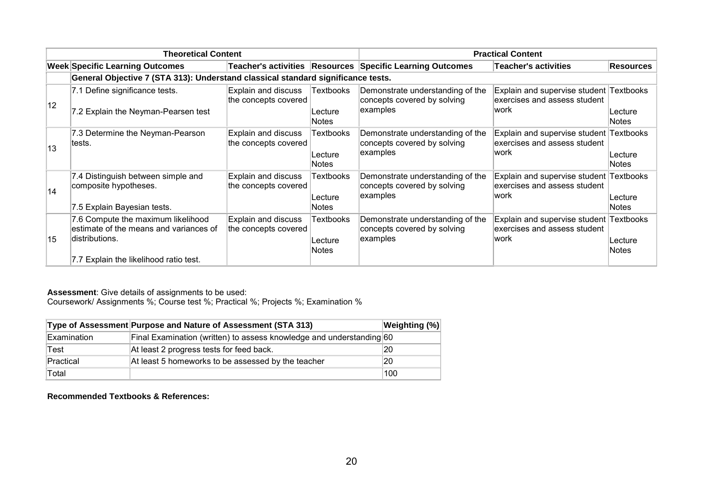| <b>Theoretical Content</b> |                                                                                                                                           |                                             |                                             | <b>Practical Content</b>                                                    |                                                                                  |                  |
|----------------------------|-------------------------------------------------------------------------------------------------------------------------------------------|---------------------------------------------|---------------------------------------------|-----------------------------------------------------------------------------|----------------------------------------------------------------------------------|------------------|
|                            | <b>Week Specific Learning Outcomes</b>                                                                                                    |                                             |                                             | Teacher's activities Resources Specific Learning Outcomes                   | <b>Teacher's activities</b>                                                      | <b>Resources</b> |
|                            | General Objective 7 (STA 313): Understand classical standard significance tests.                                                          |                                             |                                             |                                                                             |                                                                                  |                  |
| 12                         | 7.1 Define significance tests.<br>7.2 Explain the Neyman-Pearsen test                                                                     | Explain and discuss<br>the concepts covered | Textbooks<br>Lecture<br><b>Notes</b>        | Demonstrate understanding of the<br>concepts covered by solving<br>examples | Explain and supervise student Textbooks<br>exercises and assess student<br>lwork | Lecture<br>Notes |
| 13                         | 7.3 Determine the Neyman-Pearson<br>ltests.                                                                                               | Explain and discuss<br>the concepts covered | <b>Textbooks</b><br>Lecture<br><b>Notes</b> | Demonstrate understanding of the<br>concepts covered by solving<br>examples | Explain and supervise student Textbooks<br>exercises and assess student<br>work  | Lecture<br>Notes |
| 14                         | 7.4 Distinguish between simple and<br>composite hypotheses.<br>7.5 Explain Bayesian tests.                                                | Explain and discuss<br>the concepts covered | Textbooks<br>Lecture<br><b>Notes</b>        | Demonstrate understanding of the<br>concepts covered by solving<br>examples | Explain and supervise student Textbooks<br>exercises and assess student<br>work  | Lecture<br>Notes |
| 15                         | 7.6 Compute the maximum likelihood<br>estimate of the means and variances of<br>ldistributions.<br>7.7 Explain the likelihood ratio test. | Explain and discuss<br>the concepts covered | Textbooks<br>Lecture<br><b>Notes</b>        | Demonstrate understanding of the<br>concepts covered by solving<br>examples | Explain and supervise student Textbooks<br>exercises and assess student<br>work  | Lecture<br>Notes |

Coursework/ Assignments %; Course test %; Practical %; Projects %; Examination %

|             | Type of Assessment Purpose and Nature of Assessment (STA 313)        | Weighting (%) |
|-------------|----------------------------------------------------------------------|---------------|
| Examination | Final Examination (written) to assess knowledge and understanding 60 |               |
| Test        | At least 2 progress tests for feed back.                             | 20            |
| Practical   | At least 5 homeworks to be assessed by the teacher                   | 20            |
| Total       |                                                                      | 100           |

**Recommended Textbooks & References:**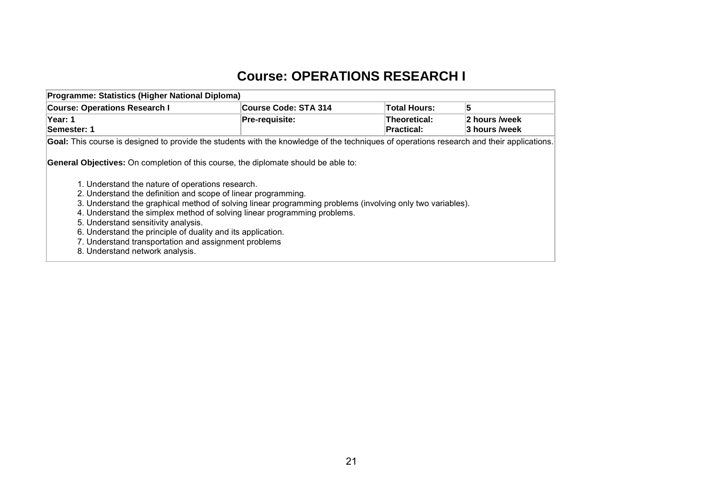# **Course: OPERATIONS RESEARCH I**

<span id="page-22-0"></span>

| Programme: Statistics (Higher National Diploma)                                                                                                                                                                                                                                                                                                                                                                                                                                                                                                                                                          |                             |                                          |                                |  |  |  |  |  |  |
|----------------------------------------------------------------------------------------------------------------------------------------------------------------------------------------------------------------------------------------------------------------------------------------------------------------------------------------------------------------------------------------------------------------------------------------------------------------------------------------------------------------------------------------------------------------------------------------------------------|-----------------------------|------------------------------------------|--------------------------------|--|--|--|--|--|--|
| <b>Course: Operations Research I</b>                                                                                                                                                                                                                                                                                                                                                                                                                                                                                                                                                                     | <b>Course Code: STA 314</b> | <b>Total Hours:</b>                      | 5                              |  |  |  |  |  |  |
| Year: 1<br>Semester: 1                                                                                                                                                                                                                                                                                                                                                                                                                                                                                                                                                                                   | <b>Pre-requisite:</b>       | <b>Theoretical:</b><br><b>Practical:</b> | 2 hours /week<br>3 hours /week |  |  |  |  |  |  |
| Goal: This course is designed to provide the students with the knowledge of the techniques of operations research and their applications.                                                                                                                                                                                                                                                                                                                                                                                                                                                                |                             |                                          |                                |  |  |  |  |  |  |
| <b>General Objectives:</b> On completion of this course, the diplomate should be able to:<br>1. Understand the nature of operations research.<br>2. Understand the definition and scope of linear programming.<br>3. Understand the graphical method of solving linear programming problems (involving only two variables).<br>4. Understand the simplex method of solving linear programming problems.<br>5. Understand sensitivity analysis.<br>6. Understand the principle of duality and its application.<br>7. Understand transportation and assignment problems<br>8. Understand network analysis. |                             |                                          |                                |  |  |  |  |  |  |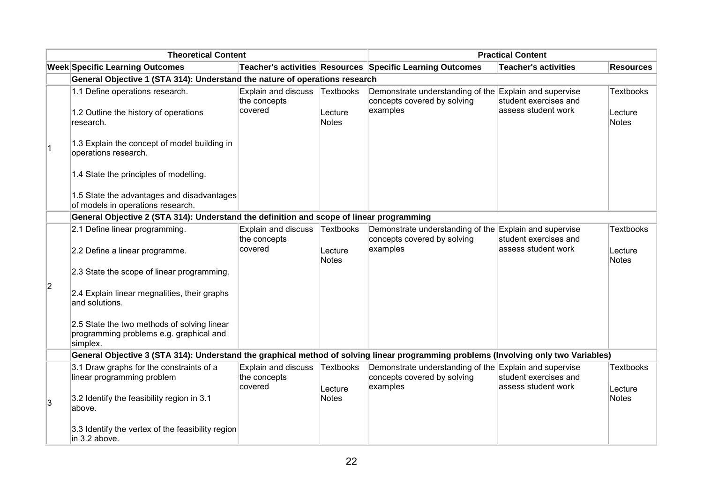|             | <b>Theoretical Content</b>                                                                                                           |                                                       |                                      | <b>Practical Content</b>                                                                          |                                                                       |                                             |
|-------------|--------------------------------------------------------------------------------------------------------------------------------------|-------------------------------------------------------|--------------------------------------|---------------------------------------------------------------------------------------------------|-----------------------------------------------------------------------|---------------------------------------------|
|             | <b>Week Specific Learning Outcomes</b>                                                                                               |                                                       |                                      | Teacher's activities Resources Specific Learning Outcomes                                         | <b>Teacher's activities</b>                                           | <b>Resources</b>                            |
|             | General Objective 1 (STA 314): Understand the nature of operations research                                                          |                                                       |                                      |                                                                                                   |                                                                       |                                             |
|             | 1.1 Define operations research.<br>1.2 Outline the history of operations<br>research.                                                | <b>Explain and discuss</b><br>the concepts<br>covered | Textbooks<br>Lecture<br><b>Notes</b> | Demonstrate understanding of the<br>concepts covered by solving<br>examples                       | Explain and supervise<br>student exercises and<br>assess student work | <b>Textbooks</b><br>Lecture<br><b>Notes</b> |
| $ 1\rangle$ | 1.3 Explain the concept of model building in<br>operations research.                                                                 |                                                       |                                      |                                                                                                   |                                                                       |                                             |
|             | 1.4 State the principles of modelling.                                                                                               |                                                       |                                      |                                                                                                   |                                                                       |                                             |
|             | 1.5 State the advantages and disadvantages<br>of models in operations research.                                                      |                                                       |                                      |                                                                                                   |                                                                       |                                             |
|             | General Objective 2 (STA 314): Understand the definition and scope of linear programming                                             |                                                       |                                      |                                                                                                   |                                                                       |                                             |
|             | 2.1 Define linear programming.                                                                                                       | <b>Explain and discuss</b><br>the concepts<br>covered | <b>Textbooks</b>                     | Demonstrate understanding of the<br>concepts covered by solving<br>examples                       | Explain and supervise<br>student exercises and<br>assess student work | <b>Textbooks</b>                            |
|             | 2.2 Define a linear programme.                                                                                                       |                                                       | Lecture<br><b>Notes</b>              |                                                                                                   |                                                                       | Lecture<br><b>Notes</b>                     |
| 2           | 2.3 State the scope of linear programming.                                                                                           |                                                       |                                      |                                                                                                   |                                                                       |                                             |
|             | 2.4 Explain linear megnalities, their graphs<br>and solutions.                                                                       |                                                       |                                      |                                                                                                   |                                                                       |                                             |
|             | 2.5 State the two methods of solving linear<br>programming problems e.g. graphical and<br>simplex.                                   |                                                       |                                      |                                                                                                   |                                                                       |                                             |
|             | General Objective 3 (STA 314): Understand the graphical method of solving linear programming problems (Involving only two Variables) |                                                       |                                      |                                                                                                   |                                                                       |                                             |
|             | 3.1 Draw graphs for the constraints of a<br>linear programming problem                                                               | <b>Explain and discuss</b><br>the concepts<br>covered | Textbooks<br>Lecture                 | Demonstrate understanding of the Explain and supervise<br>concepts covered by solving<br>examples | student exercises and<br>assess student work                          | <b>Textbooks</b><br>Lecture                 |
| 3           | 3.2 Identify the feasibility region in 3.1<br>above.                                                                                 |                                                       | <b>Notes</b>                         |                                                                                                   |                                                                       | <b>Notes</b>                                |
|             | 3.3 Identify the vertex of the feasibility region<br>in 3.2 above.                                                                   |                                                       |                                      |                                                                                                   |                                                                       |                                             |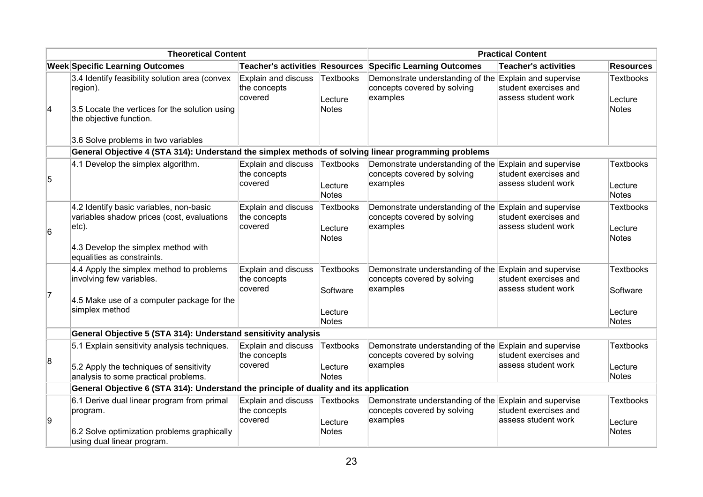| <b>Theoretical Content</b> |                                                                                                                                                                         |                                                       |                                                         | <b>Practical Content</b>                                                                          |                                               |                                                  |
|----------------------------|-------------------------------------------------------------------------------------------------------------------------------------------------------------------------|-------------------------------------------------------|---------------------------------------------------------|---------------------------------------------------------------------------------------------------|-----------------------------------------------|--------------------------------------------------|
|                            | <b>Week Specific Learning Outcomes</b>                                                                                                                                  | <b>Teacher's activities Resources</b>                 |                                                         | <b>Specific Learning Outcomes</b>                                                                 | <b>Teacher's activities</b>                   | <b>Resources</b>                                 |
| $\vert$ 4                  | 3.4 Identify feasibility solution area (convex<br>region).<br>3.5 Locate the vertices for the solution using                                                            | Explain and discuss<br>the concepts<br>covered        | Textbooks<br>Lecture<br><b>Notes</b>                    | Demonstrate understanding of the Explain and supervise<br>concepts covered by solving<br>examples | student exercises and<br>lassess student work | <b>Textbooks</b><br>Lecture<br>Notes             |
|                            | the objective function.<br>3.6 Solve problems in two variables                                                                                                          |                                                       |                                                         |                                                                                                   |                                               |                                                  |
|                            | General Objective 4 (STA 314): Understand the simplex methods of solving linear programming problems                                                                    |                                                       |                                                         |                                                                                                   |                                               |                                                  |
| 5                          | 4.1 Develop the simplex algorithm.                                                                                                                                      | Explain and discuss<br>the concepts<br>covered        | Textbooks<br>Lecture<br><b>Notes</b>                    | Demonstrate understanding of the Explain and supervise<br>concepts covered by solving<br>examples | student exercises and<br>lassess student work | <b>Textbooks</b><br>Lecture<br>Notes             |
| 6                          | 4.2 Identify basic variables, non-basic<br>variables shadow prices (cost, evaluations<br>$ etc$ ).<br>4.3 Develop the simplex method with<br>equalities as constraints. | Explain and discuss<br>the concepts<br>covered        | <b>Textbooks</b><br>Lecture<br><b>Notes</b>             | Demonstrate understanding of the Explain and supervise<br>concepts covered by solving<br>examples | student exercises and<br>assess student work  | Textbooks<br>Lecture<br>Notes                    |
| 17                         | 4.4 Apply the simplex method to problems<br>involving few variables.<br>4.5 Make use of a computer package for the<br>simplex method                                    | Explain and discuss<br>the concepts<br>covered        | <b>Textbooks</b><br>Software<br>Lecture<br><b>Notes</b> | Demonstrate understanding of the Explain and supervise<br>concepts covered by solving<br>examples | student exercises and<br>assess student work  | <b>Textbooks</b><br>Software<br>Lecture<br>Notes |
|                            | General Objective 5 (STA 314): Understand sensitivity analysis                                                                                                          |                                                       |                                                         |                                                                                                   |                                               |                                                  |
| 8                          | 5.1 Explain sensitivity analysis techniques.<br>5.2 Apply the techniques of sensitivity<br>analysis to some practical problems.                                         | <b>Explain and discuss</b><br>the concepts<br>covered | Textbooks<br>Lecture<br><b>Notes</b>                    | Demonstrate understanding of the Explain and supervise<br>concepts covered by solving<br>examples | student exercises and<br>assess student work  | <b>Textbooks</b><br>Lecture<br>Notes             |
|                            | General Objective 6 (STA 314): Understand the principle of duality and its application                                                                                  |                                                       |                                                         |                                                                                                   |                                               |                                                  |
| 9                          | 6.1 Derive dual linear program from primal<br>program.<br>6.2 Solve optimization problems graphically<br>using dual linear program.                                     | Explain and discuss<br>the concepts<br>covered        | Textbooks<br>Lecture<br><b>Notes</b>                    | Demonstrate understanding of the Explain and supervise<br>concepts covered by solving<br>examples | student exercises and<br>assess student work  | <b>Textbooks</b><br>Lecture<br>Notes             |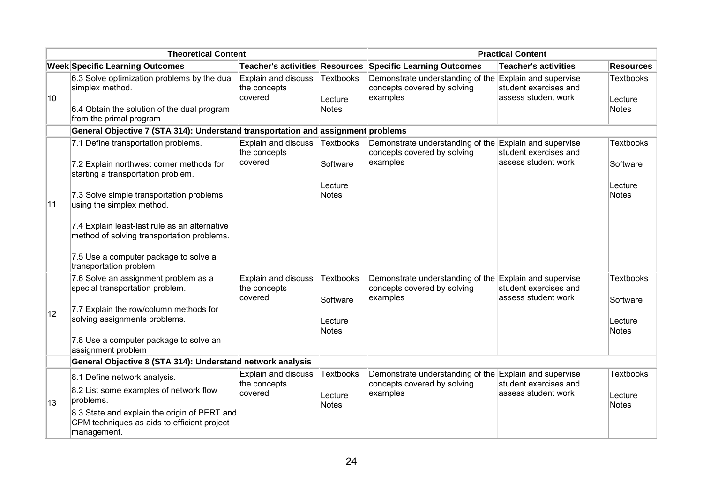| <b>Theoretical Content</b> |                                                                                                                                                                                                                                         |                                                | <b>Practical Content</b>                                |                                                                                                   |                                                                       |                                                         |
|----------------------------|-----------------------------------------------------------------------------------------------------------------------------------------------------------------------------------------------------------------------------------------|------------------------------------------------|---------------------------------------------------------|---------------------------------------------------------------------------------------------------|-----------------------------------------------------------------------|---------------------------------------------------------|
|                            | <b>Week Specific Learning Outcomes</b>                                                                                                                                                                                                  | <b>Teacher's activities Resources</b>          |                                                         | <b>Specific Learning Outcomes</b>                                                                 | <b>Teacher's activities</b>                                           | <b>Resources</b>                                        |
| 10                         | 6.3 Solve optimization problems by the dual<br>simplex method.<br>6.4 Obtain the solution of the dual program<br>from the primal program                                                                                                | Explain and discuss<br>the concepts<br>covered | Textbooks<br>Lecture<br><b>Notes</b>                    | Demonstrate understanding of the Explain and supervise<br>concepts covered by solving<br>examples | student exercises and<br>assess student work                          | <b>Textbooks</b><br>Lecture<br><b>Notes</b>             |
|                            | General Objective 7 (STA 314): Understand transportation and assignment problems                                                                                                                                                        |                                                |                                                         |                                                                                                   |                                                                       |                                                         |
|                            | 7.1 Define transportation problems.<br>7.2 Explain northwest corner methods for<br>starting a transportation problem.                                                                                                                   | Explain and discuss<br>the concepts<br>covered | Textbooks<br>Software<br>Lecture                        | Demonstrate understanding of the<br>concepts covered by solving<br>examples                       | Explain and supervise<br>student exercises and<br>assess student work | <b>Textbooks</b><br>Software<br>Lecture                 |
| 11                         | 7.3 Solve simple transportation problems<br>using the simplex method.<br>7.4 Explain least-last rule as an alternative<br>method of solving transportation problems.<br>7.5 Use a computer package to solve a<br>transportation problem |                                                | <b>Notes</b>                                            |                                                                                                   |                                                                       | <b>Notes</b>                                            |
| 12                         | 7.6 Solve an assignment problem as a<br>special transportation problem.<br>7.7 Explain the row/column methods for<br>solving assignments problems.<br>7.8 Use a computer package to solve an<br>assignment problem                      | Explain and discuss<br>the concepts<br>covered | <b>Textbooks</b><br>Software<br>Lecture<br><b>Notes</b> | Demonstrate understanding of the<br>concepts covered by solving<br>examples                       | Explain and supervise<br>student exercises and<br>assess student work | <b>Textbooks</b><br>Software<br>Lecture<br><b>Notes</b> |
|                            | General Objective 8 (STA 314): Understand network analysis                                                                                                                                                                              |                                                |                                                         |                                                                                                   |                                                                       |                                                         |
| 13                         | 8.1 Define network analysis.<br>8.2 List some examples of network flow<br>problems.<br>8.3 State and explain the origin of PERT and<br>CPM techniques as aids to efficient project<br>management.                                       | Explain and discuss<br>the concepts<br>covered | <b>Textbooks</b><br>Lecture<br><b>Notes</b>             | Demonstrate understanding of the Explain and supervise<br>concepts covered by solving<br>examples | student exercises and<br>assess student work                          | <b>Textbooks</b><br>Lecture<br><b>Notes</b>             |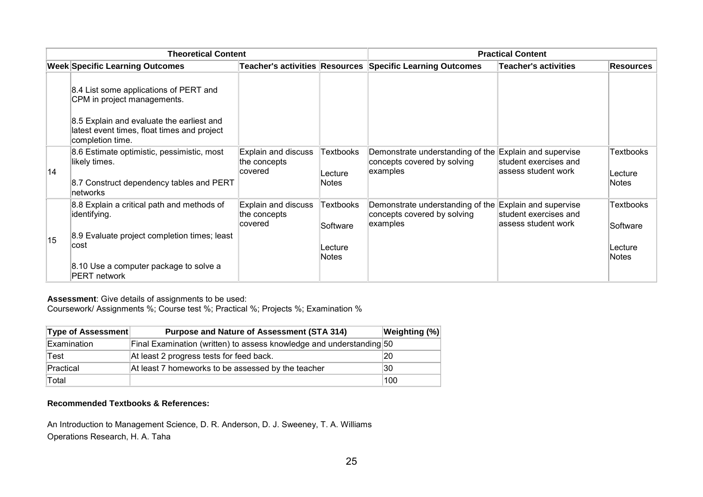|    | <b>Theoretical Content</b>                                                                                   | <b>Practical Content</b>                       |                                     |                                                                                                   |                                                |                              |
|----|--------------------------------------------------------------------------------------------------------------|------------------------------------------------|-------------------------------------|---------------------------------------------------------------------------------------------------|------------------------------------------------|------------------------------|
|    | <b>Week Specific Learning Outcomes</b>                                                                       |                                                |                                     | Teacher's activities Resources Specific Learning Outcomes                                         | <b>Teacher's activities</b>                    | <b>Resources</b>             |
|    | 8.4 List some applications of PERT and<br>CPM in project managements.                                        |                                                |                                     |                                                                                                   |                                                |                              |
|    | 8.5 Explain and evaluate the earliest and<br>latest event times, float times and project<br>completion time. |                                                |                                     |                                                                                                   |                                                |                              |
| 14 | 8.6 Estimate optimistic, pessimistic, most<br>likely times.                                                  | Explain and discuss<br>the concepts<br>covered | Textbooks<br>Lecture                | Demonstrate understanding of the Explain and supervise<br>concepts covered by solving<br>examples | student exercises and<br>lassess student work  | <b>Textbooks</b><br>Lecture  |
|    | 8.7 Construct dependency tables and PERT<br>∣networks                                                        |                                                | <b>Notes</b>                        |                                                                                                   |                                                | Notes                        |
|    | 8.8 Explain a critical path and methods of<br>identifying.                                                   | Explain and discuss<br>the concepts            | Textbooks                           | Demonstrate understanding of the<br>concepts covered by solving                                   | Explain and supervise<br>student exercises and | <b>Textbooks</b>             |
| 15 | 8.9 Evaluate project completion times; least<br>∣cost                                                        | covered                                        | Software<br>Lecture<br><b>Notes</b> | examples                                                                                          | lassess student work                           | Software<br>Lecture<br>Notes |
|    | 8.10 Use a computer package to solve a<br><b>PERT network</b>                                                |                                                |                                     |                                                                                                   |                                                |                              |

Coursework/ Assignments %; Course test %; Practical %; Projects %; Examination %

| Type of Assessment | <b>Purpose and Nature of Assessment (STA 314)</b>                    | Weighting (%) |
|--------------------|----------------------------------------------------------------------|---------------|
| Examination        | Final Examination (written) to assess knowledge and understanding 50 |               |
| Test               | At least 2 progress tests for feed back.                             | 20            |
| Practical          | At least 7 homeworks to be assessed by the teacher                   | 30            |
| Total              |                                                                      | 100           |

#### **Recommended Textbooks & References:**

An Introduction to Management Science, D. R. Anderson, D. J. Sweeney, T. A. Williams Operations Research, H. A. Taha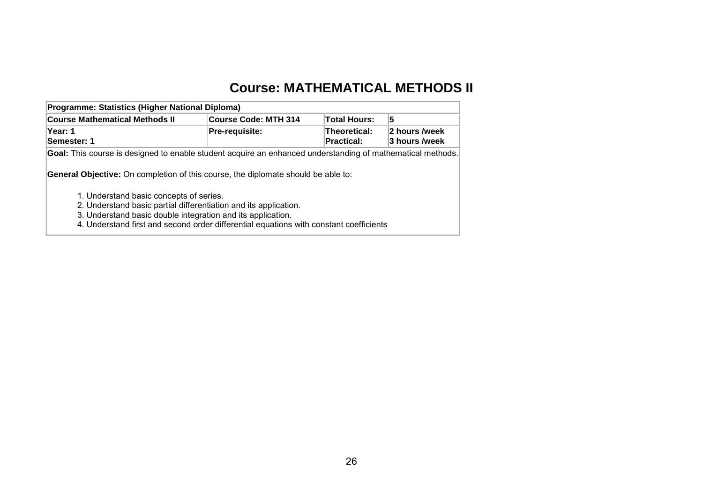## **Course: MATHEMATICAL METHODS II**

<span id="page-27-0"></span>

| Programme: Statistics (Higher National Diploma)                                                                                                                                                                                                                      |                             |                                   |                                |  |  |  |  |
|----------------------------------------------------------------------------------------------------------------------------------------------------------------------------------------------------------------------------------------------------------------------|-----------------------------|-----------------------------------|--------------------------------|--|--|--|--|
| <b>Course Mathematical Methods II</b>                                                                                                                                                                                                                                | <b>Course Code: MTH 314</b> | <b>Total Hours:</b>               | 5                              |  |  |  |  |
| Year: 1<br>Semester: 1                                                                                                                                                                                                                                               | <b>Pre-requisite:</b>       | <b>Theoretical:</b><br>Practical: | 2 hours /week<br>3 hours /week |  |  |  |  |
| Goal: This course is designed to enable student acquire an enhanced understanding of mathematical methods.<br><b>General Objective:</b> On completion of this course, the diplomate should be able to:                                                               |                             |                                   |                                |  |  |  |  |
| 1. Understand basic concepts of series.<br>2. Understand basic partial differentiation and its application.<br>3. Understand basic double integration and its application.<br>4. Understand first and second order differential equations with constant coefficients |                             |                                   |                                |  |  |  |  |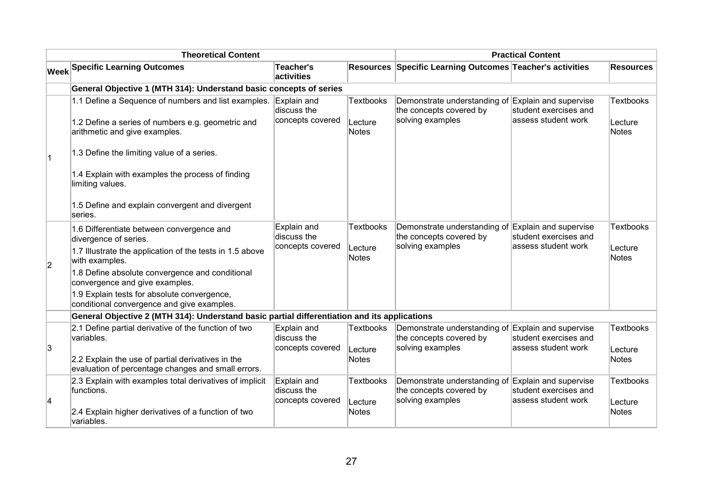|    | <b>Theoretical Content</b>                                                                                                                | <b>Practical Content</b>                       |                                             |                                                                                                   |                                                |                                      |
|----|-------------------------------------------------------------------------------------------------------------------------------------------|------------------------------------------------|---------------------------------------------|---------------------------------------------------------------------------------------------------|------------------------------------------------|--------------------------------------|
|    | <b>Week Specific Learning Outcomes</b>                                                                                                    | Teacher's<br>activities                        |                                             | Resources Specific Learning Outcomes Teacher's activities                                         |                                                | <b>Resources</b>                     |
|    | General Objective 1 (MTH 314): Understand basic concepts of series                                                                        |                                                |                                             |                                                                                                   |                                                |                                      |
|    | 1.1 Define a Sequence of numbers and list examples.<br>1.2 Define a series of numbers e.g. geometric and<br>arithmetic and give examples. | Explain and<br>discuss the<br>concepts covered | <b>Textbooks</b><br>Lecture<br><b>Notes</b> | Demonstrate understanding of Explain and supervise<br>the concepts covered by<br>solving examples | student exercises and<br>assess student work   | <b>Textbooks</b><br>Lecture<br>Notes |
| ∣1 | 1.3 Define the limiting value of a series.                                                                                                |                                                |                                             |                                                                                                   |                                                |                                      |
|    | 1.4 Explain with examples the process of finding<br>limiting values.                                                                      |                                                |                                             |                                                                                                   |                                                |                                      |
|    | 1.5 Define and explain convergent and divergent<br>series.                                                                                |                                                |                                             |                                                                                                   |                                                |                                      |
|    | 1.6 Differentiate between convergence and<br>divergence of series.                                                                        | Explain and<br>discuss the                     | <b>Textbooks</b>                            | Demonstrate understanding of<br>the concepts covered by                                           | Explain and supervise<br>student exercises and | <b>Textbooks</b>                     |
| 2  | 1.7 Illustrate the application of the tests in 1.5 above<br>with examples.                                                                | concepts covered                               | Lecture<br><b>Notes</b>                     | solving examples                                                                                  | assess student work                            | Lecture<br>Notes                     |
|    | 1.8 Define absolute convergence and conditional<br>convergence and give examples.                                                         |                                                |                                             |                                                                                                   |                                                |                                      |
|    | 1.9 Explain tests for absolute convergence,<br>conditional convergence and give examples.                                                 |                                                |                                             |                                                                                                   |                                                |                                      |
|    | General Objective 2 (MTH 314): Understand basic partial differentiation and its applications                                              |                                                |                                             |                                                                                                   |                                                |                                      |
|    | 2.1 Define partial derivative of the function of two<br>variables.                                                                        | Explain and<br>discuss the                     | <b>Textbooks</b>                            | Demonstrate understanding of Explain and supervise<br>the concepts covered by                     | student exercises and                          | <b>Textbooks</b>                     |
| 3  | 2.2 Explain the use of partial derivatives in the<br>evaluation of percentage changes and small errors.                                   | concepts covered                               | Lecture<br><b>Notes</b>                     | solving examples                                                                                  | lassess student work                           | Lecture<br>Notes                     |
| 4  | 2.3 Explain with examples total derivatives of implicit<br>functions.                                                                     | Explain and<br>discuss the<br>concepts covered | <b>Textbooks</b><br>Lecture                 | Demonstrate understanding of Explain and supervise<br>the concepts covered by<br>solving examples | student exercises and<br>assess student work   | <b>Textbooks</b><br>Lecture          |
|    | 2.4 Explain higher derivatives of a function of two<br>variables.                                                                         |                                                | <b>Notes</b>                                |                                                                                                   |                                                | Notes                                |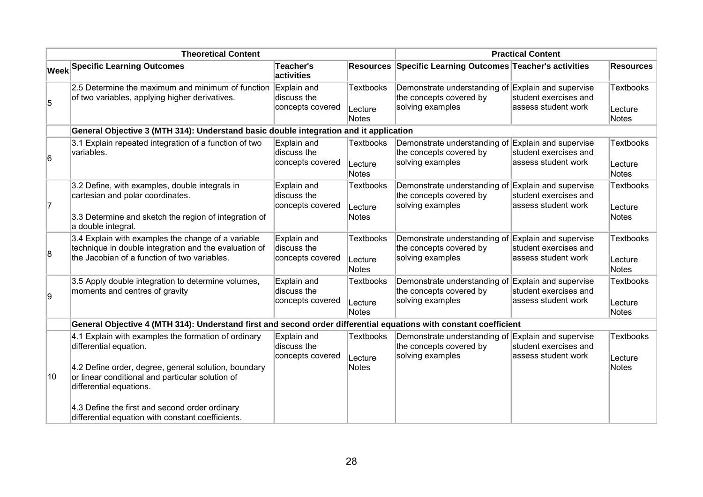|    | <b>Theoretical Content</b>                                                                                                                                                                                           | <b>Practical Content</b>                       |                                      |                                                                                                   |                                                                       |                                      |
|----|----------------------------------------------------------------------------------------------------------------------------------------------------------------------------------------------------------------------|------------------------------------------------|--------------------------------------|---------------------------------------------------------------------------------------------------|-----------------------------------------------------------------------|--------------------------------------|
|    | <b>Week Specific Learning Outcomes</b>                                                                                                                                                                               | <b>Teacher's</b><br>activities                 |                                      | Resources Specific Learning Outcomes Teacher's activities                                         |                                                                       | <b>Resources</b>                     |
| 5  | 2.5 Determine the maximum and minimum of function<br>of two variables, applying higher derivatives.                                                                                                                  | Explain and<br>discuss the<br>concepts covered | <b>Textbooks</b><br>Lecture<br>Notes | Demonstrate understanding of Explain and supervise<br>the concepts covered by<br>solving examples | student exercises and<br>assess student work                          | <b>Textbooks</b><br>Lecture<br>Notes |
|    | General Objective 3 (MTH 314): Understand basic double integration and it application                                                                                                                                |                                                |                                      |                                                                                                   |                                                                       |                                      |
| 6  | 3.1 Explain repeated integration of a function of two<br>variables.                                                                                                                                                  | Explain and<br>discuss the<br>concepts covered | <b>Textbooks</b><br>Lecture<br>Notes | Demonstrate understanding of Explain and supervise<br>the concepts covered by<br>solving examples | student exercises and<br>assess student work                          | <b>Textbooks</b><br>Lecture<br>Notes |
| 7  | 3.2 Define, with examples, double integrals in<br>cartesian and polar coordinates.<br>3.3 Determine and sketch the region of integration of<br>a double integral.                                                    | Explain and<br>discuss the<br>concepts covered | <b>Textbooks</b><br>Lecture<br>Notes | Demonstrate understanding of Explain and supervise<br>the concepts covered by<br>solving examples | student exercises and<br>assess student work                          | <b>Textbooks</b><br>Lecture<br>Notes |
| 8  | 3.4 Explain with examples the change of a variable<br>technique in double integration and the evaluation of<br>the Jacobian of a function of two variables.                                                          | Explain and<br>discuss the<br>concepts covered | <b>Textbooks</b><br>Lecture<br>Notes | Demonstrate understanding of Explain and supervise<br>the concepts covered by<br>solving examples | student exercises and<br>assess student work                          | <b>Textbooks</b><br>Lecture<br>Notes |
| g, | 3.5 Apply double integration to determine volumes,<br>moments and centres of gravity                                                                                                                                 | Explain and<br>discuss the<br>concepts covered | <b>Textbooks</b><br>Lecture<br>Notes | Demonstrate understanding of<br>the concepts covered by<br>solving examples                       | Explain and supervise<br>student exercises and<br>assess student work | <b>Textbooks</b><br>Lecture<br>Notes |
|    | General Objective 4 (MTH 314): Understand first and second order differential equations with constant coefficient                                                                                                    |                                                |                                      |                                                                                                   |                                                                       |                                      |
| 10 | 4.1 Explain with examples the formation of ordinary<br>differential equation.<br>4.2 Define order, degree, general solution, boundary<br>or linear conditional and particular solution of<br>differential equations. | Explain and<br>discuss the<br>concepts covered | <b>Textbooks</b><br>Lecture<br>Notes | Demonstrate understanding of Explain and supervise<br>the concepts covered by<br>solving examples | student exercises and<br>assess student work                          | <b>Textbooks</b><br>Lecture<br>Notes |
|    | 4.3 Define the first and second order ordinary<br>differential equation with constant coefficients.                                                                                                                  |                                                |                                      |                                                                                                   |                                                                       |                                      |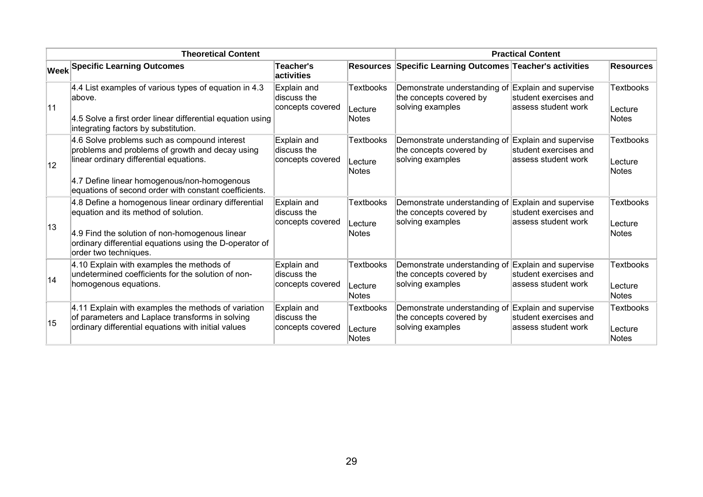|              | <b>Theoretical Content</b>                                                                                                                                                                                                                         | <b>Practical Content</b>                       |                                             |                                                                                                   |                                                                        |                                       |
|--------------|----------------------------------------------------------------------------------------------------------------------------------------------------------------------------------------------------------------------------------------------------|------------------------------------------------|---------------------------------------------|---------------------------------------------------------------------------------------------------|------------------------------------------------------------------------|---------------------------------------|
|              | <b>Week Specific Learning Outcomes</b>                                                                                                                                                                                                             | <b>Teacher's</b><br><b>activities</b>          |                                             | Resources Specific Learning Outcomes Teacher's activities                                         |                                                                        | <b>Resources</b>                      |
| 11           | 4.4 List examples of various types of equation in 4.3<br>labove.<br>4.5 Solve a first order linear differential equation using<br>integrating factors by substitution.                                                                             | Explain and<br>discuss the<br>concepts covered | <b>Textbooks</b><br>Lecture<br>Notes        | Demonstrate understanding of<br>the concepts covered by<br>solving examples                       | Explain and supervise<br>student exercises and<br>lassess student work | <b>Textbooks</b><br>Lecture<br>Notes  |
| $ 12\rangle$ | 4.6 Solve problems such as compound interest<br>problems and problems of growth and decay using<br>linear ordinary differential equations.<br>4.7 Define linear homogenous/non-homogenous<br>equations of second order with constant coefficients. | Explain and<br>discuss the<br>concepts covered | <b>Textbooks</b><br>Lecture<br>Notes        | Demonstrate understanding of<br>the concepts covered by<br>solving examples                       | Explain and supervise<br>student exercises and<br>lassess student work | <b>Textbooks</b><br>∣Lecture<br>Notes |
| 13           | 4.8 Define a homogenous linear ordinary differential<br>equation and its method of solution.<br>4.9 Find the solution of non-homogenous linear<br>ordinary differential equations using the D-operator of<br>order two techniques.                 | Explain and<br>discuss the<br>concepts covered | <b>Textbooks</b><br>Lecture<br><b>Notes</b> | Demonstrate understanding of<br>the concepts covered by<br>solving examples                       | Explain and supervise<br>student exercises and<br>lassess student work | <b>Textbooks</b><br>Lecture<br>Notes  |
| 14           | 4.10 Explain with examples the methods of<br>undetermined coefficients for the solution of non-<br>homogenous equations.                                                                                                                           | Explain and<br>discuss the<br>concepts covered | <b>Textbooks</b><br>Lecture<br>Notes        | Demonstrate understanding of Explain and supervise<br>the concepts covered by<br>solving examples | student exercises and<br>lassess student work                          | <b>Textbooks</b><br>Lecture<br>Notes  |
| 15           | 4.11 Explain with examples the methods of variation<br>of parameters and Laplace transforms in solving<br>ordinary differential equations with initial values                                                                                      | Explain and<br>discuss the<br>concepts covered | <b>Textbooks</b><br>Lecture<br>Notes        | Demonstrate understanding of<br>the concepts covered by<br>solving examples                       | Explain and supervise<br>student exercises and<br>lassess student work | <b>Textbooks</b><br>∣Lecture<br>Notes |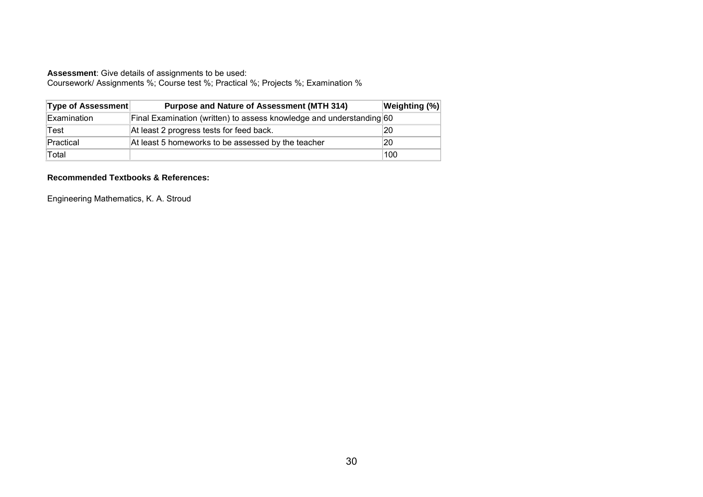Coursework/ Assignments %; Course test %; Practical %; Projects %; Examination %

| Type of Assessment | <b>Purpose and Nature of Assessment (MTH 314)</b>                    | <b>Weighting (%)</b> |
|--------------------|----------------------------------------------------------------------|----------------------|
| Examination        | Final Examination (written) to assess knowledge and understanding 60 |                      |
| Test               | At least 2 progress tests for feed back.                             | 20                   |
| Practical          | At least 5 homeworks to be assessed by the teacher                   | 20                   |
| Total              |                                                                      | 100                  |

#### **Recommended Textbooks & References:**

Engineering Mathematics, K. A. Stroud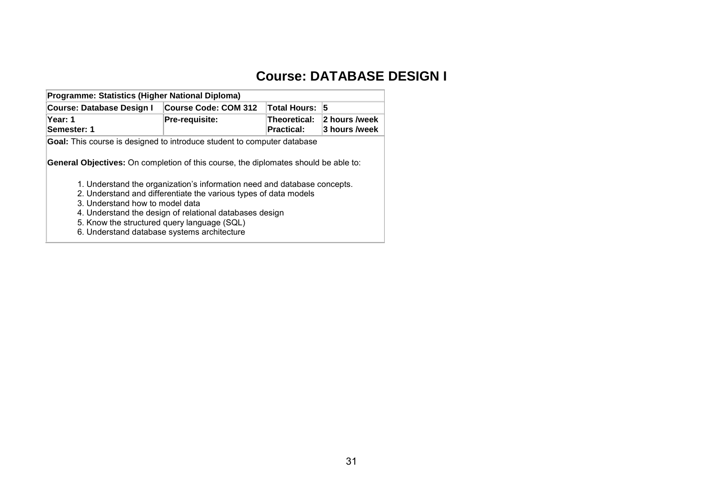# **Course: DATABASE DESIGN I**

<span id="page-32-0"></span>

| Programme: Statistics (Higher National Diploma)                                            |                                                                          |                            |                                |  |  |  |  |  |
|--------------------------------------------------------------------------------------------|--------------------------------------------------------------------------|----------------------------|--------------------------------|--|--|--|--|--|
| <b>Course: Database Design I</b>                                                           | <b>Course Code: COM 312</b>                                              | <b>Total Hours:</b>        | 5                              |  |  |  |  |  |
| Year: 1<br>Semester: 1                                                                     | Pre-requisite:                                                           | Theoretical:<br>Practical: | 2 hours /week<br>3 hours /week |  |  |  |  |  |
| Goal: This course is designed to introduce student to computer database                    |                                                                          |                            |                                |  |  |  |  |  |
| <b>General Objectives:</b> On completion of this course, the diplomates should be able to: | 1. Understand the organization's information need and database concepts. |                            |                                |  |  |  |  |  |
|                                                                                            | 2. Understand and differentiate the various types of data models         |                            |                                |  |  |  |  |  |
| 3. Understand how to model data                                                            |                                                                          |                            |                                |  |  |  |  |  |
|                                                                                            | 4. Understand the design of relational databases design                  |                            |                                |  |  |  |  |  |
|                                                                                            | 5. Know the structured query language (SQL)                              |                            |                                |  |  |  |  |  |
|                                                                                            | 6. Understand database systems architecture                              |                            |                                |  |  |  |  |  |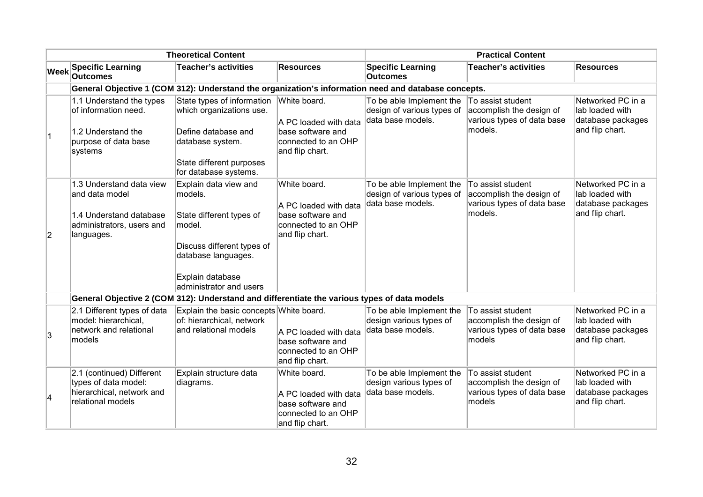|                | <b>Theoretical Content</b>                                                                                       |                                                                                                                                                                                                     |                                                                                                      | <b>Practical Content</b>                                                    |                                                                                        |                                                                              |  |
|----------------|------------------------------------------------------------------------------------------------------------------|-----------------------------------------------------------------------------------------------------------------------------------------------------------------------------------------------------|------------------------------------------------------------------------------------------------------|-----------------------------------------------------------------------------|----------------------------------------------------------------------------------------|------------------------------------------------------------------------------|--|
| <b>Week</b>    | <b>Specific Learning</b><br><b>Outcomes</b>                                                                      | <b>Teacher's activities</b>                                                                                                                                                                         | <b>Resources</b>                                                                                     | <b>Specific Learning</b><br><b>Outcomes</b>                                 | <b>Teacher's activities</b>                                                            | <b>Resources</b>                                                             |  |
|                |                                                                                                                  | General Objective 1 (COM 312): Understand the organization's information need and database concepts.                                                                                                |                                                                                                      |                                                                             |                                                                                        |                                                                              |  |
| ∣1             | 1.1 Understand the types<br>of information need.<br>1.2 Understand the<br>purpose of data base<br>systems        | State types of information<br>which organizations use.<br>Define database and<br>database system.<br>State different purposes                                                                       | White board.<br>A PC loaded with data<br>base software and<br>connected to an OHP<br>and flip chart. | To be able Implement the<br>design of various types of<br>data base models. | To assist student<br>accomplish the design of<br>various types of data base<br>models. | Networked PC in a<br>lab loaded with<br>database packages<br>and flip chart. |  |
| $\overline{2}$ | 1.3 Understand data view<br>and data model<br>1.4 Understand database<br>administrators, users and<br>languages. | for database systems.<br>Explain data view and<br>models.<br>State different types of<br>model.<br>Discuss different types of<br>database languages.<br>Explain database<br>administrator and users | White board.<br>A PC loaded with data<br>base software and<br>connected to an OHP<br>and flip chart. | To be able Implement the<br>design of various types of<br>data base models. | To assist student<br>accomplish the design of<br>various types of data base<br>models. | Networked PC in a<br>lab loaded with<br>database packages<br>and flip chart. |  |
|                |                                                                                                                  | General Objective 2 (COM 312): Understand and differentiate the various types of data models                                                                                                        |                                                                                                      |                                                                             |                                                                                        |                                                                              |  |
| 3              | 2.1 Different types of data<br>model: hierarchical,<br>network and relational<br>models                          | Explain the basic concepts White board.<br>of: hierarchical, network<br>and relational models                                                                                                       | A PC loaded with data<br>base software and<br>connected to an OHP<br>and flip chart.                 | To be able Implement the<br>design various types of<br>data base models.    | To assist student<br>accomplish the design of<br>various types of data base<br>models  | Networked PC in a<br>lab loaded with<br>database packages<br>and flip chart. |  |
| 4              | 2.1 (continued) Different<br>types of data model:<br>hierarchical, network and<br>relational models              | Explain structure data<br>diagrams.                                                                                                                                                                 | White board.<br>A PC loaded with data<br>base software and<br>connected to an OHP<br>and flip chart. | To be able Implement the<br>design various types of<br>data base models.    | To assist student<br>accomplish the design of<br>various types of data base<br>models  | Networked PC in a<br>lab loaded with<br>database packages<br>and flip chart. |  |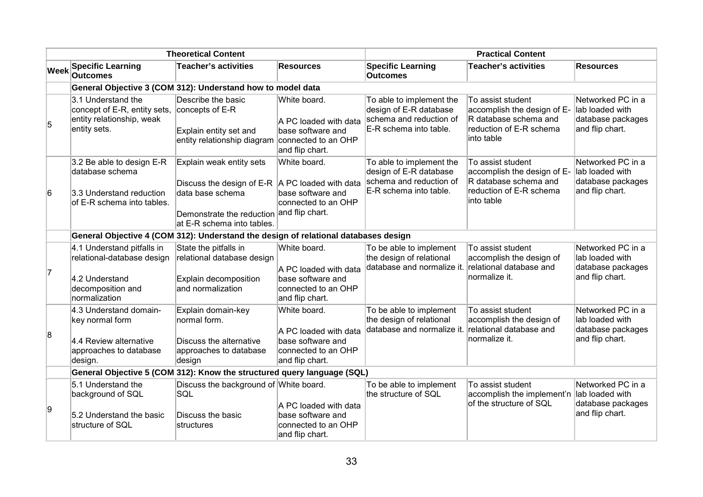|             | <b>Theoretical Content</b>                                                                                       |                                                                                                                                                                  |                                                                                                      | <b>Practical Content</b>                                                                                |                                                                                                                    |                                                                              |
|-------------|------------------------------------------------------------------------------------------------------------------|------------------------------------------------------------------------------------------------------------------------------------------------------------------|------------------------------------------------------------------------------------------------------|---------------------------------------------------------------------------------------------------------|--------------------------------------------------------------------------------------------------------------------|------------------------------------------------------------------------------|
| <b>Week</b> | <b>Specific Learning</b><br><b>Outcomes</b>                                                                      | <b>Teacher's activities</b>                                                                                                                                      | <b>Resources</b>                                                                                     | <b>Specific Learning</b><br><b>Outcomes</b>                                                             | <b>Teacher's activities</b>                                                                                        | <b>Resources</b>                                                             |
|             | General Objective 3 (COM 312): Understand how to model data                                                      |                                                                                                                                                                  |                                                                                                      |                                                                                                         |                                                                                                                    |                                                                              |
| 5           | 3.1 Understand the<br>concept of E-R, entity sets, concepts of E-R<br>entity relationship, weak<br>entity sets.  | Describe the basic<br>Explain entity set and<br>entity relationship diagram                                                                                      | White board.<br>A PC loaded with data<br>base software and<br>connected to an OHP<br>and flip chart. | To able to implement the<br>design of E-R database<br>schema and reduction of<br>E-R schema into table. | To assist student<br>accomplish the design of E-<br>R database schema and<br>reduction of E-R schema<br>into table | Networked PC in a<br>lab loaded with<br>database packages<br>and flip chart. |
| 6           | 3.2 Be able to design E-R<br>database schema<br>3.3 Understand reduction<br>of E-R schema into tables.           | Explain weak entity sets<br>Discuss the design of E-R $ A \, PC$ loaded with data<br>data base schema<br>Demonstrate the reduction<br>at E-R schema into tables. | White board.<br>base software and<br>connected to an OHP<br>and flip chart.                          | To able to implement the<br>design of E-R database<br>schema and reduction of<br>E-R schema into table. | To assist student<br>accomplish the design of E-<br>R database schema and<br>reduction of E-R schema<br>into table | Networked PC in a<br>lab loaded with<br>database packages<br>and flip chart. |
|             | General Objective 4 (COM 312): Understand the design of relational databases design                              |                                                                                                                                                                  |                                                                                                      |                                                                                                         |                                                                                                                    |                                                                              |
| 7           | 4.1 Understand pitfalls in<br>relational-database design<br>4.2 Understand<br>decomposition and<br>normalization | State the pitfalls in<br>relational database design<br>Explain decomposition<br>and normalization                                                                | White board.<br>A PC loaded with data<br>base software and<br>connected to an OHP<br>and flip chart. | To be able to implement<br>the design of relational<br>database and normalize it.                       | To assist student<br>accomplish the design of<br>relational database and<br>normalize it.                          | Networked PC in a<br>lab loaded with<br>database packages<br>and flip chart. |
| 8           | 4.3 Understand domain-<br>key normal form<br>4.4 Review alternative<br>approaches to database<br>design.         | Explain domain-key<br>normal form.<br>Discuss the alternative<br>approaches to database<br>design                                                                | White board.<br>A PC loaded with data<br>base software and<br>connected to an OHP<br>and flip chart. | To be able to implement<br>the design of relational<br>database and normalize it.                       | To assist student<br>accomplish the design of<br>relational database and<br>normalize it.                          | Networked PC in a<br>lab loaded with<br>database packages<br>and flip chart. |
|             | General Objective 5 (COM 312): Know the structured query language (SQL)                                          |                                                                                                                                                                  |                                                                                                      |                                                                                                         |                                                                                                                    |                                                                              |
| 9           | 5.1 Understand the<br>background of SQL<br>5.2 Understand the basic<br>structure of SQL                          | Discuss the background of White board.<br>SQL<br>Discuss the basic<br>structures                                                                                 | A PC loaded with data<br>base software and<br>connected to an OHP<br>and flip chart.                 | To be able to implement<br>the structure of SQL                                                         | To assist student<br>accomplish the implement'n<br>of the structure of SQL                                         | Networked PC in a<br>lab loaded with<br>database packages<br>and flip chart. |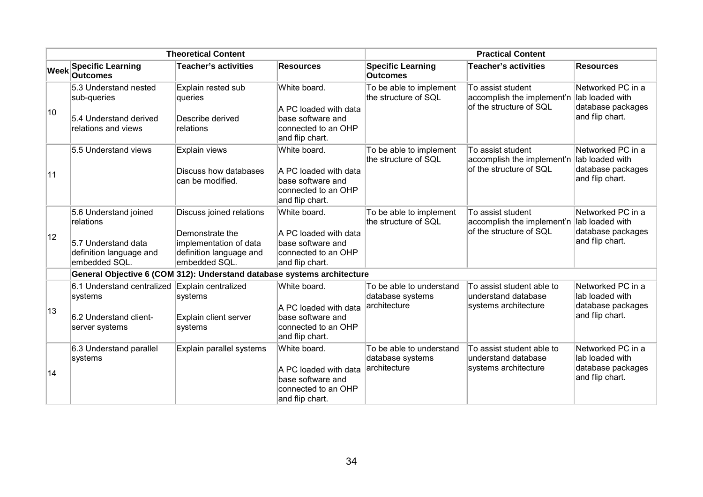|             | <b>Theoretical Content</b>                                                                            |                                                                                                                   |                                                                                                      | <b>Practical Content</b>                                     |                                                                                            |                                                                              |
|-------------|-------------------------------------------------------------------------------------------------------|-------------------------------------------------------------------------------------------------------------------|------------------------------------------------------------------------------------------------------|--------------------------------------------------------------|--------------------------------------------------------------------------------------------|------------------------------------------------------------------------------|
| <b>Week</b> | <b>Specific Learning</b><br><b>Outcomes</b>                                                           | <b>Teacher's activities</b>                                                                                       | <b>Resources</b>                                                                                     | <b>Specific Learning</b><br><b>Outcomes</b>                  | <b>Teacher's activities</b>                                                                | <b>Resources</b>                                                             |
| 10          | 5.3 Understand nested<br>sub-queries<br>5.4 Understand derived<br>relations and views                 | Explain rested sub<br>queries<br>Describe derived<br>relations                                                    | White board.<br>A PC loaded with data<br>base software and<br>connected to an OHP<br>and flip chart. | To be able to implement<br>the structure of SQL              | To assist student<br>accomplish the implement'n lab loaded with<br>of the structure of SQL | Networked PC in a<br>database packages<br>and flip chart.                    |
| 11          | 5.5 Understand views                                                                                  | Explain views<br>Discuss how databases<br>can be modified.                                                        | White board.<br>A PC loaded with data<br>base software and<br>connected to an OHP<br>and flip chart. | To be able to implement<br>the structure of SQL              | To assist student<br>accomplish the implement'n<br>of the structure of SQL                 | Networked PC in a<br>lab loaded with<br>database packages<br>and flip chart. |
| 12          | 5.6 Understand joined<br>relations<br>5.7 Understand data<br>definition language and<br>embedded SQL. | Discuss joined relations<br>Demonstrate the<br>implementation of data<br>definition language and<br>embedded SQL. | White board.<br>A PC loaded with data<br>base software and<br>connected to an OHP<br>and flip chart. | To be able to implement<br>the structure of SQL              | To assist student<br>accomplish the implement'n<br>of the structure of SQL                 | Networked PC in a<br>lab loaded with<br>database packages<br>and flip chart. |
|             | General Objective 6 (COM 312): Understand database systems architecture                               |                                                                                                                   |                                                                                                      |                                                              |                                                                                            |                                                                              |
| 13          | 6.1 Understand centralized Explain centralized<br>systems<br>6.2 Understand client-<br>server systems | systems<br>Explain client server<br>systems                                                                       | White board.<br>A PC loaded with data<br>base software and<br>connected to an OHP<br>and flip chart. | To be able to understand<br>database systems<br>architecture | To assist student able to<br>understand database<br>systems architecture                   | Networked PC in a<br>lab loaded with<br>database packages<br>and flip chart. |
| 14          | 6.3 Understand parallel<br>systems                                                                    | Explain parallel systems                                                                                          | White board.<br>A PC loaded with data<br>base software and<br>connected to an OHP<br>and flip chart. | To be able to understand<br>database systems<br>architecture | To assist student able to<br>understand database<br>systems architecture                   | Networked PC in a<br>lab loaded with<br>database packages<br>and flip chart. |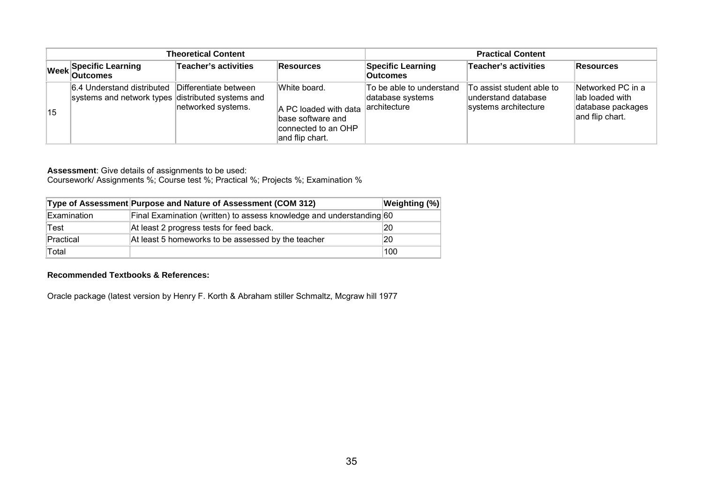| <b>Theoretical Content</b> |                                                                                 |                                             |                                                                                                      | <b>Practical Content</b>                                     |                                                                          |                                                                              |
|----------------------------|---------------------------------------------------------------------------------|---------------------------------------------|------------------------------------------------------------------------------------------------------|--------------------------------------------------------------|--------------------------------------------------------------------------|------------------------------------------------------------------------------|
|                            | Week Specific Learning                                                          | Teacher's activities                        | Resources                                                                                            | <b>Specific Learning</b><br><b>Outcomes</b>                  | <b>Teacher's activities</b>                                              | <b>Resources</b>                                                             |
| 15                         | 6.4 Understand distributed<br>systems and network types distributed systems and | Differentiate between<br>networked systems. | White board.<br>A PC loaded with data<br>base software and<br>connected to an OHP<br>and flip chart. | To be able to understand<br>database systems<br>architecture | To assist student able to<br>understand database<br>systems architecture | Networked PC in a<br>lab loaded with<br>database packages<br>and flip chart. |

Coursework/ Assignments %; Course test %; Practical %; Projects %; Examination %

|             | Type of Assessment Purpose and Nature of Assessment (COM 312)        | Weighting (%) |
|-------------|----------------------------------------------------------------------|---------------|
| Examination | Final Examination (written) to assess knowledge and understanding 60 |               |
| Test        | At least 2 progress tests for feed back.                             | 20            |
| Practical   | At least 5 homeworks to be assessed by the teacher                   | 20            |
| Total       |                                                                      | 100           |

#### **Recommended Textbooks & References:**

Oracle package (latest version by Henry F. Korth & Abraham stiller Schmaltz, Mcgraw hill 1977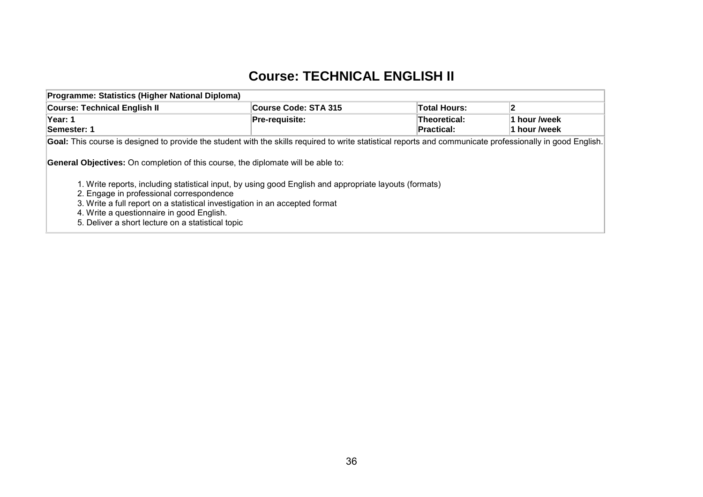### **Course: TECHNICAL ENGLISH II**

| Programme: Statistics (Higher National Diploma)                                                                                                                                                                                                                                                                                     |                      |                                          |                              |  |  |  |  |
|-------------------------------------------------------------------------------------------------------------------------------------------------------------------------------------------------------------------------------------------------------------------------------------------------------------------------------------|----------------------|------------------------------------------|------------------------------|--|--|--|--|
| <b>Course: Technical English II</b>                                                                                                                                                                                                                                                                                                 | Course Code: STA 315 | <b>Total Hours:</b>                      | 12                           |  |  |  |  |
| Year: 1<br>Semester: 1                                                                                                                                                                                                                                                                                                              | Pre-requisite:       | <b>Theoretical:</b><br><b>Practical:</b> | 1 hour /week<br>1 hour /week |  |  |  |  |
| Goal: This course is designed to provide the student with the skills required to write statistical reports and communicate professionally in good English.<br><b>General Objectives:</b> On completion of this course, the diplomate will be able to:                                                                               |                      |                                          |                              |  |  |  |  |
| 1. Write reports, including statistical input, by using good English and appropriate layouts (formats)<br>2. Engage in professional correspondence<br>3. Write a full report on a statistical investigation in an accepted format<br>4. Write a questionnaire in good English.<br>5. Deliver a short lecture on a statistical topic |                      |                                          |                              |  |  |  |  |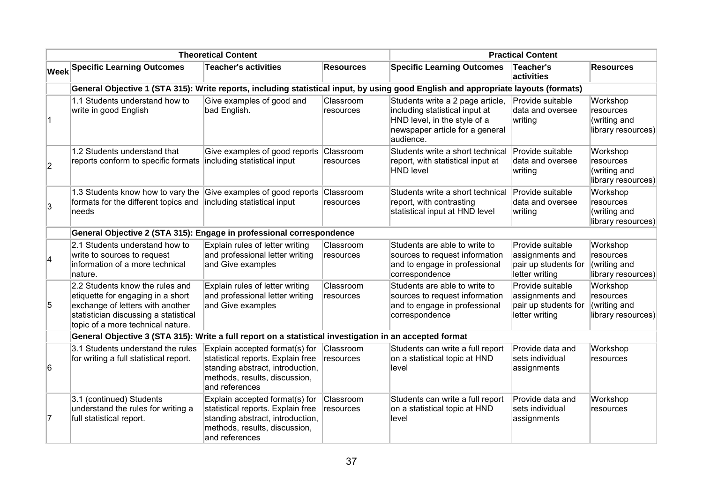|                | <b>Theoretical Content</b>                                                                                                                                                             |                                                                                                                                                            |                        | <b>Practical Content</b>                                                                                                                           |                                                                               |                                                             |  |
|----------------|----------------------------------------------------------------------------------------------------------------------------------------------------------------------------------------|------------------------------------------------------------------------------------------------------------------------------------------------------------|------------------------|----------------------------------------------------------------------------------------------------------------------------------------------------|-------------------------------------------------------------------------------|-------------------------------------------------------------|--|
|                | <b>Week Specific Learning Outcomes</b>                                                                                                                                                 | <b>Teacher's activities</b>                                                                                                                                | <b>Resources</b>       | <b>Specific Learning Outcomes</b>                                                                                                                  | Teacher's<br>activities                                                       | <b>Resources</b>                                            |  |
|                | General Objective 1 (STA 315): Write reports, including statistical input, by using good English and appropriate layouts (formats)                                                     |                                                                                                                                                            |                        |                                                                                                                                                    |                                                                               |                                                             |  |
| $\overline{1}$ | 1.1 Students understand how to<br>write in good English                                                                                                                                | Give examples of good and<br>bad English.                                                                                                                  | Classroom<br>resources | Students write a 2 page article,<br>including statistical input at<br>HND level, in the style of a<br>newspaper article for a general<br>audience. | Provide suitable<br>data and oversee<br>writing                               | Workshop<br>resources<br>(writing and<br>library resources) |  |
| $\overline{2}$ | 1.2 Students understand that<br>reports conform to specific formats                                                                                                                    | Give examples of good reports<br>including statistical input                                                                                               | Classroom<br>resources | Students write a short technical<br>report, with statistical input at<br><b>HND level</b>                                                          | Provide suitable<br>data and oversee<br>writing                               | Workshop<br>resources<br>(writing and<br>library resources) |  |
| $\overline{3}$ | 1.3 Students know how to vary the<br>formats for the different topics and<br>needs                                                                                                     | Give examples of good reports<br>including statistical input                                                                                               | Classroom<br>resources | Students write a short technical<br>report, with contrasting<br>statistical input at HND level                                                     | Provide suitable<br>data and oversee<br>writing                               | Workshop<br>resources<br>(writing and<br>library resources) |  |
|                | General Objective 2 (STA 315): Engage in professional correspondence                                                                                                                   |                                                                                                                                                            |                        |                                                                                                                                                    |                                                                               |                                                             |  |
| 4              | 2.1 Students understand how to<br>write to sources to request<br>information of a more technical<br>nature.                                                                            | Explain rules of letter writing<br>and professional letter writing<br>and Give examples                                                                    | Classroom<br>resources | Students are able to write to<br>sources to request information<br>and to engage in professional<br>correspondence                                 | Provide suitable<br>assignments and<br>pair up students for<br>letter writing | Workshop<br>resources<br>(writing and<br>library resources) |  |
| 5              | 2.2 Students know the rules and<br>etiquette for engaging in a short<br>exchange of letters with another<br>statistician discussing a statistical<br>topic of a more technical nature. | Explain rules of letter writing<br>and professional letter writing<br>and Give examples                                                                    | Classroom<br>resources | Students are able to write to<br>sources to request information<br>and to engage in professional<br>correspondence                                 | Provide suitable<br>assignments and<br>pair up students for<br>letter writing | Workshop<br>resources<br>(writing and<br>library resources) |  |
|                | General Objective 3 (STA 315): Write a full report on a statistical investigation in an accepted format                                                                                |                                                                                                                                                            |                        |                                                                                                                                                    |                                                                               |                                                             |  |
| 6              | 3.1 Students understand the rules<br>for writing a full statistical report.                                                                                                            | Explain accepted format(s) for<br>statistical reports. Explain free<br>standing abstract, introduction,<br>methods, results, discussion,<br>and references | Classroom<br>resources | Students can write a full report<br>on a statistical topic at HND<br>level                                                                         | Provide data and<br>sets individual<br>assignments                            | Workshop<br>resources                                       |  |
| 17             | 3.1 (continued) Students<br>understand the rules for writing a<br>full statistical report.                                                                                             | Explain accepted format(s) for<br>statistical reports. Explain free<br>standing abstract, introduction,<br>methods, results, discussion,<br>and references | Classroom<br>resources | Students can write a full report<br>on a statistical topic at HND<br>level                                                                         | Provide data and<br>sets individual<br>assignments                            | Workshop<br>resources                                       |  |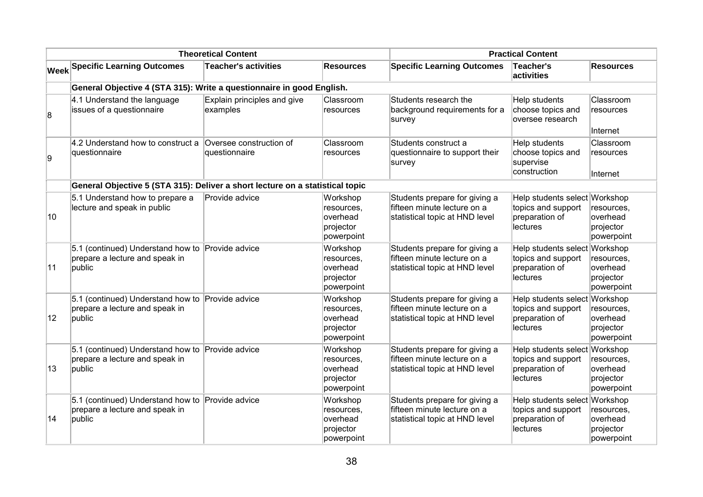|              | <b>Theoretical Content</b>                                                                   |                                          |                                                               | <b>Practical Content</b>                                                                       |                                                                                   |                                                               |
|--------------|----------------------------------------------------------------------------------------------|------------------------------------------|---------------------------------------------------------------|------------------------------------------------------------------------------------------------|-----------------------------------------------------------------------------------|---------------------------------------------------------------|
|              | <b>Week Specific Learning Outcomes</b>                                                       | <b>Teacher's activities</b>              | <b>Resources</b>                                              | <b>Specific Learning Outcomes</b>                                                              | Teacher's<br>activities                                                           | <b>Resources</b>                                              |
|              | General Objective 4 (STA 315): Write a questionnaire in good English.                        |                                          |                                                               |                                                                                                |                                                                                   |                                                               |
| 8            | 4.1 Understand the language<br>issues of a questionnaire                                     | Explain principles and give<br>examples  | Classroom<br>resources                                        | Students research the<br>background requirements for a<br>survey                               | Help students<br>choose topics and<br>oversee research                            | Classroom<br>resources<br>Internet                            |
| 9            | 4.2 Understand how to construct a<br>questionnaire                                           | Oversee construction of<br>questionnaire | Classroom<br>resources                                        | Students construct a<br>questionnaire to support their<br>survey                               | Help students<br>choose topics and<br>supervise<br>construction                   | Classroom<br>resources<br>Internet                            |
|              | General Objective 5 (STA 315): Deliver a short lecture on a statistical topic                |                                          |                                                               |                                                                                                |                                                                                   |                                                               |
| 10           | 5.1 Understand how to prepare a<br>lecture and speak in public                               | Provide advice                           | Workshop<br>resources,<br>overhead<br>projector<br>powerpoint | Students prepare for giving a<br>fifteen minute lecture on a<br>statistical topic at HND level | Help students select Workshop<br>topics and support<br>preparation of<br>lectures | resources,<br>overhead<br>projector<br>powerpoint             |
| 11           | 5.1 (continued) Understand how to Provide advice<br>prepare a lecture and speak in<br>public |                                          | Workshop<br>resources,<br>overhead<br>projector<br>powerpoint | Students prepare for giving a<br>fifteen minute lecture on a<br>statistical topic at HND level | Help students select Workshop<br>topics and support<br>preparation of<br>lectures | resources,<br>overhead<br>projector<br>powerpoint             |
| $ 12\rangle$ | 5.1 (continued) Understand how to Provide advice<br>prepare a lecture and speak in<br>public |                                          | Workshop<br>resources,<br>overhead<br>projector<br>powerpoint | Students prepare for giving a<br>fifteen minute lecture on a<br>statistical topic at HND level | Help students select<br>topics and support<br>preparation of<br><b>lectures</b>   | Workshop<br>resources,<br>overhead<br>projector<br>powerpoint |
| 13           | 5.1 (continued) Understand how to Provide advice<br>prepare a lecture and speak in<br>public |                                          | Workshop<br>resources,<br>overhead<br>projector<br>powerpoint | Students prepare for giving a<br>fifteen minute lecture on a<br>statistical topic at HND level | Help students select Workshop<br>topics and support<br>preparation of<br>lectures | resources,<br>overhead<br>projector<br>powerpoint             |
| 14           | 5.1 (continued) Understand how to Provide advice<br>prepare a lecture and speak in<br>public |                                          | Workshop<br>resources,<br>overhead<br>projector<br>powerpoint | Students prepare for giving a<br>fifteen minute lecture on a<br>statistical topic at HND level | Help students select<br>topics and support<br>preparation of<br>lectures          | Workshop<br>resources,<br>overhead<br>projector<br>powerpoint |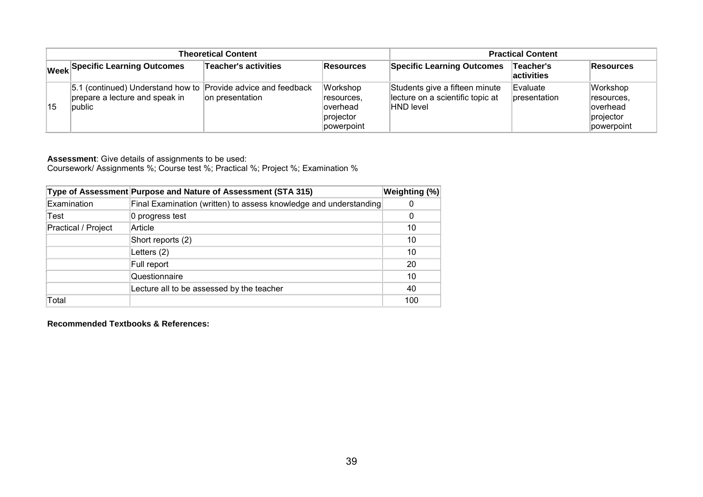| <b>Theoretical Content</b> |                                                                                                           |                      |                                                                | <b>Practical Content</b>                                                        |                                 |                                                                |
|----------------------------|-----------------------------------------------------------------------------------------------------------|----------------------|----------------------------------------------------------------|---------------------------------------------------------------------------------|---------------------------------|----------------------------------------------------------------|
|                            | Week Specific Learning Outcomes                                                                           | Teacher's activities | Resources                                                      | <b>Specific Learning Outcomes</b>                                               | ∣Teacher's<br><b>activities</b> | Resources                                                      |
| 15                         | 5.1 (continued) Understand how to Provide advice and feedback<br>prepare a lecture and speak in<br>public | on presentation      | Workshop<br>resources.<br>loverhead<br>projector<br>powerpoint | Students give a fifteen minute<br>lecture on a scientific topic at<br>HND level | Evaluate<br><b>presentation</b> | Workshop<br>resources,<br>loverhead<br>projector<br>powerpoint |

Coursework/ Assignments %; Course test %; Practical %; Project %; Examination %

|                     | Type of Assessment Purpose and Nature of Assessment (STA 315)     | Weighting (%) |
|---------------------|-------------------------------------------------------------------|---------------|
| Examination         | Final Examination (written) to assess knowledge and understanding | 0             |
| Test                | 0 progress test                                                   | 0             |
| Practical / Project | Article                                                           | 10            |
|                     | Short reports (2)                                                 | 10            |
|                     | Letters $(2)$                                                     | 10            |
|                     | Full report                                                       | 20            |
|                     | Questionnaire                                                     | 10            |
|                     | Lecture all to be assessed by the teacher                         | 40            |
| Total               |                                                                   | 100           |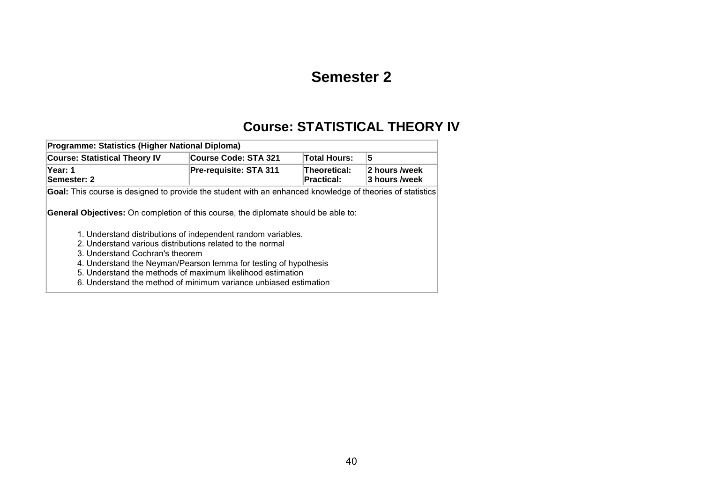## **Semester 2**

## **Course: STATISTICAL THEORY IV**

| Programme: Statistics (Higher National Diploma)                                                                                                                                                                                                                                                                                                                                                                                                                                                                                                                              |                             |                                   |                                |  |  |  |  |  |  |
|------------------------------------------------------------------------------------------------------------------------------------------------------------------------------------------------------------------------------------------------------------------------------------------------------------------------------------------------------------------------------------------------------------------------------------------------------------------------------------------------------------------------------------------------------------------------------|-----------------------------|-----------------------------------|--------------------------------|--|--|--|--|--|--|
| <b>Course: Statistical Theory IV</b>                                                                                                                                                                                                                                                                                                                                                                                                                                                                                                                                         | <b>Course Code: STA 321</b> | <b>Total Hours:</b>               | 5                              |  |  |  |  |  |  |
| Year: 1<br>Semester: 2                                                                                                                                                                                                                                                                                                                                                                                                                                                                                                                                                       | Pre-requisite: STA 311      | Theoretical:<br><b>Practical:</b> | 2 hours /week<br>3 hours /week |  |  |  |  |  |  |
| Goal: This course is designed to provide the student with an enhanced knowledge of theories of statistics<br><b>General Objectives:</b> On completion of this course, the diplomate should be able to:<br>1. Understand distributions of independent random variables.<br>2. Understand various distributions related to the normal<br>3. Understand Cochran's theorem<br>4. Understand the Neyman/Pearson lemma for testing of hypothesis<br>5. Understand the methods of maximum likelihood estimation<br>6. Understand the method of minimum variance unbiased estimation |                             |                                   |                                |  |  |  |  |  |  |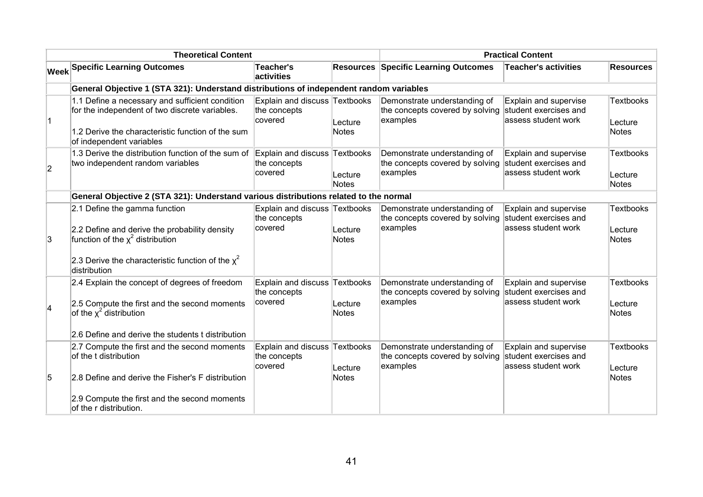| <b>Theoretical Content</b> |                                                                                                                                                                                                      |                                                          | <b>Practical Content</b> |                                                                                                   |                                                                       |                                      |
|----------------------------|------------------------------------------------------------------------------------------------------------------------------------------------------------------------------------------------------|----------------------------------------------------------|--------------------------|---------------------------------------------------------------------------------------------------|-----------------------------------------------------------------------|--------------------------------------|
|                            | <b>Week Specific Learning Outcomes</b>                                                                                                                                                               | <b>Teacher's</b><br>activities                           |                          | <b>Resources Specific Learning Outcomes</b>                                                       | <b>Teacher's activities</b>                                           | <b>Resources</b>                     |
|                            | General Objective 1 (STA 321): Understand distributions of independent random variables                                                                                                              |                                                          |                          |                                                                                                   |                                                                       |                                      |
| $\vert$ 1                  | 1.1 Define a necessary and sufficient condition<br>for the independent of two discrete variables.<br>1.2 Derive the characteristic function of the sum<br>of independent variables                   | Explain and discuss Textbooks<br>the concepts<br>covered | Lecture<br>Notes         | Demonstrate understanding of<br>the concepts covered by solving student exercises and<br>examples | Explain and supervise<br>assess student work                          | <b>Textbooks</b><br>Lecture<br>Notes |
| $\overline{2}$             | 1.3 Derive the distribution function of the sum of<br>two independent random variables                                                                                                               | Explain and discuss Textbooks<br>the concepts<br>covered | Lecture<br>Notes         | Demonstrate understanding of<br>the concepts covered by solving<br>examples                       | Explain and supervise<br>student exercises and<br>assess student work | Textbooks<br>Lecture<br>Notes        |
|                            | General Objective 2 (STA 321): Understand various distributions related to the normal                                                                                                                |                                                          |                          |                                                                                                   |                                                                       |                                      |
| ΙЗ.                        | 2.1 Define the gamma function<br>2.2 Define and derive the probability density<br>function of the $\chi^2$ distribution<br>2.3 Derive the characteristic function of the $\chi^2$<br>distribution    | Explain and discuss Textbooks<br>the concepts<br>covered | Lecture<br><b>Notes</b>  | Demonstrate understanding of<br>the concepts covered by solving student exercises and<br>examples | Explain and supervise<br>assess student work                          | Textbooks<br>Lecture<br>Notes        |
| 4                          | 2.4 Explain the concept of degrees of freedom<br>2.5 Compute the first and the second moments<br>of the $\chi^2$ distribution<br>2.6 Define and derive the students t distribution                   | Explain and discuss Textbooks<br>the concepts<br>covered | Lecture<br><b>Notes</b>  | Demonstrate understanding of<br>the concepts covered by solving<br>examples                       | Explain and supervise<br>student exercises and<br>assess student work | Textbooks<br>Lecture<br>Notes        |
| 5                          | 2.7 Compute the first and the second moments<br>of the t distribution<br>2.8 Define and derive the Fisher's F distribution<br>2.9 Compute the first and the second moments<br>of the r distribution. | Explain and discuss Textbooks<br>the concepts<br>covered | Lecture<br><b>Notes</b>  | Demonstrate understanding of<br>the concepts covered by solving<br>examples                       | Explain and supervise<br>student exercises and<br>assess student work | Textbooks<br>Lecture<br>Notes        |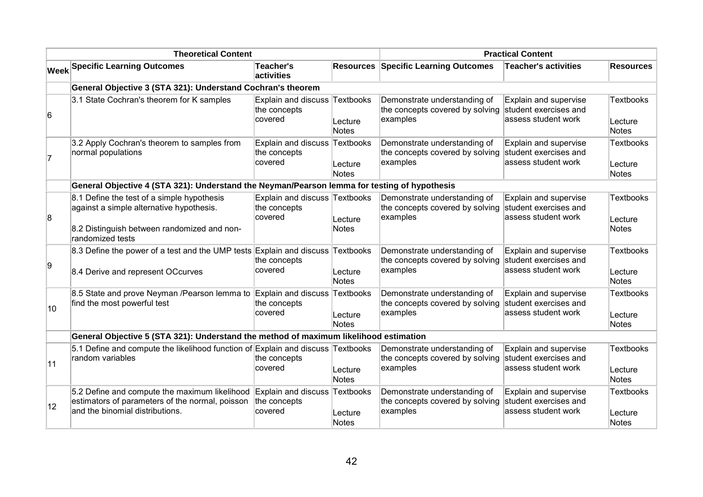| <b>Theoretical Content</b> |                                                                                                                                                           |                                                          |                               | <b>Practical Content</b>                                                                          |                                                                       |                                      |
|----------------------------|-----------------------------------------------------------------------------------------------------------------------------------------------------------|----------------------------------------------------------|-------------------------------|---------------------------------------------------------------------------------------------------|-----------------------------------------------------------------------|--------------------------------------|
|                            | <b>Week Specific Learning Outcomes</b>                                                                                                                    | <b>Teacher's</b><br>activities                           | <b>Resources</b>              | <b>Specific Learning Outcomes</b>                                                                 | Teacher's activities                                                  | <b>Resources</b>                     |
|                            | General Objective 3 (STA 321): Understand Cochran's theorem                                                                                               |                                                          |                               |                                                                                                   |                                                                       |                                      |
| 6                          | 3.1 State Cochran's theorem for K samples                                                                                                                 | Explain and discuss<br>the concepts<br>covered           | Textbooks<br>Lecture<br>Notes | Demonstrate understanding of<br>the concepts covered by solving<br>examples                       | Explain and supervise<br>student exercises and<br>assess student work | <b>Textbooks</b><br>Lecture<br>Notes |
| $\overline{7}$             | 3.2 Apply Cochran's theorem to samples from<br>normal populations                                                                                         | Explain and discuss Textbooks<br>the concepts<br>covered | Lecture<br>Notes              | Demonstrate understanding of<br>the concepts covered by solving<br>examples                       | Explain and supervise<br>student exercises and<br>assess student work | Textbooks<br>Lecture<br>Notes        |
|                            | General Objective 4 (STA 321): Understand the Neyman/Pearson lemma for testing of hypothesis                                                              |                                                          |                               |                                                                                                   |                                                                       |                                      |
| 8                          | 8.1 Define the test of a simple hypothesis<br>against a simple alternative hypothesis.<br>8.2 Distinguish between randomized and non-<br>randomized tests | Explain and discuss Textbooks<br>the concepts<br>covered | Lecture<br>Notes              | Demonstrate understanding of<br>the concepts covered by solving<br>examples                       | Explain and supervise<br>student exercises and<br>assess student work | Textbooks<br>Lecture<br>Notes        |
| 9                          | 8.3 Define the power of a test and the UMP tests Explain and discuss Textbooks<br>8.4 Derive and represent OCcurves                                       | the concepts<br>covered                                  | Lecture<br>Notes              | Demonstrate understanding of<br>the concepts covered by solving<br>examples                       | Explain and supervise<br>student exercises and<br>assess student work | Textbooks<br>Lecture<br>Notes        |
| 10                         | 8.5 State and prove Neyman /Pearson lemma to<br>find the most powerful test                                                                               | Explain and discuss Textbooks<br>the concepts<br>covered | Lecture<br>Notes              | Demonstrate understanding of<br>the concepts covered by solving<br>examples                       | Explain and supervise<br>student exercises and<br>assess student work | <b>Textbooks</b><br>Lecture<br>Notes |
|                            | General Objective 5 (STA 321): Understand the method of maximum likelihood estimation                                                                     |                                                          |                               |                                                                                                   |                                                                       |                                      |
| 11                         | 5.1 Define and compute the likelihood function of Explain and discuss Textbooks<br>random variables                                                       | the concepts<br>covered                                  | Lecture<br>Notes              | Demonstrate understanding of<br>the concepts covered by solving student exercises and<br>examples | Explain and supervise<br>assess student work                          | Textbooks<br>Lecture<br>Notes        |
| $ 12\rangle$               | 5.2 Define and compute the maximum likelihood<br>estimators of parameters of the normal, poisson<br>and the binomial distributions.                       | Explain and discuss Textbooks<br>the concepts<br>covered | Lecture<br>Notes              | Demonstrate understanding of<br>the concepts covered by solving<br>examples                       | Explain and supervise<br>student exercises and<br>assess student work | <b>Textbooks</b><br>Lecture<br>Notes |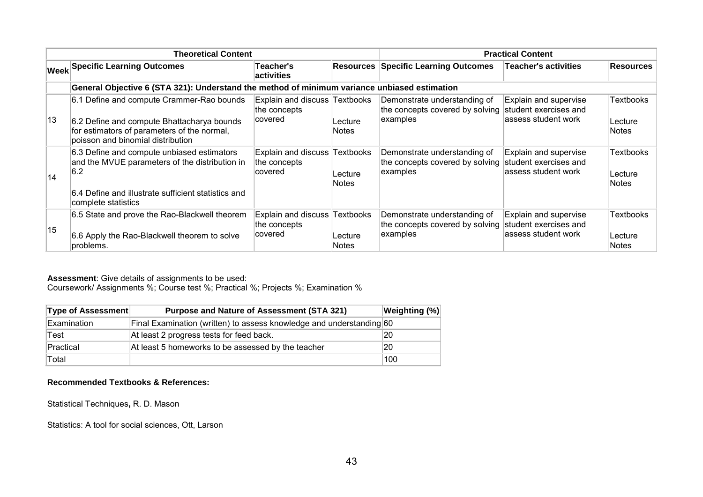|    | <b>Theoretical Content</b>                                                                                                     | <b>Practical Content</b>                                 |                         |                                                                             |                                                                       |                                      |
|----|--------------------------------------------------------------------------------------------------------------------------------|----------------------------------------------------------|-------------------------|-----------------------------------------------------------------------------|-----------------------------------------------------------------------|--------------------------------------|
|    | <b>Week Specific Learning Outcomes</b>                                                                                         | <b>Teacher's</b><br><b>activities</b>                    |                         | <b>Resources Specific Learning Outcomes</b>                                 | <b>Teacher's activities</b>                                           | Resources                            |
|    | General Objective 6 (STA 321): Understand the method of minimum variance unbiased estimation                                   |                                                          |                         |                                                                             |                                                                       |                                      |
|    | 6.1 Define and compute Crammer-Rao bounds                                                                                      | Explain and discuss Textbooks<br>the concepts            |                         | Demonstrate understanding of<br>the concepts covered by solving             | Explain and supervise<br>student exercises and                        | Textbooks                            |
| 13 | 6.2 Define and compute Bhattacharya bounds<br>for estimators of parameters of the normal,<br>poisson and binomial distribution | covered                                                  | Lecture<br><b>Notes</b> | examples                                                                    | lassess student work                                                  | Lecture<br><b>Notes</b>              |
| 14 | 6.3 Define and compute unbiased estimators<br>and the MVUE parameters of the distribution in<br>6.2                            | Explain and discuss Textbooks<br>the concepts<br>covered | Lecture<br><b>Notes</b> | Demonstrate understanding of<br>the concepts covered by solving<br>examples | Explain and supervise<br>student exercises and<br>assess student work | Textbooks<br>Lecture<br><b>Notes</b> |
|    | Ⅰ6.4 Define and illustrate sufficient statistics and<br>complete statistics                                                    |                                                          |                         |                                                                             |                                                                       |                                      |
|    | 6.5 State and prove the Rao-Blackwell theorem                                                                                  | Explain and discuss<br>the concepts                      | <b>Textbooks</b>        | Demonstrate understanding of<br>the concepts covered by solving             | Explain and supervise<br>student exercises and                        | Textbooks                            |
| 15 | 6.6 Apply the Rao-Blackwell theorem to solve<br>problems.                                                                      | covered                                                  | Lecture<br><b>Notes</b> | examples                                                                    | lassess student work                                                  | Lecture<br><b>Notes</b>              |

Coursework/ Assignments %; Course test %; Practical %; Projects %; Examination %

| <b>Type of Assessment</b> | <b>Purpose and Nature of Assessment (STA 321)</b>                    | Weighting (%) |
|---------------------------|----------------------------------------------------------------------|---------------|
| Examination               | Final Examination (written) to assess knowledge and understanding 60 |               |
| Test                      | At least 2 progress tests for feed back.                             | 20            |
| Practical                 | At least 5 homeworks to be assessed by the teacher                   | 20            |
| Total                     |                                                                      | 100           |

#### **Recommended Textbooks & References:**

Statistical Techniques**,** R. D. Mason

Statistics: A tool for social sciences, Ott, Larson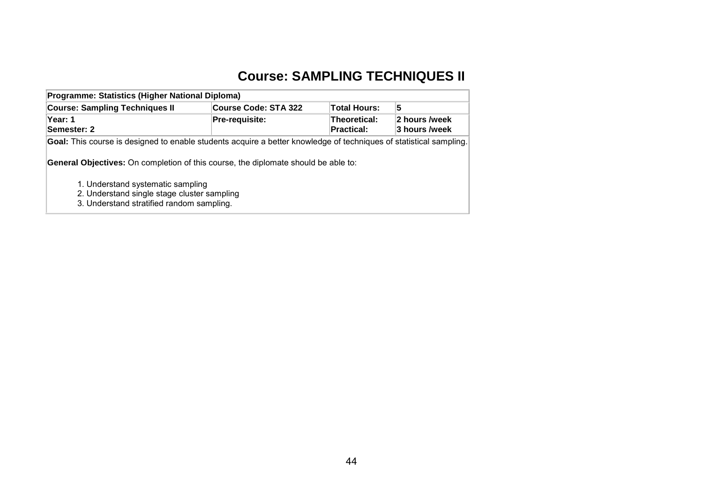# **Course: SAMPLING TECHNIQUES II**

| Programme: Statistics (Higher National Diploma)                                                                    |                             |                            |                                |  |  |  |  |  |  |
|--------------------------------------------------------------------------------------------------------------------|-----------------------------|----------------------------|--------------------------------|--|--|--|--|--|--|
| <b>Course: Sampling Techniques II</b>                                                                              | <b>Course Code: STA 322</b> | <b>Total Hours:</b>        | 5                              |  |  |  |  |  |  |
| Year: 1<br>Semester: 2                                                                                             | Pre-requisite:              | Theoretical:<br>Practical: | 2 hours /week<br>3 hours /week |  |  |  |  |  |  |
| Goal: This course is designed to enable students acquire a better knowledge of techniques of statistical sampling. |                             |                            |                                |  |  |  |  |  |  |
| <b>General Objectives:</b> On completion of this course, the diplomate should be able to:                          |                             |                            |                                |  |  |  |  |  |  |
| 1. Understand systematic sampling                                                                                  |                             |                            |                                |  |  |  |  |  |  |
| 2. Understand single stage cluster sampling                                                                        |                             |                            |                                |  |  |  |  |  |  |

3. Understand stratified random sampling.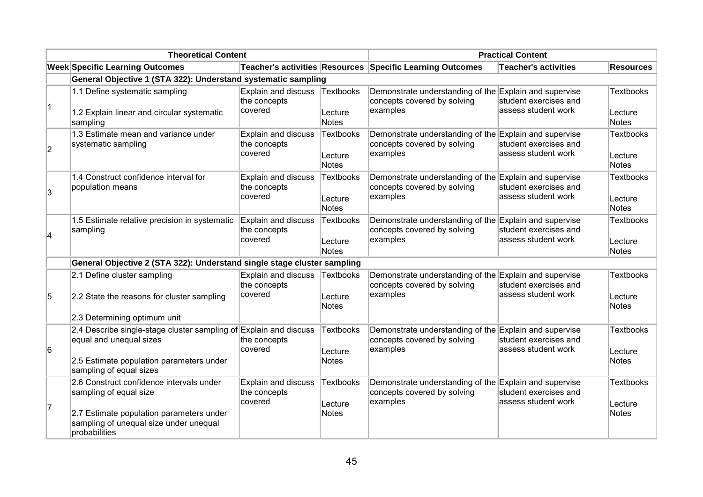| <b>Theoretical Content</b> |                                                                                                                                                                           |                                                | <b>Practical Content</b>                    |                                                                                                   |                                                                       |                                             |
|----------------------------|---------------------------------------------------------------------------------------------------------------------------------------------------------------------------|------------------------------------------------|---------------------------------------------|---------------------------------------------------------------------------------------------------|-----------------------------------------------------------------------|---------------------------------------------|
|                            | <b>Week Specific Learning Outcomes</b>                                                                                                                                    |                                                |                                             | Teacher's activities Resources Specific Learning Outcomes                                         | <b>Teacher's activities</b>                                           | <b>Resources</b>                            |
|                            | General Objective 1 (STA 322): Understand systematic sampling                                                                                                             |                                                |                                             |                                                                                                   |                                                                       |                                             |
| 1                          | 1.1 Define systematic sampling<br>1.2 Explain linear and circular systematic<br>sampling                                                                                  | Explain and discuss<br>the concepts<br>covered | Textbooks<br>Lecture<br><b>Notes</b>        | Demonstrate understanding of the Explain and supervise<br>concepts covered by solving<br>examples | student exercises and<br>assess student work                          | <b>Textbooks</b><br>Lecture<br><b>Notes</b> |
| $\overline{2}$             | 1.3 Estimate mean and variance under<br>systematic sampling                                                                                                               | Explain and discuss<br>the concepts<br>covered | Textbooks<br>Lecture<br>Notes               | Demonstrate understanding of the Explain and supervise<br>concepts covered by solving<br>examples | student exercises and<br>assess student work                          | <b>Textbooks</b><br>Lecture<br><b>Notes</b> |
| 3                          | 1.4 Construct confidence interval for<br>population means                                                                                                                 | Explain and discuss<br>the concepts<br>covered | <b>Textbooks</b><br>Lecture<br>Notes        | Demonstrate understanding of the Explain and supervise<br>concepts covered by solving<br>examples | student exercises and<br>assess student work                          | <b>Textbooks</b><br>Lecture<br><b>Notes</b> |
| $\overline{\mathbf{4}}$    | 1.5 Estimate relative precision in systematic<br>sampling                                                                                                                 | Explain and discuss<br>the concepts<br>covered | Textbooks<br>Lecture<br><b>Notes</b>        | Demonstrate understanding of the Explain and supervise<br>concepts covered by solving<br>examples | student exercises and<br>assess student work                          | <b>Textbooks</b><br>Lecture<br><b>Notes</b> |
|                            | General Objective 2 (STA 322): Understand single stage cluster sampling                                                                                                   |                                                |                                             |                                                                                                   |                                                                       |                                             |
| 5                          | 2.1 Define cluster sampling<br>2.2 State the reasons for cluster sampling<br>2.3 Determining optimum unit                                                                 | Explain and discuss<br>the concepts<br>covered | Textbooks<br>Lecture<br><b>Notes</b>        | Demonstrate understanding of the Explain and supervise<br>concepts covered by solving<br>examples | student exercises and<br>assess student work                          | <b>Textbooks</b><br>Lecture<br><b>Notes</b> |
| 6                          | 2.4 Describe single-stage cluster sampling of Explain and discuss<br>equal and unequal sizes<br>2.5 Estimate population parameters under<br>sampling of equal sizes       | the concepts<br>covered                        | <b>Textbooks</b><br>Lecture<br><b>Notes</b> | Demonstrate understanding of the Explain and supervise<br>concepts covered by solving<br>examples | student exercises and<br>assess student work                          | <b>Textbooks</b><br>Lecture<br><b>Notes</b> |
| 17                         | 2.6 Construct confidence intervals under<br>sampling of equal size<br>2.7 Estimate population parameters under<br>sampling of unequal size under unequal<br>probabilities | Explain and discuss<br>the concepts<br>covered | <b>Textbooks</b><br>Lecture<br><b>Notes</b> | Demonstrate understanding of the<br>concepts covered by solving<br>examples                       | Explain and supervise<br>student exercises and<br>assess student work | <b>Textbooks</b><br>Lecture<br><b>Notes</b> |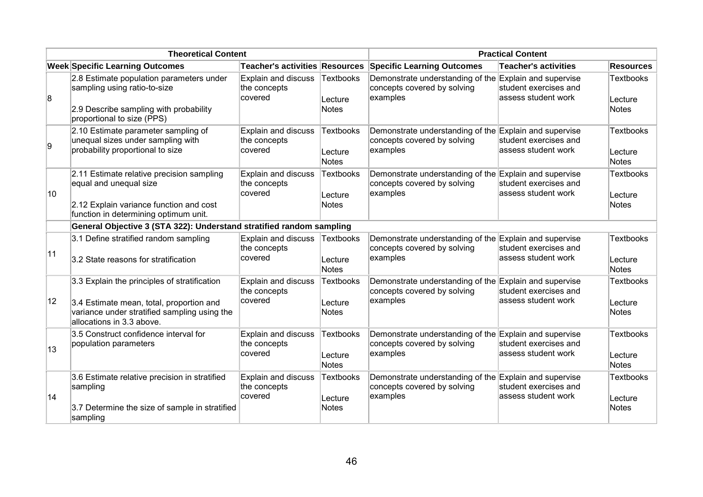| <b>Theoretical Content</b> |                                                                                                                                                                       |                                                       | <b>Practical Content</b>                    |                                                                                                   |                                                                        |                                      |
|----------------------------|-----------------------------------------------------------------------------------------------------------------------------------------------------------------------|-------------------------------------------------------|---------------------------------------------|---------------------------------------------------------------------------------------------------|------------------------------------------------------------------------|--------------------------------------|
|                            | <b>Week Specific Learning Outcomes</b>                                                                                                                                | Teacher's activities Resources                        |                                             | <b>Specific Learning Outcomes</b>                                                                 | <b>Teacher's activities</b>                                            | <b>Resources</b>                     |
| 8                          | 2.8 Estimate population parameters under<br>sampling using ratio-to-size<br>2.9 Describe sampling with probability<br>proportional to size (PPS)                      | Explain and discuss<br>the concepts<br>covered        | <b>Textbooks</b><br>Lecture<br><b>Notes</b> | Demonstrate understanding of the Explain and supervise<br>concepts covered by solving<br>examples | student exercises and<br>assess student work                           | <b>Textbooks</b><br>Lecture<br>Notes |
| g,                         | 2.10 Estimate parameter sampling of<br>unequal sizes under sampling with<br>probability proportional to size                                                          | <b>Explain and discuss</b><br>the concepts<br>covered | <b>Textbooks</b><br>Lecture<br><b>Notes</b> | Demonstrate understanding of the<br>concepts covered by solving<br>examples                       | Explain and supervise<br>student exercises and<br>lassess student work | <b>Textbooks</b><br>Lecture<br>Notes |
| 10                         | 2.11 Estimate relative precision sampling<br>equal and unequal size<br>2.12 Explain variance function and cost<br>function in determining optimum unit.               | Explain and discuss<br>the concepts<br>covered        | <b>Textbooks</b><br>Lecture<br><b>Notes</b> | Demonstrate understanding of the Explain and supervise<br>concepts covered by solving<br>examples | student exercises and<br>assess student work                           | <b>Textbooks</b><br>Lecture<br>Notes |
|                            | General Objective 3 (STA 322): Understand stratified random sampling                                                                                                  |                                                       |                                             |                                                                                                   |                                                                        |                                      |
| 11                         | 3.1 Define stratified random sampling<br>3.2 State reasons for stratification                                                                                         | Explain and discuss<br>the concepts<br>covered        | <b>Textbooks</b><br>Lecture<br><b>Notes</b> | Demonstrate understanding of the Explain and supervise<br>concepts covered by solving<br>examples | student exercises and<br>assess student work                           | <b>Textbooks</b><br>Lecture<br>Notes |
| 12                         | 3.3 Explain the principles of stratification<br>3.4 Estimate mean, total, proportion and<br>variance under stratified sampling using the<br>allocations in 3.3 above. | Explain and discuss<br>the concepts<br>covered        | <b>Textbooks</b><br>Lecture<br><b>Notes</b> | Demonstrate understanding of the Explain and supervise<br>concepts covered by solving<br>examples | student exercises and<br>assess student work                           | <b>Textbooks</b><br>Lecture<br>Notes |
| 13                         | 3.5 Construct confidence interval for<br>population parameters                                                                                                        | Explain and discuss<br>the concepts<br>covered        | <b>Textbooks</b><br>Lecture<br><b>Notes</b> | Demonstrate understanding of the Explain and supervise<br>concepts covered by solving<br>examples | student exercises and<br>assess student work                           | <b>Textbooks</b><br>Lecture<br>Notes |
| 14                         | 3.6 Estimate relative precision in stratified<br>sampling<br>3.7 Determine the size of sample in stratified<br>sampling                                               | Explain and discuss<br>the concepts<br>covered        | <b>Textbooks</b><br>Lecture<br><b>Notes</b> | Demonstrate understanding of the Explain and supervise<br>concepts covered by solving<br>examples | student exercises and<br>assess student work                           | <b>Textbooks</b><br>Lecture<br>Notes |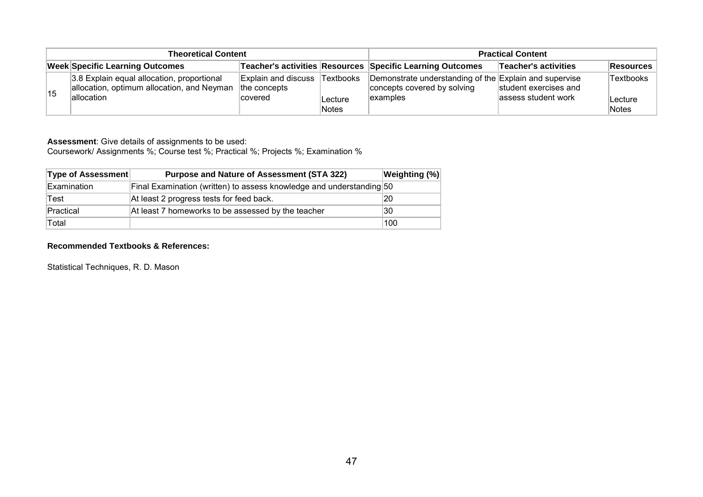| <b>Theoretical Content</b> |                                                                                          |                                            |                  | <b>Practical Content</b>                                                              |                       |                   |
|----------------------------|------------------------------------------------------------------------------------------|--------------------------------------------|------------------|---------------------------------------------------------------------------------------|-----------------------|-------------------|
|                            | <b>Week Specific Learning Outcomes</b>                                                   |                                            |                  | Teacher's activities Resources Specific Learning Outcomes                             | Teacher's activities  | Resources         |
| 15                         | 3.8 Explain equal allocation, proportional<br>allocation, optimum allocation, and Neyman | <b>Explain and discuss</b><br>the concepts | Textbooks        | Demonstrate understanding of the Explain and supervise<br>concepts covered by solving | student exercises and | <b>Textbooks</b>  |
|                            | lallocation                                                                              | covered                                    | Lecture<br>Notes | lexamples                                                                             | assess student work   | ∣Lecture<br>Notes |

Coursework/ Assignments %; Course test %; Practical %; Projects %; Examination %

| Type of Assessment | <b>Purpose and Nature of Assessment (STA 322)</b>                    | Weighting (%) |
|--------------------|----------------------------------------------------------------------|---------------|
| Examination        | Final Examination (written) to assess knowledge and understanding 50 |               |
| Test               | At least 2 progress tests for feed back.                             | 20            |
| Practical          | At least 7 homeworks to be assessed by the teacher                   | 30            |
| Total              |                                                                      | 100           |

#### **Recommended Textbooks & References:**

Statistical Techniques, R. D. Mason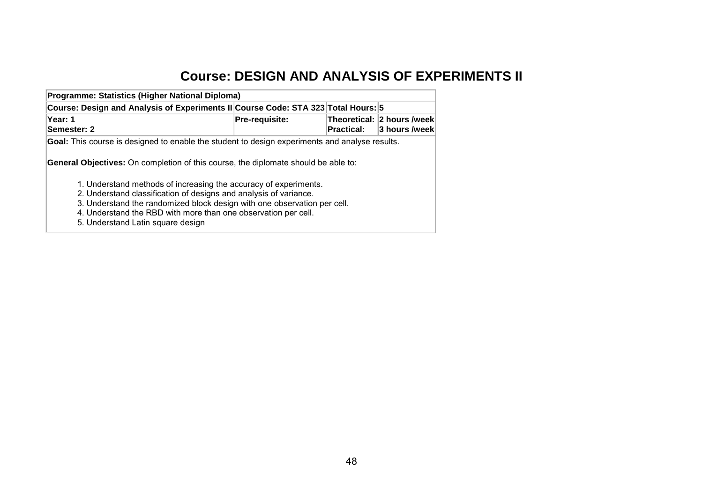## **Course: DESIGN AND ANALYSIS OF EXPERIMENTS II**

| Programme: Statistics (Higher National Diploma)                                                                                                                                                                                                                        |                |                   |                                             |  |  |  |
|------------------------------------------------------------------------------------------------------------------------------------------------------------------------------------------------------------------------------------------------------------------------|----------------|-------------------|---------------------------------------------|--|--|--|
| Course: Design and Analysis of Experiments II Course Code: STA 323 Total Hours: 5                                                                                                                                                                                      |                |                   |                                             |  |  |  |
| Year: 1<br>Semester: 2                                                                                                                                                                                                                                                 | Pre-requisite: | <b>Practical:</b> | Theoretical: 2 hours /week<br>3 hours /week |  |  |  |
| <b>Goal:</b> This course is designed to enable the student to design experiments and analyse results.<br><b>General Objectives:</b> On completion of this course, the diplomate should be able to:<br>1. Understand methods of increasing the accuracy of experiments. |                |                   |                                             |  |  |  |
| 2. Understand classification of designs and analysis of variance.<br>3. Understand the randomized block design with one observation per cell.<br>4. Understand the RBD with more than one observation per cell.<br>5. Understand Latin square design                   |                |                   |                                             |  |  |  |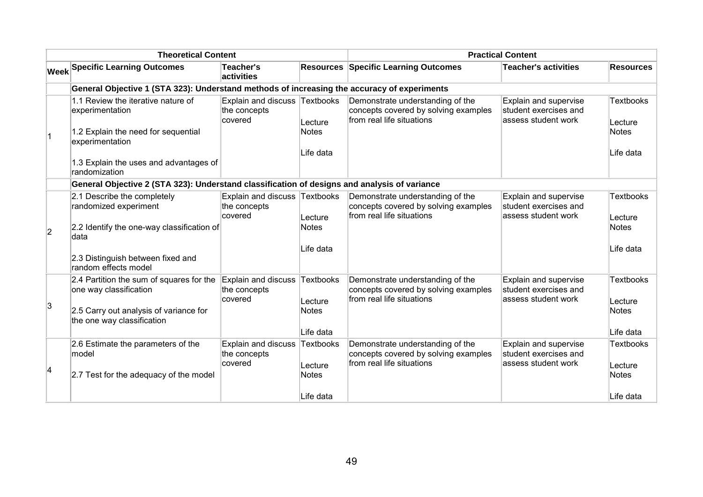| <b>Theoretical Content</b> |                                                                                              |                                                          | <b>Practical Content</b> |                                                                                                       |                                                                       |                               |  |
|----------------------------|----------------------------------------------------------------------------------------------|----------------------------------------------------------|--------------------------|-------------------------------------------------------------------------------------------------------|-----------------------------------------------------------------------|-------------------------------|--|
|                            | <b>Week Specific Learning Outcomes</b>                                                       | Teacher's<br>activities                                  |                          | <b>Resources Specific Learning Outcomes</b>                                                           | Teacher's activities                                                  | <b>Resources</b>              |  |
|                            | General Objective 1 (STA 323): Understand methods of increasing the accuracy of experiments  |                                                          |                          |                                                                                                       |                                                                       |                               |  |
|                            | 1.1 Review the iterative nature of<br>experimentation<br>1.2 Explain the need for sequential | Explain and discuss Textbooks<br>the concepts<br>covered | Lecture<br>Notes         | Demonstrate understanding of the<br>concepts covered by solving examples<br>from real life situations | Explain and supervise<br>student exercises and<br>assess student work | Textbooks<br>Lecture<br>Notes |  |
|                            | experimentation                                                                              |                                                          |                          |                                                                                                       |                                                                       |                               |  |
|                            | 1.3 Explain the uses and advantages of<br>randomization                                      |                                                          | Life data                |                                                                                                       |                                                                       | Life data                     |  |
|                            | General Objective 2 (STA 323): Understand classification of designs and analysis of variance |                                                          |                          |                                                                                                       |                                                                       |                               |  |
|                            | 2.1 Describe the completely<br>randomized experiment                                         | Explain and discuss Textbooks<br>the concepts<br>covered | Lecture                  | Demonstrate understanding of the<br>concepts covered by solving examples<br>from real life situations | Explain and supervise<br>student exercises and<br>assess student work | Textbooks<br>Lecture          |  |
| $\overline{2}$             | 2.2 Identify the one-way classification of<br>∣data                                          |                                                          | <b>Notes</b>             |                                                                                                       |                                                                       | Notes                         |  |
|                            | 2.3 Distinguish between fixed and<br>random effects model                                    |                                                          | Life data                |                                                                                                       |                                                                       | Life data                     |  |
|                            | 2.4 Partition the sum of squares for the<br>one way classification                           | Explain and discuss Textbooks<br>the concepts            |                          | Demonstrate understanding of the<br>concepts covered by solving examples                              | Explain and supervise<br>student exercises and                        | Textbooks                     |  |
| 3                          | 2.5 Carry out analysis of variance for<br>the one way classification                         | covered                                                  | Lecture<br>Notes         | from real life situations                                                                             | assess student work                                                   | Lecture<br>Notes              |  |
|                            |                                                                                              |                                                          | Life data                |                                                                                                       |                                                                       | Life data                     |  |
|                            | 2.6 Estimate the parameters of the<br>model                                                  | Explain and discuss Textbooks<br>the concepts            |                          | Demonstrate understanding of the<br>concepts covered by solving examples                              | Explain and supervise<br>student exercises and                        | Textbooks                     |  |
| $\overline{\mathbf{4}}$    | 2.7 Test for the adequacy of the model                                                       | covered                                                  | Lecture<br>Notes         | from real life situations                                                                             | assess student work                                                   | Lecture<br>Notes              |  |
|                            |                                                                                              |                                                          | Life data                |                                                                                                       |                                                                       | Life data                     |  |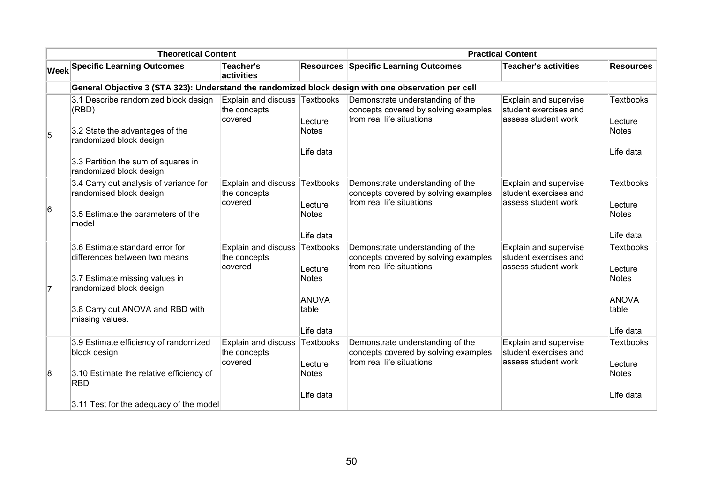|                | <b>Theoretical Content</b>                                                                                  |                                                          |                           | <b>Practical Content</b>                                                                              |                                                                        |                               |
|----------------|-------------------------------------------------------------------------------------------------------------|----------------------------------------------------------|---------------------------|-------------------------------------------------------------------------------------------------------|------------------------------------------------------------------------|-------------------------------|
|                | <b>Week Specific Learning Outcomes</b>                                                                      | Teacher's<br>activities                                  |                           | <b>Resources Specific Learning Outcomes</b>                                                           | Teacher's activities                                                   | <b>Resources</b>              |
|                | General Objective 3 (STA 323): Understand the randomized block design with one observation per cell         |                                                          |                           |                                                                                                       |                                                                        |                               |
| 5              | 3.1 Describe randomized block design<br>(RBD)<br>3.2 State the advantages of the<br>randomized block design | Explain and discuss Textbooks<br>the concepts<br>covered | Lecture<br><b>Notes</b>   | Demonstrate understanding of the<br>concepts covered by solving examples<br>from real life situations | Explain and supervise<br>student exercises and<br>assess student work  | Textbooks<br>Lecture<br>Notes |
|                | 3.3 Partition the sum of squares in<br>randomized block design                                              |                                                          | Life data                 |                                                                                                       |                                                                        | Life data                     |
| 6              | 3.4 Carry out analysis of variance for<br>randomised block design                                           | Explain and discuss<br>the concepts<br>covered           | Textbooks<br>Lecture      | Demonstrate understanding of the<br>concepts covered by solving examples<br>from real life situations | Explain and supervise<br>student exercises and<br>assess student work  | Textbooks<br>Lecture          |
|                | 3.5 Estimate the parameters of the<br>model                                                                 |                                                          | <b>Notes</b><br>Life data |                                                                                                       |                                                                        | Notes<br>Life data            |
|                | 3.6 Estimate standard error for<br>differences between two means                                            | Explain and discuss<br>the concepts<br>covered           | Textbooks<br>Lecture      | Demonstrate understanding of the<br>concepts covered by solving examples<br>from real life situations | Explain and supervise<br>student exercises and<br>lassess student work | Textbooks<br>Lecture          |
| $\overline{7}$ | 3.7 Estimate missing values in<br>randomized block design                                                   |                                                          | <b>Notes</b>              |                                                                                                       |                                                                        | <b>Notes</b>                  |
|                | 3.8 Carry out ANOVA and RBD with<br>missing values.                                                         |                                                          | ANOVA<br>table            |                                                                                                       |                                                                        | ANOVA<br>table                |
|                |                                                                                                             |                                                          | Life data                 |                                                                                                       |                                                                        | Life data                     |
|                | 3.9 Estimate efficiency of randomized<br>block design                                                       | Explain and discuss<br>the concepts                      | Textbooks                 | Demonstrate understanding of the<br>concepts covered by solving examples                              | Explain and supervise<br>student exercises and                         | Textbooks                     |
| 8              | 3.10 Estimate the relative efficiency of<br><b>RBD</b>                                                      | covered                                                  | Lecture<br><b>Notes</b>   | from real life situations                                                                             | assess student work                                                    | Lecture<br>Notes              |
|                | 3.11 Test for the adequacy of the model                                                                     |                                                          | Life data                 |                                                                                                       |                                                                        | Life data                     |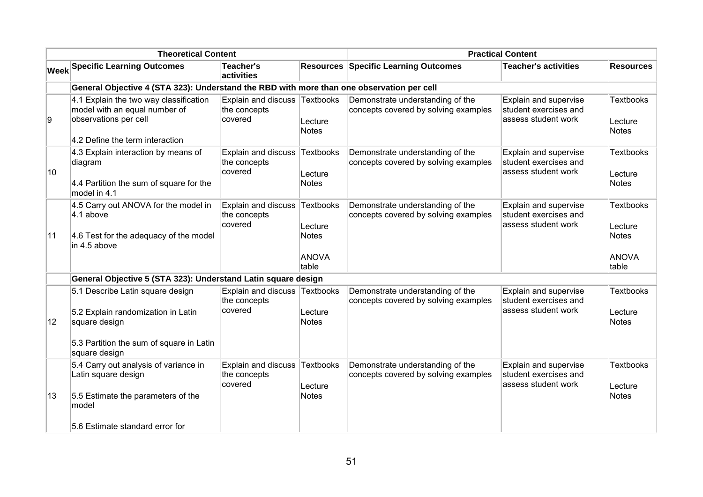| <b>Theoretical Content</b> |                                                                                                                                                      | <b>Practical Content</b>                                 |                                                  |                                                                          |                                                                       |                                                               |
|----------------------------|------------------------------------------------------------------------------------------------------------------------------------------------------|----------------------------------------------------------|--------------------------------------------------|--------------------------------------------------------------------------|-----------------------------------------------------------------------|---------------------------------------------------------------|
|                            | <b>Week Specific Learning Outcomes</b>                                                                                                               | <b>Teacher's</b><br>activities                           |                                                  | <b>Resources Specific Learning Outcomes</b>                              | <b>Teacher's activities</b>                                           | <b>Resources</b>                                              |
|                            | General Objective 4 (STA 323): Understand the RBD with more than one observation per cell                                                            |                                                          |                                                  |                                                                          |                                                                       |                                                               |
| 9                          | 4.1 Explain the two way classification<br>model with an equal number of<br>observations per cell<br>4.2 Define the term interaction                  | Explain and discuss Textbooks<br>the concepts<br>covered | Lecture<br><b>Notes</b>                          | Demonstrate understanding of the<br>concepts covered by solving examples | Explain and supervise<br>student exercises and<br>assess student work | Textbooks<br>Lecture<br><b>Notes</b>                          |
| 10                         | 4.3 Explain interaction by means of<br>diagram<br>4.4 Partition the sum of square for the<br>model in 4.1                                            | Explain and discuss<br>the concepts<br>covered           | <b>Textbooks</b><br>Lecture<br><b>Notes</b>      | Demonstrate understanding of the<br>concepts covered by solving examples | Explain and supervise<br>student exercises and<br>assess student work | Textbooks<br>Lecture<br>Notes                                 |
| 11                         | 4.5 Carry out ANOVA for the model in<br>$4.1$ above<br>4.6 Test for the adequacy of the model<br>in 4.5 above                                        | Explain and discuss Textbooks<br>the concepts<br>covered | Lecture<br><b>Notes</b><br><b>ANOVA</b><br>table | Demonstrate understanding of the<br>concepts covered by solving examples | Explain and supervise<br>student exercises and<br>assess student work | Textbooks<br>Lecture<br><b>Notes</b><br><b>ANOVA</b><br>table |
|                            | General Objective 5 (STA 323): Understand Latin square design                                                                                        |                                                          |                                                  |                                                                          |                                                                       |                                                               |
| $ 12\rangle$               | 5.1 Describe Latin square design<br>5.2 Explain randomization in Latin<br>square design<br>5.3 Partition the sum of square in Latin<br>square design | Explain and discuss Textbooks<br>the concepts<br>covered | Lecture<br><b>Notes</b>                          | Demonstrate understanding of the<br>concepts covered by solving examples | Explain and supervise<br>student exercises and<br>assess student work | Textbooks<br>Lecture<br>Notes                                 |
| 13                         | 5.4 Carry out analysis of variance in<br>Latin square design<br>5.5 Estimate the parameters of the<br>model<br>5.6 Estimate standard error for       | Explain and discuss Textbooks<br>the concepts<br>covered | Lecture<br><b>Notes</b>                          | Demonstrate understanding of the<br>concepts covered by solving examples | Explain and supervise<br>student exercises and<br>assess student work | Textbooks<br>Lecture<br>Notes                                 |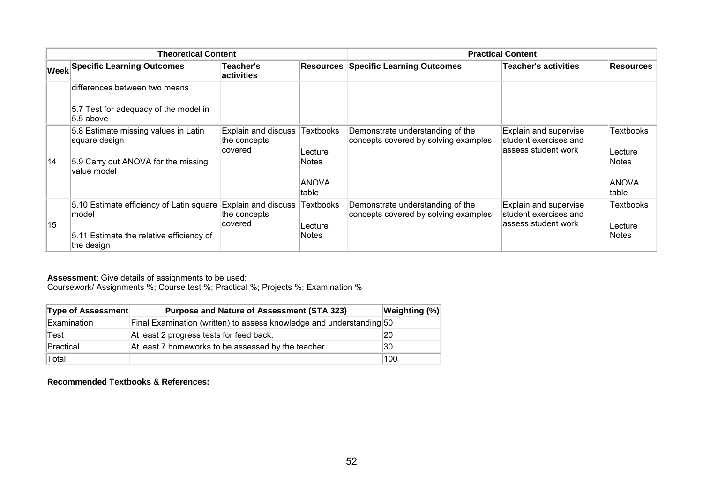| <b>Theoretical Content</b> |                                                                       |                                                 | <b>Practical Content</b> |                                                                          |                                                                        |                         |
|----------------------------|-----------------------------------------------------------------------|-------------------------------------------------|--------------------------|--------------------------------------------------------------------------|------------------------------------------------------------------------|-------------------------|
|                            | <b>Week Specific Learning Outcomes</b>                                | Teacher's<br><b>activities</b>                  |                          | <b>Resources Specific Learning Outcomes</b>                              | <b>Teacher's activities</b>                                            | Resources               |
|                            | differences between two means                                         |                                                 |                          |                                                                          |                                                                        |                         |
|                            | 5.7 Test for adequacy of the model in<br>5.5 above                    |                                                 |                          |                                                                          |                                                                        |                         |
|                            | 5.8 Estimate missing values in Latin<br>square design                 | Explain and discuss<br>the concepts<br>lcovered | Textbooks<br>Lecture     | Demonstrate understanding of the<br>concepts covered by solving examples | Explain and supervise<br>student exercises and<br>lassess student work | Textbooks<br>Lecture    |
| 14                         | 5.9 Carry out ANOVA for the missing<br>value model                    |                                                 | Notes                    |                                                                          |                                                                        | Notes                   |
|                            |                                                                       |                                                 | <b>ANOVA</b><br>table    |                                                                          |                                                                        | ANOVA<br>table          |
|                            | 5.10 Estimate efficiency of Latin square Explain and discuss<br>model | the concepts                                    | Textbooks                | Demonstrate understanding of the<br>concepts covered by solving examples | Explain and supervise<br>student exercises and                         | <b>Textbooks</b>        |
| 15                         | 5.11 Estimate the relative efficiency of<br>the design                | covered                                         | Lecture<br>Notes         |                                                                          | lassess student work                                                   | Lecture<br><b>Notes</b> |

Coursework/ Assignments %; Course test %; Practical %; Projects %; Examination %

| <b>Type of Assessment</b> | <b>Purpose and Nature of Assessment (STA 323)</b>                    | Weighting (%) |
|---------------------------|----------------------------------------------------------------------|---------------|
| Examination               | Final Examination (written) to assess knowledge and understanding 50 |               |
| Test                      | At least 2 progress tests for feed back.                             | 20            |
| Practical                 | At least 7 homeworks to be assessed by the teacher                   | 30            |
| Total                     |                                                                      | 100           |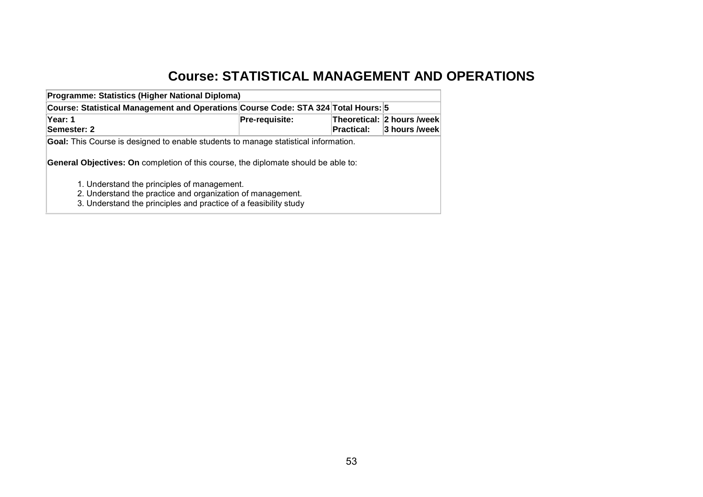# **Course: STATISTICAL MANAGEMENT AND OPERATIONS**

| Programme: Statistics (Higher National Diploma)                                                                                                                                                                                                                                                                                                                          |                |            |                                             |
|--------------------------------------------------------------------------------------------------------------------------------------------------------------------------------------------------------------------------------------------------------------------------------------------------------------------------------------------------------------------------|----------------|------------|---------------------------------------------|
| Course: Statistical Management and Operations Course Code: STA 324 Total Hours: 5                                                                                                                                                                                                                                                                                        |                |            |                                             |
| Year: 1<br>Semester: 2                                                                                                                                                                                                                                                                                                                                                   | Pre-requisite: | Practical: | Theoretical: 2 hours /week<br>3 hours /week |
| <b>Goal:</b> This Course is designed to enable students to manage statistical information.<br><b>General Objectives: On completion of this course, the diplomate should be able to:</b><br>1. Understand the principles of management.<br>2. Understand the practice and organization of management.<br>3. Understand the principles and practice of a feasibility study |                |            |                                             |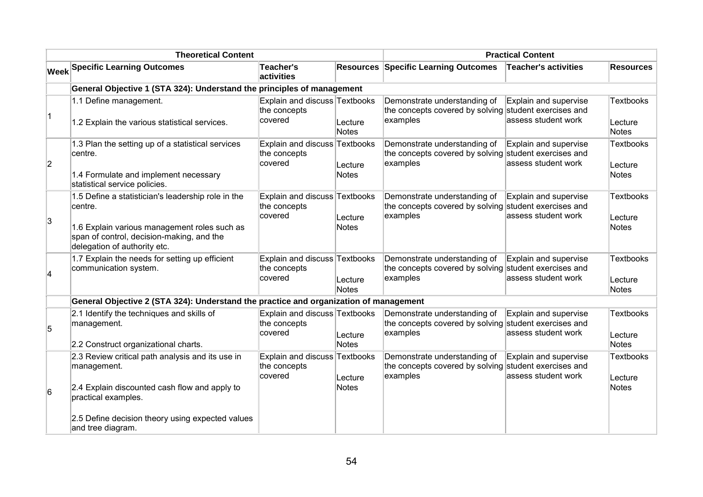| <b>Theoretical Content</b> |                                                                                                                                                                                             |                                                          |                         | <b>Practical Content</b>                                                    |                                                                       |                                             |
|----------------------------|---------------------------------------------------------------------------------------------------------------------------------------------------------------------------------------------|----------------------------------------------------------|-------------------------|-----------------------------------------------------------------------------|-----------------------------------------------------------------------|---------------------------------------------|
|                            | <b>Week Specific Learning Outcomes</b>                                                                                                                                                      | <b>Teacher's</b><br>activities                           |                         | <b>Resources Specific Learning Outcomes</b>                                 | <b>Teacher's activities</b>                                           | <b>Resources</b>                            |
|                            | General Objective 1 (STA 324): Understand the principles of management                                                                                                                      |                                                          |                         |                                                                             |                                                                       |                                             |
| $\vert$ 1                  | 1.1 Define management.<br>1.2 Explain the various statistical services.                                                                                                                     | Explain and discuss Textbooks<br>the concepts<br>covered | Lecture<br>Notes        | Demonstrate understanding of<br>the concepts covered by solving<br>examples | Explain and supervise<br>student exercises and<br>assess student work | <b>Textbooks</b><br>Lecture<br><b>Notes</b> |
| $ 2\rangle$                | 1.3 Plan the setting up of a statistical services<br>centre.<br>1.4 Formulate and implement necessary<br>statistical service policies.                                                      | Explain and discuss Textbooks<br>the concepts<br>covered | Lecture<br>Notes        | Demonstrate understanding of<br>the concepts covered by solving<br>examples | Explain and supervise<br>student exercises and<br>assess student work | <b>Textbooks</b><br>Lecture<br><b>Notes</b> |
| 3                          | 1.5 Define a statistician's leadership role in the<br>centre.<br>1.6 Explain various management roles such as<br>span of control, decision-making, and the<br>delegation of authority etc.  | Explain and discuss Textbooks<br>the concepts<br>covered | Lecture<br><b>Notes</b> | Demonstrate understanding of<br>the concepts covered by solving<br>examples | Explain and supervise<br>student exercises and<br>assess student work | <b>Textbooks</b><br>Lecture<br><b>Notes</b> |
| $\overline{\mathbf{4}}$    | 1.7 Explain the needs for setting up efficient<br>communication system.                                                                                                                     | Explain and discuss Textbooks<br>the concepts<br>covered | Lecture<br><b>Notes</b> | Demonstrate understanding of<br>the concepts covered by solving<br>examples | Explain and supervise<br>student exercises and<br>assess student work | <b>Textbooks</b><br>Lecture<br><b>Notes</b> |
|                            | General Objective 2 (STA 324): Understand the practice and organization of management                                                                                                       |                                                          |                         |                                                                             |                                                                       |                                             |
| 5                          | 2.1 Identify the techniques and skills of<br>management.<br>2.2 Construct organizational charts.                                                                                            | Explain and discuss Textbooks<br>the concepts<br>covered | Lecture<br><b>Notes</b> | Demonstrate understanding of<br>the concepts covered by solving<br>examples | Explain and supervise<br>student exercises and<br>assess student work | <b>Textbooks</b><br>Lecture<br><b>Notes</b> |
| 6                          | 2.3 Review critical path analysis and its use in<br>management.<br>2.4 Explain discounted cash flow and apply to<br>practical examples.<br>2.5 Define decision theory using expected values | Explain and discuss Textbooks<br>the concepts<br>covered | Lecture<br><b>Notes</b> | Demonstrate understanding of<br>the concepts covered by solving<br>examples | Explain and supervise<br>student exercises and<br>assess student work | <b>Textbooks</b><br>Lecture<br><b>Notes</b> |
|                            | and tree diagram.                                                                                                                                                                           |                                                          |                         |                                                                             |                                                                       |                                             |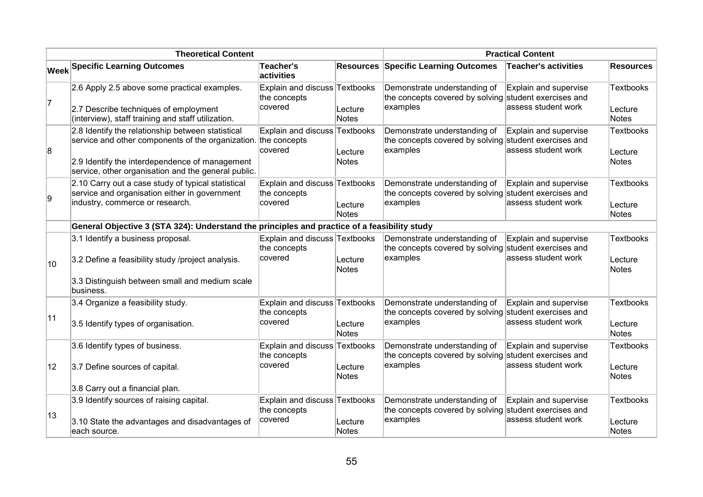| <b>Theoretical Content</b> |                                                                                                                                                                                                                              |                                                          |                         | <b>Practical Content</b>                                                                          |                                              |                                             |
|----------------------------|------------------------------------------------------------------------------------------------------------------------------------------------------------------------------------------------------------------------------|----------------------------------------------------------|-------------------------|---------------------------------------------------------------------------------------------------|----------------------------------------------|---------------------------------------------|
|                            | <b>Week Specific Learning Outcomes</b>                                                                                                                                                                                       | Teacher's<br>activities                                  |                         | <b>Resources Specific Learning Outcomes</b>                                                       | <b>Teacher's activities</b>                  | <b>Resources</b>                            |
| 7                          | 2.6 Apply 2.5 above some practical examples.<br>2.7 Describe techniques of employment<br>(interview), staff training and staff utilization.                                                                                  | Explain and discuss Textbooks<br>the concepts<br>covered | Lecture<br><b>Notes</b> | Demonstrate understanding of<br>the concepts covered by solving student exercises and<br>examples | Explain and supervise<br>assess student work | <b>Textbooks</b><br>Lecture<br><b>Notes</b> |
| 8                          | 2.8 Identify the relationship between statistical<br>service and other components of the organization. the concepts<br>2.9 Identify the interdependence of management<br>service, other organisation and the general public. | Explain and discuss Textbooks<br>covered                 | Lecture<br>Notes        | Demonstrate understanding of<br>the concepts covered by solving student exercises and<br>examples | Explain and supervise<br>assess student work | <b>Textbooks</b><br>Lecture<br><b>Notes</b> |
| g.                         | 2.10 Carry out a case study of typical statistical<br>service and organisation either in government<br>industry, commerce or research.                                                                                       | Explain and discuss Textbooks<br>the concepts<br>covered | Lecture<br>Notes        | Demonstrate understanding of<br>the concepts covered by solving student exercises and<br>examples | Explain and supervise<br>assess student work | Textbooks<br>Lecture<br><b>Notes</b>        |
|                            | General Objective 3 (STA 324): Understand the principles and practice of a feasibility study                                                                                                                                 |                                                          |                         |                                                                                                   |                                              |                                             |
| 10                         | 3.1 Identify a business proposal.<br>3.2 Define a feasibility study /project analysis.<br>3.3 Distinguish between small and medium scale                                                                                     | Explain and discuss Textbooks<br>the concepts<br>covered | Lecture<br>Notes        | Demonstrate understanding of<br>the concepts covered by solving student exercises and<br>examples | Explain and supervise<br>assess student work | Textbooks<br>Lecture<br><b>Notes</b>        |
| 11                         | business.<br>3.4 Organize a feasibility study.<br>3.5 Identify types of organisation.                                                                                                                                        | Explain and discuss Textbooks<br>the concepts<br>covered | Lecture<br>Notes        | Demonstrate understanding of<br>the concepts covered by solving student exercises and<br>examples | Explain and supervise<br>assess student work | <b>Textbooks</b><br>Lecture<br>Notes        |
| 12                         | 3.6 Identify types of business.<br>3.7 Define sources of capital.<br>3.8 Carry out a financial plan.                                                                                                                         | Explain and discuss Textbooks<br>the concepts<br>covered | Lecture<br>Notes        | Demonstrate understanding of<br>the concepts covered by solving student exercises and<br>examples | Explain and supervise<br>assess student work | <b>Textbooks</b><br>Lecture<br><b>Notes</b> |
| 13                         | 3.9 Identify sources of raising capital.<br>3.10 State the advantages and disadvantages of<br>each source.                                                                                                                   | Explain and discuss Textbooks<br>the concepts<br>covered | Lecture<br>Notes        | Demonstrate understanding of<br>the concepts covered by solving student exercises and<br>examples | Explain and supervise<br>assess student work | <b>Textbooks</b><br>Lecture<br><b>Notes</b> |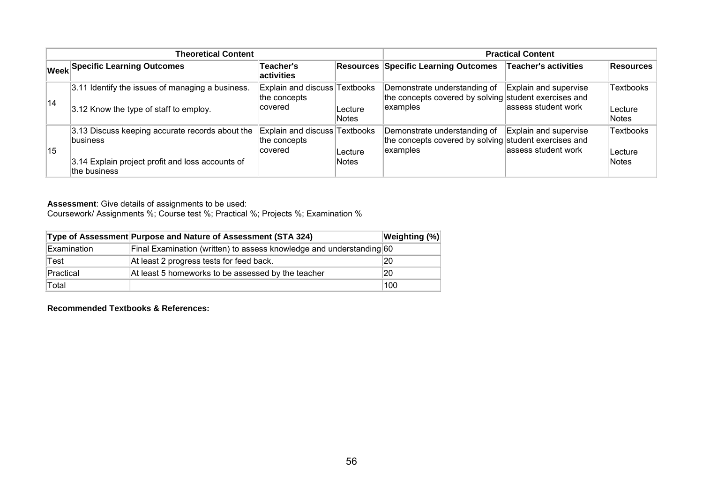| <b>Theoretical Content</b> |                                                                                                                                        |                                                          |                         | <b>Practical Content</b>                                                                          |                                               |                                       |
|----------------------------|----------------------------------------------------------------------------------------------------------------------------------------|----------------------------------------------------------|-------------------------|---------------------------------------------------------------------------------------------------|-----------------------------------------------|---------------------------------------|
|                            | <b>Week Specific Learning Outcomes</b>                                                                                                 | Teacher's<br>activities                                  |                         | <b>Resources Specific Learning Outcomes</b>                                                       | <b>Teacher's activities</b>                   | <b>Resources</b>                      |
| 14                         | 3.11 Identify the issues of managing a business.<br>3.12 Know the type of staff to employ.                                             | Explain and discuss Textbooks<br>the concepts<br>covered | Lecture<br><b>Notes</b> | Demonstrate understanding of<br>the concepts covered by solving student exercises and<br>examples | Explain and supervise<br>lassess student work | <b>Textbooks</b><br>∣Lecture<br>Notes |
| 15                         | 3.13 Discuss keeping accurate records about the<br><b>business</b><br>3.14 Explain project profit and loss accounts of<br>the business | Explain and discuss Textbooks<br>the concepts<br>covered | Lecture<br><b>Notes</b> | Demonstrate understanding of<br>the concepts covered by solving student exercises and<br>examples | Explain and supervise<br>assess student work  | Textbooks<br>Lecture<br>Notes         |

Coursework/ Assignments %; Course test %; Practical %; Projects %; Examination %

|                    | Type of Assessment Purpose and Nature of Assessment (STA 324)        | <b>Weighting (%)</b> |
|--------------------|----------------------------------------------------------------------|----------------------|
| <b>Examination</b> | Final Examination (written) to assess knowledge and understanding 60 |                      |
| Test               | At least 2 progress tests for feed back.                             | 20                   |
| Practical          | At least 5 homeworks to be assessed by the teacher                   | 20                   |
| Total              |                                                                      | 100                  |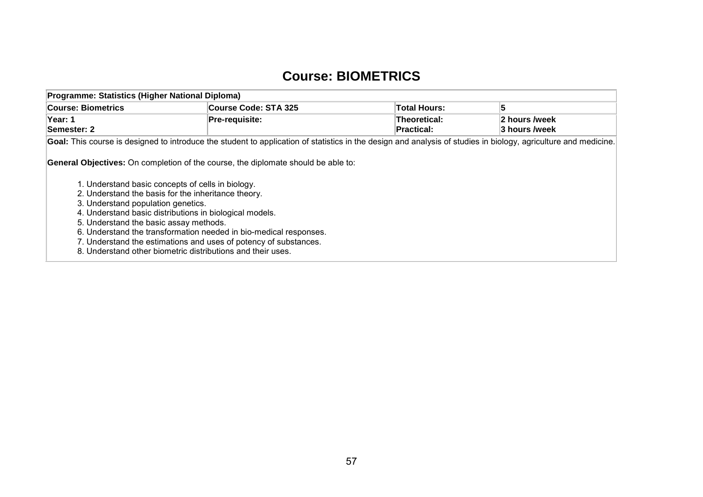#### **Course: BIOMETRICS**

| Programme: Statistics (Higher National Diploma)                                                                                                                                                                                                                                                                                                                                                                                                                                                                                                         |                                                                                                                                                                 |                                   |                                |  |  |  |  |
|---------------------------------------------------------------------------------------------------------------------------------------------------------------------------------------------------------------------------------------------------------------------------------------------------------------------------------------------------------------------------------------------------------------------------------------------------------------------------------------------------------------------------------------------------------|-----------------------------------------------------------------------------------------------------------------------------------------------------------------|-----------------------------------|--------------------------------|--|--|--|--|
| <b>Course: Biometrics</b>                                                                                                                                                                                                                                                                                                                                                                                                                                                                                                                               | Course Code: STA 325                                                                                                                                            | Total Hours:                      | 5                              |  |  |  |  |
| Year: 1<br>Semester: 2                                                                                                                                                                                                                                                                                                                                                                                                                                                                                                                                  | Pre-requisite:                                                                                                                                                  | Theoretical:<br><b>Practical:</b> | 2 hours /week<br>3 hours /week |  |  |  |  |
|                                                                                                                                                                                                                                                                                                                                                                                                                                                                                                                                                         | Goal: This course is designed to introduce the student to application of statistics in the design and analysis of studies in biology, agriculture and medicine. |                                   |                                |  |  |  |  |
| <b>General Objectives:</b> On completion of the course, the diplomate should be able to:<br>1. Understand basic concepts of cells in biology.<br>2. Understand the basis for the inheritance theory.<br>3. Understand population genetics.<br>4. Understand basic distributions in biological models.<br>5. Understand the basic assay methods.<br>6. Understand the transformation needed in bio-medical responses.<br>7. Understand the estimations and uses of potency of substances.<br>8. Understand other biometric distributions and their uses. |                                                                                                                                                                 |                                   |                                |  |  |  |  |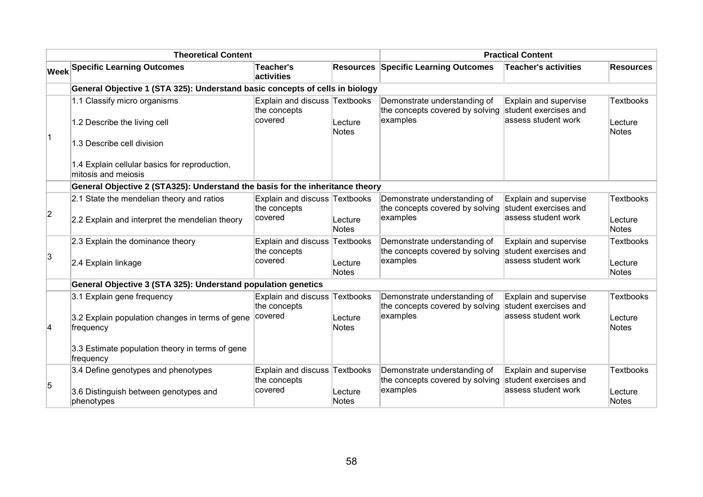|           | <b>Theoretical Content</b>                                                                                                                                 |                                                          |                         | <b>Practical Content</b>                                                    |                                                                        |                                             |
|-----------|------------------------------------------------------------------------------------------------------------------------------------------------------------|----------------------------------------------------------|-------------------------|-----------------------------------------------------------------------------|------------------------------------------------------------------------|---------------------------------------------|
|           | <b>Week Specific Learning Outcomes</b>                                                                                                                     | <b>Teacher's</b><br>activities                           | <b>Resources</b>        | <b>Specific Learning Outcomes</b>                                           | <b>Teacher's activities</b>                                            | <b>Resources</b>                            |
|           | General Objective 1 (STA 325): Understand basic concepts of cells in biology                                                                               |                                                          |                         |                                                                             |                                                                        |                                             |
| $\vert$ 1 | 1.1 Classify micro organisms<br>1.2 Describe the living cell<br>1.3 Describe cell division                                                                 | Explain and discuss Textbooks<br>the concepts<br>covered | Lecture<br>Notes        | Demonstrate understanding of<br>the concepts covered by solving<br>examples | Explain and supervise<br>student exercises and<br>assess student work  | <b>Textbooks</b><br>Lecture<br><b>Notes</b> |
|           | 1.4 Explain cellular basics for reproduction,<br>mitosis and meiosis                                                                                       |                                                          |                         |                                                                             |                                                                        |                                             |
|           | General Objective 2 (STA325): Understand the basis for the inheritance theory                                                                              |                                                          |                         |                                                                             |                                                                        |                                             |
| 2         | 2.1 State the mendelian theory and ratios<br>2.2 Explain and interpret the mendelian theory                                                                | Explain and discuss Textbooks<br>the concepts<br>covered | Lecture<br>Notes        | Demonstrate understanding of<br>the concepts covered by solving<br>examples | Explain and supervise<br>student exercises and<br>lassess student work | <b>Textbooks</b><br>Lecture<br><b>Notes</b> |
| 3         | 2.3 Explain the dominance theory<br>2.4 Explain linkage                                                                                                    | Explain and discuss Textbooks<br>the concepts<br>covered | Lecture<br>Notes        | Demonstrate understanding of<br>the concepts covered by solving<br>examples | Explain and supervise<br>student exercises and<br>assess student work  | <b>Textbooks</b><br>Lecture<br><b>Notes</b> |
|           | General Objective 3 (STA 325): Understand population genetics                                                                                              |                                                          |                         |                                                                             |                                                                        |                                             |
| 4         | 3.1 Explain gene frequency<br>3.2 Explain population changes in terms of gene<br>frequency<br>3.3 Estimate population theory in terms of gene<br>frequency | Explain and discuss Textbooks<br>the concepts<br>covered | Lecture<br>Notes        | Demonstrate understanding of<br>the concepts covered by solving<br>examples | Explain and supervise<br>student exercises and<br>assess student work  | <b>Textbooks</b><br>Lecture<br><b>Notes</b> |
| 5         | 3.4 Define genotypes and phenotypes<br>3.6 Distinguish between genotypes and<br>phenotypes                                                                 | Explain and discuss Textbooks<br>the concepts<br>covered | Lecture<br><b>Notes</b> | Demonstrate understanding of<br>the concepts covered by solving<br>examples | Explain and supervise<br>student exercises and<br>assess student work  | <b>Textbooks</b><br>Lecture<br><b>Notes</b> |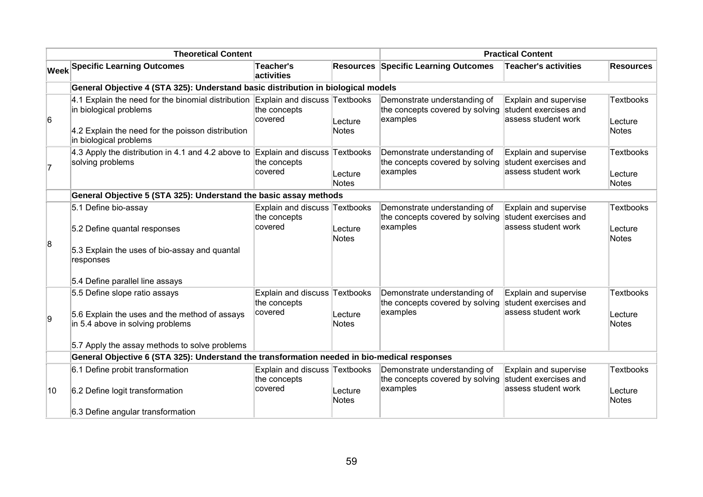| <b>Theoretical Content</b> |                                                                                                                                                                                           |                                                          | <b>Practical Content</b> |                                                                             |                                                                       |                                             |
|----------------------------|-------------------------------------------------------------------------------------------------------------------------------------------------------------------------------------------|----------------------------------------------------------|--------------------------|-----------------------------------------------------------------------------|-----------------------------------------------------------------------|---------------------------------------------|
|                            | <b>Week Specific Learning Outcomes</b>                                                                                                                                                    | <b>Teacher's</b><br>activities                           |                          | <b>Resources Specific Learning Outcomes</b>                                 | <b>Teacher's activities</b>                                           | <b>Resources</b>                            |
|                            | General Objective 4 (STA 325): Understand basic distribution in biological models                                                                                                         |                                                          |                          |                                                                             |                                                                       |                                             |
| 6                          | 4.1 Explain the need for the binomial distribution Explain and discuss Textbooks<br>in biological problems<br>4.2 Explain the need for the poisson distribution<br>in biological problems | the concepts<br>covered                                  | Lecture<br><b>Notes</b>  | Demonstrate understanding of<br>the concepts covered by solving<br>examples | Explain and supervise<br>student exercises and<br>assess student work | <b>Textbooks</b><br>Lecture<br><b>Notes</b> |
| 17                         | 4.3 Apply the distribution in 4.1 and 4.2 above to Explain and discuss Textbooks<br>solving problems                                                                                      | the concepts<br>covered                                  | Lecture<br>Notes         | Demonstrate understanding of<br>the concepts covered by solving<br>examples | Explain and supervise<br>student exercises and<br>assess student work | <b>Textbooks</b><br>Lecture<br><b>Notes</b> |
|                            | General Objective 5 (STA 325): Understand the basic assay methods                                                                                                                         |                                                          |                          |                                                                             |                                                                       |                                             |
| 8                          | 5.1 Define bio-assay<br>5.2 Define quantal responses<br>5.3 Explain the uses of bio-assay and quantal<br>responses<br>5.4 Define parallel line assays                                     | Explain and discuss Textbooks<br>the concepts<br>covered | Lecture<br><b>Notes</b>  | Demonstrate understanding of<br>the concepts covered by solving<br>examples | Explain and supervise<br>student exercises and<br>assess student work | <b>Textbooks</b><br>Lecture<br><b>Notes</b> |
| g,                         | 5.5 Define slope ratio assays<br>5.6 Explain the uses and the method of assays<br>in 5.4 above in solving problems<br>5.7 Apply the assay methods to solve problems                       | Explain and discuss Textbooks<br>the concepts<br>covered | Lecture<br><b>Notes</b>  | Demonstrate understanding of<br>the concepts covered by solving<br>examples | Explain and supervise<br>student exercises and<br>assess student work | <b>Textbooks</b><br>Lecture<br><b>Notes</b> |
|                            | General Objective 6 (STA 325): Understand the transformation needed in bio-medical responses                                                                                              |                                                          |                          |                                                                             |                                                                       |                                             |
| 10                         | 6.1 Define probit transformation<br>6.2 Define logit transformation<br>6.3 Define angular transformation                                                                                  | Explain and discuss Textbooks<br>the concepts<br>covered | Lecture<br><b>Notes</b>  | Demonstrate understanding of<br>the concepts covered by solving<br>examples | Explain and supervise<br>student exercises and<br>assess student work | Textbooks<br>Lecture<br><b>Notes</b>        |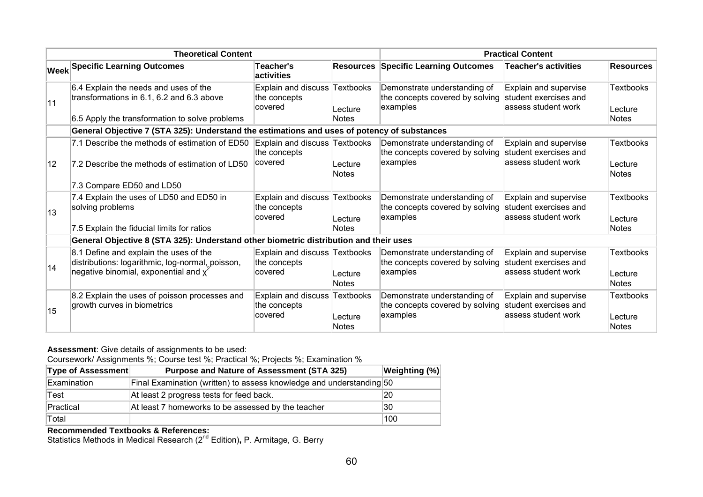| <b>Theoretical Content</b> |                                                                                                                                      |                                                          | <b>Practical Content</b> |                                                                             |                                                                        |                                      |
|----------------------------|--------------------------------------------------------------------------------------------------------------------------------------|----------------------------------------------------------|--------------------------|-----------------------------------------------------------------------------|------------------------------------------------------------------------|--------------------------------------|
|                            | <b>Week Specific Learning Outcomes</b>                                                                                               | Teacher's<br>activities                                  |                          | <b>Resources Specific Learning Outcomes</b>                                 | <b>Teacher's activities</b>                                            | <b>Resources</b>                     |
| 11                         | 6.4 Explain the needs and uses of the<br>transformations in 6.1, 6.2 and 6.3 above<br>6.5 Apply the transformation to solve problems | Explain and discuss Textbooks<br>the concepts<br>covered | Lecture<br><b>Notes</b>  | Demonstrate understanding of<br>the concepts covered by solving<br>examples | Explain and supervise<br>student exercises and<br>lassess student work | <b>Textbooks</b><br>Lecture<br>Notes |
|                            | General Objective 7 (STA 325): Understand the estimations and uses of potency of substances                                          |                                                          |                          |                                                                             |                                                                        |                                      |
| 12                         | 7.1 Describe the methods of estimation of ED50<br>7.2 Describe the methods of estimation of LD50                                     | Explain and discuss Textbooks<br>the concepts<br>covered | Lecture                  | Demonstrate understanding of<br>the concepts covered by solving<br>examples | Explain and supervise<br>student exercises and<br>lassess student work | <b>Textbooks</b><br>Lecture          |
|                            | 7.3 Compare ED50 and LD50                                                                                                            |                                                          | <b>Notes</b>             |                                                                             |                                                                        | <b>Notes</b>                         |
| 13                         | 7.4 Explain the uses of LD50 and ED50 in<br>solving problems                                                                         | Explain and discuss Textbooks<br>the concepts<br>covered | Lecture<br><b>Notes</b>  | Demonstrate understanding of<br>the concepts covered by solving<br>examples | Explain and supervise<br>student exercises and<br>lassess student work | <b>Textbooks</b><br>Lecture<br>Notes |
|                            | 7.5 Explain the fiducial limits for ratios<br>General Objective 8 (STA 325): Understand other biometric distribution and their uses  |                                                          |                          |                                                                             |                                                                        |                                      |
|                            | 8.1 Define and explain the uses of the                                                                                               | Explain and discuss Textbooks                            |                          | Demonstrate understanding of                                                | Explain and supervise                                                  | <b>Textbooks</b>                     |
| 14                         | distributions: logarithmic, log-normal, poisson,<br>negative binomial, exponential and $\chi^2$                                      | the concepts<br>covered                                  | Lecture<br><b>Notes</b>  | the concepts covered by solving<br>examples                                 | student exercises and<br>lassess student work                          | Lecture<br>Notes                     |
| 15                         | 8.2 Explain the uses of poisson processes and<br>growth curves in biometrics                                                         | Explain and discuss Textbooks<br>the concepts<br>covered | Lecture<br><b>Notes</b>  | Demonstrate understanding of<br>the concepts covered by solving<br>examples | Explain and supervise<br>student exercises and<br>lassess student work | <b>Textbooks</b><br>Lecture<br>Notes |

Coursework/ Assignments %; Course test %; Practical %; Projects %; Examination %

| <b>Type of Assessment</b> | <b>Purpose and Nature of Assessment (STA 325)</b>                    | <b>Weighting (%)</b> |
|---------------------------|----------------------------------------------------------------------|----------------------|
| Examination               | Final Examination (written) to assess knowledge and understanding 50 |                      |
| Test                      | At least 2 progress tests for feed back.                             | 20                   |
| Practical                 | At least 7 homeworks to be assessed by the teacher                   | 30                   |
| Total                     |                                                                      | 100                  |

**Recommended Textbooks & References:**<br>Statistics Methods in Medical Research (2<sup>nd</sup> Edition)**,** P. Armitage, G. Berry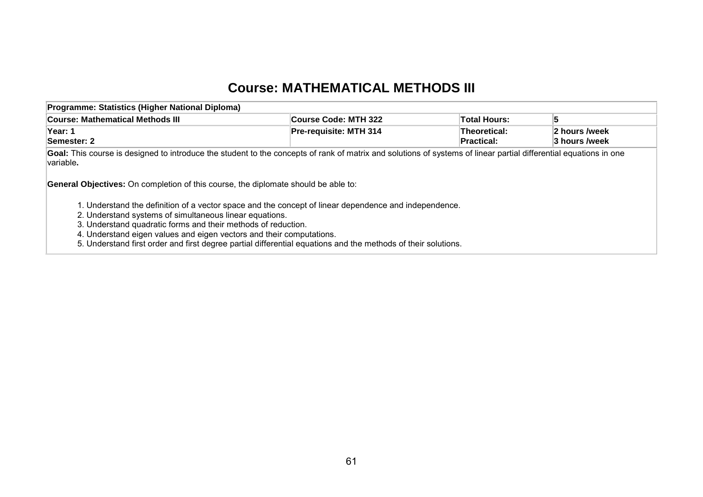### **Course: MATHEMATICAL METHODS III**

| Programme: Statistics (Higher National Diploma)                                                                                                                                                                                                                                                                                                                                                                                                                                                                  |                        |                            |                                |
|------------------------------------------------------------------------------------------------------------------------------------------------------------------------------------------------------------------------------------------------------------------------------------------------------------------------------------------------------------------------------------------------------------------------------------------------------------------------------------------------------------------|------------------------|----------------------------|--------------------------------|
| Course: Mathematical Methods III                                                                                                                                                                                                                                                                                                                                                                                                                                                                                 | Course Code: MTH 322   | <b>Total Hours:</b>        | 5                              |
| Year: 1<br>Semester: 2                                                                                                                                                                                                                                                                                                                                                                                                                                                                                           | Pre-requisite: MTH 314 | Theoretical:<br>Practical: | 2 hours /week<br>3 hours /week |
| Goal: This course is designed to introduce the student to the concepts of rank of matrix and solutions of systems of linear partial differential equations in one<br>variable.<br><b>General Objectives:</b> On completion of this course, the diplomate should be able to:<br>1. Understand the definition of a vector space and the concept of linear dependence and independence.<br>2. Understand systems of simultaneous linear equations.<br>3. Understand quadratic forms and their methods of reduction. |                        |                            |                                |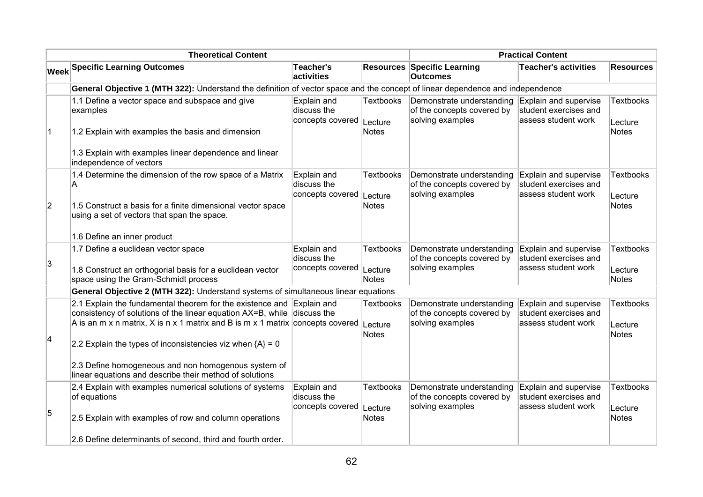|             | <b>Theoretical Content</b>                                                                                                                                                                                                                                                                           |                                                |                                      |                                                                             | <b>Practical Content</b>                                              |                                      |
|-------------|------------------------------------------------------------------------------------------------------------------------------------------------------------------------------------------------------------------------------------------------------------------------------------------------------|------------------------------------------------|--------------------------------------|-----------------------------------------------------------------------------|-----------------------------------------------------------------------|--------------------------------------|
|             | <b>Week Specific Learning Outcomes</b>                                                                                                                                                                                                                                                               | <b>Teacher's</b><br>activities                 |                                      | <b>Resources Specific Learning</b><br><b>Outcomes</b>                       | <b>Teacher's activities</b>                                           | <b>Resources</b>                     |
|             | General Objective 1 (MTH 322): Understand the definition of vector space and the concept of linear dependence and independence                                                                                                                                                                       |                                                |                                      |                                                                             |                                                                       |                                      |
| $\vert$ 1   | 1.1 Define a vector space and subspace and give<br>examples<br>1.2 Explain with examples the basis and dimension                                                                                                                                                                                     | Explain and<br>discuss the<br>concepts covered | <b>Textbooks</b><br>Lecture<br>Notes | Demonstrate understanding<br>of the concepts covered by<br>solving examples | Explain and supervise<br>student exercises and<br>assess student work | <b>Textbooks</b><br>Lecture<br>Notes |
|             | 1.3 Explain with examples linear dependence and linear<br>independence of vectors                                                                                                                                                                                                                    |                                                |                                      |                                                                             |                                                                       |                                      |
| $ 2\rangle$ | 1.4 Determine the dimension of the row space of a Matrix<br>A<br>1.5 Construct a basis for a finite dimensional vector space<br>using a set of vectors that span the space.                                                                                                                          | Explain and<br>discuss the<br>concepts covered | <b>Textbooks</b><br>Lecture<br>Notes | Demonstrate understanding<br>of the concepts covered by<br>solving examples | Explain and supervise<br>student exercises and<br>assess student work | <b>Textbooks</b><br>Lecture<br>Notes |
|             | 1.6 Define an inner product                                                                                                                                                                                                                                                                          |                                                |                                      |                                                                             |                                                                       |                                      |
| 3           | 1.7 Define a euclidean vector space<br>1.8 Construct an orthogorial basis for a euclidean vector<br>space using the Gram-Schmidt process                                                                                                                                                             | Explain and<br>discuss the<br>concepts covered | <b>Textbooks</b><br>Lecture<br>Notes | Demonstrate understanding<br>of the concepts covered by<br>solving examples | Explain and supervise<br>student exercises and<br>assess student work | <b>Textbooks</b><br>Lecture<br>Notes |
|             | General Objective 2 (MTH 322): Understand systems of simultaneous linear equations                                                                                                                                                                                                                   |                                                |                                      |                                                                             |                                                                       |                                      |
| 4           | 2.1 Explain the fundamental theorem for the existence and Explain and<br>consistency of solutions of the linear equation $AX=B$ , while discuss the<br>A is an m x n matrix, X is n x 1 matrix and B is m x 1 matrix concepts covered<br>2.2 Explain the types of inconsistencies viz when ${A} = 0$ |                                                | <b>Textbooks</b><br>Lecture<br>Notes | Demonstrate understanding<br>of the concepts covered by<br>solving examples | Explain and supervise<br>student exercises and<br>assess student work | <b>Textbooks</b><br>Lecture<br>Notes |
|             | 2.3 Define homogeneous and non homogenous system of<br>linear equations and describe their method of solutions                                                                                                                                                                                       |                                                |                                      |                                                                             |                                                                       |                                      |
| 5           | 2.4 Explain with examples numerical solutions of systems<br>of equations<br>2.5 Explain with examples of row and column operations                                                                                                                                                                   | Explain and<br>discuss the<br>concepts covered | <b>Textbooks</b><br>Lecture<br>Notes | Demonstrate understanding<br>of the concepts covered by<br>solving examples | Explain and supervise<br>student exercises and<br>assess student work | <b>Textbooks</b><br>Lecture<br>Notes |
|             | 2.6 Define determinants of second, third and fourth order.                                                                                                                                                                                                                                           |                                                |                                      |                                                                             |                                                                       |                                      |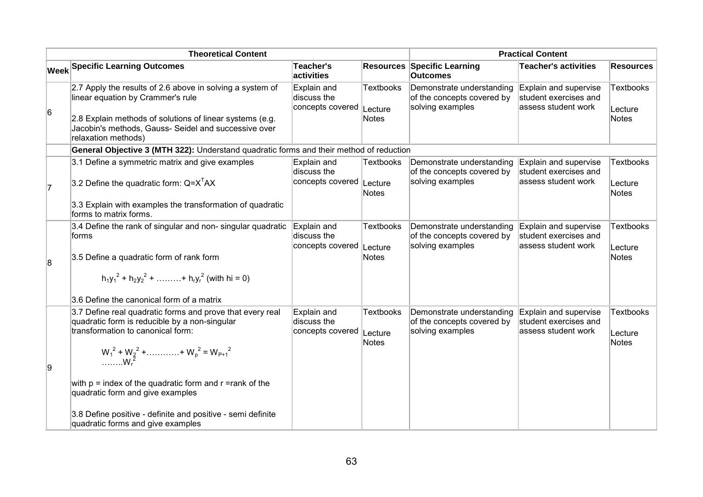|    | <b>Theoretical Content</b>                                                                                                                                                                                                                | <b>Practical Content</b>                               |                                             |                                                                             |                                                                        |                                      |
|----|-------------------------------------------------------------------------------------------------------------------------------------------------------------------------------------------------------------------------------------------|--------------------------------------------------------|---------------------------------------------|-----------------------------------------------------------------------------|------------------------------------------------------------------------|--------------------------------------|
|    | <b>Week Specific Learning Outcomes</b>                                                                                                                                                                                                    | Teacher's<br>activities                                |                                             | <b>Resources Specific Learning</b><br><b>Outcomes</b>                       | <b>Teacher's activities</b>                                            | <b>Resources</b>                     |
| 6  | 2.7 Apply the results of 2.6 above in solving a system of<br>linear equation by Crammer's rule<br>2.8 Explain methods of solutions of linear systems (e.g.<br>Jacobin's methods, Gauss- Seidel and successive over<br>relaxation methods) | Explain and<br>discuss the<br>concepts covered         | <b>Textbooks</b><br>Lecture<br>Notes        | Demonstrate understanding<br>of the concepts covered by<br>solving examples | Explain and supervise<br>student exercises and<br>assess student work  | <b>Textbooks</b><br>Lecture<br>Notes |
|    | General Objective 3 (MTH 322): Understand quadratic forms and their method of reduction                                                                                                                                                   |                                                        |                                             |                                                                             |                                                                        |                                      |
| 17 | 3.1 Define a symmetric matrix and give examples<br>3.2 Define the quadratic form: $Q = XTAX$                                                                                                                                              | Explain and<br>discuss the<br>concepts covered Lecture | <b>Textbooks</b><br>Notes                   | Demonstrate understanding<br>of the concepts covered by<br>solving examples | Explain and supervise<br>student exercises and<br>assess student work  | <b>Textbooks</b><br>Lecture<br>Notes |
|    | 3.3 Explain with examples the transformation of quadratic<br>forms to matrix forms.                                                                                                                                                       |                                                        |                                             |                                                                             |                                                                        |                                      |
| 8  | 3.4 Define the rank of singular and non- singular quadratic<br>forms<br>3.5 Define a quadratic form of rank form                                                                                                                          | Explain and<br>discuss the<br>concepts covered         | <b>Textbooks</b><br>Lecture<br><b>Notes</b> | Demonstrate understanding<br>of the concepts covered by<br>solving examples | Explain and supervise<br>student exercises and<br>assess student work  | <b>Textbooks</b><br>Lecture<br>Notes |
|    | $h_1y_1^2 + h_2y_2^2 + \dots + h_ry_r^2$ (with hi = 0)                                                                                                                                                                                    |                                                        |                                             |                                                                             |                                                                        |                                      |
|    | 3.6 Define the canonical form of a matrix                                                                                                                                                                                                 |                                                        |                                             |                                                                             |                                                                        |                                      |
|    | 3.7 Define real quadratic forms and prove that every real<br>quadratic form is reducible by a non-singular<br>transformation to canonical form:                                                                                           | Explain and<br>discuss the<br>concepts covered         | <b>Textbooks</b><br>Lecture<br>Notes        | Demonstrate understanding<br>of the concepts covered by<br>solving examples | Explain and supervise<br>student exercises and<br>lassess student work | <b>Textbooks</b><br>Lecture<br>Notes |
| 9  | $W_1^2 + W_2^2 + \dots + W_p^2 = W_{p+1}^2$<br>$W_r^2$                                                                                                                                                                                    |                                                        |                                             |                                                                             |                                                                        |                                      |
|    | with $p =$ index of the quadratic form and $r =$ rank of the<br>quadratic form and give examples                                                                                                                                          |                                                        |                                             |                                                                             |                                                                        |                                      |
|    | 3.8 Define positive - definite and positive - semi definite<br>quadratic forms and give examples                                                                                                                                          |                                                        |                                             |                                                                             |                                                                        |                                      |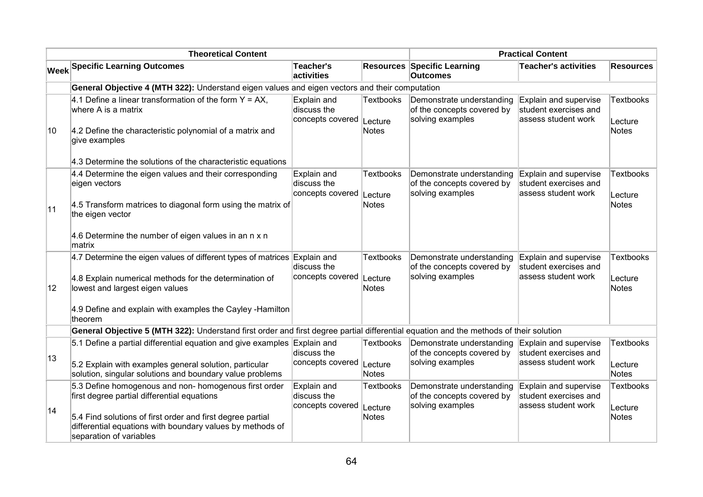|    | <b>Theoretical Content</b>                                                                                                                                                                                                                                 |                                                | <b>Practical Content</b>                    |                                                                             |                                                                       |                                             |  |
|----|------------------------------------------------------------------------------------------------------------------------------------------------------------------------------------------------------------------------------------------------------------|------------------------------------------------|---------------------------------------------|-----------------------------------------------------------------------------|-----------------------------------------------------------------------|---------------------------------------------|--|
|    | <b>Week Specific Learning Outcomes</b>                                                                                                                                                                                                                     | Teacher's<br>activities                        |                                             | <b>Resources Specific Learning</b><br><b>Outcomes</b>                       | <b>Teacher's activities</b>                                           | <b>Resources</b>                            |  |
|    | General Objective 4 (MTH 322): Understand eigen values and eigen vectors and their computation                                                                                                                                                             |                                                |                                             |                                                                             |                                                                       |                                             |  |
| 10 | 4.1 Define a linear transformation of the form $Y = AX$ ,<br>where A is a matrix<br>4.2 Define the characteristic polynomial of a matrix and<br>give examples                                                                                              | Explain and<br>discuss the<br>concepts covered | <b>Textbooks</b><br>Lecture<br><b>Notes</b> | Demonstrate understanding<br>of the concepts covered by<br>solving examples | Explain and supervise<br>student exercises and<br>assess student work | <b>Textbooks</b><br>Lecture<br><b>Notes</b> |  |
|    | 4.3 Determine the solutions of the characteristic equations                                                                                                                                                                                                |                                                |                                             |                                                                             |                                                                       |                                             |  |
| 11 | 4.4 Determine the eigen values and their corresponding<br>eigen vectors<br>4.5 Transform matrices to diagonal form using the matrix of<br>the eigen vector                                                                                                 | Explain and<br>discuss the<br>concepts covered | <b>Textbooks</b><br>Lecture<br><b>Notes</b> | Demonstrate understanding<br>of the concepts covered by<br>solving examples | Explain and supervise<br>student exercises and<br>assess student work | <b>Textbooks</b><br>Lecture<br><b>Notes</b> |  |
|    | 4.6 Determine the number of eigen values in an n x n<br>matrix                                                                                                                                                                                             |                                                |                                             |                                                                             |                                                                       |                                             |  |
| 12 | 4.7 Determine the eigen values of different types of matrices Explain and<br>4.8 Explain numerical methods for the determination of<br>lowest and largest eigen values<br>4.9 Define and explain with examples the Cayley -Hamilton                        | discuss the<br>concepts covered                | <b>Textbooks</b><br>Lecture<br><b>Notes</b> | Demonstrate understanding<br>of the concepts covered by<br>solving examples | Explain and supervise<br>student exercises and<br>assess student work | <b>Textbooks</b><br>Lecture<br><b>Notes</b> |  |
|    | theorem<br>General Objective 5 (MTH 322): Understand first order and first degree partial differential equation and the methods of their solution                                                                                                          |                                                |                                             |                                                                             |                                                                       |                                             |  |
|    | 5.1 Define a partial differential equation and give examples Explain and                                                                                                                                                                                   |                                                | <b>Textbooks</b>                            | Demonstrate understanding                                                   | Explain and supervise                                                 | <b>Textbooks</b>                            |  |
| 13 | 5.2 Explain with examples general solution, particular<br>solution, singular solutions and boundary value problems                                                                                                                                         | discuss the<br>concepts covered                | Lecture<br><b>Notes</b>                     | of the concepts covered by<br>solving examples                              | student exercises and<br>assess student work                          | Lecture<br>Notes                            |  |
| 14 | 5.3 Define homogenous and non- homogenous first order<br>first degree partial differential equations<br>5.4 Find solutions of first order and first degree partial<br>differential equations with boundary values by methods of<br>separation of variables | Explain and<br>discuss the<br>concepts covered | <b>Textbooks</b><br>Lecture<br><b>Notes</b> | Demonstrate understanding<br>of the concepts covered by<br>solving examples | Explain and supervise<br>student exercises and<br>assess student work | <b>Textbooks</b><br>Lecture<br><b>Notes</b> |  |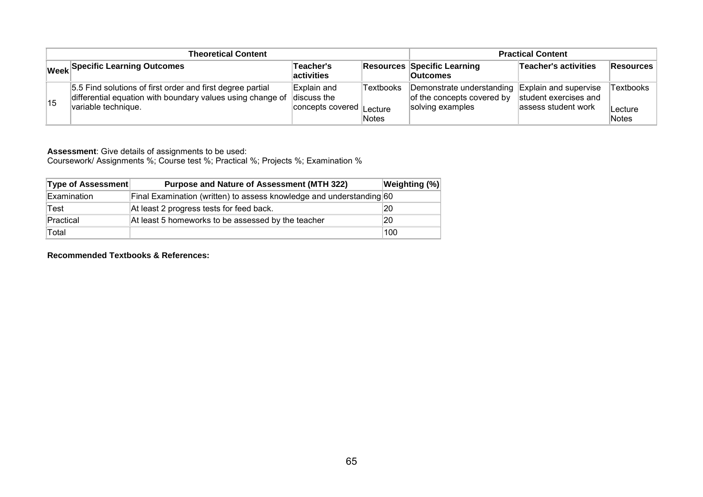|    | <b>Theoretical Content</b>                                                                                                                                  | <b>Practical Content</b>                |                    |                                                                             |                                                                       |                                |
|----|-------------------------------------------------------------------------------------------------------------------------------------------------------------|-----------------------------------------|--------------------|-----------------------------------------------------------------------------|-----------------------------------------------------------------------|--------------------------------|
|    | Week Specific Learning Outcomes                                                                                                                             | Teacher's<br>activities                 |                    | <b>Resources Specific Learning</b><br><b>Outcomes</b>                       | Teacher's activities                                                  | Resources                      |
| 15 | 5.5 Find solutions of first order and first degree partial<br>differential equation with boundary values using change of discuss the<br>variable technique. | Explain and<br>concepts covered Lecture | Textbooks<br>Notes | Demonstrate understanding<br>of the concepts covered by<br>solving examples | Explain and supervise<br>student exercises and<br>assess student work | Textbooks<br>∣Lecture<br>Notes |

Coursework/ Assignments %; Course test %; Practical %; Projects %; Examination %

| <b>Type of Assessment</b> | Purpose and Nature of Assessment (MTH 322)                           | <b>Weighting (%)</b> |
|---------------------------|----------------------------------------------------------------------|----------------------|
| Examination               | Final Examination (written) to assess knowledge and understanding 60 |                      |
| Test                      | At least 2 progress tests for feed back.                             | 20                   |
| Practical                 | At least 5 homeworks to be assessed by the teacher                   | 20                   |
| Total                     |                                                                      | 100                  |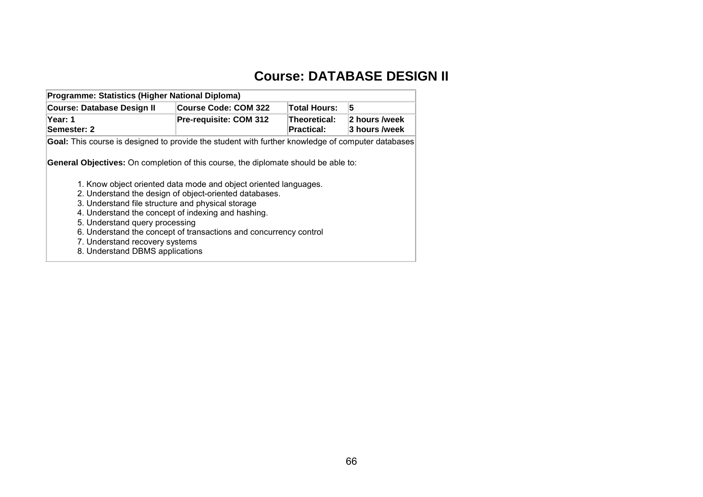# **Course: DATABASE DESIGN II**

| Programme: Statistics (Higher National Diploma)                                                                                                                                                                                                                          |                                                                                                                                                                                                 |                                   |                                |  |  |  |  |  |
|--------------------------------------------------------------------------------------------------------------------------------------------------------------------------------------------------------------------------------------------------------------------------|-------------------------------------------------------------------------------------------------------------------------------------------------------------------------------------------------|-----------------------------------|--------------------------------|--|--|--|--|--|
| <b>Course: Database Design II</b>                                                                                                                                                                                                                                        | <b>Course Code: COM 322</b>                                                                                                                                                                     | <b>Total Hours:</b>               | 5                              |  |  |  |  |  |
| Year: 1<br>Semester: 2                                                                                                                                                                                                                                                   | Pre-requisite: COM 312                                                                                                                                                                          | Theoretical:<br><b>Practical:</b> | 2 hours /week<br>3 hours /week |  |  |  |  |  |
| Goal: This course is designed to provide the student with further knowledge of computer databases                                                                                                                                                                        |                                                                                                                                                                                                 |                                   |                                |  |  |  |  |  |
| <b>General Objectives:</b> On completion of this course, the diplomate should be able to:<br>3. Understand file structure and physical storage<br>4. Understand the concept of indexing and hashing.<br>5. Understand query processing<br>7. Understand recovery systems | 1. Know object oriented data mode and object oriented languages.<br>2. Understand the design of object-oriented databases.<br>6. Understand the concept of transactions and concurrency control |                                   |                                |  |  |  |  |  |
| 8. Understand DBMS applications                                                                                                                                                                                                                                          |                                                                                                                                                                                                 |                                   |                                |  |  |  |  |  |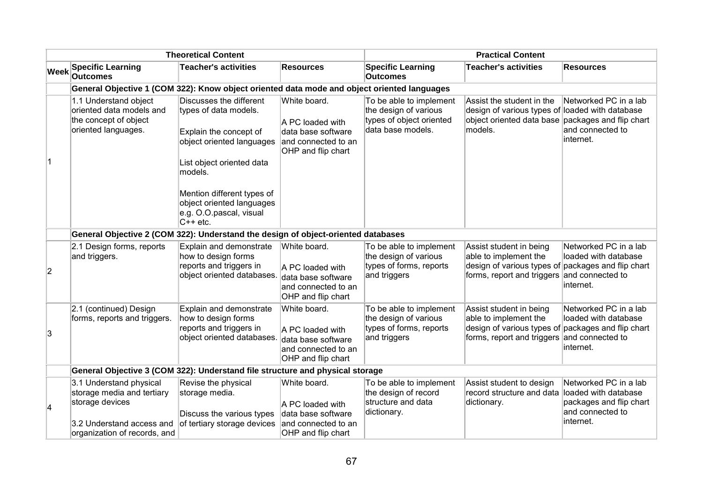| <b>Theoretical Content</b> |                                                                                                   |                                                                                                                                                                                                            | <b>Practical Content</b>                                                                            |                                                                                                   |                                                                                                                                                       |                                                                                              |
|----------------------------|---------------------------------------------------------------------------------------------------|------------------------------------------------------------------------------------------------------------------------------------------------------------------------------------------------------------|-----------------------------------------------------------------------------------------------------|---------------------------------------------------------------------------------------------------|-------------------------------------------------------------------------------------------------------------------------------------------------------|----------------------------------------------------------------------------------------------|
| <b>Week</b>                | <b>Specific Learning</b><br><b>Outcomes</b>                                                       | <b>Teacher's activities</b>                                                                                                                                                                                | <b>Resources</b>                                                                                    | <b>Specific Learning</b><br><b>Outcomes</b>                                                       | <b>Teacher's activities</b>                                                                                                                           | <b>Resources</b>                                                                             |
|                            | General Objective 1 (COM 322): Know object oriented data mode and object oriented languages       |                                                                                                                                                                                                            |                                                                                                     |                                                                                                   |                                                                                                                                                       |                                                                                              |
|                            | 1.1 Understand object<br>oriented data models and<br>the concept of object<br>oriented languages. | Discusses the different<br>types of data models.<br>Explain the concept of<br>object oriented languages<br>List object oriented data<br>models.<br>Mention different types of<br>object oriented languages | White board.<br>A PC loaded with<br>data base software<br>and connected to an<br>OHP and flip chart | To be able to implement<br>the design of various<br>types of object oriented<br>data base models. | Assist the student in the<br>design of various types of loaded with database<br>object oriented data base packages and flip chart<br>models.          | Networked PC in a lab<br>and connected to<br>internet.                                       |
|                            |                                                                                                   | e.g. O.O.pascal, visual<br>$C++etc.$                                                                                                                                                                       |                                                                                                     |                                                                                                   |                                                                                                                                                       |                                                                                              |
|                            | General Objective 2 (COM 322): Understand the design of object-oriented databases                 |                                                                                                                                                                                                            |                                                                                                     |                                                                                                   |                                                                                                                                                       |                                                                                              |
| $\overline{2}$             | 2.1 Design forms, reports<br>and triggers.                                                        | Explain and demonstrate<br>how to design forms<br>reports and triggers in<br>object oriented databases.                                                                                                    | White board.<br>A PC loaded with<br>data base software<br>and connected to an<br>OHP and flip chart | To be able to implement<br>the design of various<br>types of forms, reports<br>and triggers       | Assist student in being<br>able to implement the<br>design of various types of packages and flip chart<br>forms, report and triggers and connected to | Networked PC in a lab<br>loaded with database<br>internet.                                   |
| 3                          | 2.1 (continued) Design<br>forms, reports and triggers.                                            | Explain and demonstrate<br>how to design forms<br>reports and triggers in<br>object oriented databases.                                                                                                    | White board.<br>A PC loaded with<br>data base software<br>and connected to an<br>OHP and flip chart | To be able to implement<br>the design of various<br>types of forms, reports<br>and triggers       | Assist student in being<br>able to implement the<br>design of various types of packages and flip chart<br>forms, report and triggers and connected to | Networked PC in a lab<br>loaded with database<br>internet.                                   |
|                            | General Objective 3 (COM 322): Understand file structure and physical storage                     |                                                                                                                                                                                                            |                                                                                                     |                                                                                                   |                                                                                                                                                       |                                                                                              |
| 4                          | 3.1 Understand physical<br>storage media and tertiary<br>storage devices                          | Revise the physical<br>storage media.<br>Discuss the various types                                                                                                                                         | White board.<br>A PC loaded with<br>data base software                                              | To be able to implement<br>the design of record<br>structure and data<br>dictionary.              | Assist student to design<br>record structure and data<br>dictionary.                                                                                  | Networked PC in a lab<br>loaded with database<br>packages and flip chart<br>and connected to |
|                            | 3.2 Understand access and<br>organization of records, and                                         | of tertiary storage devices                                                                                                                                                                                | and connected to an<br>OHP and flip chart                                                           |                                                                                                   |                                                                                                                                                       | internet.                                                                                    |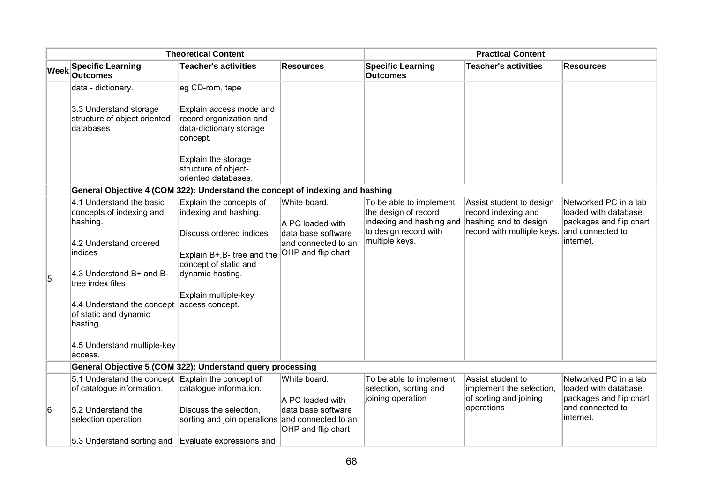| <b>Theoretical Content</b> |                                                                                                                                                                                                                                                                   |                                                                                                                                                                                                    | <b>Practical Content</b>                                                                            |                                                                                                                        |                                                                                                        |                                                                                                           |
|----------------------------|-------------------------------------------------------------------------------------------------------------------------------------------------------------------------------------------------------------------------------------------------------------------|----------------------------------------------------------------------------------------------------------------------------------------------------------------------------------------------------|-----------------------------------------------------------------------------------------------------|------------------------------------------------------------------------------------------------------------------------|--------------------------------------------------------------------------------------------------------|-----------------------------------------------------------------------------------------------------------|
| <b>Week</b>                | <b>Specific Learning</b><br><b>Outcomes</b>                                                                                                                                                                                                                       | <b>Teacher's activities</b>                                                                                                                                                                        | <b>Resources</b>                                                                                    | <b>Specific Learning</b><br><b>Outcomes</b>                                                                            | <b>Teacher's activities</b>                                                                            | Resources                                                                                                 |
|                            | data - dictionary.                                                                                                                                                                                                                                                | eg CD-rom, tape                                                                                                                                                                                    |                                                                                                     |                                                                                                                        |                                                                                                        |                                                                                                           |
|                            | 3.3 Understand storage<br>structure of object oriented<br>databases                                                                                                                                                                                               | Explain access mode and<br>record organization and<br>data-dictionary storage<br>concept.<br>Explain the storage<br>structure of object-<br>oriented databases.                                    |                                                                                                     |                                                                                                                        |                                                                                                        |                                                                                                           |
|                            | General Objective 4 (COM 322): Understand the concept of indexing and hashing                                                                                                                                                                                     |                                                                                                                                                                                                    |                                                                                                     |                                                                                                                        |                                                                                                        |                                                                                                           |
| 5                          | 4.1 Understand the basic<br>concepts of indexing and<br>hashing.<br>4.2 Understand ordered<br>indices<br>4.3 Understand B+ and B-<br>tree index files<br>4.4 Understand the concept<br>of static and dynamic<br>hasting<br>4.5 Understand multiple-key<br>access. | Explain the concepts of<br>indexing and hashing.<br>Discuss ordered indices<br>Explain B+, B- tree and the<br>concept of static and<br>dynamic hasting.<br>Explain multiple-key<br>access concept. | White board.<br>A PC loaded with<br>data base software<br>and connected to an<br>OHP and flip chart | To be able to implement<br>the design of record<br>indexing and hashing and<br>to design record with<br>multiple keys. | Assist student to design<br>record indexing and<br>hashing and to design<br>record with multiple keys. | Networked PC in a lab<br>loaded with database<br>packages and flip chart<br>and connected to<br>internet. |
|                            | General Objective 5 (COM 322): Understand query processing                                                                                                                                                                                                        |                                                                                                                                                                                                    |                                                                                                     |                                                                                                                        |                                                                                                        |                                                                                                           |
| 6                          | 5.1 Understand the concept Explain the concept of<br>of catalogue information.<br>5.2 Understand the<br>selection operation                                                                                                                                       | catalogue information.<br>Discuss the selection,<br>sorting and join operations and connected to an                                                                                                | White board.<br>A PC loaded with<br>data base software<br>OHP and flip chart                        | To be able to implement<br>selection, sorting and<br>joining operation                                                 | Assist student to<br>implement the selection,<br>of sorting and joining<br>operations                  | Networked PC in a lab<br>loaded with database<br>packages and flip chart<br>and connected to<br>internet. |
|                            | 5.3 Understand sorting and                                                                                                                                                                                                                                        | Evaluate expressions and                                                                                                                                                                           |                                                                                                     |                                                                                                                        |                                                                                                        |                                                                                                           |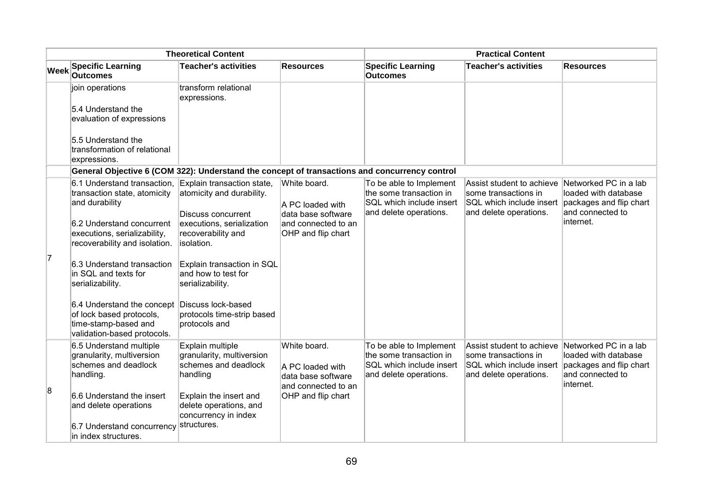| <b>Theoretical Content</b> |                                                                                                               |                                                                                   | <b>Practical Content</b>                               |                                                                                                          |                                                                                                         |                                                                                                           |
|----------------------------|---------------------------------------------------------------------------------------------------------------|-----------------------------------------------------------------------------------|--------------------------------------------------------|----------------------------------------------------------------------------------------------------------|---------------------------------------------------------------------------------------------------------|-----------------------------------------------------------------------------------------------------------|
| <b>Week</b>                | <b>Specific Learning</b><br><b>Outcomes</b>                                                                   | <b>Teacher's activities</b>                                                       | <b>Resources</b>                                       | <b>Specific Learning</b><br><b>Outcomes</b>                                                              | <b>Teacher's activities</b>                                                                             | <b>Resources</b>                                                                                          |
|                            | join operations                                                                                               | transform relational<br>expressions.                                              |                                                        |                                                                                                          |                                                                                                         |                                                                                                           |
|                            | 5.4 Understand the<br>evaluation of expressions                                                               |                                                                                   |                                                        |                                                                                                          |                                                                                                         |                                                                                                           |
|                            | 5.5 Understand the<br>transformation of relational<br>expressions.                                            |                                                                                   |                                                        |                                                                                                          |                                                                                                         |                                                                                                           |
|                            | General Objective 6 (COM 322): Understand the concept of transactions and concurrency control                 |                                                                                   |                                                        |                                                                                                          |                                                                                                         |                                                                                                           |
|                            | 6.1 Understand transaction, Explain transaction state,<br>transaction state, atomicity<br>and durability      | atomicity and durability.<br><b>Discuss concurrent</b>                            | White board.<br>A PC loaded with<br>data base software | To be able to Implement<br>the some transaction in<br>SQL which include insert<br>and delete operations. | Assist student to achieve<br>some transactions in<br>SQL which include insert<br>and delete operations. | Networked PC in a lab<br>loaded with database<br>packages and flip chart<br>and connected to              |
|                            | 6.2 Understand concurrent<br>executions, serializability,<br>recoverability and isolation.                    | executions, serialization<br>recoverability and<br>isolation.                     | and connected to an<br>OHP and flip chart              |                                                                                                          |                                                                                                         | internet.                                                                                                 |
| 7                          | 6.3 Understand transaction<br>in SQL and texts for<br>serializability.                                        | Explain transaction in SQL<br>and how to test for<br>serializability.             |                                                        |                                                                                                          |                                                                                                         |                                                                                                           |
|                            | 6.4 Understand the concept<br>of lock based protocols,<br>time-stamp-based and<br>validation-based protocols. | Discuss lock-based<br>protocols time-strip based<br>protocols and                 |                                                        |                                                                                                          |                                                                                                         |                                                                                                           |
|                            | 6.5 Understand multiple<br>granularity, multiversion<br>schemes and deadlock<br>handling.                     | Explain multiple<br>granularity, multiversion<br>schemes and deadlock<br>handling | White board.<br>A PC loaded with<br>data base software | To be able to Implement<br>the some transaction in<br>SQL which include insert<br>and delete operations. | Assist student to achieve<br>some transactions in<br>SQL which include insert<br>and delete operations. | Networked PC in a lab<br>loaded with database<br>packages and flip chart<br>and connected to<br>internet. |
| 8                          | 6.6 Understand the insert<br>and delete operations                                                            | Explain the insert and<br>delete operations, and<br>concurrency in index          | and connected to an<br>OHP and flip chart              |                                                                                                          |                                                                                                         |                                                                                                           |
|                            | 6.7 Understand concurrency<br>in index structures.                                                            | structures.                                                                       |                                                        |                                                                                                          |                                                                                                         |                                                                                                           |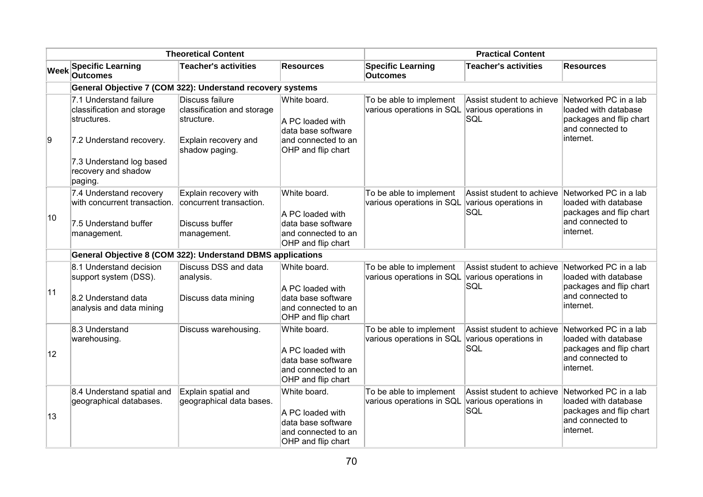|             | <b>Theoretical Content</b>                                                                                                                                    |                                                                                                       |                                                                                                     | <b>Practical Content</b>                                                   |                                                           |                                                                                                           |  |
|-------------|---------------------------------------------------------------------------------------------------------------------------------------------------------------|-------------------------------------------------------------------------------------------------------|-----------------------------------------------------------------------------------------------------|----------------------------------------------------------------------------|-----------------------------------------------------------|-----------------------------------------------------------------------------------------------------------|--|
| <b>Week</b> | <b>Specific Learning</b><br><b>Outcomes</b>                                                                                                                   | <b>Teacher's activities</b>                                                                           | <b>Resources</b>                                                                                    | <b>Specific Learning</b><br><b>Outcomes</b>                                | <b>Teacher's activities</b>                               | <b>Resources</b>                                                                                          |  |
|             | General Objective 7 (COM 322): Understand recovery systems                                                                                                    |                                                                                                       |                                                                                                     |                                                                            |                                                           |                                                                                                           |  |
| 9           | 7.1 Understand failure<br>classification and storage<br>structures.<br>7.2 Understand recovery.<br>7.3 Understand log based<br>recovery and shadow<br>paging. | Discuss failure<br>classification and storage<br>structure.<br>Explain recovery and<br>shadow paging. | White board.<br>A PC loaded with<br>data base software<br>and connected to an<br>OHP and flip chart | To be able to implement<br>various operations in SQL various operations in | Assist student to achieve<br>SQL                          | Networked PC in a lab<br>loaded with database<br>packages and flip chart<br>and connected to<br>internet. |  |
| 10          | 7.4 Understand recovery<br>with concurrent transaction.<br>7.5 Understand buffer<br>management.                                                               | Explain recovery with<br>concurrent transaction.<br>Discuss buffer<br>management.                     | White board.<br>A PC loaded with<br>data base software<br>and connected to an<br>OHP and flip chart | To be able to implement<br>various operations in SQL                       | Assist student to achieve<br>various operations in<br>SQL | Networked PC in a lab<br>loaded with database<br>packages and flip chart<br>and connected to<br>internet. |  |
|             | General Objective 8 (COM 322): Understand DBMS applications                                                                                                   |                                                                                                       |                                                                                                     |                                                                            |                                                           |                                                                                                           |  |
| 11          | 8.1 Understand decision<br>support system (DSS).<br>8.2 Understand data<br>analysis and data mining                                                           | Discuss DSS and data<br>analysis.<br>Discuss data mining                                              | White board.<br>A PC loaded with<br>data base software<br>and connected to an<br>OHP and flip chart | To be able to implement<br>various operations in SQL various operations in | Assist student to achieve<br>SQL                          | Networked PC in a lab<br>loaded with database<br>packages and flip chart<br>and connected to<br>internet. |  |
| 12          | 8.3 Understand<br>warehousing.                                                                                                                                | Discuss warehousing.                                                                                  | White board.<br>A PC loaded with<br>data base software<br>and connected to an<br>OHP and flip chart | To be able to implement<br>various operations in SQL                       | Assist student to achieve<br>various operations in<br>SQL | Networked PC in a lab<br>loaded with database<br>packages and flip chart<br>and connected to<br>internet. |  |
| 13          | 8.4 Understand spatial and<br>geographical databases.                                                                                                         | Explain spatial and<br>geographical data bases.                                                       | White board.<br>A PC loaded with<br>data base software<br>and connected to an<br>OHP and flip chart | To be able to implement<br>various operations in SQL                       | Assist student to achieve<br>various operations in<br>SQL | Networked PC in a lab<br>loaded with database<br>packages and flip chart<br>and connected to<br>internet. |  |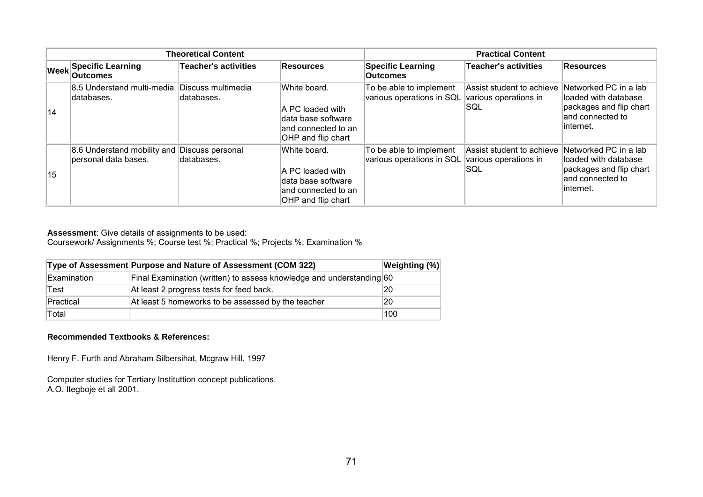| <b>Theoretical Content</b> |                                                                      |                                  |                                                                                                      | <b>Practical Content</b>                             |                                                            |                                                                                                             |
|----------------------------|----------------------------------------------------------------------|----------------------------------|------------------------------------------------------------------------------------------------------|------------------------------------------------------|------------------------------------------------------------|-------------------------------------------------------------------------------------------------------------|
|                            | <b>Week Specific Learning</b><br><b>Outcomes</b>                     | <b>Teacher's activities</b>      | <b>Resources</b>                                                                                     | <b>Specific Learning</b><br><b>Outcomes</b>          | <b>Teacher's activities</b>                                | <b>Resources</b>                                                                                            |
| 14                         | 8.5 Understand multi-media<br>ldatabases.                            | Discuss multimedia<br>databases. | White board.<br>A PC loaded with<br>data base software<br>land connected to an<br>OHP and flip chart | To be able to implement<br>various operations in SQL | Assist student to achieve<br>various operations in<br>ISQL | Networked PC in a lab<br>lloaded with database<br>packages and flip chart<br>and connected to<br>∥internet. |
| 15                         | 8.6 Understand mobility and Discuss personal<br>personal data bases. | databases.                       | White board.<br>A PC loaded with<br>data base software<br>land connected to an<br>OHP and flip chart | To be able to implement<br>various operations in SQL | Assist student to achieve<br>various operations in<br>SQL  | Networked PC in a lab<br>lloaded with database<br>packages and flip chart<br>and connected to<br>∥internet. |

Coursework/ Assignments %; Course test %; Practical %; Projects %; Examination %

|             | Type of Assessment Purpose and Nature of Assessment (COM 322)        | Weighting (%) |
|-------------|----------------------------------------------------------------------|---------------|
| Examination | Final Examination (written) to assess knowledge and understanding 60 |               |
| Test        | At least 2 progress tests for feed back.                             | 20            |
| Practical   | At least 5 homeworks to be assessed by the teacher                   | 20            |
| Total       |                                                                      | 100           |

#### **Recommended Textbooks & References:**

Henry F. Furth and Abraham Silbersihat, Mcgraw Hill, 1997

Computer studies for Tertiary Instituttion concept publications. A.O. Itegboje et all 2001.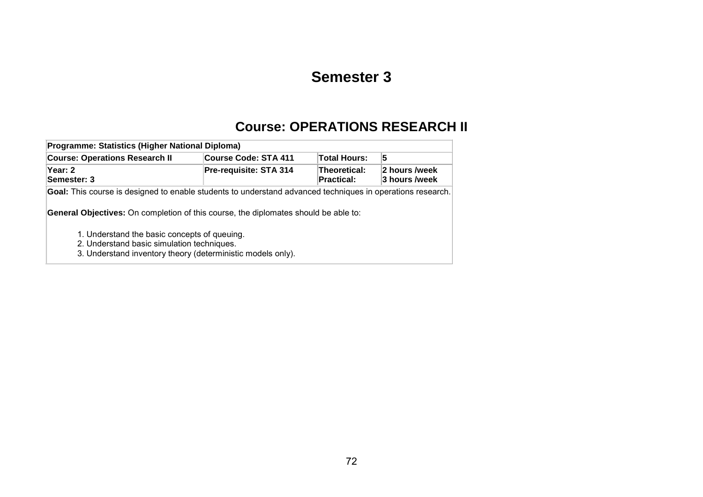# **Semester 3**

### **Course: OPERATIONS RESEARCH II**

| Programme: Statistics (Higher National Diploma)                                                                                                                                                                                                                                                               |                        |                            |                                |  |  |  |  |
|---------------------------------------------------------------------------------------------------------------------------------------------------------------------------------------------------------------------------------------------------------------------------------------------------------------|------------------------|----------------------------|--------------------------------|--|--|--|--|
| <b>Course: Operations Research II</b>                                                                                                                                                                                                                                                                         | Course Code: STA 411   | Total Hours:               | 5                              |  |  |  |  |
| Year: 2<br>Semester: 3                                                                                                                                                                                                                                                                                        | Pre-requisite: STA 314 | Theoretical:<br>Practical: | 2 hours /week<br>3 hours /week |  |  |  |  |
| <b>Goal:</b> This course is designed to enable students to understand advanced techniques in operations research.<br><b>General Objectives:</b> On completion of this course, the diplomates should be able to:<br>1. Understand the basic concepts of queuing.<br>2. Understand basic simulation techniques. |                        |                            |                                |  |  |  |  |
| 3. Understand inventory theory (deterministic models only).                                                                                                                                                                                                                                                   |                        |                            |                                |  |  |  |  |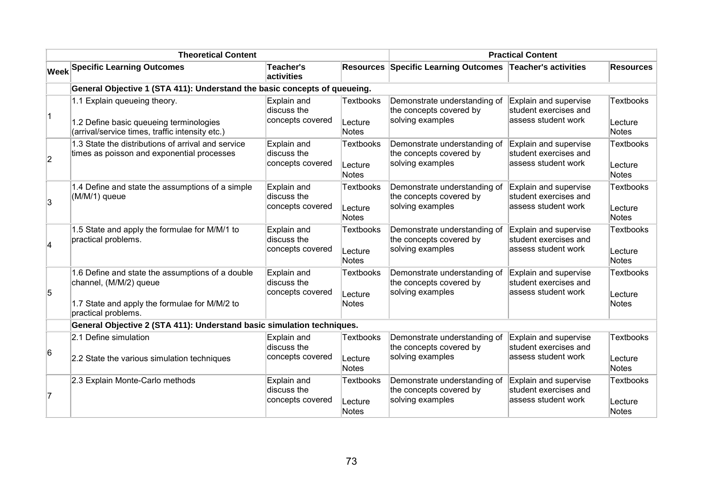| <b>Theoretical Content</b> |                                                                                                                                                    |                                                |                                             | <b>Practical Content</b>                                                    |                                                                       |                                             |  |
|----------------------------|----------------------------------------------------------------------------------------------------------------------------------------------------|------------------------------------------------|---------------------------------------------|-----------------------------------------------------------------------------|-----------------------------------------------------------------------|---------------------------------------------|--|
|                            | <b>Week Specific Learning Outcomes</b>                                                                                                             | <b>Teacher's</b><br>activities                 |                                             | <b>Resources Specific Learning Outcomes</b>                                 | Teacher's activities                                                  | <b>Resources</b>                            |  |
|                            | General Objective 1 (STA 411): Understand the basic concepts of queueing.                                                                          |                                                |                                             |                                                                             |                                                                       |                                             |  |
| $\vert$ 1                  | 1.1 Explain queueing theory.<br>1.2 Define basic queueing terminologies<br>(arrival/service times, traffic intensity etc.)                         | Explain and<br>discuss the<br>concepts covered | <b>Textbooks</b><br>Lecture<br>Notes        | Demonstrate understanding of<br>the concepts covered by<br>solving examples | Explain and supervise<br>student exercises and<br>assess student work | <b>Textbooks</b><br>Lecture<br>Notes        |  |
| $\overline{2}$             | 1.3 State the distributions of arrival and service<br>times as poisson and exponential processes                                                   | Explain and<br>discuss the<br>concepts covered | <b>Textbooks</b><br>Lecture<br><b>Notes</b> | Demonstrate understanding of<br>the concepts covered by<br>solving examples | Explain and supervise<br>student exercises and<br>assess student work | <b>Textbooks</b><br>Lecture<br><b>Notes</b> |  |
| $\overline{3}$             | 1.4 Define and state the assumptions of a simple<br>(M/M/1) queue                                                                                  | Explain and<br>discuss the<br>concepts covered | Textbooks<br>Lecture<br><b>Notes</b>        | Demonstrate understanding of<br>the concepts covered by<br>solving examples | Explain and supervise<br>student exercises and<br>assess student work | <b>Textbooks</b><br>Lecture<br>Notes        |  |
| $\overline{\mathbf{4}}$    | 1.5 State and apply the formulae for M/M/1 to<br>practical problems.                                                                               | Explain and<br>discuss the<br>concepts covered | <b>Textbooks</b><br>Lecture<br>Notes        | Demonstrate understanding of<br>the concepts covered by<br>solving examples | Explain and supervise<br>student exercises and<br>assess student work | <b>Textbooks</b><br>Lecture<br><b>Notes</b> |  |
| 5                          | 1.6 Define and state the assumptions of a double<br>channel, (M/M/2) queue<br>1.7 State and apply the formulae for M/M/2 to<br>practical problems. | Explain and<br>discuss the<br>concepts covered | <b>Textbooks</b><br>Lecture<br><b>Notes</b> | Demonstrate understanding of<br>the concepts covered by<br>solving examples | Explain and supervise<br>student exercises and<br>assess student work | <b>Textbooks</b><br>Lecture<br><b>Notes</b> |  |
|                            | General Objective 2 (STA 411): Understand basic simulation techniques.                                                                             |                                                |                                             |                                                                             |                                                                       |                                             |  |
| 6                          | 2.1 Define simulation<br>2.2 State the various simulation techniques                                                                               | Explain and<br>discuss the<br>concepts covered | <b>Textbooks</b><br>Lecture<br><b>Notes</b> | Demonstrate understanding of<br>the concepts covered by<br>solving examples | Explain and supervise<br>student exercises and<br>assess student work | <b>Textbooks</b><br>Lecture<br><b>Notes</b> |  |
| 7                          | 2.3 Explain Monte-Carlo methods                                                                                                                    | Explain and<br>discuss the<br>concepts covered | <b>Textbooks</b><br>Lecture<br>Notes        | Demonstrate understanding of<br>the concepts covered by<br>solving examples | Explain and supervise<br>student exercises and<br>assess student work | <b>Textbooks</b><br>Lecture<br>Notes        |  |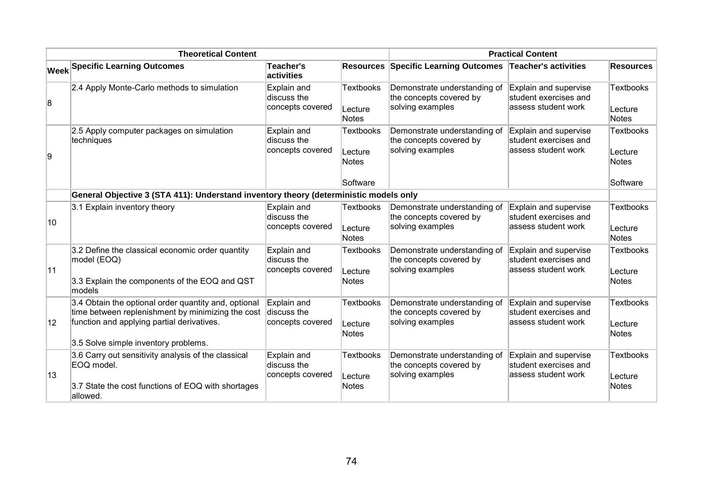| <b>Theoretical Content</b> |                                                                                                                                                                                                 |                                                |                                                         | <b>Practical Content</b>                                                    |                                                                        |                                                         |  |
|----------------------------|-------------------------------------------------------------------------------------------------------------------------------------------------------------------------------------------------|------------------------------------------------|---------------------------------------------------------|-----------------------------------------------------------------------------|------------------------------------------------------------------------|---------------------------------------------------------|--|
|                            | <b>Week Specific Learning Outcomes</b>                                                                                                                                                          | Teacher's<br>activities                        |                                                         | <b>Resources Specific Learning Outcomes</b>                                 | Teacher's activities                                                   | <b>Resources</b>                                        |  |
| 8                          | 2.4 Apply Monte-Carlo methods to simulation                                                                                                                                                     | Explain and<br>discuss the<br>concepts covered | <b>Textbooks</b><br>Lecture<br><b>Notes</b>             | Demonstrate understanding of<br>the concepts covered by<br>solving examples | Explain and supervise<br>student exercises and<br>assess student work  | <b>Textbooks</b><br>Lecture<br><b>Notes</b>             |  |
| Ι9                         | 2.5 Apply computer packages on simulation<br>techniques                                                                                                                                         | Explain and<br>discuss the<br>concepts covered | <b>Textbooks</b><br>Lecture<br><b>Notes</b><br>Software | Demonstrate understanding of<br>the concepts covered by<br>solving examples | Explain and supervise<br>student exercises and<br>assess student work  | <b>Textbooks</b><br>Lecture<br><b>Notes</b><br>Software |  |
|                            | General Objective 3 (STA 411): Understand inventory theory (deterministic models only                                                                                                           |                                                |                                                         |                                                                             |                                                                        |                                                         |  |
| $ 10\rangle$               | 3.1 Explain inventory theory                                                                                                                                                                    | Explain and<br>discuss the<br>concepts covered | <b>Textbooks</b><br>Lecture<br><b>Notes</b>             | Demonstrate understanding of<br>the concepts covered by<br>solving examples | Explain and supervise<br>student exercises and<br>lassess student work | <b>Textbooks</b><br>Lecture<br><b>Notes</b>             |  |
| 11                         | 3.2 Define the classical economic order quantity<br>model (EOQ)<br>3.3 Explain the components of the EOQ and QST<br>models                                                                      | Explain and<br>discuss the<br>concepts covered | <b>Textbooks</b><br>Lecture<br>Notes                    | Demonstrate understanding of<br>the concepts covered by<br>solving examples | Explain and supervise<br>student exercises and<br>assess student work  | <b>Textbooks</b><br>Lecture<br><b>Notes</b>             |  |
| $ 12\rangle$               | 3.4 Obtain the optional order quantity and, optional<br>time between replenishment by minimizing the cost<br>function and applying partial derivatives.<br>3.5 Solve simple inventory problems. | Explain and<br>discuss the<br>concepts covered | <b>Textbooks</b><br>Lecture<br><b>Notes</b>             | Demonstrate understanding of<br>the concepts covered by<br>solving examples | Explain and supervise<br>student exercises and<br>lassess student work | <b>Textbooks</b><br>Lecture<br><b>Notes</b>             |  |
| 13                         | 3.6 Carry out sensitivity analysis of the classical<br>EOQ model.<br>3.7 State the cost functions of EOQ with shortages<br>allowed.                                                             | Explain and<br>discuss the<br>concepts covered | <b>Textbooks</b><br>Lecture<br><b>Notes</b>             | Demonstrate understanding of<br>the concepts covered by<br>solving examples | Explain and supervise<br>student exercises and<br>lassess student work | <b>Textbooks</b><br>Lecture<br><b>Notes</b>             |  |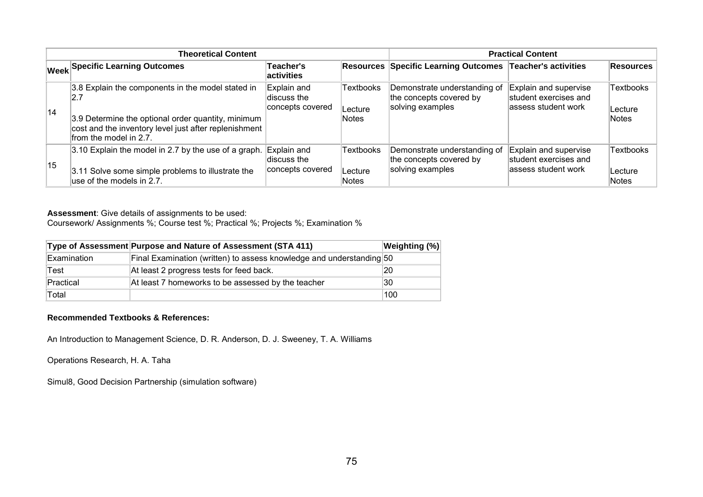|              | <b>Theoretical Content</b>                                                                                                                                                                        | <b>Practical Content</b>                       |                               |                                                                             |                                                                       |                                      |
|--------------|---------------------------------------------------------------------------------------------------------------------------------------------------------------------------------------------------|------------------------------------------------|-------------------------------|-----------------------------------------------------------------------------|-----------------------------------------------------------------------|--------------------------------------|
|              | <b>Week Specific Learning Outcomes</b>                                                                                                                                                            | Teacher's<br>activities                        |                               | <b>Resources Specific Learning Outcomes</b>                                 | Teacher's activities                                                  | Resources                            |
| 14           | 3.8 Explain the components in the model stated in<br>2.7<br>3.9 Determine the optional order quantity, minimum<br>cost and the inventory level just after replenishment<br>from the model in 2.7. | Explain and<br>discuss the<br>concepts covered | Textbooks<br>Lecture<br>Notes | Demonstrate understanding of<br>the concepts covered by<br>solving examples | Explain and supervise<br>student exercises and<br>assess student work | <b>Textbooks</b><br>Lecture<br>Notes |
| $ 15\rangle$ | 3.10 Explain the model in 2.7 by the use of a graph.<br>3.11 Solve some simple problems to illustrate the<br>use of the models in 2.7.                                                            | Explain and<br>discuss the<br>concepts covered | Textbooks<br>Lecture<br>Notes | Demonstrate understanding of<br>the concepts covered by<br>solving examples | Explain and supervise<br>student exercises and<br>assess student work | <b>Textbooks</b><br>Lecture<br>Notes |

Coursework/ Assignments %; Course test %; Practical %; Projects %; Examination %

|             | Type of Assessment Purpose and Nature of Assessment (STA 411)        | <b>Weighting (%)</b> |
|-------------|----------------------------------------------------------------------|----------------------|
| Examination | Final Examination (written) to assess knowledge and understanding 50 |                      |
| Test        | At least 2 progress tests for feed back.                             | 20                   |
| Practical   | At least 7 homeworks to be assessed by the teacher                   | 130                  |
| Total       |                                                                      | 100                  |

#### **Recommended Textbooks & References:**

An Introduction to Management Science, D. R. Anderson, D. J. Sweeney, T. A. Williams

Operations Research, H. A. Taha

Simul8, Good Decision Partnership (simulation software)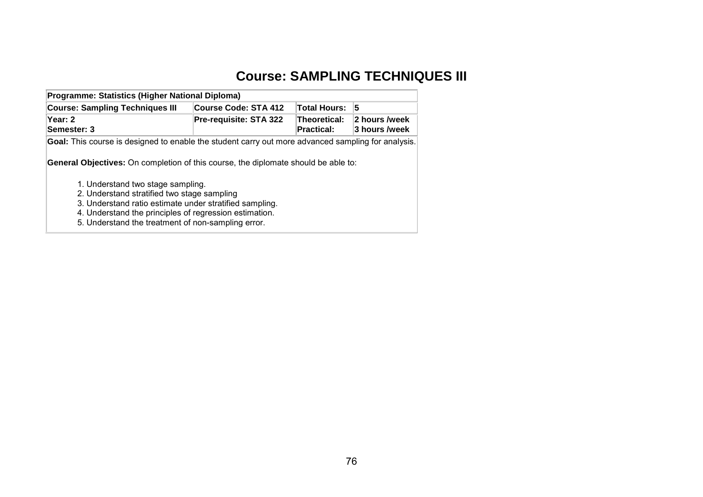# **Course: SAMPLING TECHNIQUES III**

| Programme: Statistics (Higher National Diploma)                                                    |                             |                                   |                                 |  |  |  |  |  |
|----------------------------------------------------------------------------------------------------|-----------------------------|-----------------------------------|---------------------------------|--|--|--|--|--|
| <b>Course: Sampling Techniques III</b>                                                             | <b>Course Code: STA 412</b> | <b>Total Hours:</b>               | 15                              |  |  |  |  |  |
| Year: 2<br>Semester: 3                                                                             | Pre-requisite: STA 322      | Theoretical:<br><b>Practical:</b> | 2 hours /week<br>∣3 hours /week |  |  |  |  |  |
| Goal: This course is designed to enable the student carry out more advanced sampling for analysis. |                             |                                   |                                 |  |  |  |  |  |
| <b>General Objectives:</b> On completion of this course, the diplomate should be able to:          |                             |                                   |                                 |  |  |  |  |  |
| 1. Understand two stage sampling.                                                                  |                             |                                   |                                 |  |  |  |  |  |
| 2. Understand stratified two stage sampling                                                        |                             |                                   |                                 |  |  |  |  |  |
| 3. Understand ratio estimate under stratified sampling.                                            |                             |                                   |                                 |  |  |  |  |  |
| 4. Understand the principles of regression estimation.                                             |                             |                                   |                                 |  |  |  |  |  |
| 5. Understand the treatment of non-sampling error.                                                 |                             |                                   |                                 |  |  |  |  |  |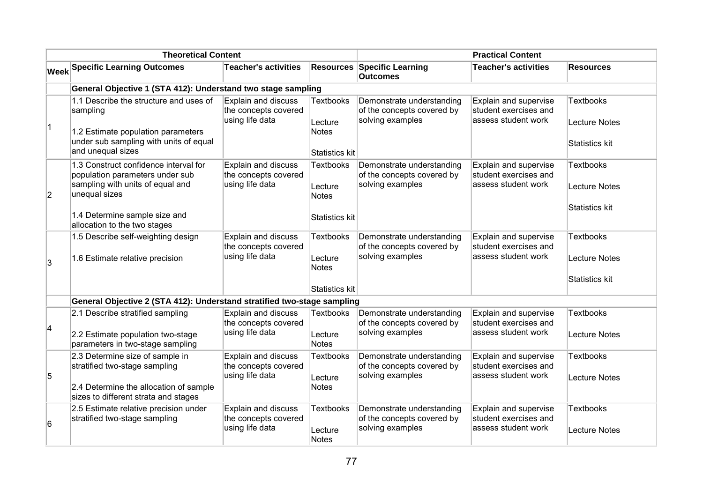| <b>Theoretical Content</b> |                                                                                                                                                                                                |                                                                       |                                                               | <b>Practical Content</b>                                                    |                                                                       |                                                                   |
|----------------------------|------------------------------------------------------------------------------------------------------------------------------------------------------------------------------------------------|-----------------------------------------------------------------------|---------------------------------------------------------------|-----------------------------------------------------------------------------|-----------------------------------------------------------------------|-------------------------------------------------------------------|
|                            | <b>Week Specific Learning Outcomes</b>                                                                                                                                                         | <b>Teacher's activities</b>                                           |                                                               | <b>Resources Specific Learning</b><br>Outcomes                              | <b>Teacher's activities</b>                                           | <b>Resources</b>                                                  |
|                            | General Objective 1 (STA 412): Understand two stage sampling                                                                                                                                   |                                                                       |                                                               |                                                                             |                                                                       |                                                                   |
| $ 1\rangle$                | 1.1 Describe the structure and uses of<br>sampling<br>1.2 Estimate population parameters<br>under sub sampling with units of equal<br>and unequal sizes                                        | <b>Explain and discuss</b><br>the concepts covered<br>using life data | <b>Textbooks</b><br>Lecture<br>Notes<br>Statistics kit        | Demonstrate understanding<br>of the concepts covered by<br>solving examples | Explain and supervise<br>student exercises and<br>assess student work | <b>Textbooks</b><br><b>Lecture Notes</b><br><b>Statistics kit</b> |
| $\overline{2}$             | 1.3 Construct confidence interval for<br>population parameters under sub<br>sampling with units of equal and<br>unequal sizes<br>1.4 Determine sample size and<br>allocation to the two stages | <b>Explain and discuss</b><br>the concepts covered<br>using life data | <b>Textbooks</b><br>Lecture<br>Notes<br>Statistics kit        | Demonstrate understanding<br>of the concepts covered by<br>solving examples | Explain and supervise<br>student exercises and<br>assess student work | <b>Textbooks</b><br><b>Lecture Notes</b><br><b>Statistics kit</b> |
| 3                          | 1.5 Describe self-weighting design<br>1.6 Estimate relative precision                                                                                                                          | <b>Explain and discuss</b><br>the concepts covered<br>using life data | <b>Textbooks</b><br>Lecture<br><b>Notes</b><br>Statistics kit | Demonstrate understanding<br>of the concepts covered by<br>solving examples | Explain and supervise<br>student exercises and<br>assess student work | <b>Textbooks</b><br><b>Lecture Notes</b><br><b>Statistics kit</b> |
|                            | General Objective 2 (STA 412): Understand stratified two-stage sampling                                                                                                                        |                                                                       |                                                               |                                                                             |                                                                       |                                                                   |
| 4                          | 2.1 Describe stratified sampling<br>2.2 Estimate population two-stage<br>parameters in two-stage sampling                                                                                      | Explain and discuss<br>the concepts covered<br>using life data        | <b>Textbooks</b><br>Lecture<br><b>Notes</b>                   | Demonstrate understanding<br>of the concepts covered by<br>solving examples | Explain and supervise<br>student exercises and<br>assess student work | <b>Textbooks</b><br><b>Lecture Notes</b>                          |
| 5                          | 2.3 Determine size of sample in<br>stratified two-stage sampling<br>2.4 Determine the allocation of sample<br>sizes to different strata and stages                                             | <b>Explain and discuss</b><br>the concepts covered<br>using life data | <b>Textbooks</b><br>Lecture<br>Notes                          | Demonstrate understanding<br>of the concepts covered by<br>solving examples | Explain and supervise<br>student exercises and<br>assess student work | <b>Textbooks</b><br><b>Lecture Notes</b>                          |
| 6                          | 2.5 Estimate relative precision under<br>stratified two-stage sampling                                                                                                                         | Explain and discuss<br>the concepts covered<br>using life data        | <b>Textbooks</b><br>Lecture<br><b>Notes</b>                   | Demonstrate understanding<br>of the concepts covered by<br>solving examples | Explain and supervise<br>student exercises and<br>assess student work | <b>Textbooks</b><br>Lecture Notes                                 |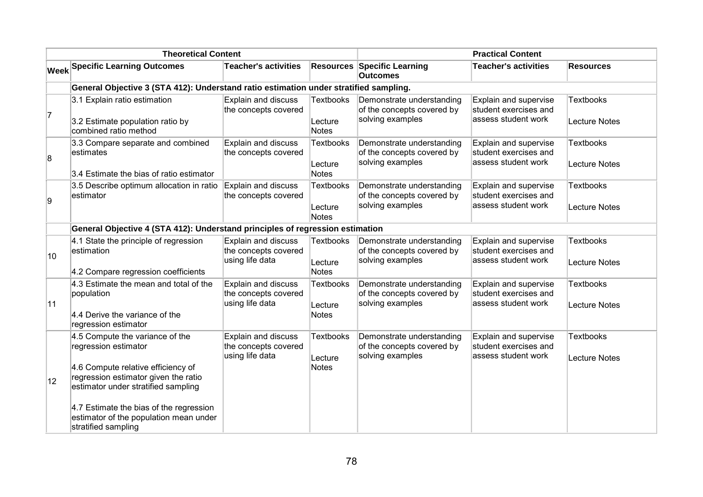| <b>Theoretical Content</b> |                                                                                                                                                                                                                                                                                          |                                                                |                                             | <b>Practical Content</b>                                                    |                                                                       |                                          |
|----------------------------|------------------------------------------------------------------------------------------------------------------------------------------------------------------------------------------------------------------------------------------------------------------------------------------|----------------------------------------------------------------|---------------------------------------------|-----------------------------------------------------------------------------|-----------------------------------------------------------------------|------------------------------------------|
|                            | <b>Week Specific Learning Outcomes</b>                                                                                                                                                                                                                                                   | <b>Teacher's activities</b>                                    |                                             | <b>Resources Specific Learning</b><br><b>Outcomes</b>                       | <b>Teacher's activities</b>                                           | <b>Resources</b>                         |
|                            | General Objective 3 (STA 412): Understand ratio estimation under stratified sampling.                                                                                                                                                                                                    |                                                                |                                             |                                                                             |                                                                       |                                          |
| 7                          | 3.1 Explain ratio estimation<br>3.2 Estimate population ratio by<br>combined ratio method                                                                                                                                                                                                | Explain and discuss<br>the concepts covered                    | <b>Textbooks</b><br>Lecture<br>Notes        | Demonstrate understanding<br>of the concepts covered by<br>solving examples | Explain and supervise<br>student exercises and<br>assess student work | <b>Textbooks</b><br>Lecture Notes        |
| 8                          | 3.3 Compare separate and combined<br>estimates<br>3.4 Estimate the bias of ratio estimator                                                                                                                                                                                               | Explain and discuss<br>the concepts covered                    | <b>Textbooks</b><br>Lecture<br>Notes        | Demonstrate understanding<br>of the concepts covered by<br>solving examples | Explain and supervise<br>student exercises and<br>assess student work | <b>Textbooks</b><br>Lecture Notes        |
| 9                          | 3.5 Describe optimum allocation in ratio<br>estimator                                                                                                                                                                                                                                    | Explain and discuss<br>the concepts covered                    | <b>Textbooks</b><br>Lecture<br>Notes        | Demonstrate understanding<br>of the concepts covered by<br>solving examples | Explain and supervise<br>student exercises and<br>assess student work | <b>Textbooks</b><br>Lecture Notes        |
|                            | General Objective 4 (STA 412): Understand principles of regression estimation                                                                                                                                                                                                            |                                                                |                                             |                                                                             |                                                                       |                                          |
| 10                         | 4.1 State the principle of regression<br>estimation<br>4.2 Compare regression coefficients                                                                                                                                                                                               | Explain and discuss<br>the concepts covered<br>using life data | <b>Textbooks</b><br>Lecture<br><b>Notes</b> | Demonstrate understanding<br>of the concepts covered by<br>solving examples | Explain and supervise<br>student exercises and<br>assess student work | <b>Textbooks</b><br>Lecture Notes        |
| 11                         | 4.3 Estimate the mean and total of the<br>population<br>4.4 Derive the variance of the<br>regression estimator                                                                                                                                                                           | Explain and discuss<br>the concepts covered<br>using life data | <b>Textbooks</b><br>Lecture<br><b>Notes</b> | Demonstrate understanding<br>of the concepts covered by<br>solving examples | Explain and supervise<br>student exercises and<br>assess student work | <b>Textbooks</b><br>Lecture Notes        |
| 12                         | 4.5 Compute the variance of the<br>regression estimator<br>4.6 Compute relative efficiency of<br>regression estimator given the ratio<br>estimator under stratified sampling<br>4.7 Estimate the bias of the regression<br>estimator of the population mean under<br>stratified sampling | Explain and discuss<br>the concepts covered<br>using life data | <b>Textbooks</b><br>Lecture<br><b>Notes</b> | Demonstrate understanding<br>of the concepts covered by<br>solving examples | Explain and supervise<br>student exercises and<br>assess student work | <b>Textbooks</b><br><b>Lecture Notes</b> |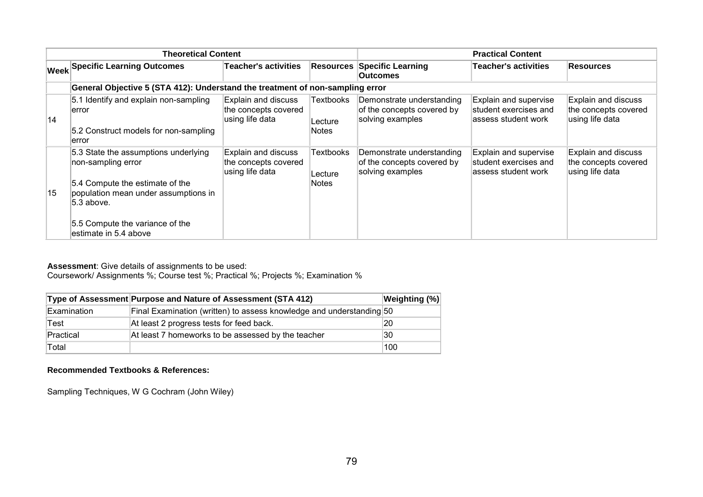| <b>Theoretical Content</b> |                                                                                                                                                                                                                 |                                                                |                                      | <b>Practical Content</b>                                                    |                                                                        |                                                                       |
|----------------------------|-----------------------------------------------------------------------------------------------------------------------------------------------------------------------------------------------------------------|----------------------------------------------------------------|--------------------------------------|-----------------------------------------------------------------------------|------------------------------------------------------------------------|-----------------------------------------------------------------------|
|                            | <b>Week Specific Learning Outcomes</b>                                                                                                                                                                          | <b>Teacher's activities</b>                                    | Resources                            | <b>Specific Learning</b><br><b>Outcomes</b>                                 | Teacher's activities                                                   | <b>Resources</b>                                                      |
|                            | General Objective 5 (STA 412): Understand the treatment of non-sampling error                                                                                                                                   |                                                                |                                      |                                                                             |                                                                        |                                                                       |
| 14                         | 5.1 Identify and explain non-sampling<br>error<br>5.2 Construct models for non-sampling<br>error                                                                                                                | Explain and discuss<br>the concepts covered<br>using life data | Textbooks<br>Lecture<br><b>Notes</b> | Demonstrate understanding<br>of the concepts covered by<br>solving examples | Explain and supervise<br>student exercises and<br>lassess student work | <b>Explain and discuss</b><br>the concepts covered<br>using life data |
| 15                         | 5.3 State the assumptions underlying<br>non-sampling error<br>5.4 Compute the estimate of the<br>population mean under assumptions in<br>5.3 above.<br>5.5 Compute the variance of the<br>estimate in 5.4 above | Explain and discuss<br>the concepts covered<br>using life data | Textbooks<br>Lecture<br>Notes        | Demonstrate understanding<br>of the concepts covered by<br>solving examples | Explain and supervise<br>student exercises and<br>assess student work  | Explain and discuss<br>the concepts covered<br>using life data        |

Coursework/ Assignments %; Course test %; Practical %; Projects %; Examination %

|             | Type of Assessment Purpose and Nature of Assessment (STA 412)        | Weighting (%) |
|-------------|----------------------------------------------------------------------|---------------|
| Examination | Final Examination (written) to assess knowledge and understanding 50 |               |
| Test        | At least 2 progress tests for feed back.                             | 20            |
| Practical   | At least 7 homeworks to be assessed by the teacher                   | 30            |
| Total       |                                                                      | 100           |

#### **Recommended Textbooks & References:**

Sampling Techniques, W G Cochram (John Wiley)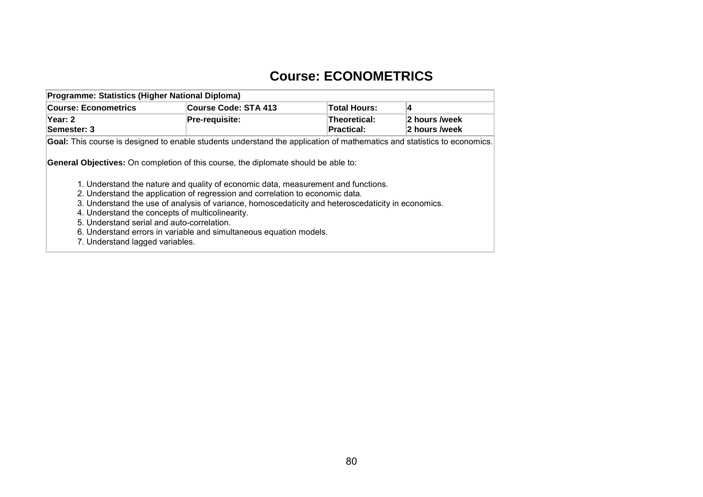## **Course: ECONOMETRICS**

| Programme: Statistics (Higher National Diploma) |                                                                                                                         |                                   |                                |
|-------------------------------------------------|-------------------------------------------------------------------------------------------------------------------------|-----------------------------------|--------------------------------|
| <b>Course: Econometrics</b>                     | <b>Course Code: STA 413</b>                                                                                             | <b>Total Hours:</b>               | 4                              |
| Year: 2<br>Semester: 3                          | Pre-requisite:                                                                                                          | Theoretical:<br><b>Practical:</b> | 2 hours /week<br>2 hours /week |
|                                                 | Goal: This course is designed to enable students understand the application of mathematics and statistics to economics. |                                   |                                |
|                                                 | <b>General Objectives:</b> On completion of this course, the diplomate should be able to:                               |                                   |                                |
|                                                 | 1. Understand the nature and quality of economic data, measurement and functions.                                       |                                   |                                |
|                                                 | 2. Understand the application of regression and correlation to economic data.                                           |                                   |                                |
|                                                 | 3. Understand the use of analysis of variance, homoscedaticity and heteroscedaticity in economics.                      |                                   |                                |
|                                                 | 4. Understand the concepts of multicolinearity.                                                                         |                                   |                                |
| 5. Understand serial and auto-correlation.      |                                                                                                                         |                                   |                                |
|                                                 | 6. Understand errors in variable and simultaneous equation models.                                                      |                                   |                                |

7. Understand lagged variables.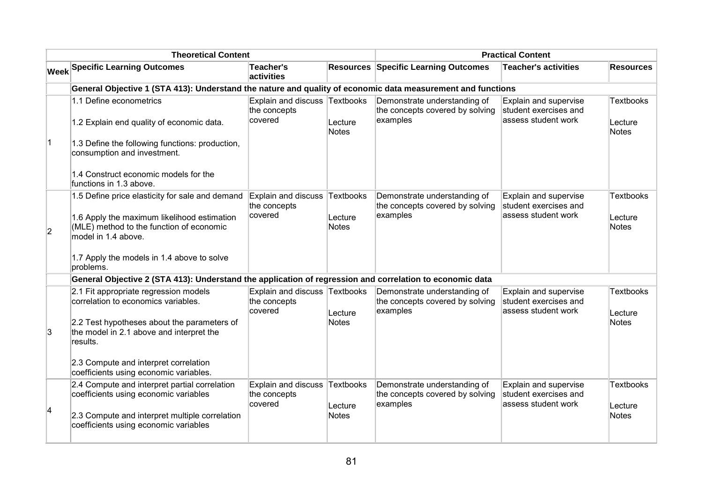| <b>Theoretical Content</b> |                                                                                                                                                                                                                              |                                                       |                                      | <b>Practical Content</b>                                                    |                                                                       |                                             |  |
|----------------------------|------------------------------------------------------------------------------------------------------------------------------------------------------------------------------------------------------------------------------|-------------------------------------------------------|--------------------------------------|-----------------------------------------------------------------------------|-----------------------------------------------------------------------|---------------------------------------------|--|
|                            | <b>Week Specific Learning Outcomes</b>                                                                                                                                                                                       | <b>Teacher's</b><br>activities                        |                                      | <b>Resources Specific Learning Outcomes</b>                                 | <b>Teacher's activities</b>                                           | <b>Resources</b>                            |  |
|                            | General Objective 1 (STA 413): Understand the nature and quality of economic data measurement and functions                                                                                                                  |                                                       |                                      |                                                                             |                                                                       |                                             |  |
| $\vert$ 1                  | 1.1 Define econometrics<br>1.2 Explain end quality of economic data.<br>1.3 Define the following functions: production,<br>consumption and investment.<br>1.4 Construct economic models for the<br>functions in 1.3 above.   | <b>Explain and discuss</b><br>the concepts<br>covered | Textbooks<br>Lecture<br>Notes        | Demonstrate understanding of<br>the concepts covered by solving<br>examples | Explain and supervise<br>student exercises and<br>assess student work | Textbooks<br>Lecture<br><b>Notes</b>        |  |
| $\overline{2}$             | 1.5 Define price elasticity for sale and demand<br>1.6 Apply the maximum likelihood estimation<br>(MLE) method to the function of economic<br>model in 1.4 above.<br>1.7 Apply the models in 1.4 above to solve<br>problems. | Explain and discuss<br>the concepts<br>covered        | <b>Textbooks</b><br>Lecture<br>Notes | Demonstrate understanding of<br>the concepts covered by solving<br>examples | Explain and supervise<br>student exercises and<br>assess student work | <b>Textbooks</b><br>Lecture<br><b>Notes</b> |  |
|                            | General Objective 2 (STA 413): Understand the application of regression and correlation to economic data                                                                                                                     |                                                       |                                      |                                                                             |                                                                       |                                             |  |
| 3                          | 2.1 Fit appropriate regression models<br>correlation to economics variables.<br>2.2 Test hypotheses about the parameters of<br>the model in 2.1 above and interpret the<br>results.                                          | <b>Explain and discuss</b><br>the concepts<br>covered | Textbooks<br>Lecture<br><b>Notes</b> | Demonstrate understanding of<br>the concepts covered by solving<br>examples | Explain and supervise<br>student exercises and<br>assess student work | <b>Textbooks</b><br>Lecture<br><b>Notes</b> |  |
|                            | 2.3 Compute and interpret correlation<br>coefficients using economic variables.                                                                                                                                              |                                                       |                                      |                                                                             |                                                                       |                                             |  |
| 4                          | 2.4 Compute and interpret partial correlation<br>coefficients using economic variables<br>2.3 Compute and interpret multiple correlation<br>coefficients using economic variables                                            | Explain and discuss<br>the concepts<br>covered        | Textbooks<br>Lecture<br>Notes        | Demonstrate understanding of<br>the concepts covered by solving<br>examples | Explain and supervise<br>student exercises and<br>assess student work | <b>Textbooks</b><br>Lecture<br><b>Notes</b> |  |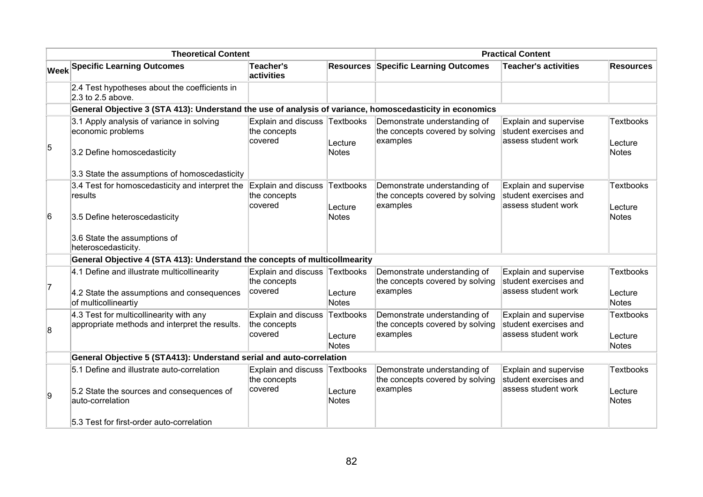| <b>Theoretical Content</b> |                                                                                                                                                          | <b>Practical Content</b>                                 |                                      |                                                                             |                                                                       |                                             |
|----------------------------|----------------------------------------------------------------------------------------------------------------------------------------------------------|----------------------------------------------------------|--------------------------------------|-----------------------------------------------------------------------------|-----------------------------------------------------------------------|---------------------------------------------|
|                            | <b>Week Specific Learning Outcomes</b>                                                                                                                   | <b>Teacher's</b><br>activities                           | <b>Resources</b>                     | <b>Specific Learning Outcomes</b>                                           | <b>Teacher's activities</b>                                           | <b>Resources</b>                            |
|                            | 2.4 Test hypotheses about the coefficients in<br>2.3 to 2.5 above.                                                                                       |                                                          |                                      |                                                                             |                                                                       |                                             |
|                            | General Objective 3 (STA 413): Understand the use of analysis of variance, homoscedasticity in economics                                                 |                                                          |                                      |                                                                             |                                                                       |                                             |
| 5                          | 3.1 Apply analysis of variance in solving<br>economic problems<br>3.2 Define homoscedasticity                                                            | Explain and discuss Textbooks<br>the concepts<br>covered | Lecture<br><b>Notes</b>              | Demonstrate understanding of<br>the concepts covered by solving<br>examples | Explain and supervise<br>student exercises and<br>assess student work | <b>Textbooks</b><br>Lecture<br><b>Notes</b> |
|                            | 3.3 State the assumptions of homoscedasticity                                                                                                            |                                                          |                                      |                                                                             |                                                                       |                                             |
|                            | 3.4 Test for homoscedasticity and interpret the<br>results                                                                                               | Explain and discuss<br>the concepts<br>covered           | Textbooks<br>Lecture                 | Demonstrate understanding of<br>the concepts covered by solving<br>examples | Explain and supervise<br>student exercises and<br>assess student work | <b>Textbooks</b><br>Lecture                 |
| 6                          | 3.5 Define heteroscedasticity<br>3.6 State the assumptions of<br>heteroscedasticity.                                                                     |                                                          | <b>Notes</b>                         |                                                                             |                                                                       | Notes                                       |
|                            | General Objective 4 (STA 413): Understand the concepts of multicollmearity                                                                               |                                                          |                                      |                                                                             |                                                                       |                                             |
| 7                          | 4.1 Define and illustrate multicollinearity<br>4.2 State the assumptions and consequences<br>of multicollineartiy                                        | <b>Explain and discuss</b><br>the concepts<br>covered    | Textbooks<br>Lecture<br><b>Notes</b> | Demonstrate understanding of<br>the concepts covered by solving<br>examples | Explain and supervise<br>student exercises and<br>assess student work | <b>Textbooks</b><br>Lecture<br><b>Notes</b> |
| 8                          | 4.3 Test for multicollinearity with any<br>appropriate methods and interpret the results.                                                                | <b>Explain and discuss</b><br>the concepts<br>covered    | Textbooks<br>Lecture<br><b>Notes</b> | Demonstrate understanding of<br>the concepts covered by solving<br>examples | Explain and supervise<br>student exercises and<br>assess student work | <b>Textbooks</b><br>Lecture<br><b>Notes</b> |
|                            | General Objective 5 (STA413): Understand serial and auto-correlation                                                                                     |                                                          |                                      |                                                                             |                                                                       |                                             |
| 9                          | 5.1 Define and illustrate auto-correlation<br>5.2 State the sources and consequences of<br>auto-correlation<br>5.3 Test for first-order auto-correlation | Explain and discuss<br>the concepts<br>covered           | Textbooks<br>Lecture<br><b>Notes</b> | Demonstrate understanding of<br>the concepts covered by solving<br>examples | Explain and supervise<br>student exercises and<br>assess student work | <b>Textbooks</b><br>Lecture<br>Notes        |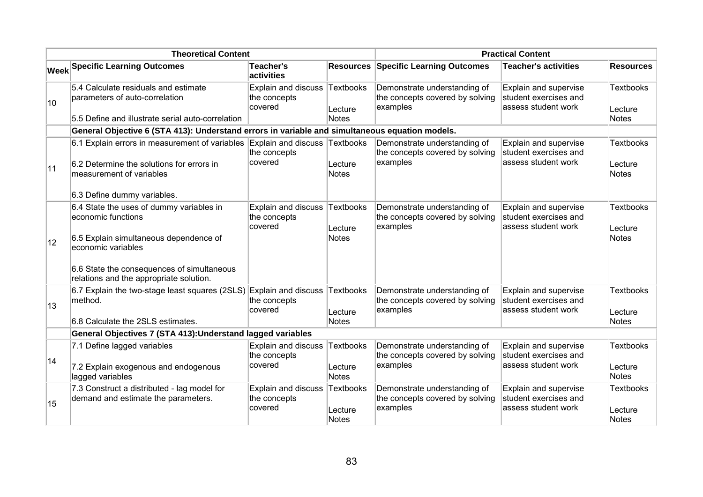| <b>Theoretical Content</b> |                                                                                                                                                                                                                         | <b>Practical Content</b>                              |                                      |                                                                             |                                                                       |                               |
|----------------------------|-------------------------------------------------------------------------------------------------------------------------------------------------------------------------------------------------------------------------|-------------------------------------------------------|--------------------------------------|-----------------------------------------------------------------------------|-----------------------------------------------------------------------|-------------------------------|
|                            | <b>Week Specific Learning Outcomes</b>                                                                                                                                                                                  | <b>Teacher's</b><br>activities                        | <b>Resources</b>                     | <b>Specific Learning Outcomes</b>                                           | <b>Teacher's activities</b>                                           | <b>Resources</b>              |
| 10                         | 5.4 Calculate residuals and estimate<br>parameters of auto-correlation<br>5.5 Define and illustrate serial auto-correlation                                                                                             | <b>Explain and discuss</b><br>the concepts<br>covered | Textbooks<br>Lecture<br><b>Notes</b> | Demonstrate understanding of<br>the concepts covered by solving<br>examples | Explain and supervise<br>student exercises and<br>assess student work | Textbooks<br>Lecture<br>Notes |
|                            | General Objective 6 (STA 413): Understand errors in variable and simultaneous equation models.                                                                                                                          |                                                       |                                      |                                                                             |                                                                       |                               |
| 11                         | 6.1 Explain errors in measurement of variables Explain and discuss<br>6.2 Determine the solutions for errors in<br>measurement of variables<br>6.3 Define dummy variables.                                              | the concepts<br>covered                               | Textbooks<br>Lecture<br>Notes        | Demonstrate understanding of<br>the concepts covered by solving<br>examples | Explain and supervise<br>student exercises and<br>assess student work | Textbooks<br>Lecture<br>Notes |
| $ 12\rangle$               | 6.4 State the uses of dummy variables in<br>economic functions<br>6.5 Explain simultaneous dependence of<br>economic variables<br>6.6 State the consequences of simultaneous<br>relations and the appropriate solution. | Explain and discuss<br>the concepts<br>covered        | <b>Textbooks</b><br>Lecture<br>Notes | Demonstrate understanding of<br>the concepts covered by solving<br>examples | Explain and supervise<br>student exercises and<br>assess student work | Textbooks<br>Lecture<br>Notes |
| 13                         | 6.7 Explain the two-stage least squares (2SLS)<br>method.<br>6.8 Calculate the 2SLS estimates.                                                                                                                          | Explain and discuss<br>the concepts<br>covered        | Textbooks<br>Lecture<br><b>Notes</b> | Demonstrate understanding of<br>the concepts covered by solving<br>examples | Explain and supervise<br>student exercises and<br>assess student work | Textbooks<br>Lecture<br>Notes |
|                            | General Objectives 7 (STA 413): Understand lagged variables                                                                                                                                                             |                                                       |                                      |                                                                             |                                                                       |                               |
| 14                         | 7.1 Define lagged variables<br>7.2 Explain exogenous and endogenous<br>lagged variables                                                                                                                                 | <b>Explain and discuss</b><br>the concepts<br>covered | <b>Textbooks</b><br>Lecture<br>Notes | Demonstrate understanding of<br>the concepts covered by solving<br>examples | Explain and supervise<br>student exercises and<br>assess student work | Textbooks<br>Lecture<br>Notes |
| 15                         | 7.3 Construct a distributed - lag model for<br>demand and estimate the parameters.                                                                                                                                      | Explain and discuss<br>the concepts<br>covered        | Textbooks<br>Lecture<br>Notes        | Demonstrate understanding of<br>the concepts covered by solving<br>examples | Explain and supervise<br>student exercises and<br>assess student work | Textbooks<br>Lecture<br>Notes |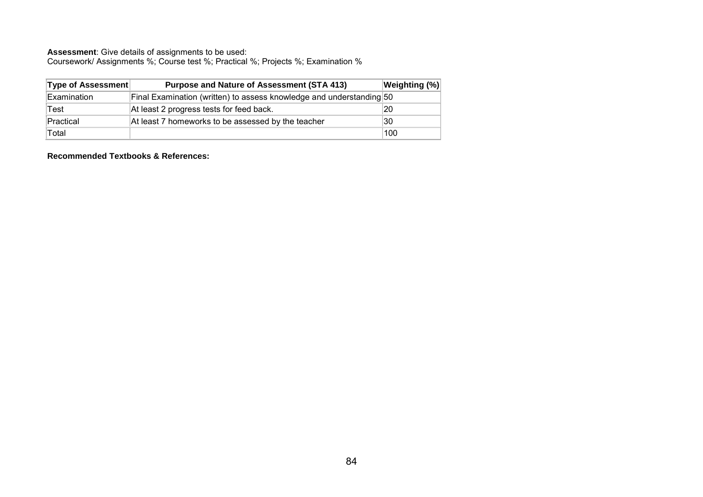Coursework/ Assignments %; Course test %; Practical %; Projects %; Examination %

| <b>Type of Assessment</b> | <b>Purpose and Nature of Assessment (STA 413)</b>                    | Weighting (%) |
|---------------------------|----------------------------------------------------------------------|---------------|
| Examination               | Final Examination (written) to assess knowledge and understanding 50 |               |
| Test                      | At least 2 progress tests for feed back.                             | 20            |
| Practical                 | At least 7 homeworks to be assessed by the teacher                   | 30            |
| Total                     |                                                                      | 100           |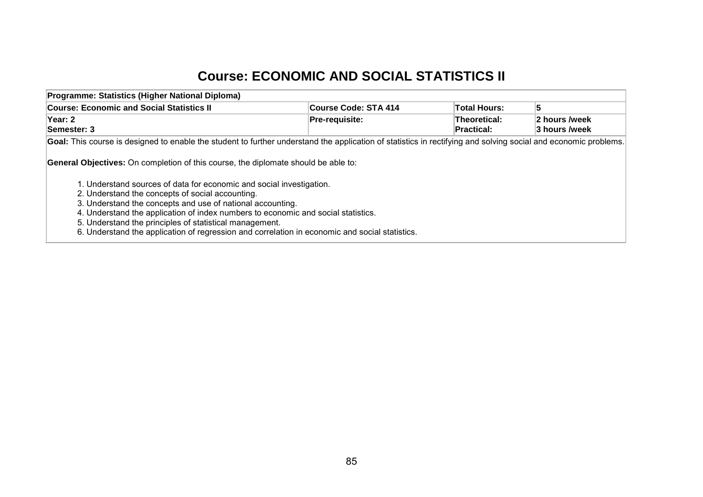## **Course: ECONOMIC AND SOCIAL STATISTICS II**

| Programme: Statistics (Higher National Diploma)                                                                                                                                                                                                                                                                                                                                                                                                                                                                                       |                       |                                   |                                |
|---------------------------------------------------------------------------------------------------------------------------------------------------------------------------------------------------------------------------------------------------------------------------------------------------------------------------------------------------------------------------------------------------------------------------------------------------------------------------------------------------------------------------------------|-----------------------|-----------------------------------|--------------------------------|
| <b>Course: Economic and Social Statistics II</b>                                                                                                                                                                                                                                                                                                                                                                                                                                                                                      | Course Code: STA 414  | Total Hours:                      |                                |
| Year: 2<br>Semester: 3                                                                                                                                                                                                                                                                                                                                                                                                                                                                                                                | <b>Pre-requisite:</b> | Theoretical:<br><b>Practical:</b> | 2 hours /week<br>3 hours /week |
| Goal: This course is designed to enable the student to further understand the application of statistics in rectifying and solving social and economic problems.                                                                                                                                                                                                                                                                                                                                                                       |                       |                                   |                                |
| <b>General Objectives:</b> On completion of this course, the diplomate should be able to:<br>1. Understand sources of data for economic and social investigation.<br>2. Understand the concepts of social accounting.<br>3. Understand the concepts and use of national accounting.<br>4. Understand the application of index numbers to economic and social statistics.<br>5. Understand the principles of statistical management.<br>6. Understand the application of regression and correlation in economic and social statistics. |                       |                                   |                                |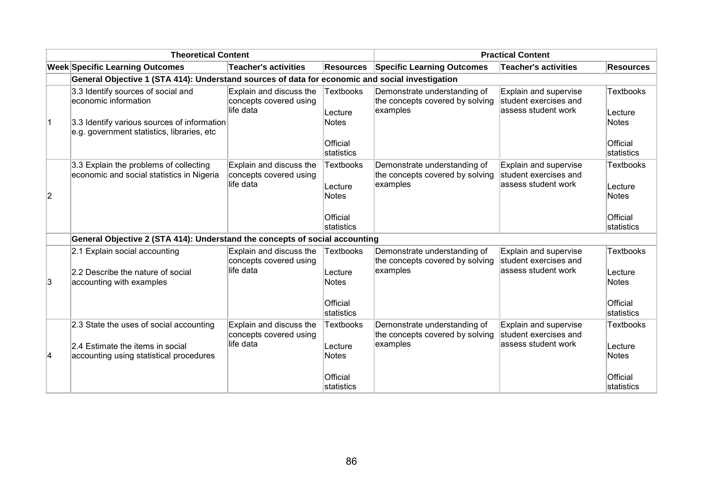|    | <b>Theoretical Content</b>                                                                                                                              |                                                                |                                                                | <b>Practical Content</b>                                                    |                                                                       |                                                                |
|----|---------------------------------------------------------------------------------------------------------------------------------------------------------|----------------------------------------------------------------|----------------------------------------------------------------|-----------------------------------------------------------------------------|-----------------------------------------------------------------------|----------------------------------------------------------------|
|    | <b>Week Specific Learning Outcomes</b>                                                                                                                  | <b>Teacher's activities</b>                                    | <b>Resources</b>                                               | <b>Specific Learning Outcomes</b>                                           | <b>Teacher's activities</b>                                           | <b>Resources</b>                                               |
|    | General Objective 1 (STA 414): Understand sources of data for economic and social investigation                                                         |                                                                |                                                                |                                                                             |                                                                       |                                                                |
| 1  | 3.3 Identify sources of social and<br>economic information<br>3.3 Identify various sources of information<br>e.g. government statistics, libraries, etc | Explain and discuss the<br>concepts covered using<br>life data | <b>Textbooks</b><br>Lecture<br>Notes<br>Official<br>statistics | Demonstrate understanding of<br>the concepts covered by solving<br>examples | Explain and supervise<br>student exercises and<br>assess student work | <b>Textbooks</b><br>Lecture<br>Notes<br>Official<br>statistics |
| 2  | 3.3 Explain the problems of collecting<br>economic and social statistics in Nigeria                                                                     | Explain and discuss the<br>concepts covered using<br>life data | <b>Textbooks</b><br>Lecture<br>Notes<br>Official<br>statistics | Demonstrate understanding of<br>the concepts covered by solving<br>examples | Explain and supervise<br>student exercises and<br>assess student work | <b>Textbooks</b><br>Lecture<br>Notes<br>Official<br>statistics |
|    | General Objective 2 (STA 414): Understand the concepts of social accounting                                                                             |                                                                |                                                                |                                                                             |                                                                       |                                                                |
| Ι3 | 2.1 Explain social accounting<br>2.2 Describe the nature of social<br>accounting with examples                                                          | Explain and discuss the<br>concepts covered using<br>life data | <b>Textbooks</b><br>Lecture<br>Notes                           | Demonstrate understanding of<br>the concepts covered by solving<br>examples | Explain and supervise<br>student exercises and<br>assess student work | <b>Textbooks</b><br>Lecture<br><b>Notes</b>                    |
|    |                                                                                                                                                         |                                                                | Official<br>statistics                                         |                                                                             |                                                                       | Official<br>statistics                                         |
| 14 | 2.3 State the uses of social accounting<br>2.4 Estimate the items in social<br>accounting using statistical procedures                                  | Explain and discuss the<br>concepts covered using<br>life data | <b>Textbooks</b><br>Lecture<br>Notes                           | Demonstrate understanding of<br>the concepts covered by solving<br>examples | Explain and supervise<br>student exercises and<br>assess student work | <b>Textbooks</b><br>Lecture<br>Notes                           |
|    |                                                                                                                                                         |                                                                | Official<br>statistics                                         |                                                                             |                                                                       | Official<br>statistics                                         |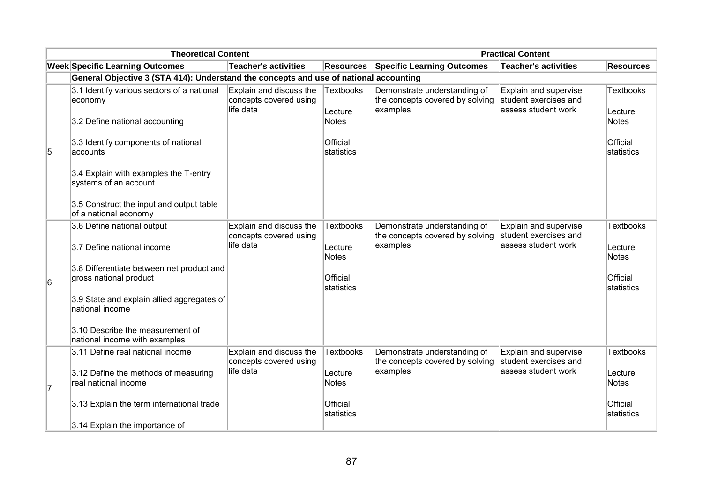|   | <b>Theoretical Content</b>                                                            |                                                                |                         | <b>Practical Content</b>                                                    |                                                                       |                             |  |
|---|---------------------------------------------------------------------------------------|----------------------------------------------------------------|-------------------------|-----------------------------------------------------------------------------|-----------------------------------------------------------------------|-----------------------------|--|
|   | <b>Week Specific Learning Outcomes</b>                                                | Teacher's activities                                           | <b>Resources</b>        | <b>Specific Learning Outcomes</b>                                           | Teacher's activities                                                  | <b>Resources</b>            |  |
|   | General Objective 3 (STA 414): Understand the concepts and use of national accounting |                                                                |                         |                                                                             |                                                                       |                             |  |
|   | 3.1 Identify various sectors of a national<br>economy                                 | Explain and discuss the<br>concepts covered using<br>life data | Textbooks<br>Lecture    | Demonstrate understanding of<br>the concepts covered by solving<br>examples | Explain and supervise<br>student exercises and<br>assess student work | <b>Textbooks</b><br>Lecture |  |
|   | 3.2 Define national accounting                                                        |                                                                | Notes                   |                                                                             |                                                                       | <b>Notes</b>                |  |
| 5 | 3.3 Identify components of national<br>accounts                                       |                                                                | Official<br>Istatistics |                                                                             |                                                                       | Official<br>statistics      |  |
|   | 3.4 Explain with examples the T-entry<br>systems of an account                        |                                                                |                         |                                                                             |                                                                       |                             |  |
|   | 3.5 Construct the input and output table<br>of a national economy                     |                                                                |                         |                                                                             |                                                                       |                             |  |
|   | 3.6 Define national output                                                            | Explain and discuss the<br>concepts covered using              | <b>Textbooks</b>        | Demonstrate understanding of<br>the concepts covered by solving             | Explain and supervise<br>student exercises and                        | <b>Textbooks</b>            |  |
|   | 3.7 Define national income                                                            | life data                                                      | Lecture<br><b>Notes</b> | examples                                                                    | assess student work                                                   | Lecture<br><b>Notes</b>     |  |
|   | 3.8 Differentiate between net product and                                             |                                                                |                         |                                                                             |                                                                       |                             |  |
| 6 | gross national product                                                                |                                                                | Official<br>statistics  |                                                                             |                                                                       | Official<br>statistics      |  |
|   | 3.9 State and explain allied aggregates of<br>national income                         |                                                                |                         |                                                                             |                                                                       |                             |  |
|   | 3.10 Describe the measurement of<br>national income with examples                     |                                                                |                         |                                                                             |                                                                       |                             |  |
|   | 3.11 Define real national income                                                      | Explain and discuss the<br>concepts covered using              | <b>Textbooks</b>        | Demonstrate understanding of<br>the concepts covered by solving             | Explain and supervise<br>student exercises and                        | <b>Textbooks</b>            |  |
| 7 | 3.12 Define the methods of measuring<br>real national income                          | life data                                                      | Lecture<br><b>Notes</b> | examples                                                                    | assess student work                                                   | Lecture<br><b>Notes</b>     |  |
|   | 3.13 Explain the term international trade                                             |                                                                | Official<br>statistics  |                                                                             |                                                                       | Official<br>statistics      |  |
|   | 3.14 Explain the importance of                                                        |                                                                |                         |                                                                             |                                                                       |                             |  |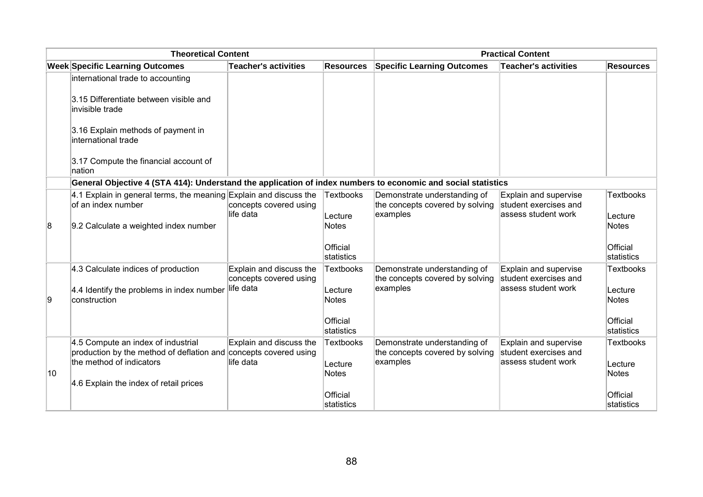|    | <b>Theoretical Content</b>                                                                                   |                                                   |                         |                                                                             | <b>Practical Content</b>                                               |                         |
|----|--------------------------------------------------------------------------------------------------------------|---------------------------------------------------|-------------------------|-----------------------------------------------------------------------------|------------------------------------------------------------------------|-------------------------|
|    | <b>Week Specific Learning Outcomes</b>                                                                       | <b>Teacher's activities</b>                       | <b>Resources</b>        | <b>Specific Learning Outcomes</b>                                           | <b>Teacher's activities</b>                                            | <b>Resources</b>        |
|    | international trade to accounting                                                                            |                                                   |                         |                                                                             |                                                                        |                         |
|    | 3.15 Differentiate between visible and<br>invisible trade                                                    |                                                   |                         |                                                                             |                                                                        |                         |
|    | 3.16 Explain methods of payment in<br>international trade                                                    |                                                   |                         |                                                                             |                                                                        |                         |
|    | 3.17 Compute the financial account of<br>nation                                                              |                                                   |                         |                                                                             |                                                                        |                         |
|    | General Objective 4 (STA 414): Understand the application of index numbers to economic and social statistics |                                                   |                         |                                                                             |                                                                        |                         |
|    | 4.1 Explain in general terms, the meaning Explain and discuss the<br>of an index number                      | concepts covered using<br>life data               | Textbooks               | Demonstrate understanding of<br>the concepts covered by solving<br>examples | Explain and supervise<br>student exercises and<br>lassess student work | <b>Textbooks</b>        |
| 8  | 9.2 Calculate a weighted index number                                                                        |                                                   | Lecture<br>Notes        |                                                                             |                                                                        | Lecture<br><b>Notes</b> |
|    |                                                                                                              |                                                   | Official<br>statistics  |                                                                             |                                                                        | Official<br>statistics  |
|    | 4.3 Calculate indices of production                                                                          | Explain and discuss the<br>concepts covered using | <b>Textbooks</b>        | Demonstrate understanding of<br>the concepts covered by solving             | Explain and supervise<br>student exercises and                         | <b>Textbooks</b>        |
| 19 | 4.4 Identify the problems in index number<br>construction                                                    | life data                                         | Lecture<br><b>Notes</b> | examples                                                                    | assess student work                                                    | Lecture<br><b>Notes</b> |
|    |                                                                                                              |                                                   | Official<br>statistics  |                                                                             |                                                                        | Official<br>statistics  |
|    | 4.5 Compute an index of industrial<br>production by the method of deflation and concepts covered using       | Explain and discuss the                           | <b>Textbooks</b>        | Demonstrate understanding of<br>the concepts covered by solving             | Explain and supervise<br>student exercises and                         | <b>Textbooks</b>        |
| 10 | the method of indicators<br>4.6 Explain the index of retail prices                                           | life data                                         | Lecture<br>Notes        | examples                                                                    | assess student work                                                    | Lecture<br><b>Notes</b> |
|    |                                                                                                              |                                                   | Official<br>statistics  |                                                                             |                                                                        | Official<br>statistics  |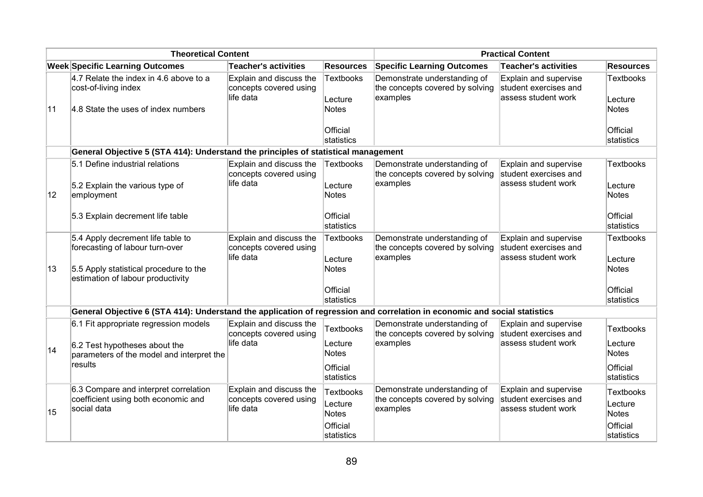|              | <b>Theoretical Content</b>                                                                                                                          |                                                                |                                                  | <b>Practical Content</b>                                                    |                                                                       |                                                         |  |
|--------------|-----------------------------------------------------------------------------------------------------------------------------------------------------|----------------------------------------------------------------|--------------------------------------------------|-----------------------------------------------------------------------------|-----------------------------------------------------------------------|---------------------------------------------------------|--|
|              | <b>Week Specific Learning Outcomes</b>                                                                                                              | <b>Teacher's activities</b>                                    | <b>Resources</b>                                 | <b>Specific Learning Outcomes</b>                                           | Teacher's activities                                                  | <b>Resources</b>                                        |  |
|              | 4.7 Relate the index in 4.6 above to a<br>cost-of-living index                                                                                      | Explain and discuss the<br>concepts covered using<br>life data | <b>Textbooks</b><br>Lecture                      | Demonstrate understanding of<br>the concepts covered by solving<br>examples | Explain and supervise<br>student exercises and<br>assess student work | <b>Textbooks</b><br>Lecture                             |  |
| 11           | 4.8 State the uses of index numbers                                                                                                                 |                                                                | <b>Notes</b><br>Official                         |                                                                             |                                                                       | <b>Notes</b><br>Official                                |  |
|              |                                                                                                                                                     |                                                                | statistics                                       |                                                                             |                                                                       | statistics                                              |  |
|              | General Objective 5 (STA 414): Understand the principles of statistical management                                                                  |                                                                |                                                  |                                                                             |                                                                       |                                                         |  |
| $ 12\rangle$ | 5.1 Define industrial relations<br>5.2 Explain the various type of<br>employment                                                                    | Explain and discuss the<br>concepts covered using<br>life data | Textbooks<br>Lecture<br><b>Notes</b>             | Demonstrate understanding of<br>the concepts covered by solving<br>examples | Explain and supervise<br>student exercises and<br>assess student work | <b>Textbooks</b><br>Lecture<br><b>Notes</b>             |  |
|              | 5.3 Explain decrement life table                                                                                                                    |                                                                | Official<br>statistics                           |                                                                             |                                                                       | Official<br>statistics                                  |  |
| 13           | 5.4 Apply decrement life table to<br>forecasting of labour turn-over<br>5.5 Apply statistical procedure to the<br>estimation of labour productivity | Explain and discuss the<br>concepts covered using<br>life data | <b>Textbooks</b><br>Lecture<br><b>Notes</b>      | Demonstrate understanding of<br>the concepts covered by solving<br>examples | Explain and supervise<br>student exercises and<br>assess student work | <b>Textbooks</b><br>Lecture<br><b>Notes</b>             |  |
|              |                                                                                                                                                     |                                                                | Official<br>statistics                           |                                                                             |                                                                       | Official<br>statistics                                  |  |
|              | General Objective 6 (STA 414): Understand the application of regression and correlation in economic and social statistics                           |                                                                |                                                  |                                                                             |                                                                       |                                                         |  |
|              | 6.1 Fit appropriate regression models                                                                                                               | Explain and discuss the<br>concepts covered using              | <b>Textbooks</b>                                 | Demonstrate understanding of<br>the concepts covered by solving             | Explain and supervise<br>student exercises and                        | <b>Textbooks</b>                                        |  |
| 14           | 6.2 Test hypotheses about the<br>parameters of the model and interpret the                                                                          | life data                                                      | Lecture<br><b>Notes</b>                          | examples                                                                    | assess student work                                                   | Lecture<br><b>Notes</b>                                 |  |
|              | results                                                                                                                                             |                                                                | Official<br>statistics                           |                                                                             |                                                                       | Official<br>statistics                                  |  |
| 15           | 6.3 Compare and interpret correlation<br>coefficient using both economic and<br>social data                                                         | Explain and discuss the<br>concepts covered using<br>life data | <b>Textbooks</b><br>Lecture<br>Notes<br>Official | Demonstrate understanding of<br>the concepts covered by solving<br>examples | Explain and supervise<br>student exercises and<br>assess student work | <b>Textbooks</b><br>Lecture<br><b>Notes</b><br>Official |  |
|              |                                                                                                                                                     |                                                                | statistics                                       |                                                                             |                                                                       | statistics                                              |  |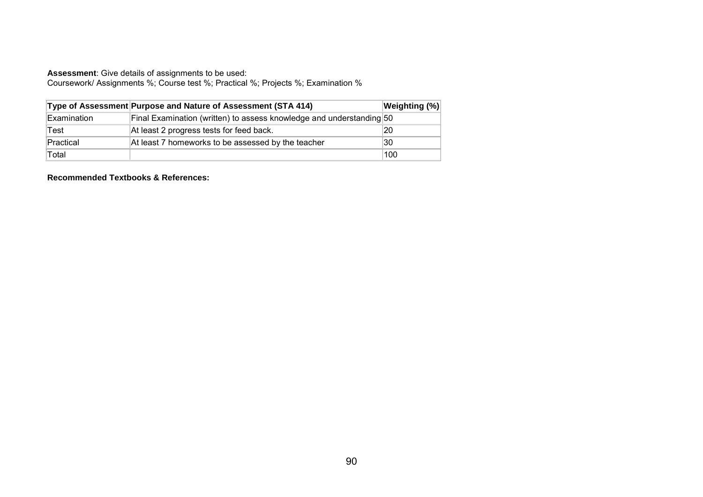Coursework/ Assignments %; Course test %; Practical %; Projects %; Examination %

|             | Type of Assessment Purpose and Nature of Assessment (STA 414)        | <b>Weighting (%)</b> |
|-------------|----------------------------------------------------------------------|----------------------|
| Examination | Final Examination (written) to assess knowledge and understanding 50 |                      |
| Test        | At least 2 progress tests for feed back.                             | 20                   |
| Practical   | At least 7 homeworks to be assessed by the teacher                   | 30                   |
| Total       |                                                                      | 100                  |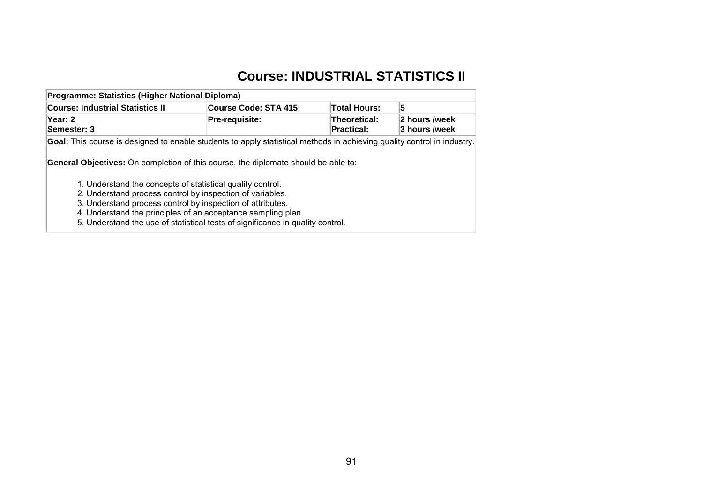# **Course: INDUSTRIAL STATISTICS II**

| Programme: Statistics (Higher National Diploma)                                                                         |                             |                                          |                                |  |  |  |
|-------------------------------------------------------------------------------------------------------------------------|-----------------------------|------------------------------------------|--------------------------------|--|--|--|
| <b>Course: Industrial Statistics II</b>                                                                                 | <b>Course Code: STA 415</b> | <b>Total Hours:</b>                      | 5                              |  |  |  |
| Year: 2<br>Semester: 3                                                                                                  | <b>Pre-requisite:</b>       | <b>Theoretical:</b><br><b>Practical:</b> | 2 hours /week<br>3 hours /week |  |  |  |
| Goal: This course is designed to enable students to apply statistical methods in achieving quality control in industry. |                             |                                          |                                |  |  |  |
| <b>General Objectives:</b> On completion of this course, the diplomate should be able to:                               |                             |                                          |                                |  |  |  |
| 1. Understand the concepts of statistical quality control.                                                              |                             |                                          |                                |  |  |  |
| 2. Understand process control by inspection of variables.<br>3. Understand process control by inspection of attributes. |                             |                                          |                                |  |  |  |
| 4. Understand the principles of an acceptance sampling plan.                                                            |                             |                                          |                                |  |  |  |
|                                                                                                                         |                             |                                          |                                |  |  |  |

5. Understand the use of statistical tests of significance in quality control.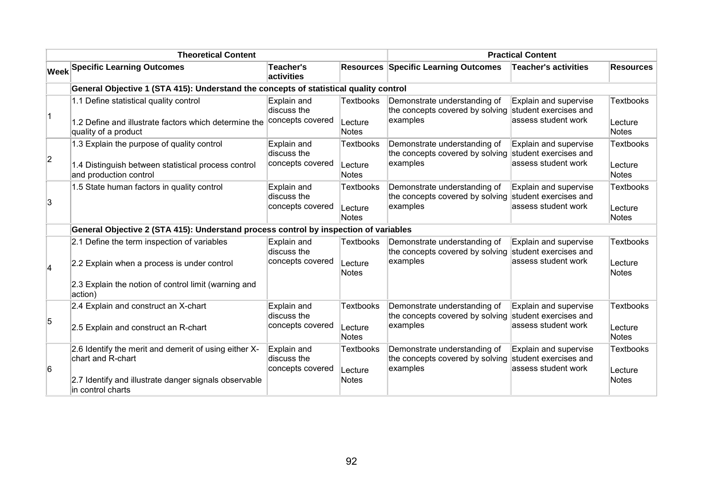|                                                                                       | <b>Theoretical Content</b>                                                                                                                               |                                                | <b>Practical Content</b>                    |                                                                                                   |                                                     |                                             |
|---------------------------------------------------------------------------------------|----------------------------------------------------------------------------------------------------------------------------------------------------------|------------------------------------------------|---------------------------------------------|---------------------------------------------------------------------------------------------------|-----------------------------------------------------|---------------------------------------------|
|                                                                                       | <b>Week Specific Learning Outcomes</b>                                                                                                                   | Teacher's<br>activities                        |                                             | <b>Resources Specific Learning Outcomes</b>                                                       | Teacher's activities                                | <b>Resources</b>                            |
| General Objective 1 (STA 415): Understand the concepts of statistical quality control |                                                                                                                                                          |                                                |                                             |                                                                                                   |                                                     |                                             |
| $\overline{1}$                                                                        | 1.1 Define statistical quality control<br>1.2 Define and illustrate factors which determine the<br>quality of a product                                  | Explain and<br>discuss the<br>concepts covered | <b>Textbooks</b><br>Lecture<br>Notes        | Demonstrate understanding of<br>the concepts covered by solving student exercises and<br>examples | Explain and supervise<br>assess student work        | <b>Textbooks</b><br>Lecture<br><b>Notes</b> |
| $\overline{2}$                                                                        | 1.3 Explain the purpose of quality control<br>1.4 Distinguish between statistical process control<br>and production control                              | Explain and<br>discuss the<br>concepts covered | Textbooks<br>Lecture<br>Notes               | Demonstrate understanding of<br>the concepts covered by solving student exercises and<br>examples | <b>Explain and supervise</b><br>assess student work | <b>Textbooks</b><br>Lecture<br><b>Notes</b> |
| 3                                                                                     | 1.5 State human factors in quality control                                                                                                               | Explain and<br>discuss the<br>concepts covered | <b>Textbooks</b><br>Lecture<br>Notes        | Demonstrate understanding of<br>the concepts covered by solving student exercises and<br>examples | Explain and supervise<br>assess student work        | <b>Textbooks</b><br>Lecture<br><b>Notes</b> |
|                                                                                       | General Objective 2 (STA 415): Understand process control by inspection of variables                                                                     |                                                |                                             |                                                                                                   |                                                     |                                             |
| $\vert$ 4                                                                             | 2.1 Define the term inspection of variables<br>2.2 Explain when a process is under control                                                               | Explain and<br>discuss the<br>concepts covered | <b>Textbooks</b><br>Lecture<br>Notes        | Demonstrate understanding of<br>the concepts covered by solving student exercises and<br>examples | Explain and supervise<br>assess student work        | <b>Textbooks</b><br>Lecture<br><b>Notes</b> |
|                                                                                       | 2.3 Explain the notion of control limit (warning and<br>action)                                                                                          |                                                |                                             |                                                                                                   |                                                     |                                             |
| 5                                                                                     | 2.4 Explain and construct an X-chart<br>2.5 Explain and construct an R-chart                                                                             | Explain and<br>discuss the<br>concepts covered | <b>Textbooks</b><br>Lecture<br>Notes        | Demonstrate understanding of<br>the concepts covered by solving student exercises and<br>examples | <b>Explain and supervise</b><br>assess student work | <b>Textbooks</b><br>Lecture<br><b>Notes</b> |
| 6                                                                                     | 2.6 Identify the merit and demerit of using either X-<br>chart and R-chart<br>2.7 Identify and illustrate danger signals observable<br>in control charts | Explain and<br>discuss the<br>concepts covered | <b>Textbooks</b><br>Lecture<br><b>Notes</b> | Demonstrate understanding of<br>the concepts covered by solving student exercises and<br>examples | Explain and supervise<br>assess student work        | <b>Textbooks</b><br>Lecture<br><b>Notes</b> |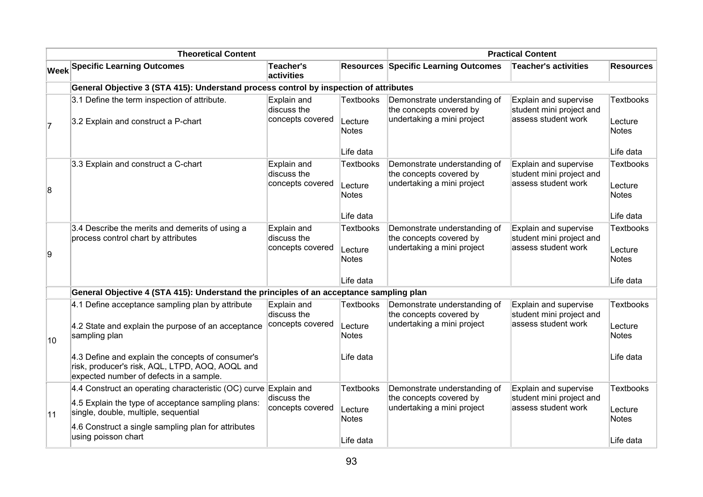| <b>Theoretical Content</b> |                                                                                                                                                 |                                                |                                                   | <b>Practical Content</b>                                                              |                                                                          |                                                   |
|----------------------------|-------------------------------------------------------------------------------------------------------------------------------------------------|------------------------------------------------|---------------------------------------------------|---------------------------------------------------------------------------------------|--------------------------------------------------------------------------|---------------------------------------------------|
|                            | <b>Week Specific Learning Outcomes</b>                                                                                                          | Teacher's<br>activities                        |                                                   | <b>Resources Specific Learning Outcomes</b>                                           | <b>Teacher's activities</b>                                              | <b>Resources</b>                                  |
|                            | General Objective 3 (STA 415): Understand process control by inspection of attributes                                                           |                                                |                                                   |                                                                                       |                                                                          |                                                   |
| $\vert$ 7                  | 3.1 Define the term inspection of attribute.<br>3.2 Explain and construct a P-chart                                                             | Explain and<br>discuss the<br>concepts covered | Textbooks<br>Lecture<br>Notes                     | Demonstrate understanding of<br>the concepts covered by<br>undertaking a mini project | Explain and supervise<br>student mini project and<br>assess student work | <b>Textbooks</b><br>Lecture<br>Notes              |
|                            |                                                                                                                                                 |                                                | Life data                                         |                                                                                       |                                                                          | Life data                                         |
| 8                          | 3.3 Explain and construct a C-chart                                                                                                             | Explain and<br>discuss the<br>concepts covered | <b>Textbooks</b><br>Lecture<br>Notes              | Demonstrate understanding of<br>the concepts covered by<br>undertaking a mini project | Explain and supervise<br>student mini project and<br>assess student work | <b>Textbooks</b><br>Lecture<br>Notes              |
|                            |                                                                                                                                                 |                                                | Life data                                         |                                                                                       |                                                                          | Life data                                         |
| 9                          | 3.4 Describe the merits and demerits of using a<br>process control chart by attributes                                                          | Explain and<br>discuss the<br>concepts covered | <b>Textbooks</b><br>Lecture<br>Notes<br>Life data | Demonstrate understanding of<br>the concepts covered by<br>undertaking a mini project | Explain and supervise<br>student mini project and<br>assess student work | <b>Textbooks</b><br>Lecture<br>Notes<br>Life data |
|                            | General Objective 4 (STA 415): Understand the principles of an acceptance sampling plan                                                         |                                                |                                                   |                                                                                       |                                                                          |                                                   |
| 10                         | 4.1 Define acceptance sampling plan by attribute<br>4.2 State and explain the purpose of an acceptance<br>sampling plan                         | Explain and<br>discuss the<br>concepts covered | <b>Textbooks</b><br>Lecture<br>Notes              | Demonstrate understanding of<br>the concepts covered by<br>undertaking a mini project | Explain and supervise<br>student mini project and<br>assess student work | <b>Textbooks</b><br>Lecture<br>Notes              |
|                            | 4.3 Define and explain the concepts of consumer's<br>risk, producer's risk, AQL, LTPD, AOQ, AOQL and<br>expected number of defects in a sample. |                                                | Life data                                         |                                                                                       |                                                                          | Life data                                         |
|                            | 4.4 Construct an operating characteristic (OC) curve $\mathsf{Explain}$ and                                                                     |                                                | <b>Textbooks</b>                                  | Demonstrate understanding of                                                          | Explain and supervise                                                    | <b>Textbooks</b>                                  |
| 11                         | 4.5 Explain the type of acceptance sampling plans:<br>single, double, multiple, sequential                                                      | discuss the<br>concepts covered                | Lecture<br>Notes                                  | the concepts covered by<br>undertaking a mini project                                 | student mini project and<br>assess student work                          | Lecture<br>Notes                                  |
|                            | 4.6 Construct a single sampling plan for attributes<br>using poisson chart                                                                      |                                                | Life data                                         |                                                                                       |                                                                          | Life data                                         |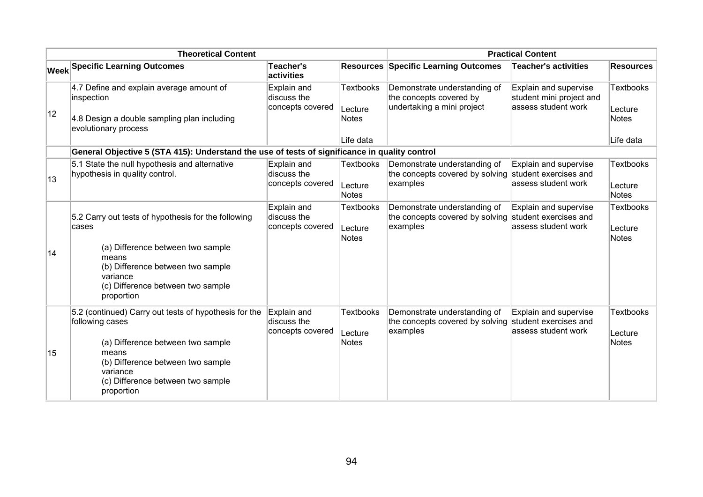| <b>Theoretical Content</b> |                                                                                                                                                                                                                            |                                                | <b>Practical Content</b>             |                                                                                                   |                                                                          |                                       |
|----------------------------|----------------------------------------------------------------------------------------------------------------------------------------------------------------------------------------------------------------------------|------------------------------------------------|--------------------------------------|---------------------------------------------------------------------------------------------------|--------------------------------------------------------------------------|---------------------------------------|
|                            | <b>Week Specific Learning Outcomes</b>                                                                                                                                                                                     | Teacher's<br>activities                        |                                      | <b>Resources Specific Learning Outcomes</b>                                                       | <b>Teacher's activities</b>                                              | <b>Resources</b>                      |
| $ 12\rangle$               | 4.7 Define and explain average amount of<br>inspection<br>4.8 Design a double sampling plan including<br>evolutionary process                                                                                              | Explain and<br>discuss the<br>concepts covered | <b>Textbooks</b><br>Lecture<br>Notes | Demonstrate understanding of<br>the concepts covered by<br>undertaking a mini project             | Explain and supervise<br>student mini project and<br>assess student work | <b>Textbooks</b><br>Lecture<br>Notes  |
|                            |                                                                                                                                                                                                                            |                                                | Life data                            |                                                                                                   |                                                                          | Life data                             |
|                            | General Objective 5 (STA 415): Understand the use of tests of significance in quality control                                                                                                                              |                                                |                                      |                                                                                                   |                                                                          |                                       |
| 13                         | 5.1 State the null hypothesis and alternative<br>hypothesis in quality control.                                                                                                                                            | Explain and<br>discuss the<br>concepts covered | <b>Textbooks</b><br>Lecture<br>Notes | Demonstrate understanding of<br>the concepts covered by solving student exercises and<br>examples | Explain and supervise<br>assess student work                             | <b>Textbooks</b><br>Lecture<br>Notes  |
| 14                         | 5.2 Carry out tests of hypothesis for the following<br>cases<br>(a) Difference between two sample<br>means<br>(b) Difference between two sample<br>variance<br>(c) Difference between two sample<br>proportion             | Explain and<br>discuss the<br>concepts covered | <b>Textbooks</b><br>Lecture<br>Notes | Demonstrate understanding of<br>the concepts covered by solving student exercises and<br>examples | Explain and supervise<br>assess student work                             | <b>Textbooks</b><br>Lecture<br>Notes  |
| 15                         | 5.2 (continued) Carry out tests of hypothesis for the<br>following cases<br>(a) Difference between two sample<br>means<br>(b) Difference between two sample<br>variance<br>(c) Difference between two sample<br>proportion | Explain and<br>discuss the<br>concepts covered | <b>Textbooks</b><br>Lecture<br>Notes | Demonstrate understanding of<br>the concepts covered by solving<br>examples                       | Explain and supervise<br>student exercises and<br>assess student work    | <b>Textbooks</b><br>∣Lecture<br>Notes |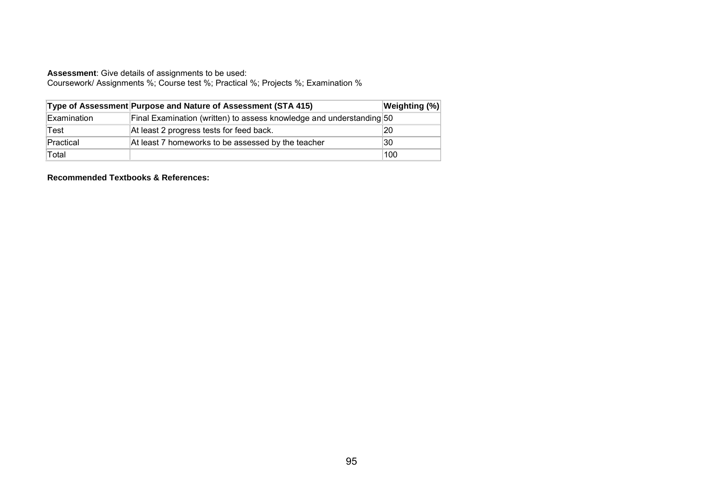Coursework/ Assignments %; Course test %; Practical %; Projects %; Examination %

|             | Type of Assessment Purpose and Nature of Assessment (STA 415)        | <b>Weighting (%)</b> |
|-------------|----------------------------------------------------------------------|----------------------|
| Examination | Final Examination (written) to assess knowledge and understanding 50 |                      |
| Test        | At least 2 progress tests for feed back.                             | 20                   |
| Practical   | At least 7 homeworks to be assessed by the teacher                   | 30                   |
| Total       |                                                                      | 100                  |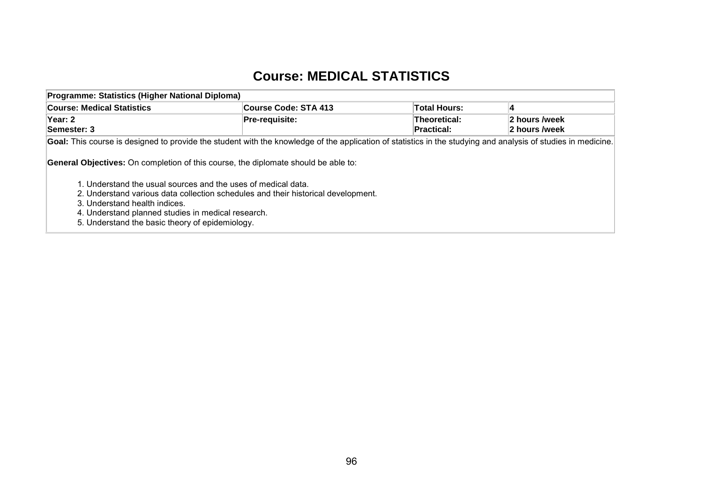### **Course: MEDICAL STATISTICS**

| Programme: Statistics (Higher National Diploma)                                                                                                                                                                                                                                              |                             |                            |                                |  |  |  |  |  |
|----------------------------------------------------------------------------------------------------------------------------------------------------------------------------------------------------------------------------------------------------------------------------------------------|-----------------------------|----------------------------|--------------------------------|--|--|--|--|--|
| <b>Course: Medical Statistics</b>                                                                                                                                                                                                                                                            | <b>Course Code: STA 413</b> | <b>Total Hours:</b>        |                                |  |  |  |  |  |
| Year: 2<br>Semester: 3                                                                                                                                                                                                                                                                       | Pre-requisite:              | Theoretical:<br>Practical: | 2 hours /week<br>2 hours /week |  |  |  |  |  |
| Goal: This course is designed to provide the student with the knowledge of the application of statistics in the studying and analysis of studies in medicine.<br><b>General Objectives:</b> On completion of this course, the diplomate should be able to:                                   |                             |                            |                                |  |  |  |  |  |
| 1. Understand the usual sources and the uses of medical data.<br>2. Understand various data collection schedules and their historical development.<br>3. Understand health indices.<br>4. Understand planned studies in medical research.<br>5. Understand the basic theory of epidemiology. |                             |                            |                                |  |  |  |  |  |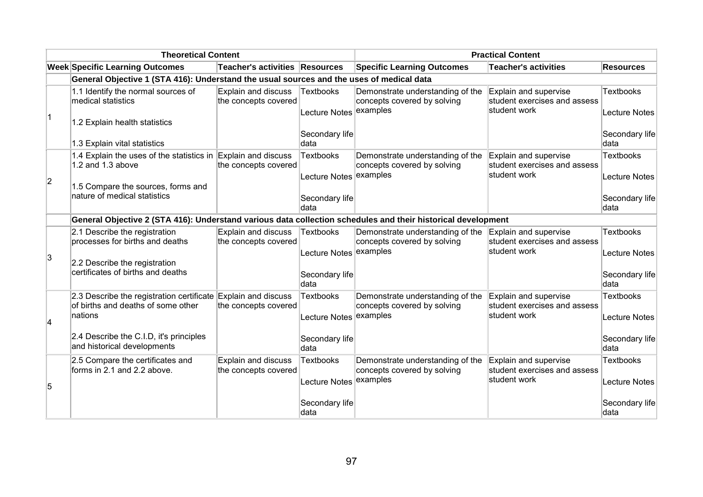| <b>Theoretical Content</b> |                                                                                                              |                                             | <b>Practical Content</b>            |                                                                             |                                                                       |                                          |
|----------------------------|--------------------------------------------------------------------------------------------------------------|---------------------------------------------|-------------------------------------|-----------------------------------------------------------------------------|-----------------------------------------------------------------------|------------------------------------------|
|                            | <b>Week Specific Learning Outcomes</b>                                                                       | Teacher's activities Resources              |                                     | <b>Specific Learning Outcomes</b>                                           | <b>Teacher's activities</b>                                           | <b>Resources</b>                         |
|                            | General Objective 1 (STA 416): Understand the usual sources and the uses of medical data                     |                                             |                                     |                                                                             |                                                                       |                                          |
|                            | 1.1 Identify the normal sources of<br>medical statistics                                                     | Explain and discuss<br>the concepts covered | Textbooks<br>Lecture Notes examples | Demonstrate understanding of the<br>concepts covered by solving             | Explain and supervise<br>student exercises and assess<br>student work | <b>Textbooks</b><br><b>Lecture Notes</b> |
|                            | 1.2 Explain health statistics<br>1.3 Explain vital statistics                                                |                                             | Secondary life<br>data              |                                                                             |                                                                       | Secondary life<br>data                   |
|                            |                                                                                                              |                                             |                                     |                                                                             |                                                                       |                                          |
| 2                          | 1.4 Explain the uses of the statistics in Explain and discuss<br>1.2 and 1.3 above                           | the concepts covered                        | <b>Textbooks</b><br>Lecture Notes   | Demonstrate understanding of the<br>concepts covered by solving<br>examples | Explain and supervise<br>student exercises and assess<br>student work | <b>Textbooks</b><br><b>Lecture Notes</b> |
|                            | 1.5 Compare the sources, forms and<br>nature of medical statistics                                           |                                             | Secondary life<br>data              |                                                                             |                                                                       | Secondary life<br>data                   |
|                            | General Objective 2 (STA 416): Understand various data collection schedules and their historical development |                                             |                                     |                                                                             |                                                                       |                                          |
|                            | 2.1 Describe the registration<br>processes for births and deaths                                             | Explain and discuss<br>the concepts covered | <b>Textbooks</b>                    | Demonstrate understanding of the<br>concepts covered by solving             | Explain and supervise<br>student exercises and assess                 | <b>Textbooks</b>                         |
| 3                          | 2.2 Describe the registration                                                                                |                                             | <b>Lecture Notes</b>                | examples                                                                    | student work                                                          | <b>Lecture Notes</b>                     |
|                            | certificates of births and deaths                                                                            |                                             | Secondary life<br>data              |                                                                             |                                                                       | Secondary life<br>data                   |
|                            | 2.3 Describe the registration certificate Explain and discuss<br>of births and deaths of some other          | the concepts covered                        | <b>Textbooks</b>                    | Demonstrate understanding of the<br>concepts covered by solving             | Explain and supervise<br>student exercises and assess                 | <b>Textbooks</b>                         |
| $\vert$ 4                  | nations                                                                                                      |                                             | Lecture Notes                       | examples                                                                    | student work                                                          | <b>Lecture Notes</b>                     |
|                            | 2.4 Describe the C.I.D, it's principles<br>and historical developments                                       |                                             | Secondary life<br>data              |                                                                             |                                                                       | Secondary life<br><b>data</b>            |
|                            | 2.5 Compare the certificates and<br>forms in 2.1 and 2.2 above.                                              | Explain and discuss<br>the concepts covered | <b>Textbooks</b>                    | Demonstrate understanding of the<br>concepts covered by solving             | Explain and supervise<br>student exercises and assess                 | <b>Textbooks</b>                         |
| 5                          |                                                                                                              |                                             | Lecture Notes                       | examples                                                                    | student work                                                          | <b>Lecture Notes</b>                     |
|                            |                                                                                                              |                                             | Secondary life<br>data              |                                                                             |                                                                       | Secondary life<br>∣data                  |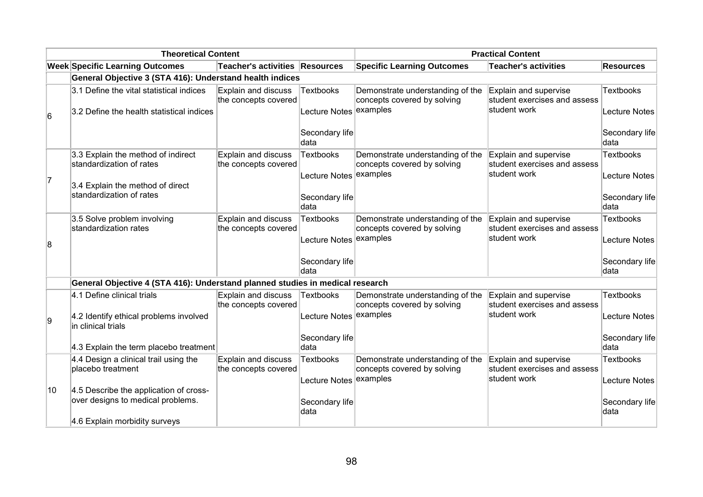| <b>Theoretical Content</b> |                                                                               |                                                    | <b>Practical Content</b> |                                                                 |                                                       |                        |
|----------------------------|-------------------------------------------------------------------------------|----------------------------------------------------|--------------------------|-----------------------------------------------------------------|-------------------------------------------------------|------------------------|
|                            | <b>Week Specific Learning Outcomes</b>                                        | Teacher's activities Resources                     |                          | <b>Specific Learning Outcomes</b>                               | <b>Teacher's activities</b>                           | <b>Resources</b>       |
|                            | General Objective 3 (STA 416): Understand health indices                      |                                                    |                          |                                                                 |                                                       |                        |
|                            | 3.1 Define the vital statistical indices                                      | Explain and discuss<br>the concepts covered        | <b>Textbooks</b>         | Demonstrate understanding of the<br>concepts covered by solving | Explain and supervise<br>student exercises and assess | <b>Textbooks</b>       |
| 6                          | 3.2 Define the health statistical indices                                     |                                                    | Lecture Notes examples   |                                                                 | student work                                          | Lecture Notes          |
|                            |                                                                               |                                                    | Secondary life<br>data   |                                                                 |                                                       | Secondary life<br>data |
|                            | 3.3 Explain the method of indirect<br>standardization of rates                | Explain and discuss<br>the concepts covered        | <b>Textbooks</b>         | Demonstrate understanding of the<br>concepts covered by solving | Explain and supervise<br>student exercises and assess | <b>Textbooks</b>       |
| 7                          | 3.4 Explain the method of direct                                              |                                                    | Lecture Notes            | examples                                                        | student work                                          | Lecture Notes          |
|                            | standardization of rates                                                      |                                                    | Secondary life<br>ldata  |                                                                 |                                                       | Secondary life<br>data |
|                            | 3.5 Solve problem involving<br>standardization rates                          | Explain and discuss<br>the concepts covered        | <b>Textbooks</b>         | Demonstrate understanding of the<br>concepts covered by solving | Explain and supervise<br>student exercises and assess | <b>Textbooks</b>       |
| 8                          |                                                                               |                                                    | Lecture Notes examples   |                                                                 | student work                                          | Lecture Notes          |
|                            |                                                                               |                                                    | Secondary life<br>data   |                                                                 |                                                       | Secondary life<br>data |
|                            | General Objective 4 (STA 416): Understand planned studies in medical research |                                                    |                          |                                                                 |                                                       |                        |
|                            | 4.1 Define clinical trials                                                    | Explain and discuss<br>the concepts covered        | Textbooks                | Demonstrate understanding of the<br>concepts covered by solving | Explain and supervise<br>student exercises and assess | <b>Textbooks</b>       |
| 9                          | 4.2 Identify ethical problems involved<br>in clinical trials                  |                                                    | Lecture Notes examples   |                                                                 | student work                                          | Lecture Notes          |
|                            | 4.3 Explain the term placebo treatment                                        |                                                    | Secondary life<br>data   |                                                                 |                                                       | Secondary life<br>data |
|                            | 4.4 Design a clinical trail using the<br>placebo treatment                    | <b>Explain and discuss</b><br>the concepts covered | <b>Textbooks</b>         | Demonstrate understanding of the<br>concepts covered by solving | Explain and supervise<br>student exercises and assess | <b>Textbooks</b>       |
| 10                         | 4.5 Describe the application of cross-                                        |                                                    | Lecture Notes examples   |                                                                 | student work                                          | Lecture Notes          |
|                            | over designs to medical problems.                                             |                                                    | Secondary life<br>data   |                                                                 |                                                       | Secondary life<br>data |
|                            | 4.6 Explain morbidity surveys                                                 |                                                    |                          |                                                                 |                                                       |                        |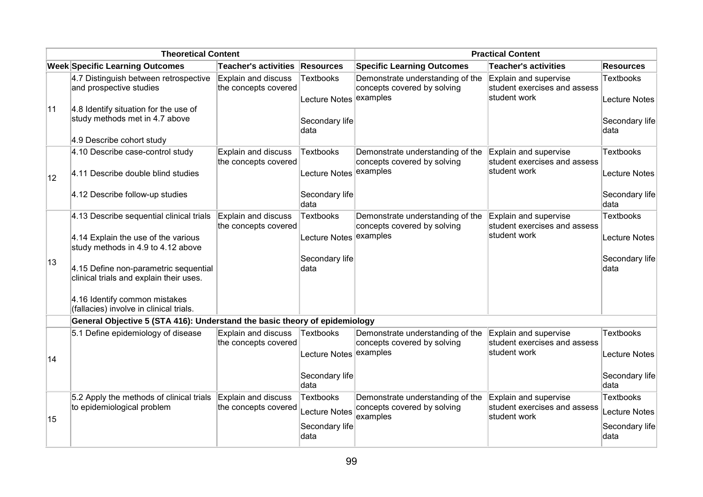| <b>Theoretical Content</b> |                                                                                  |                                             | <b>Practical Content</b>                   |                                                                 |                                                                       |                                          |
|----------------------------|----------------------------------------------------------------------------------|---------------------------------------------|--------------------------------------------|-----------------------------------------------------------------|-----------------------------------------------------------------------|------------------------------------------|
|                            | <b>Week Specific Learning Outcomes</b>                                           | <b>Teacher's activities</b>                 | <b>Resources</b>                           | <b>Specific Learning Outcomes</b>                               | <b>Teacher's activities</b>                                           | <b>Resources</b>                         |
|                            | 4.7 Distinguish between retrospective<br>and prospective studies                 | Explain and discuss<br>the concepts covered | <b>Textbooks</b><br>Lecture Notes examples | Demonstrate understanding of the<br>concepts covered by solving | Explain and supervise<br>student exercises and assess<br>student work | <b>Textbooks</b><br><b>Lecture Notes</b> |
| 11                         | 4.8 Identify situation for the use of<br>study methods met in 4.7 above          |                                             | Secondary life<br>data                     |                                                                 |                                                                       | Secondary life<br>data                   |
|                            | 4.9 Describe cohort study                                                        |                                             |                                            |                                                                 |                                                                       |                                          |
|                            | 4.10 Describe case-control study                                                 | Explain and discuss<br>the concepts covered | <b>Textbooks</b>                           | Demonstrate understanding of the<br>concepts covered by solving | Explain and supervise<br>student exercises and assess                 | <b>Textbooks</b>                         |
| 12                         | 4.11 Describe double blind studies                                               |                                             | Lecture Notes examples                     |                                                                 | student work                                                          | <b>Lecture Notes</b>                     |
|                            | 4.12 Describe follow-up studies                                                  |                                             | Secondary life<br>data                     |                                                                 |                                                                       | Secondary life<br>data                   |
|                            | 4.13 Describe sequential clinical trials                                         | Explain and discuss<br>the concepts covered | <b>Textbooks</b>                           | Demonstrate understanding of the<br>concepts covered by solving | Explain and supervise<br>student exercises and assess                 | <b>Textbooks</b>                         |
|                            | 4.14 Explain the use of the various<br>study methods in 4.9 to 4.12 above        |                                             | <b>Lecture Notes</b>                       | examples                                                        | student work                                                          | <b>Lecture Notes</b>                     |
| 13                         | 4.15 Define non-parametric sequential<br>clinical trials and explain their uses. |                                             | Secondary life<br>data                     |                                                                 |                                                                       | Secondary life<br>data                   |
|                            | 4.16 Identify common mistakes<br>(fallacies) involve in clinical trials.         |                                             |                                            |                                                                 |                                                                       |                                          |
|                            | General Objective 5 (STA 416): Understand the basic theory of epidemiology       |                                             |                                            |                                                                 |                                                                       |                                          |
|                            | 5.1 Define epidemiology of disease                                               | Explain and discuss<br>the concepts covered | <b>Textbooks</b>                           | Demonstrate understanding of the<br>concepts covered by solving | Explain and supervise<br>student exercises and assess                 | <b>Textbooks</b>                         |
| 14                         |                                                                                  |                                             | <b>Lecture Notes</b>                       | examples                                                        | student work                                                          | <b>Lecture Notes</b>                     |
|                            |                                                                                  |                                             | Secondary life<br>data                     |                                                                 |                                                                       | Secondary life<br>data                   |
|                            | 5.2 Apply the methods of clinical trials                                         | Explain and discuss                         | <b>Textbooks</b>                           | Demonstrate understanding of the                                | Explain and supervise                                                 | <b>Textbooks</b>                         |
| 15                         | to epidemiological problem                                                       | the concepts covered                        | <b>Lecture Notes</b>                       | concepts covered by solving<br>examples                         | student exercises and assess<br>student work                          | <b>Lecture Notes</b>                     |
|                            |                                                                                  |                                             | Secondary life<br>data                     |                                                                 |                                                                       | Secondary life<br>data                   |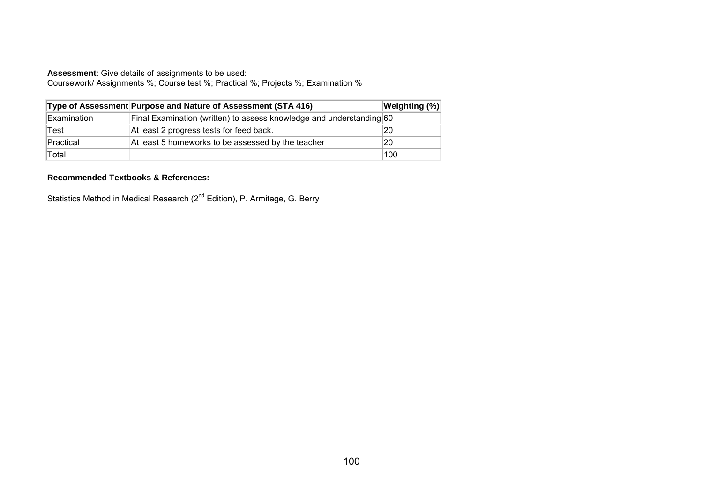Coursework/ Assignments %; Course test %; Practical %; Projects %; Examination %

|             | Type of Assessment Purpose and Nature of Assessment (STA 416)        | <b>Weighting (%)</b> |
|-------------|----------------------------------------------------------------------|----------------------|
| Examination | Final Examination (written) to assess knowledge and understanding 60 |                      |
| Test        | At least 2 progress tests for feed back.                             | 20                   |
| Practical   | At least 5 homeworks to be assessed by the teacher                   | 20                   |
| Total       |                                                                      | 100                  |

#### **Recommended Textbooks & References:**

Statistics Method in Medical Research (2<sup>nd</sup> Edition), P. Armitage, G. Berry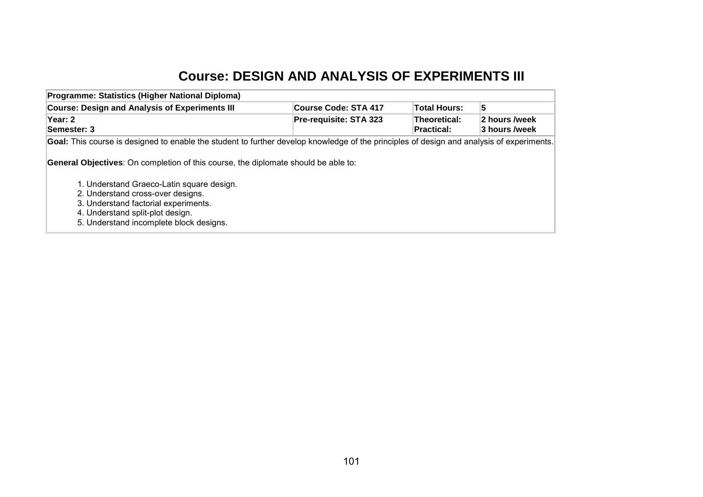## **Course: DESIGN AND ANALYSIS OF EXPERIMENTS III**

| Programme: Statistics (Higher National Diploma)                                                                                                                                                                                                                                                    |                             |                            |                                |
|----------------------------------------------------------------------------------------------------------------------------------------------------------------------------------------------------------------------------------------------------------------------------------------------------|-----------------------------|----------------------------|--------------------------------|
| <b>Course: Design and Analysis of Experiments III</b>                                                                                                                                                                                                                                              | <b>Course Code: STA 417</b> | <b>Total Hours:</b>        | 5                              |
| Year: 2<br>Semester: 3                                                                                                                                                                                                                                                                             | Pre-requisite: STA 323      | Theoretical:<br>Practical: | 2 hours /week<br>3 hours /week |
| Goal: This course is designed to enable the student to further develop knowledge of the principles of design and analysis of experiments.                                                                                                                                                          |                             |                            |                                |
| <b>General Objectives:</b> On completion of this course, the diplomate should be able to:<br>1. Understand Graeco-Latin square design.<br>2. Understand cross-over designs.<br>3. Understand factorial experiments.<br>4. Understand split-plot design.<br>5. Understand incomplete block designs. |                             |                            |                                |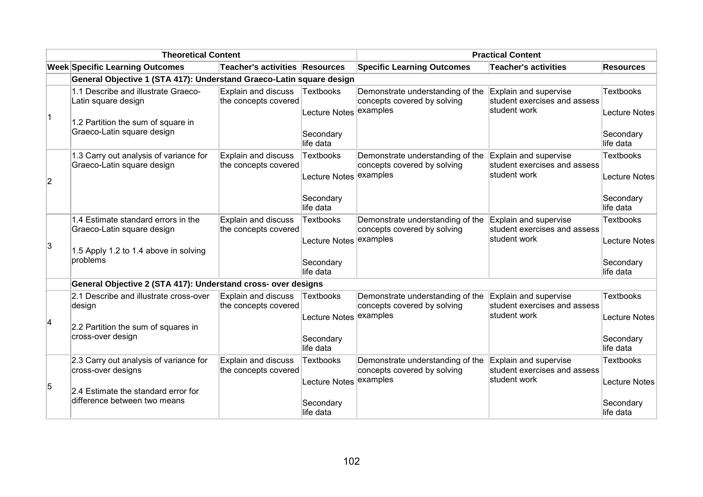|                | <b>Theoretical Content</b>                                                                                             |                                             |                                                         | <b>Practical Content</b>                                                                          |                                                                       |                                                |
|----------------|------------------------------------------------------------------------------------------------------------------------|---------------------------------------------|---------------------------------------------------------|---------------------------------------------------------------------------------------------------|-----------------------------------------------------------------------|------------------------------------------------|
|                | <b>Week Specific Learning Outcomes</b>                                                                                 | Teacher's activities Resources              |                                                         | <b>Specific Learning Outcomes</b>                                                                 | <b>Teacher's activities</b>                                           | <b>Resources</b>                               |
|                | General Objective 1 (STA 417): Understand Graeco-Latin square design                                                   |                                             |                                                         |                                                                                                   |                                                                       |                                                |
| $\overline{1}$ | 1.1 Describe and illustrate Graeco-<br>Latin square design<br>1.2 Partition the sum of square in                       | Explain and discuss<br>the concepts covered | Textbooks<br>Lecture Notes examples                     | Demonstrate understanding of the<br>concepts covered by solving                                   | Explain and supervise<br>student exercises and assess<br>student work | <b>Textbooks</b><br>Lecture Notes              |
|                | Graeco-Latin square design                                                                                             |                                             | Secondary<br>life data                                  |                                                                                                   |                                                                       | Secondary<br>life data                         |
| $\overline{2}$ | 1.3 Carry out analysis of variance for<br>Graeco-Latin square design                                                   | Explain and discuss<br>the concepts covered | <b>Textbooks</b><br>Lecture Notes                       | Demonstrate understanding of the Explain and supervise<br>concepts covered by solving<br>examples | student exercises and assess<br>student work                          | <b>Textbooks</b><br>Lecture Notes              |
|                |                                                                                                                        |                                             | Secondary<br>life data                                  |                                                                                                   |                                                                       | Secondary<br>life data                         |
| 3              | 1.4 Estimate standard errors in the<br>Graeco-Latin square design<br>1.5 Apply 1.2 to 1.4 above in solving<br>problems | Explain and discuss<br>the concepts covered | <b>Textbooks</b><br>Lecture Notes examples<br>Secondary | Demonstrate understanding of the<br>concepts covered by solving                                   | Explain and supervise<br>student exercises and assess<br>student work | <b>Textbooks</b><br>Lecture Notes<br>Secondary |
|                | General Objective 2 (STA 417): Understand cross- over designs                                                          |                                             | life data                                               |                                                                                                   |                                                                       | life data                                      |
|                | 2.1 Describe and illustrate cross-over                                                                                 | <b>Explain and discuss</b>                  | Textbooks                                               | Demonstrate understanding of the                                                                  | Explain and supervise                                                 | Textbooks                                      |
| 4              | design<br>2.2 Partition the sum of squares in                                                                          | the concepts covered                        | Lecture Notes                                           | concepts covered by solving<br>examples                                                           | student exercises and assess<br>student work                          | Lecture Notes                                  |
|                | cross-over design                                                                                                      |                                             | Secondary<br>life data                                  |                                                                                                   |                                                                       | Secondary<br>life data                         |
| 5              | 2.3 Carry out analysis of variance for<br>cross-over designs                                                           | Explain and discuss<br>the concepts covered | <b>Textbooks</b><br>Lecture Notes                       | Demonstrate understanding of the<br>concepts covered by solving<br>examples                       | Explain and supervise<br>student exercises and assess<br>student work | <b>Textbooks</b><br><b>Lecture Notes</b>       |
|                | 2.4 Estimate the standard error for<br>difference between two means                                                    |                                             | Secondary<br>life data                                  |                                                                                                   |                                                                       | Secondary<br>life data                         |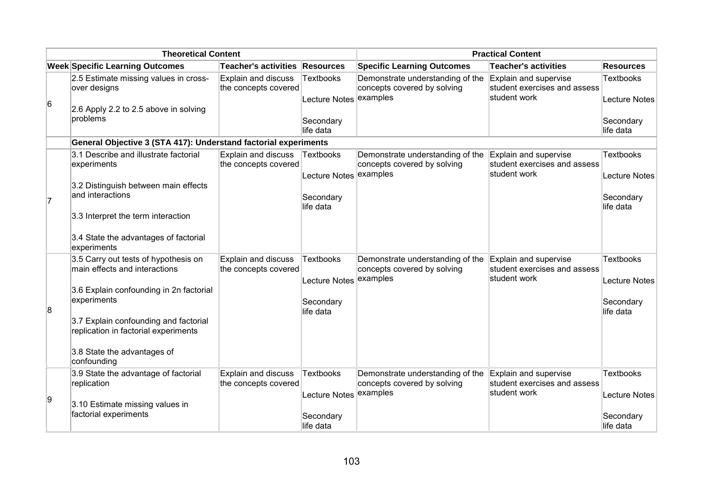| <b>Theoretical Content</b> |                                                                                                                                                                                                                                                                |                                             |                                                                      | <b>Practical Content</b>                                                    |                                                                       |                                                             |
|----------------------------|----------------------------------------------------------------------------------------------------------------------------------------------------------------------------------------------------------------------------------------------------------------|---------------------------------------------|----------------------------------------------------------------------|-----------------------------------------------------------------------------|-----------------------------------------------------------------------|-------------------------------------------------------------|
|                            | <b>Week Specific Learning Outcomes</b>                                                                                                                                                                                                                         | Teacher's activities Resources              |                                                                      | <b>Specific Learning Outcomes</b>                                           | <b>Teacher's activities</b>                                           | <b>Resources</b>                                            |
| $6\overline{6}$            | 2.5 Estimate missing values in cross-<br>over designs<br>2.6 Apply 2.2 to 2.5 above in solving<br>problems                                                                                                                                                     | Explain and discuss<br>the concepts covered | <b>Textbooks</b><br>Lecture Notes<br>Secondary<br>llife data         | Demonstrate understanding of the<br>concepts covered by solving<br>examples | Explain and supervise<br>student exercises and assess<br>student work | Textbooks<br>Lecture Notes<br>Secondary<br>llife data       |
|                            | General Objective 3 (STA 417): Understand factorial experiments                                                                                                                                                                                                |                                             |                                                                      |                                                                             |                                                                       |                                                             |
| 7                          | 3.1 Describe and illustrate factorial<br>experiments<br>3.2 Distinguish between main effects<br>and interactions                                                                                                                                               | Explain and discuss<br>the concepts covered | Textbooks<br>Lecture Notes examples<br>Secondary<br>life data        | Demonstrate understanding of the<br>concepts covered by solving             | Explain and supervise<br>student exercises and assess<br>student work | Textbooks<br><b>Lecture Notes</b><br>Secondary<br>life data |
|                            | 3.3 Interpret the term interaction<br>3.4 State the advantages of factorial<br>experiments                                                                                                                                                                     |                                             |                                                                      |                                                                             |                                                                       |                                                             |
| $\overline{8}$             | 3.5 Carry out tests of hypothesis on<br>main effects and interactions<br>3.6 Explain confounding in 2n factorial<br>experiments<br>3.7 Explain confounding and factorial<br>replication in factorial experiments<br>3.8 State the advantages of<br>confounding | Explain and discuss<br>the concepts covered | <b>Textbooks</b><br>Lecture Notes<br>Secondary<br>life data          | Demonstrate understanding of the<br>concepts covered by solving<br>examples | Explain and supervise<br>student exercises and assess<br>student work | Textbooks<br>Lecture Notes<br>Secondary<br>life data        |
| 9                          | 3.9 State the advantage of factorial<br>replication<br>3.10 Estimate missing values in<br>factorial experiments                                                                                                                                                | Explain and discuss<br>the concepts covered | <b>Textbooks</b><br>Lecture Notes examples<br>Secondary<br>life data | Demonstrate understanding of the<br>concepts covered by solving             | Explain and supervise<br>student exercises and assess<br>student work | Textbooks<br>Lecture Notes<br>Secondary<br>life data        |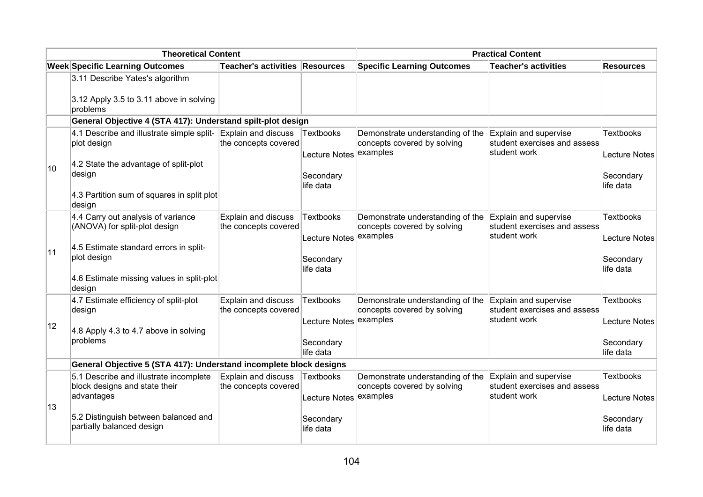| <b>Theoretical Content</b> |                                                                                                                                                                                                |                                             | <b>Practical Content</b>                                             |                                                                                       |                                                                       |                                                             |  |
|----------------------------|------------------------------------------------------------------------------------------------------------------------------------------------------------------------------------------------|---------------------------------------------|----------------------------------------------------------------------|---------------------------------------------------------------------------------------|-----------------------------------------------------------------------|-------------------------------------------------------------|--|
|                            | <b>Week Specific Learning Outcomes</b>                                                                                                                                                         | Teacher's activities Resources              |                                                                      | <b>Specific Learning Outcomes</b>                                                     | <b>Teacher's activities</b>                                           | <b>Resources</b>                                            |  |
|                            | 3.11 Describe Yates's algorithm<br>$3.12$ Apply 3.5 to 3.11 above in solving<br>problems                                                                                                       |                                             |                                                                      |                                                                                       |                                                                       |                                                             |  |
|                            | General Objective 4 (STA 417): Understand spilt-plot design                                                                                                                                    |                                             |                                                                      |                                                                                       |                                                                       |                                                             |  |
| 10                         | 4.1 Describe and illustrate simple split- $\mathsf{Explain}$ and discuss<br>plot design<br>4.2 State the advantage of split-plot                                                               | the concepts covered                        | <b>Textbooks</b><br>Lecture Notes                                    | Demonstrate understanding of the<br>concepts covered by solving<br>examples           | Explain and supervise<br>student exercises and assess<br>student work | Textbooks<br>Lecture Notes                                  |  |
|                            | design<br>4.3 Partition sum of squares in split plot                                                                                                                                           |                                             | Secondary<br>llife data                                              |                                                                                       |                                                                       | Secondary<br>life data                                      |  |
| 11                         | design<br>4.4 Carry out analysis of variance<br>(ANOVA) for split-plot design<br>4.5 Estimate standard errors in split-<br>plot design<br>4.6 Estimate missing values in split-plot<br>∣design | Explain and discuss<br>the concepts covered | <b>Textbooks</b><br>Lecture Notes examples<br>Secondary<br>life data | Demonstrate understanding of the<br>concepts covered by solving                       | Explain and supervise<br>student exercises and assess<br>student work | <b>Textbooks</b><br>Lecture Notes<br>Secondary<br>life data |  |
| 12                         | 4.7 Estimate efficiency of split-plot<br>design<br>4.8 Apply 4.3 to 4.7 above in solving<br>problems                                                                                           | Explain and discuss<br>the concepts covered | <b>Textbooks</b><br>Lecture Notes examples<br>Secondary<br>life data | Demonstrate understanding of the Explain and supervise<br>concepts covered by solving | student exercises and assess<br>student work                          | Textbooks<br>Lecture Notes<br>Secondary<br>life data        |  |
|                            | General Objective 5 (STA 417): Understand incomplete block designs                                                                                                                             |                                             |                                                                      |                                                                                       |                                                                       |                                                             |  |
| 13                         | 5.1 Describe and illustrate incomplete<br>block designs and state their<br>advantages                                                                                                          | Explain and discuss<br>the concepts covered | Textbooks<br>Lecture Notes examples                                  | Demonstrate understanding of the<br>concepts covered by solving                       | Explain and supervise<br>student exercises and assess<br>student work | <b>Textbooks</b><br>Lecture Notes                           |  |
|                            | 5.2 Distinguish between balanced and<br>partially balanced design                                                                                                                              |                                             | Secondary<br>life data                                               |                                                                                       |                                                                       | Secondary<br>life data                                      |  |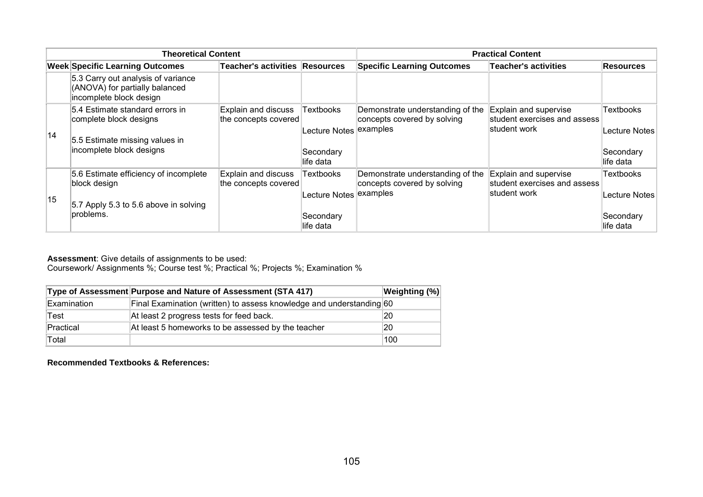| <b>Theoretical Content</b> |                                                                                                                         |                                             | <b>Practical Content</b>                         |                                                                             |                                                                       |                                         |
|----------------------------|-------------------------------------------------------------------------------------------------------------------------|---------------------------------------------|--------------------------------------------------|-----------------------------------------------------------------------------|-----------------------------------------------------------------------|-----------------------------------------|
|                            | <b>Week Specific Learning Outcomes</b>                                                                                  | Teacher's activities Resources              |                                                  | <b>Specific Learning Outcomes</b>                                           | <b>Teacher's activities</b>                                           | <b>Resources</b>                        |
|                            | 5.3 Carry out analysis of variance<br>(ANOVA) for partially balanced<br>incomplete block design                         |                                             |                                                  |                                                                             |                                                                       |                                         |
| 14                         | 5.4 Estimate standard errors in<br>complete block designs<br>5.5 Estimate missing values in<br>incomplete block designs | Explain and discuss<br>the concepts covered | Textbooks<br>Lecture Notes examples<br>Secondary | Demonstrate understanding of the<br>concepts covered by solving             | Explain and supervise<br>student exercises and assess<br>student work | Textbooks<br>Lecture Notes<br>Secondary |
|                            |                                                                                                                         |                                             | life data                                        |                                                                             |                                                                       | life data                               |
| 15                         | 5.6 Estimate efficiency of incomplete<br>block design                                                                   | Explain and discuss<br>the concepts covered | Textbooks<br>Lecture Notes <sup> </sup>          | Demonstrate understanding of the<br>concepts covered by solving<br>examples | Explain and supervise<br>student exercises and assess<br>student work | Textbooks<br>Lecture Notes              |
|                            | 5.7 Apply 5.3 to 5.6 above in solving<br>problems.                                                                      |                                             | Secondary<br>life data                           |                                                                             |                                                                       | Secondary<br>llife data                 |

Coursework/ Assignments %; Course test %; Practical %; Projects %; Examination %

|             | Type of Assessment Purpose and Nature of Assessment (STA 417)        | <b>Weighting (%)</b> |
|-------------|----------------------------------------------------------------------|----------------------|
| Examination | Final Examination (written) to assess knowledge and understanding 60 |                      |
| Test        | At least 2 progress tests for feed back.                             | 20                   |
| Practical   | At least 5 homeworks to be assessed by the teacher                   | 20                   |
| Total       |                                                                      | 100                  |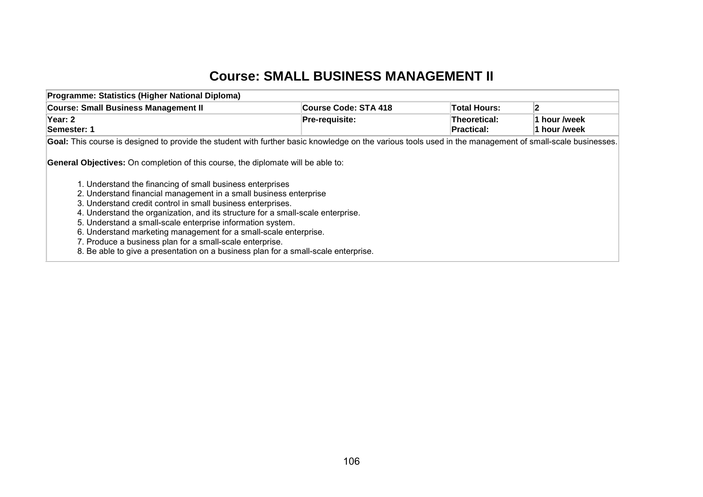## **Course: SMALL BUSINESS MANAGEMENT II**

| Programme: Statistics (Higher National Diploma)                                                                                                                                                                                                                                                                                                                                                                                                                                                                                                                                                                                                                                                                                                                                                                             |                      |                                   |                              |  |  |
|-----------------------------------------------------------------------------------------------------------------------------------------------------------------------------------------------------------------------------------------------------------------------------------------------------------------------------------------------------------------------------------------------------------------------------------------------------------------------------------------------------------------------------------------------------------------------------------------------------------------------------------------------------------------------------------------------------------------------------------------------------------------------------------------------------------------------------|----------------------|-----------------------------------|------------------------------|--|--|
| <b>Course: Small Business Management II</b>                                                                                                                                                                                                                                                                                                                                                                                                                                                                                                                                                                                                                                                                                                                                                                                 | Course Code: STA 418 | <b>Total Hours:</b>               | $\overline{2}$               |  |  |
| Year: 2<br>Semester: 1                                                                                                                                                                                                                                                                                                                                                                                                                                                                                                                                                                                                                                                                                                                                                                                                      | Pre-requisite:       | Theoretical:<br><b>Practical:</b> | 1 hour /week<br>1 hour /week |  |  |
|                                                                                                                                                                                                                                                                                                                                                                                                                                                                                                                                                                                                                                                                                                                                                                                                                             |                      |                                   |                              |  |  |
| Goal: This course is designed to provide the student with further basic knowledge on the various tools used in the management of small-scale businesses.<br><b>General Objectives:</b> On completion of this course, the diplomate will be able to:<br>1. Understand the financing of small business enterprises<br>2. Understand financial management in a small business enterprise<br>3. Understand credit control in small business enterprises.<br>4. Understand the organization, and its structure for a small-scale enterprise.<br>5. Understand a small-scale enterprise information system.<br>6. Understand marketing management for a small-scale enterprise.<br>7. Produce a business plan for a small-scale enterprise.<br>8. Be able to give a presentation on a business plan for a small-scale enterprise. |                      |                                   |                              |  |  |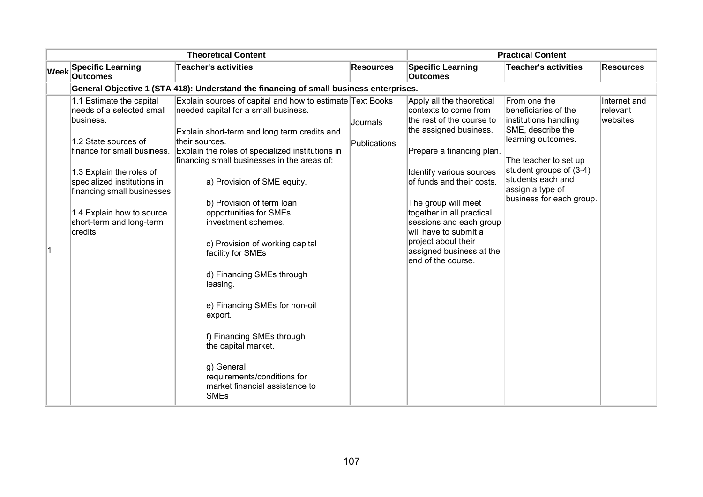| <b>Theoretical Content</b> |                                                                                                                                                                                                                                                                                         |                                                                                                                                                                                                                                                                                                                                                                                                                                                                                                                                                                                                                                                                                    |                          | <b>Practical Content</b>                                                                                                                                                                                                                                                                                                                                                         |                                                                                                                                                                                                                                   |                                      |
|----------------------------|-----------------------------------------------------------------------------------------------------------------------------------------------------------------------------------------------------------------------------------------------------------------------------------------|------------------------------------------------------------------------------------------------------------------------------------------------------------------------------------------------------------------------------------------------------------------------------------------------------------------------------------------------------------------------------------------------------------------------------------------------------------------------------------------------------------------------------------------------------------------------------------------------------------------------------------------------------------------------------------|--------------------------|----------------------------------------------------------------------------------------------------------------------------------------------------------------------------------------------------------------------------------------------------------------------------------------------------------------------------------------------------------------------------------|-----------------------------------------------------------------------------------------------------------------------------------------------------------------------------------------------------------------------------------|--------------------------------------|
| <b>Week</b>                | <b>Specific Learning</b><br><b>Outcomes</b>                                                                                                                                                                                                                                             | <b>Teacher's activities</b>                                                                                                                                                                                                                                                                                                                                                                                                                                                                                                                                                                                                                                                        | <b>Resources</b>         | <b>Specific Learning</b><br><b>Outcomes</b>                                                                                                                                                                                                                                                                                                                                      | <b>Teacher's activities</b>                                                                                                                                                                                                       | <b>Resources</b>                     |
|                            |                                                                                                                                                                                                                                                                                         | General Objective 1 (STA 418): Understand the financing of small business enterprises.                                                                                                                                                                                                                                                                                                                                                                                                                                                                                                                                                                                             |                          |                                                                                                                                                                                                                                                                                                                                                                                  |                                                                                                                                                                                                                                   |                                      |
|                            | 1.1 Estimate the capital<br>needs of a selected small<br>business.<br>1.2 State sources of<br>finance for small business.<br>1.3 Explain the roles of<br>specialized institutions in<br>financing small businesses.<br>1.4 Explain how to source<br>short-term and long-term<br>credits | Explain sources of capital and how to estimate Text Books<br>needed capital for a small business.<br>Explain short-term and long term credits and<br>their sources.<br>Explain the roles of specialized institutions in<br>financing small businesses in the areas of:<br>a) Provision of SME equity.<br>b) Provision of term loan<br>opportunities for SMEs<br>investment schemes.<br>c) Provision of working capital<br>facility for SMEs<br>d) Financing SMEs through<br>leasing.<br>e) Financing SMEs for non-oil<br>export.<br>f) Financing SMEs through<br>the capital market.<br>g) General<br>requirements/conditions for<br>market financial assistance to<br><b>SMEs</b> | Journals<br>Publications | Apply all the theoretical<br>contexts to come from<br>the rest of the course to<br>the assigned business.<br>Prepare a financing plan.<br>Identify various sources<br>of funds and their costs.<br>The group will meet<br>together in all practical<br>sessions and each group<br>will have to submit a<br>project about their<br>assigned business at the<br>end of the course. | From one the<br>beneficiaries of the<br>institutions handling<br>SME, describe the<br>learning outcomes.<br>The teacher to set up<br>student groups of (3-4)<br>students each and<br>assign a type of<br>business for each group. | Internet and<br>relevant<br>websites |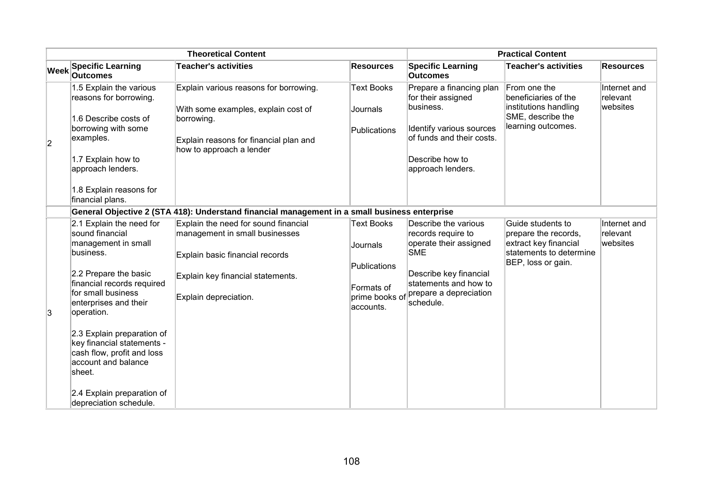| <b>Theoretical Content</b> |                                                                                                                                                                                                                                                                                                                                |                                                                                                                                                                         |                                                                                            | <b>Practical Content</b>                                                                                                                                                     |                                                                                                                     |                                      |
|----------------------------|--------------------------------------------------------------------------------------------------------------------------------------------------------------------------------------------------------------------------------------------------------------------------------------------------------------------------------|-------------------------------------------------------------------------------------------------------------------------------------------------------------------------|--------------------------------------------------------------------------------------------|------------------------------------------------------------------------------------------------------------------------------------------------------------------------------|---------------------------------------------------------------------------------------------------------------------|--------------------------------------|
| <b>Week</b>                | <b>Specific Learning</b><br><b>Outcomes</b>                                                                                                                                                                                                                                                                                    | <b>Teacher's activities</b>                                                                                                                                             | <b>Resources</b>                                                                           | <b>Specific Learning</b><br><b>Outcomes</b>                                                                                                                                  | <b>Teacher's activities</b>                                                                                         | <b>Resources</b>                     |
| $ 2\rangle$                | 1.5 Explain the various<br>reasons for borrowing.<br>1.6 Describe costs of<br>borrowing with some<br>examples.<br>1.7 Explain how to<br>approach lenders.<br>1.8 Explain reasons for<br>financial plans.                                                                                                                       | Explain various reasons for borrowing.<br>With some examples, explain cost of<br>borrowing.<br>Explain reasons for financial plan and<br>how to approach a lender       | <b>Text Books</b><br>Journals<br>Publications                                              | Prepare a financing plan<br>for their assigned<br>business.<br>Identify various sources<br>of funds and their costs.<br>Describe how to<br>approach lenders.                 | From one the<br>beneficiaries of the<br>institutions handling<br>SME, describe the<br>learning outcomes.            | Internet and<br>relevant<br>websites |
|                            |                                                                                                                                                                                                                                                                                                                                | General Objective 2 (STA 418): Understand financial management in a small business enterprise                                                                           |                                                                                            |                                                                                                                                                                              |                                                                                                                     |                                      |
| 3                          | 2.1 Explain the need for<br>sound financial<br>management in small<br>business.<br>2.2 Prepare the basic<br>financial records required<br>for small business<br>enterprises and their<br>operation.<br>2.3 Explain preparation of<br>key financial statements -<br>cash flow, profit and loss<br>account and balance<br>sheet. | Explain the need for sound financial<br>management in small businesses<br>Explain basic financial records<br>Explain key financial statements.<br>Explain depreciation. | <b>Text Books</b><br>Journals<br>Publications<br>Formats of<br>prime books of<br>accounts. | Describe the various<br>records require to<br>operate their assigned<br><b>SME</b><br>Describe key financial<br>statements and how to<br>prepare a depreciation<br>schedule. | Guide students to<br>prepare the records,<br>extract key financial<br>statements to determine<br>BEP, loss or gain. | Internet and<br>relevant<br>websites |
|                            | 2.4 Explain preparation of<br>depreciation schedule.                                                                                                                                                                                                                                                                           |                                                                                                                                                                         |                                                                                            |                                                                                                                                                                              |                                                                                                                     |                                      |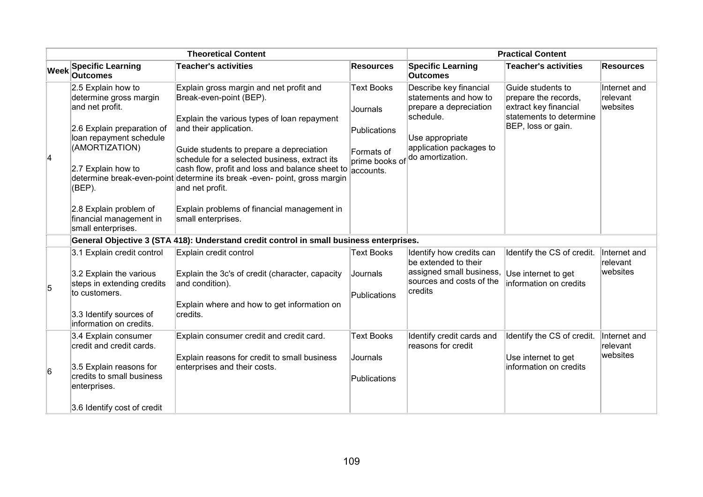| <b>Theoretical Content</b> |                                                                                                                                                                                                      |                                                                                                                                                                                                                                                                                                                                                                                                                                            | <b>Practical Content</b>                                                                   |                                                                                                                                                          |                                                                                                                     |                                      |
|----------------------------|------------------------------------------------------------------------------------------------------------------------------------------------------------------------------------------------------|--------------------------------------------------------------------------------------------------------------------------------------------------------------------------------------------------------------------------------------------------------------------------------------------------------------------------------------------------------------------------------------------------------------------------------------------|--------------------------------------------------------------------------------------------|----------------------------------------------------------------------------------------------------------------------------------------------------------|---------------------------------------------------------------------------------------------------------------------|--------------------------------------|
| <b>Week</b>                | <b>Specific Learning</b><br><b>Outcomes</b>                                                                                                                                                          | <b>Teacher's activities</b>                                                                                                                                                                                                                                                                                                                                                                                                                | <b>Resources</b>                                                                           | <b>Specific Learning</b><br><b>Outcomes</b>                                                                                                              | <b>Teacher's activities</b>                                                                                         | <b>Resources</b>                     |
| 4                          | 2.5 Explain how to<br>determine gross margin<br>and net profit.<br>2.6 Explain preparation of<br>loan repayment schedule<br>(AMORTIZATION)<br>2.7 Explain how to<br>(BEP).<br>2.8 Explain problem of | Explain gross margin and net profit and<br>Break-even-point (BEP).<br>Explain the various types of loan repayment<br>and their application.<br>Guide students to prepare a depreciation<br>schedule for a selected business, extract its<br>cash flow, profit and loss and balance sheet to<br>determine break-even-point determine its break -even- point, gross margin<br>and net profit.<br>Explain problems of financial management in | <b>Text Books</b><br>Journals<br>Publications<br>Formats of<br>prime books of<br>accounts. | Describe key financial<br>statements and how to<br>prepare a depreciation<br>schedule.<br>Use appropriate<br>application packages to<br>do amortization. | Guide students to<br>prepare the records,<br>extract key financial<br>statements to determine<br>BEP, loss or gain. | Internet and<br>relevant<br>websites |
|                            | financial management in<br>small enterprises.                                                                                                                                                        | small enterprises.                                                                                                                                                                                                                                                                                                                                                                                                                         |                                                                                            |                                                                                                                                                          |                                                                                                                     |                                      |
|                            |                                                                                                                                                                                                      | General Objective 3 (STA 418): Understand credit control in small business enterprises.                                                                                                                                                                                                                                                                                                                                                    |                                                                                            |                                                                                                                                                          |                                                                                                                     |                                      |
|                            | 3.1 Explain credit control                                                                                                                                                                           | Explain credit control                                                                                                                                                                                                                                                                                                                                                                                                                     | <b>Text Books</b>                                                                          | Identify how credits can<br>be extended to their                                                                                                         | Identify the CS of credit.                                                                                          | Internet and<br>relevant             |
| 5                          | 3.2 Explain the various<br>steps in extending credits                                                                                                                                                | Explain the 3c's of credit (character, capacity<br>and condition).                                                                                                                                                                                                                                                                                                                                                                         | Journals                                                                                   | assigned small business,<br>sources and costs of the<br>credits                                                                                          | Use internet to get<br>information on credits                                                                       | websites                             |
|                            | to customers.                                                                                                                                                                                        |                                                                                                                                                                                                                                                                                                                                                                                                                                            | Publications                                                                               |                                                                                                                                                          |                                                                                                                     |                                      |
|                            | 3.3 Identify sources of<br>linformation on credits.                                                                                                                                                  | Explain where and how to get information on<br>credits.                                                                                                                                                                                                                                                                                                                                                                                    |                                                                                            |                                                                                                                                                          |                                                                                                                     |                                      |
|                            | 3.4 Explain consumer<br>credit and credit cards.                                                                                                                                                     | Explain consumer credit and credit card.                                                                                                                                                                                                                                                                                                                                                                                                   | <b>Text Books</b>                                                                          | Identify credit cards and<br>reasons for credit                                                                                                          | Identify the CS of credit.                                                                                          | Internet and<br>relevant             |
| 6                          | 3.5 Explain reasons for<br>credits to small business<br>enterprises.                                                                                                                                 | Explain reasons for credit to small business<br>enterprises and their costs.                                                                                                                                                                                                                                                                                                                                                               | Journals<br>Publications                                                                   |                                                                                                                                                          | Use internet to get<br>information on credits                                                                       | websites                             |
|                            | 3.6 Identify cost of credit                                                                                                                                                                          |                                                                                                                                                                                                                                                                                                                                                                                                                                            |                                                                                            |                                                                                                                                                          |                                                                                                                     |                                      |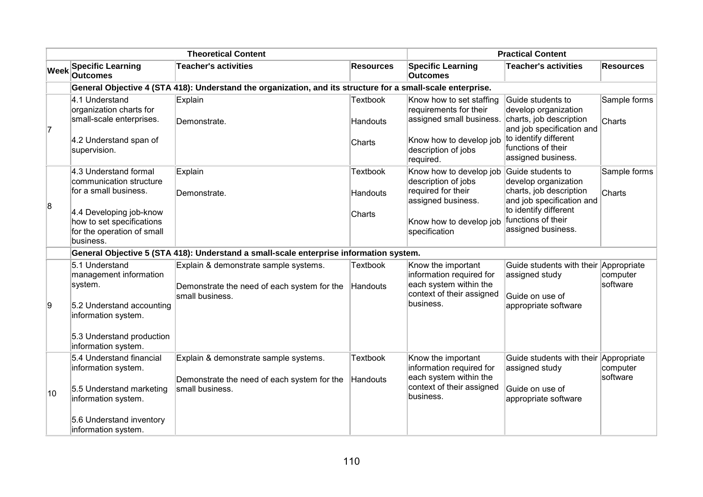|             | <b>Theoretical Content</b>                                                                                                                                                   |                                                                                                             |                                       | <b>Practical Content</b>                                                                                                                      |                                                                                                                                                                        |                        |
|-------------|------------------------------------------------------------------------------------------------------------------------------------------------------------------------------|-------------------------------------------------------------------------------------------------------------|---------------------------------------|-----------------------------------------------------------------------------------------------------------------------------------------------|------------------------------------------------------------------------------------------------------------------------------------------------------------------------|------------------------|
| <b>Week</b> | <b>Specific Learning</b><br><b>Outcomes</b>                                                                                                                                  | <b>Teacher's activities</b>                                                                                 | <b>Resources</b>                      | <b>Specific Learning</b><br><b>Outcomes</b>                                                                                                   | <b>Teacher's activities</b>                                                                                                                                            | <b>Resources</b>       |
|             |                                                                                                                                                                              | General Objective 4 (STA 418): Understand the organization, and its structure for a small-scale enterprise. |                                       |                                                                                                                                               |                                                                                                                                                                        |                        |
| 7           | 4.1 Understand<br>organization charts for<br>small-scale enterprises.<br>4.2 Understand span of<br>supervision.                                                              | Explain<br>Demonstrate.                                                                                     | <b>Textbook</b><br>Handouts<br>Charts | Know how to set staffing<br>requirements for their<br>assigned small business.<br>Know how to develop job<br>description of jobs<br>required. | Guide students to<br>develop organization<br>charts, job description<br>and job specification and<br>to identify different<br>functions of their<br>assigned business. | Sample forms<br>Charts |
| 8           | 4.3 Understand formal<br>communication structure<br>for a small business.<br>4.4 Developing job-know<br>how to set specifications<br>for the operation of small<br>business. | Explain<br>Demonstrate.                                                                                     | <b>Textbook</b><br>Handouts<br>Charts | Know how to develop job<br>description of jobs<br>required for their<br>assigned business.<br>Know how to develop job<br>specification        | Guide students to<br>develop organization<br>charts, job description<br>and job specification and<br>to identify different<br>functions of their<br>assigned business. | Sample forms<br>Charts |
|             |                                                                                                                                                                              | General Objective 5 (STA 418): Understand a small-scale enterprise information system.                      |                                       |                                                                                                                                               |                                                                                                                                                                        |                        |
| 9           | 5.1 Understand<br>management information<br>system.<br>5.2 Understand accounting                                                                                             | Explain & demonstrate sample systems.<br>Demonstrate the need of each system for the<br>small business.     | <b>Textbook</b><br>Handouts           | Know the important<br>information required for<br>each system within the<br>context of their assigned<br>business.                            | Guide students with their Appropriate<br>assigned study<br>Guide on use of<br>appropriate software                                                                     | computer<br>software   |
|             | information system.<br>5.3 Understand production<br>information system.                                                                                                      |                                                                                                             |                                       |                                                                                                                                               |                                                                                                                                                                        |                        |
| 10          | 5.4 Understand financial<br>information system.<br>5.5 Understand marketing<br>information system.<br>5.6 Understand inventory<br>information system.                        | Explain & demonstrate sample systems.<br>Demonstrate the need of each system for the<br>small business.     | <b>Textbook</b><br>Handouts           | Know the important<br>information required for<br>each system within the<br>context of their assigned<br>business.                            | Guide students with their Appropriate<br>assigned study<br>Guide on use of<br>appropriate software                                                                     | computer<br>software   |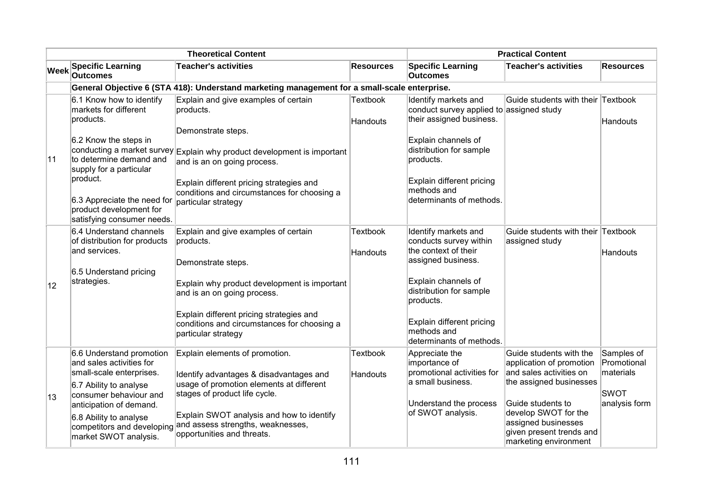|              | <b>Theoretical Content</b>                                                                                                                                                                                                                        |                                                                                                                                                                                                                                                                                                     |                                    | <b>Practical Content</b>                                                                                                                                                                                                            |                                                                                                                                                                                                                                    |                                                                        |
|--------------|---------------------------------------------------------------------------------------------------------------------------------------------------------------------------------------------------------------------------------------------------|-----------------------------------------------------------------------------------------------------------------------------------------------------------------------------------------------------------------------------------------------------------------------------------------------------|------------------------------------|-------------------------------------------------------------------------------------------------------------------------------------------------------------------------------------------------------------------------------------|------------------------------------------------------------------------------------------------------------------------------------------------------------------------------------------------------------------------------------|------------------------------------------------------------------------|
| <b>Week</b>  | <b>Specific Learning</b><br><b>Outcomes</b>                                                                                                                                                                                                       | <b>Teacher's activities</b>                                                                                                                                                                                                                                                                         | <b>Resources</b>                   | <b>Specific Learning</b><br><b>Outcomes</b>                                                                                                                                                                                         | <b>Teacher's activities</b>                                                                                                                                                                                                        | <b>Resources</b>                                                       |
|              |                                                                                                                                                                                                                                                   | General Objective 6 (STA 418): Understand marketing management for a small-scale enterprise.                                                                                                                                                                                                        |                                    |                                                                                                                                                                                                                                     |                                                                                                                                                                                                                                    |                                                                        |
| 11           | 6.1 Know how to identify<br>markets for different<br>products.<br>6.2 Know the steps in<br>to determine demand and<br>supply for a particular<br>product.<br>6.3 Appreciate the need for<br>product development for<br>satisfying consumer needs. | Explain and give examples of certain<br>products.<br>Demonstrate steps.<br>conducting a market survey Explain why product development is important<br>and is an on going process.<br>Explain different pricing strategies and<br>conditions and circumstances for choosing a<br>particular strategy | <b>Textbook</b><br><b>Handouts</b> | Identify markets and<br>conduct survey applied to assigned study<br>their assigned business.<br>Explain channels of<br>distribution for sample<br>products.<br>Explain different pricing<br>methods and<br>determinants of methods. | Guide students with their Textbook                                                                                                                                                                                                 | <b>Handouts</b>                                                        |
| $ 12\rangle$ | 6.4 Understand channels<br>of distribution for products<br>and services.<br>6.5 Understand pricing<br>strategies.                                                                                                                                 | Explain and give examples of certain<br>products.<br>Demonstrate steps.<br>Explain why product development is important<br>and is an on going process.<br>Explain different pricing strategies and<br>conditions and circumstances for choosing a<br>particular strategy                            | <b>Textbook</b><br><b>Handouts</b> | Identify markets and<br>conducts survey within<br>the context of their<br>assigned business.<br>Explain channels of<br>distribution for sample<br>products.<br>Explain different pricing<br>methods and<br>determinants of methods. | Guide students with their Textbook<br>assigned study                                                                                                                                                                               | Handouts                                                               |
| ∣13          | 6.6 Understand promotion<br>and sales activities for<br>small-scale enterprises.<br>6.7 Ability to analyse<br>consumer behaviour and<br>anticipation of demand.<br>6.8 Ability to analyse<br>competitors and developing<br>market SWOT analysis.  | Explain elements of promotion.<br>Identify advantages & disadvantages and<br>usage of promotion elements at different<br>stages of product life cycle.<br>Explain SWOT analysis and how to identify<br>and assess strengths, weaknesses,<br>opportunities and threats.                              | <b>Textbook</b><br><b>Handouts</b> | Appreciate the<br>importance of<br>promotional activities for<br>a small business.<br>Understand the process<br>of SWOT analysis.                                                                                                   | Guide students with the<br>application of promotion<br>and sales activities on<br>the assigned businesses<br>Guide students to<br>develop SWOT for the<br>assigned businesses<br>given present trends and<br>marketing environment | Samples of<br>Promotional<br>materials<br><b>SWOT</b><br>analysis form |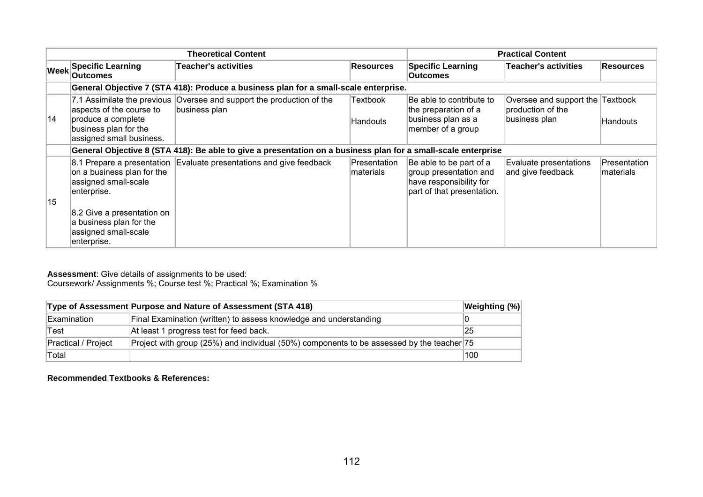|    | <b>Theoretical Content</b>                                                                          |                                                                                                               |                            | <b>Practical Content</b>                                                                                   |                                                                        |                                   |
|----|-----------------------------------------------------------------------------------------------------|---------------------------------------------------------------------------------------------------------------|----------------------------|------------------------------------------------------------------------------------------------------------|------------------------------------------------------------------------|-----------------------------------|
|    | Week Specific Learning<br><b>Outcomes</b>                                                           | <b>Teacher's activities</b>                                                                                   | <b>Resources</b>           | <b>Specific Learning</b><br><b>Outcomes</b>                                                                | <b>Teacher's activities</b>                                            | <b>Resources</b>                  |
|    |                                                                                                     | General Objective 7 (STA 418): Produce a business plan for a small-scale enterprise.                          |                            |                                                                                                            |                                                                        |                                   |
| 14 | aspects of the course to<br>produce a complete<br>business plan for the<br>assigned small business. | 7.1 Assimilate the previous Oversee and support the production of the<br>business plan                        | Textbook<br>Handouts       | Be able to contribute to<br>the preparation of a<br>business plan as a<br>member of a group                | Oversee and support the Textbook<br>production of the<br>business plan | Handouts                          |
|    |                                                                                                     | General Objective 8 (STA 418): Be able to give a presentation on a business plan for a small-scale enterprise |                            |                                                                                                            |                                                                        |                                   |
| 15 | on a business plan for the<br>assigned small-scale<br>enterprise.                                   | 8.1 Prepare a presentation Evaluate presentations and give feedback                                           | Presentation<br>Imaterials | Be able to be part of a<br>group presentation and<br>have responsibility for<br>part of that presentation. | Evaluate presentations<br>and give feedback                            | Presentation<br><b>Imaterials</b> |
|    | 8.2 Give a presentation on<br>a business plan for the<br>assigned small-scale<br>enterprise.        |                                                                                                               |                            |                                                                                                            |                                                                        |                                   |

Coursework/ Assignments %; Course test %; Practical %; Examination %

|                     | Type of Assessment Purpose and Nature of Assessment (STA 418)                             | Weighting (%) |
|---------------------|-------------------------------------------------------------------------------------------|---------------|
| Examination         | Final Examination (written) to assess knowledge and understanding                         |               |
| Test                | At least 1 progress test for feed back.                                                   | 25            |
| Practical / Project | Project with group (25%) and individual (50%) components to be assessed by the teacher 75 |               |
| Total               |                                                                                           | 100           |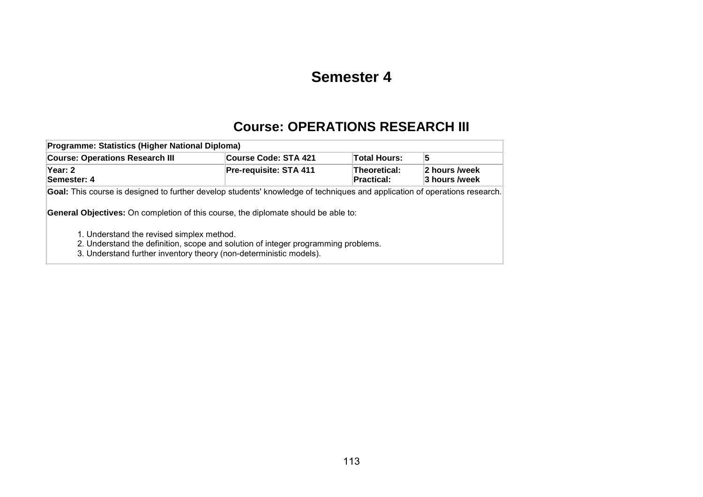## **Semester 4**

# **Course: OPERATIONS RESEARCH III**

| Programme: Statistics (Higher National Diploma)                                                                                                                                                                                                                                                                                                                                                                                 |                        |                            |                                |  |  |  |  |  |
|---------------------------------------------------------------------------------------------------------------------------------------------------------------------------------------------------------------------------------------------------------------------------------------------------------------------------------------------------------------------------------------------------------------------------------|------------------------|----------------------------|--------------------------------|--|--|--|--|--|
| <b>Course: Operations Research III</b>                                                                                                                                                                                                                                                                                                                                                                                          | Course Code: STA 421   | <b>Total Hours:</b>        | 5                              |  |  |  |  |  |
| Year: 2<br>Semester: 4                                                                                                                                                                                                                                                                                                                                                                                                          | Pre-requisite: STA 411 | Theoretical:<br>Practical: | 2 hours /week<br>3 hours /week |  |  |  |  |  |
| Goal: This course is designed to further develop students' knowledge of techniques and application of operations research.<br><b>General Objectives:</b> On completion of this course, the diplomate should be able to:<br>1. Understand the revised simplex method.<br>2. Understand the definition, scope and solution of integer programming problems.<br>3. Understand further inventory theory (non-deterministic models). |                        |                            |                                |  |  |  |  |  |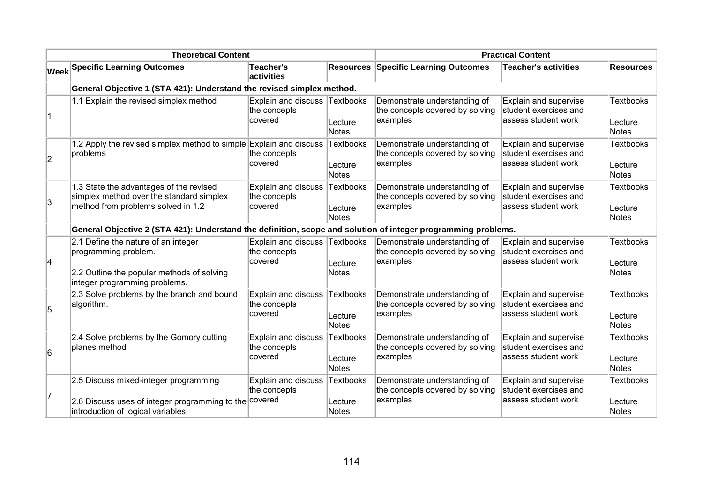| <b>Theoretical Content</b> |                                                                                                                                            |                                                       | <b>Practical Content</b>                    |                                                                             |                                                                       |                                             |
|----------------------------|--------------------------------------------------------------------------------------------------------------------------------------------|-------------------------------------------------------|---------------------------------------------|-----------------------------------------------------------------------------|-----------------------------------------------------------------------|---------------------------------------------|
|                            | <b>Week Specific Learning Outcomes</b>                                                                                                     | <b>Teacher's</b><br>activities                        |                                             | <b>Resources Specific Learning Outcomes</b>                                 | <b>Teacher's activities</b>                                           | <b>Resources</b>                            |
|                            | General Objective 1 (STA 421): Understand the revised simplex method.                                                                      |                                                       |                                             |                                                                             |                                                                       |                                             |
| $\mathbf{1}$               | 1.1 Explain the revised simplex method                                                                                                     | Explain and discuss<br>the concepts<br>covered        | Textbooks<br>Lecture<br>Notes               | Demonstrate understanding of<br>the concepts covered by solving<br>examples | Explain and supervise<br>student exercises and<br>assess student work | <b>Textbooks</b><br>Lecture<br><b>Notes</b> |
| 2                          | 1.2 Apply the revised simplex method to simple Explain and discuss<br>problems                                                             | the concepts<br>covered                               | Textbooks<br>Lecture<br>Notes               | Demonstrate understanding of<br>the concepts covered by solving<br>examples | Explain and supervise<br>student exercises and<br>assess student work | <b>Textbooks</b><br>Lecture<br><b>Notes</b> |
| $\overline{3}$             | 1.3 State the advantages of the revised<br>simplex method over the standard simplex<br>method from problems solved in 1.2                  | Explain and discuss<br>the concepts<br>covered        | <b>Textbooks</b><br>Lecture<br><b>Notes</b> | Demonstrate understanding of<br>the concepts covered by solving<br>examples | Explain and supervise<br>student exercises and<br>assess student work | <b>Textbooks</b><br>Lecture<br><b>Notes</b> |
|                            | General Objective 2 (STA 421): Understand the definition, scope and solution of integer programming problems.                              |                                                       |                                             |                                                                             |                                                                       |                                             |
| 4                          | 2.1 Define the nature of an integer<br>programming problem.<br>2.2 Outline the popular methods of solving<br>integer programming problems. | Explain and discuss<br>the concepts<br>covered        | Textbooks<br>Lecture<br>Notes               | Demonstrate understanding of<br>the concepts covered by solving<br>examples | Explain and supervise<br>student exercises and<br>assess student work | <b>Textbooks</b><br>Lecture<br><b>Notes</b> |
| 5                          | 2.3 Solve problems by the branch and bound<br>algorithm.                                                                                   | Explain and discuss<br>the concepts<br>covered        | Textbooks<br>Lecture<br>Notes               | Demonstrate understanding of<br>the concepts covered by solving<br>examples | Explain and supervise<br>student exercises and<br>assess student work | <b>Textbooks</b><br>Lecture<br>Notes        |
| 6                          | 2.4 Solve problems by the Gomory cutting<br>planes method                                                                                  | <b>Explain and discuss</b><br>the concepts<br>covered | Textbooks<br>Lecture<br><b>Notes</b>        | Demonstrate understanding of<br>the concepts covered by solving<br>examples | Explain and supervise<br>student exercises and<br>assess student work | <b>Textbooks</b><br>Lecture<br><b>Notes</b> |
| 17                         | 2.5 Discuss mixed-integer programming<br>2.6 Discuss uses of integer programming to the<br>introduction of logical variables.              | Explain and discuss<br>the concepts<br>covered        | <b>Textbooks</b><br>Lecture<br>Notes        | Demonstrate understanding of<br>the concepts covered by solving<br>examples | Explain and supervise<br>student exercises and<br>assess student work | <b>Textbooks</b><br>Lecture<br><b>Notes</b> |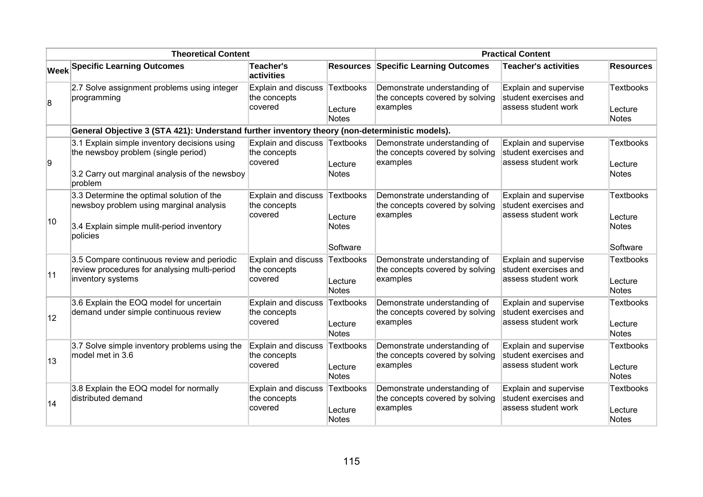| <b>Theoretical Content</b> |                                                                                                                                                  |                                                       | <b>Practical Content</b>                         |                                                                             |                                                                        |                                                         |
|----------------------------|--------------------------------------------------------------------------------------------------------------------------------------------------|-------------------------------------------------------|--------------------------------------------------|-----------------------------------------------------------------------------|------------------------------------------------------------------------|---------------------------------------------------------|
|                            | <b>Week Specific Learning Outcomes</b>                                                                                                           | <b>Teacher's</b><br>activities                        | <b>Resources</b>                                 | <b>Specific Learning Outcomes</b>                                           | <b>Teacher's activities</b>                                            | <b>Resources</b>                                        |
| 8                          | 2.7 Solve assignment problems using integer<br>programming                                                                                       | <b>Explain and discuss</b><br>the concepts<br>covered | Textbooks<br>Lecture<br><b>Notes</b>             | Demonstrate understanding of<br>the concepts covered by solving<br>examples | Explain and supervise<br>student exercises and<br>assess student work  | <b>Textbooks</b><br>Lecture<br>Notes                    |
|                            | General Objective 3 (STA 421): Understand further inventory theory (non-deterministic models).                                                   |                                                       |                                                  |                                                                             |                                                                        |                                                         |
| g                          | 3.1 Explain simple inventory decisions using<br>the newsboy problem (single period)<br>3.2 Carry out marginal analysis of the newsboy<br>problem | <b>Explain and discuss</b><br>the concepts<br>covered | Textbooks<br>Lecture<br><b>Notes</b>             | Demonstrate understanding of<br>the concepts covered by solving<br>examples | Explain and supervise<br>student exercises and<br>assess student work  | <b>Textbooks</b><br>Lecture<br><b>Notes</b>             |
| $ 10\rangle$               | 3.3 Determine the optimal solution of the<br>newsboy problem using marginal analysis<br>3.4 Explain simple mulit-period inventory<br>policies    | <b>Explain and discuss</b><br>the concepts<br>covered | Textbooks<br>Lecture<br><b>Notes</b><br>Software | Demonstrate understanding of<br>the concepts covered by solving<br>examples | Explain and supervise<br>student exercises and<br>assess student work  | <b>Textbooks</b><br>Lecture<br><b>Notes</b><br>Software |
| 11                         | 3.5 Compare continuous review and periodic<br>review procedures for analysing multi-period<br>inventory systems                                  | <b>Explain and discuss</b><br>the concepts<br>covered | <b>Textbooks</b><br>Lecture<br><b>Notes</b>      | Demonstrate understanding of<br>the concepts covered by solving<br>examples | Explain and supervise<br>student exercises and<br>assess student work  | <b>Textbooks</b><br>Lecture<br><b>Notes</b>             |
| 12                         | 3.6 Explain the EOQ model for uncertain<br>demand under simple continuous review                                                                 | Explain and discuss<br>the concepts<br>covered        | Textbooks<br>Lecture<br><b>Notes</b>             | Demonstrate understanding of<br>the concepts covered by solving<br>examples | Explain and supervise<br>student exercises and<br>lassess student work | <b>Textbooks</b><br>Lecture<br><b>Notes</b>             |
| 13                         | 3.7 Solve simple inventory problems using the<br>model met in 3.6                                                                                | <b>Explain and discuss</b><br>the concepts<br>covered | Textbooks<br>Lecture<br><b>Notes</b>             | Demonstrate understanding of<br>the concepts covered by solving<br>examples | Explain and supervise<br>student exercises and<br>lassess student work | <b>Textbooks</b><br>Lecture<br>Notes                    |
| 14                         | 3.8 Explain the EOQ model for normally<br>distributed demand                                                                                     | Explain and discuss<br>the concepts<br>covered        | Textbooks<br>Lecture<br><b>Notes</b>             | Demonstrate understanding of<br>the concepts covered by solving<br>examples | Explain and supervise<br>student exercises and<br>lassess student work | <b>Textbooks</b><br>Lecture<br>Notes                    |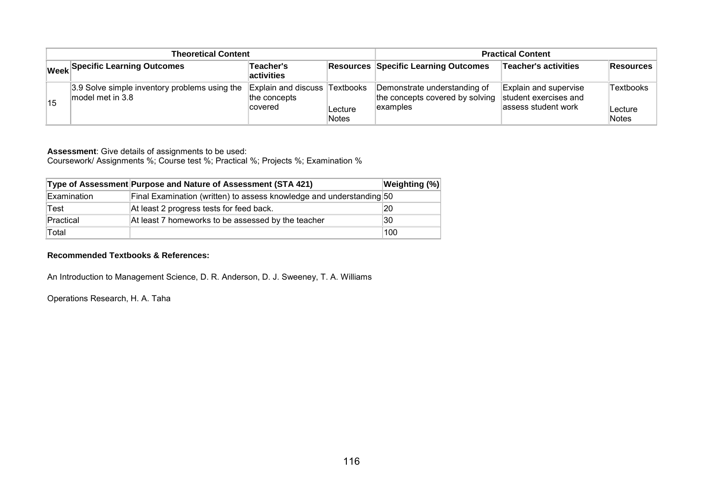| <b>Theoretical Content</b> |                                                                       |                                                                  |                  | <b>Practical Content</b>                                                    |                                                                       |                               |
|----------------------------|-----------------------------------------------------------------------|------------------------------------------------------------------|------------------|-----------------------------------------------------------------------------|-----------------------------------------------------------------------|-------------------------------|
|                            | Week Specific Learning Outcomes                                       | Teacher's<br><b>activities</b>                                   |                  | <b>Resources Specific Learning Outcomes</b>                                 | Teacher's activities                                                  | Resources                     |
| 15                         | 3.9 Solve simple inventory problems using the<br>$ $ model met in 3.8 | <b>Explain and discuss Textbooks</b><br>the concepts<br> covered | Lecture<br>Notes | Demonstrate understanding of<br>the concepts covered by solving<br>examples | Explain and supervise<br>student exercises and<br>assess student work | Textbooks<br>Lecture<br>Notes |

Coursework/ Assignments %; Course test %; Practical %; Projects %; Examination %

|             | Type of Assessment Purpose and Nature of Assessment (STA 421)        | <b>Weighting (%)</b> |
|-------------|----------------------------------------------------------------------|----------------------|
| Examination | Final Examination (written) to assess knowledge and understanding 50 |                      |
| Test        | At least 2 progress tests for feed back.                             | 20                   |
| Practical   | At least 7 homeworks to be assessed by the teacher                   | 30                   |
| Total       |                                                                      | 100                  |

#### **Recommended Textbooks & References:**

An Introduction to Management Science, D. R. Anderson, D. J. Sweeney, T. A. Williams

Operations Research, H. A. Taha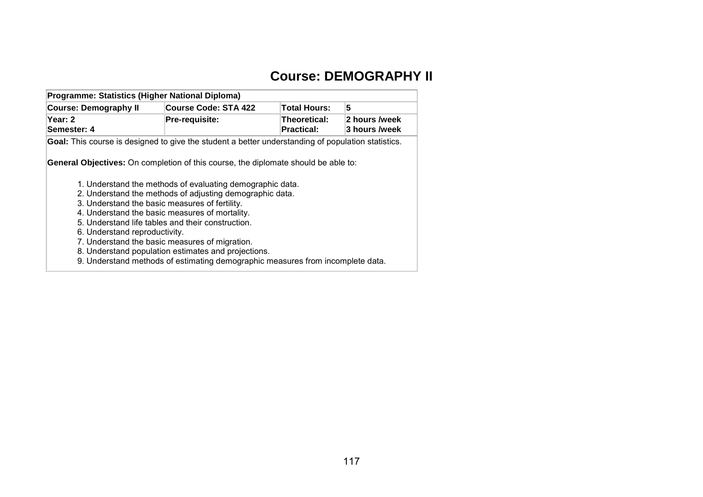# **Course: DEMOGRAPHY II**

| Programme: Statistics (Higher National Diploma)                                                                                                                       |                                                                                                                                                                                                                              |                                   |                                |  |  |  |  |
|-----------------------------------------------------------------------------------------------------------------------------------------------------------------------|------------------------------------------------------------------------------------------------------------------------------------------------------------------------------------------------------------------------------|-----------------------------------|--------------------------------|--|--|--|--|
| <b>Course: Demography II</b>                                                                                                                                          | <b>Course Code: STA 422</b>                                                                                                                                                                                                  | <b>Total Hours:</b>               | 5                              |  |  |  |  |
| Year: 2<br>Semester: 4                                                                                                                                                | Pre-requisite:                                                                                                                                                                                                               | Theoretical:<br><b>Practical:</b> | 2 hours /week<br>3 hours /week |  |  |  |  |
| Goal: This course is designed to give the student a better understanding of population statistics.                                                                    |                                                                                                                                                                                                                              |                                   |                                |  |  |  |  |
| General Objectives: On completion of this course, the diplomate should be able to:<br>3. Understand the basic measures of fertility.<br>6. Understand reproductivity. | 1. Understand the methods of evaluating demographic data.<br>2. Understand the methods of adjusting demographic data.<br>4. Understand the basic measures of mortality.<br>5. Understand life tables and their construction. |                                   |                                |  |  |  |  |
|                                                                                                                                                                       | 7. Understand the basic measures of migration.                                                                                                                                                                               |                                   |                                |  |  |  |  |
|                                                                                                                                                                       | 8. Understand population estimates and projections.                                                                                                                                                                          |                                   |                                |  |  |  |  |
|                                                                                                                                                                       | 9. Understand methods of estimating demographic measures from incomplete data.                                                                                                                                               |                                   |                                |  |  |  |  |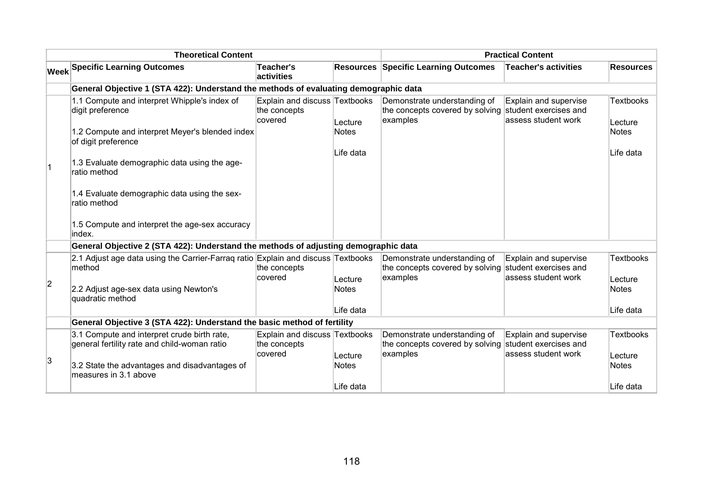| <b>Theoretical Content</b> |                                                                                             |                                                          | <b>Practical Content</b> |                                                                                                   |                                                                        |                             |
|----------------------------|---------------------------------------------------------------------------------------------|----------------------------------------------------------|--------------------------|---------------------------------------------------------------------------------------------------|------------------------------------------------------------------------|-----------------------------|
|                            | <b>Week Specific Learning Outcomes</b>                                                      | <b>Teacher's</b><br>activities                           | <b>Resources</b>         | <b>Specific Learning Outcomes</b>                                                                 | <b>Teacher's activities</b>                                            | <b>Resources</b>            |
|                            | General Objective 1 (STA 422): Understand the methods of evaluating demographic data        |                                                          |                          |                                                                                                   |                                                                        |                             |
|                            | 1.1 Compute and interpret Whipple's index of<br>digit preference                            | Explain and discuss Textbooks<br>the concepts<br>covered | Lecture                  | Demonstrate understanding of<br>the concepts covered by solving student exercises and<br>examples | Explain and supervise<br>assess student work                           | <b>Textbooks</b><br>Lecture |
|                            | 1.2 Compute and interpret Meyer's blended index<br>of digit preference                      |                                                          | <b>Notes</b>             |                                                                                                   |                                                                        | <b>Notes</b>                |
|                            | 1.3 Evaluate demographic data using the age-<br>ratio method                                |                                                          | Life data                |                                                                                                   |                                                                        | Life data                   |
|                            | 1.4 Evaluate demographic data using the sex-<br>ratio method                                |                                                          |                          |                                                                                                   |                                                                        |                             |
|                            | 1.5 Compute and interpret the age-sex accuracy<br>index.                                    |                                                          |                          |                                                                                                   |                                                                        |                             |
|                            | General Objective 2 (STA 422): Understand the methods of adjusting demographic data         |                                                          |                          |                                                                                                   |                                                                        |                             |
|                            | 2.1 Adjust age data using the Carrier-Farrag ratio Explain and discuss Textbooks<br>method  | the concepts                                             |                          | Demonstrate understanding of<br>the concepts covered by solving student exercises and             | Explain and supervise                                                  | <b>Textbooks</b>            |
| $\overline{2}$             | 2.2 Adjust age-sex data using Newton's<br>quadratic method                                  | covered                                                  | Lecture<br><b>Notes</b>  | examples                                                                                          | assess student work                                                    | Lecture<br><b>Notes</b>     |
|                            |                                                                                             |                                                          | Life data                |                                                                                                   |                                                                        | Life data                   |
|                            | General Objective 3 (STA 422): Understand the basic method of fertility                     |                                                          |                          |                                                                                                   |                                                                        |                             |
|                            | 3.1 Compute and interpret crude birth rate,<br>general fertility rate and child-woman ratio | Explain and discuss Textbooks<br>the concepts<br>covered | Lecture                  | Demonstrate understanding of<br>the concepts covered by solving<br>examples                       | Explain and supervise<br>student exercises and<br>lassess student work | <b>Textbooks</b><br>Lecture |
| 3                          | 3.2 State the advantages and disadvantages of<br>measures in 3.1 above                      |                                                          | <b>Notes</b>             |                                                                                                   |                                                                        | <b>Notes</b>                |
|                            |                                                                                             |                                                          | Life data                |                                                                                                   |                                                                        | Life data                   |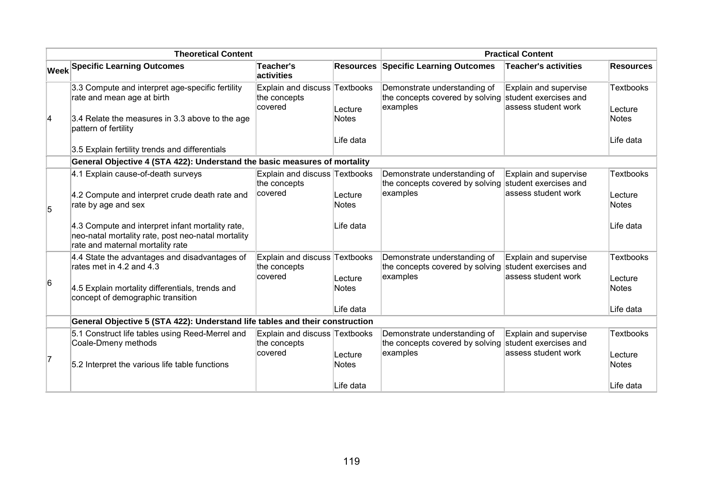| <b>Theoretical Content</b> |                                                                                                                                            |                                                          | <b>Practical Content</b> |                                                                                                   |                                                |                             |
|----------------------------|--------------------------------------------------------------------------------------------------------------------------------------------|----------------------------------------------------------|--------------------------|---------------------------------------------------------------------------------------------------|------------------------------------------------|-----------------------------|
|                            | <b>Week Specific Learning Outcomes</b>                                                                                                     | Teacher's<br>activities                                  | <b>Resources</b>         | <b>Specific Learning Outcomes</b>                                                                 | <b>Teacher's activities</b>                    | <b>Resources</b>            |
|                            | 3.3 Compute and interpret age-specific fertility<br>rate and mean age at birth                                                             | Explain and discuss Textbooks<br>the concepts<br>covered | Lecture                  | Demonstrate understanding of<br>the concepts covered by solving student exercises and<br>examples | Explain and supervise<br>assess student work   | <b>Textbooks</b><br>Lecture |
| 4                          | 3.4 Relate the measures in 3.3 above to the age<br>pattern of fertility                                                                    |                                                          | <b>Notes</b>             |                                                                                                   |                                                | <b>Notes</b>                |
|                            | 3.5 Explain fertility trends and differentials                                                                                             |                                                          | Life data                |                                                                                                   |                                                | Life data                   |
|                            | General Objective 4 (STA 422): Understand the basic measures of mortality                                                                  |                                                          |                          |                                                                                                   |                                                |                             |
|                            | 4.1 Explain cause-of-death surveys                                                                                                         | Explain and discuss Textbooks<br>the concepts            |                          | Demonstrate understanding of<br>the concepts covered by solving                                   | Explain and supervise<br>student exercises and | <b>Textbooks</b>            |
| 5                          | 4.2 Compute and interpret crude death rate and<br>rate by age and sex                                                                      | covered                                                  | Lecture<br><b>Notes</b>  | examples                                                                                          | assess student work                            | Lecture<br><b>Notes</b>     |
|                            | 4.3 Compute and interpret infant mortality rate,<br>neo-natal mortality rate, post neo-natal mortality<br>rate and maternal mortality rate |                                                          | Life data                |                                                                                                   |                                                | Life data                   |
|                            | 4.4 State the advantages and disadvantages of<br>rates met in 4.2 and 4.3                                                                  | Explain and discuss Textbooks<br>the concepts            |                          | Demonstrate understanding of<br>the concepts covered by solving                                   | Explain and supervise<br>student exercises and | <b>Textbooks</b>            |
| 6                          | 4.5 Explain mortality differentials, trends and<br>concept of demographic transition                                                       | covered                                                  | Lecture<br><b>Notes</b>  | examples                                                                                          | assess student work                            | Lecture<br><b>Notes</b>     |
|                            |                                                                                                                                            |                                                          | Life data                |                                                                                                   |                                                | Life data                   |
|                            | General Objective 5 (STA 422): Understand life tables and their construction                                                               |                                                          |                          |                                                                                                   |                                                |                             |
|                            | 5.1 Construct life tables using Reed-Merrel and<br>Coale-Dmeny methods                                                                     | Explain and discuss Textbooks<br>the concepts            |                          | Demonstrate understanding of<br>the concepts covered by solving                                   | Explain and supervise<br>student exercises and | <b>Textbooks</b>            |
| 7                          | 5.2 Interpret the various life table functions                                                                                             | covered                                                  | Lecture<br><b>Notes</b>  | examples                                                                                          | assess student work                            | Lecture<br><b>Notes</b>     |
|                            |                                                                                                                                            |                                                          | Life data                |                                                                                                   |                                                | lLife data                  |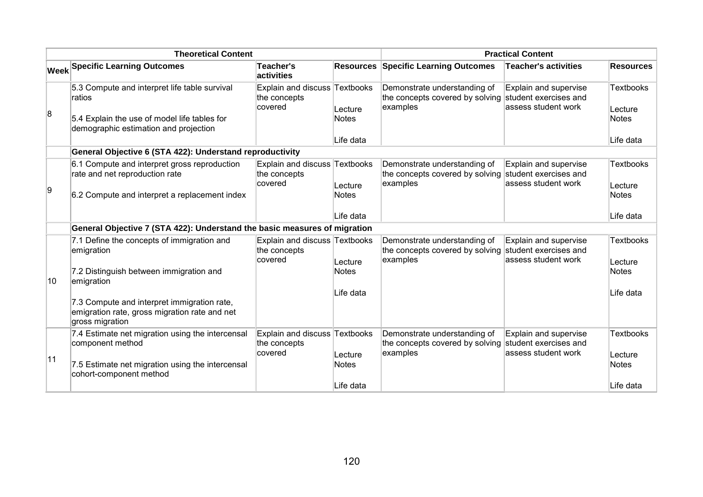|                | <b>Theoretical Content</b>                                                                                                                       |                                                          |                                      | <b>Practical Content</b>                                                                          |                                                                        |                                                          |
|----------------|--------------------------------------------------------------------------------------------------------------------------------------------------|----------------------------------------------------------|--------------------------------------|---------------------------------------------------------------------------------------------------|------------------------------------------------------------------------|----------------------------------------------------------|
|                | <b>Week Specific Learning Outcomes</b>                                                                                                           | Teacher's<br>activities                                  | <b>Resources</b>                     | <b>Specific Learning Outcomes</b>                                                                 | <b>Teacher's activities</b>                                            | <b>Resources</b>                                         |
| $\overline{8}$ | 5.3 Compute and interpret life table survival<br>ratios<br>5.4 Explain the use of model life tables for<br>demographic estimation and projection | Explain and discuss Textbooks<br>the concepts<br>covered | Lecture<br><b>Notes</b><br>Life data | Demonstrate understanding of<br>the concepts covered by solving<br>examples                       | Explain and supervise<br>student exercises and<br>lassess student work | <b>Textbooks</b><br>Lecture<br><b>Notes</b><br>Life data |
|                | General Objective 6 (STA 422): Understand reproductivity                                                                                         |                                                          |                                      |                                                                                                   |                                                                        |                                                          |
| g.             | 6.1 Compute and interpret gross reproduction<br>rate and net reproduction rate<br>6.2 Compute and interpret a replacement index                  | Explain and discuss Textbooks<br>the concepts<br>covered | Lecture<br><b>Notes</b>              | Demonstrate understanding of<br>the concepts covered by solving student exercises and<br>examples | Explain and supervise<br>lassess student work                          | <b>Textbooks</b><br>Lecture<br><b>Notes</b>              |
|                |                                                                                                                                                  |                                                          | Life data                            |                                                                                                   |                                                                        | Life data                                                |
|                | General Objective 7 (STA 422): Understand the basic measures of migration                                                                        |                                                          |                                      |                                                                                                   |                                                                        |                                                          |
|                | 7.1 Define the concepts of immigration and<br>emigration<br>7.2 Distinguish between immigration and                                              | Explain and discuss Textbooks<br>the concepts<br>covered | Lecture<br><b>Notes</b>              | Demonstrate understanding of<br>the concepts covered by solving<br>examples                       | Explain and supervise<br>student exercises and<br>lassess student work | <b>Textbooks</b><br>Lecture<br><b>Notes</b>              |
| 10             | emigration                                                                                                                                       |                                                          |                                      |                                                                                                   |                                                                        |                                                          |
|                | 7.3 Compute and interpret immigration rate,<br>emigration rate, gross migration rate and net<br>gross migration                                  |                                                          | ∣Life data                           |                                                                                                   |                                                                        | Life data                                                |
| 11             | 7.4 Estimate net migration using the intercensal<br>component method<br>7.5 Estimate net migration using the intercensal                         | Explain and discuss Textbooks<br>the concepts<br>covered | Lecture<br><b>Notes</b>              | Demonstrate understanding of<br>the concepts covered by solving<br>examples                       | Explain and supervise<br>student exercises and<br>assess student work  | <b>Textbooks</b><br>Lecture<br><b>Notes</b>              |
|                | cohort-component method                                                                                                                          |                                                          | Life data                            |                                                                                                   |                                                                        | Life data                                                |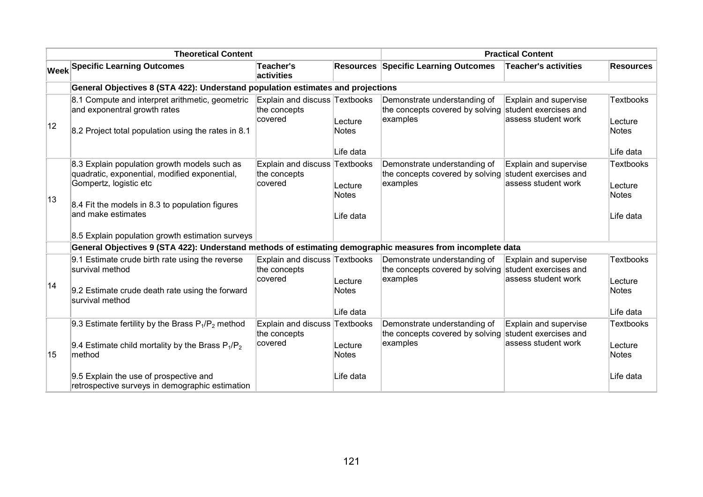|                                                                                                                                                                                                  |                                                                                                         |                                                  | <b>Practical Content</b>                                                                                                                       |                                                                        |                                                                                                                                                                                                                                 |  |  |
|--------------------------------------------------------------------------------------------------------------------------------------------------------------------------------------------------|---------------------------------------------------------------------------------------------------------|--------------------------------------------------|------------------------------------------------------------------------------------------------------------------------------------------------|------------------------------------------------------------------------|---------------------------------------------------------------------------------------------------------------------------------------------------------------------------------------------------------------------------------|--|--|
| <b>Week Specific Learning Outcomes</b>                                                                                                                                                           | <b>Teacher's</b><br>activities                                                                          | <b>Resources</b>                                 | <b>Specific Learning Outcomes</b>                                                                                                              | <b>Teacher's activities</b>                                            | <b>Resources</b>                                                                                                                                                                                                                |  |  |
| General Objectives 8 (STA 422): Understand population estimates and projections                                                                                                                  |                                                                                                         |                                                  |                                                                                                                                                |                                                                        |                                                                                                                                                                                                                                 |  |  |
| 8.1 Compute and interpret arithmetic, geometric<br>and exponentral growth rates<br>8.2 Project total population using the rates in 8.1                                                           | the concepts<br>covered                                                                                 | Lecture<br><b>Notes</b>                          | Demonstrate understanding of<br>examples                                                                                                       | Explain and supervise<br>lassess student work                          | <b>Textbooks</b><br>Lecture<br><b>Notes</b>                                                                                                                                                                                     |  |  |
|                                                                                                                                                                                                  |                                                                                                         | Life data                                        |                                                                                                                                                |                                                                        | Life data                                                                                                                                                                                                                       |  |  |
| 8.3 Explain population growth models such as<br>quadratic, exponential, modified exponential,<br>Gompertz, logistic etc<br>8.4 Fit the models in 8.3 to population figures<br>and make estimates | the concepts<br>covered                                                                                 | Lecture<br><b>Notes</b><br>Life data             | Demonstrate understanding of<br>the concepts covered by solving<br>examples                                                                    | Explain and supervise<br>student exercises and<br>lassess student work | <b>Textbooks</b><br>Lecture<br><b>Notes</b><br>Life data                                                                                                                                                                        |  |  |
|                                                                                                                                                                                                  |                                                                                                         |                                                  |                                                                                                                                                |                                                                        |                                                                                                                                                                                                                                 |  |  |
|                                                                                                                                                                                                  |                                                                                                         |                                                  |                                                                                                                                                |                                                                        |                                                                                                                                                                                                                                 |  |  |
| 9.1 Estimate crude birth rate using the reverse<br>survival method<br>9.2 Estimate crude death rate using the forward<br>survival method                                                         | the concepts<br>covered                                                                                 | Lecture<br><b>Notes</b>                          | Demonstrate understanding of<br>examples                                                                                                       | Explain and supervise<br>student exercises and<br>lassess student work | <b>Textbooks</b><br>Lecture<br><b>Notes</b>                                                                                                                                                                                     |  |  |
|                                                                                                                                                                                                  |                                                                                                         |                                                  |                                                                                                                                                |                                                                        | Life data                                                                                                                                                                                                                       |  |  |
| 9.4 Estimate child mortality by the Brass $P_1/P_2$<br>method<br>9.5 Explain the use of prospective and                                                                                          | the concepts<br>covered                                                                                 | Lecture<br>Notes<br>Life data                    | the concepts covered by solving<br>examples                                                                                                    | student exercises and<br>lassess student work                          | Textbooks<br>Lecture<br><b>Notes</b><br>Life data                                                                                                                                                                               |  |  |
|                                                                                                                                                                                                  | 9.3 Estimate fertility by the Brass $P_1/P_2$ method<br>retrospective surveys in demographic estimation | 8.5 Explain population growth estimation surveys | Explain and discuss Textbooks<br>Explain and discuss Textbooks<br>Explain and discuss Textbooks<br>∣Life data<br>Explain and discuss Textbooks | Demonstrate understanding of                                           | the concepts covered by solving student exercises and<br>General Objectives 9 (STA 422): Understand methods of estimating demographic measures from incomplete data<br>the concepts covered by solving<br>Explain and supervise |  |  |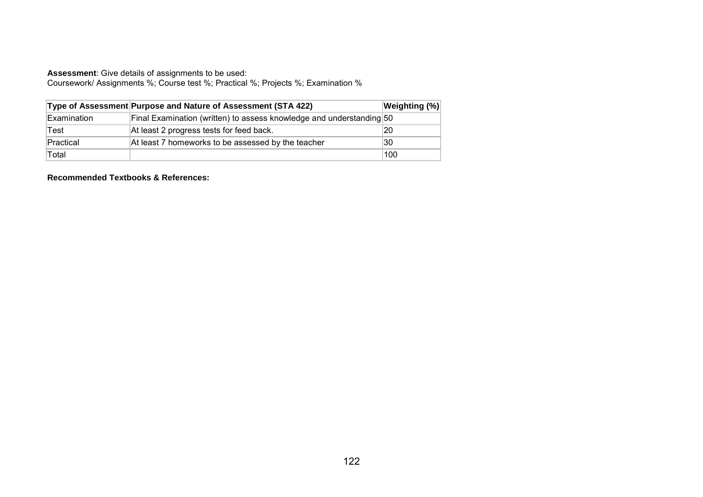Coursework/ Assignments %; Course test %; Practical %; Projects %; Examination %

|             | Type of Assessment Purpose and Nature of Assessment (STA 422)        | <b>Weighting (%)</b> |
|-------------|----------------------------------------------------------------------|----------------------|
| Examination | Final Examination (written) to assess knowledge and understanding 50 |                      |
| Test        | At least 2 progress tests for feed back.                             | 20                   |
| Practical   | At least 7 homeworks to be assessed by the teacher                   | 30                   |
| Total       |                                                                      | 100                  |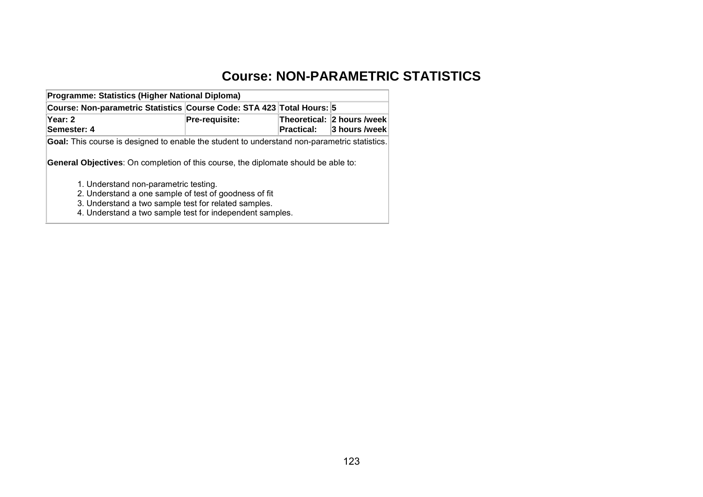## **Course: NON-PARAMETRIC STATISTICS**

| Programme: Statistics (Higher National Diploma)                                                     |                |                   |                                             |  |  |  |  |
|-----------------------------------------------------------------------------------------------------|----------------|-------------------|---------------------------------------------|--|--|--|--|
| Course: Non-parametric Statistics Course Code: STA 423 Total Hours: 5                               |                |                   |                                             |  |  |  |  |
| Year: 2<br>Semester: 4                                                                              | Pre-requisite: | <b>Practical:</b> | Theoretical: 2 hours /week<br>3 hours /week |  |  |  |  |
| <b>Goal:</b> This course is designed to enable the student to understand non-parametric statistics. |                |                   |                                             |  |  |  |  |
| <b>General Objectives:</b> On completion of this course, the diplomate should be able to:           |                |                   |                                             |  |  |  |  |
| 1. Understand non-parametric testing.                                                               |                |                   |                                             |  |  |  |  |
| 2. Understand a one sample of test of goodness of fit                                               |                |                   |                                             |  |  |  |  |
| 3. Understand a two sample test for related samples.                                                |                |                   |                                             |  |  |  |  |

4. Understand a two sample test for independent samples.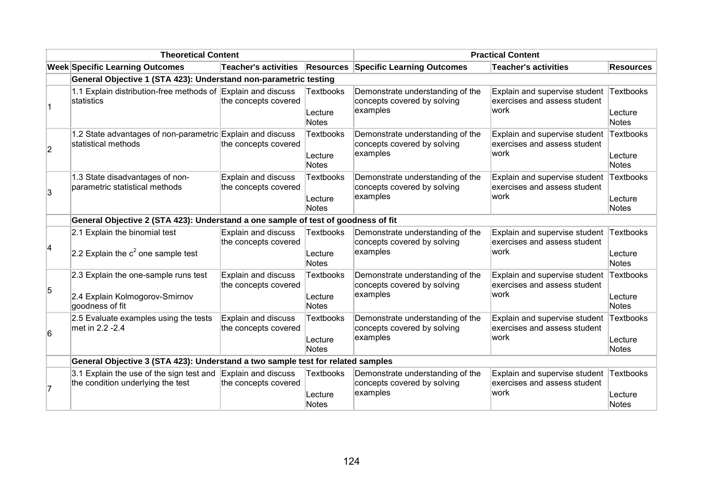| <b>Theoretical Content</b> |                                                                                           |                                                    | <b>Practical Content</b>             |                                                                             |                                                                                 |                               |
|----------------------------|-------------------------------------------------------------------------------------------|----------------------------------------------------|--------------------------------------|-----------------------------------------------------------------------------|---------------------------------------------------------------------------------|-------------------------------|
|                            | <b>Week Specific Learning Outcomes</b>                                                    |                                                    |                                      | Teacher's activities Resources Specific Learning Outcomes                   | <b>Teacher's activities</b>                                                     | <b>Resources</b>              |
|                            | General Objective 1 (STA 423): Understand non-parametric testing                          |                                                    |                                      |                                                                             |                                                                                 |                               |
|                            | 1.1 Explain distribution-free methods of Explain and discuss<br>statistics                | the concepts covered                               | Textbooks<br>Lecture<br>Notes        | Demonstrate understanding of the<br>concepts covered by solving<br>examples | Explain and supervise student Textbooks<br>exercises and assess student<br>work | Lecture<br>Notes              |
| $\overline{2}$             | 1.2 State advantages of non-parametric Explain and discuss<br>statistical methods         | the concepts covered                               | <b>Textbooks</b><br>Lecture<br>Notes | Demonstrate understanding of the<br>concepts covered by solving<br>examples | Explain and supervise student<br>exercises and assess student<br>work           | Textbooks<br>Lecture<br>Notes |
| 3                          | 1.3 State disadvantages of non-<br>parametric statistical methods                         | Explain and discuss<br>the concepts covered        | <b>Textbooks</b><br>Lecture<br>Notes | Demonstrate understanding of the<br>concepts covered by solving<br>examples | Explain and supervise student<br>exercises and assess student<br>lwork          | Textbooks<br>Lecture<br>Notes |
|                            | General Objective 2 (STA 423): Understand a one sample of test of goodness of fit         |                                                    |                                      |                                                                             |                                                                                 |                               |
| 4                          | 2.1 Explain the binomial test<br>2.2 Explain the $c^2$ one sample test                    | Explain and discuss<br>the concepts covered        | <b>Textbooks</b><br>Lecture<br>Notes | Demonstrate understanding of the<br>concepts covered by solving<br>examples | Explain and supervise student<br>exercises and assess student<br>work           | Textbooks<br>Lecture<br>Notes |
| 5                          | 2.3 Explain the one-sample runs test<br>2.4 Explain Kolmogorov-Smirnov<br>goodness of fit | Explain and discuss<br>the concepts covered        | <b>Textbooks</b><br>Lecture<br>Notes | Demonstrate understanding of the<br>concepts covered by solving<br>examples | Explain and supervise student<br>exercises and assess student<br>work           | Textbooks<br>Lecture<br>Notes |
| 6                          | 2.5 Evaluate examples using the tests<br>met in 2.2 -2.4                                  | <b>Explain and discuss</b><br>the concepts covered | <b>Textbooks</b><br>Lecture<br>Notes | Demonstrate understanding of the<br>concepts covered by solving<br>examples | Explain and supervise student<br>exercises and assess student<br>work           | Textbooks<br>Lecture<br>Notes |
|                            | General Objective 3 (STA 423): Understand a two sample test for related samples           |                                                    |                                      |                                                                             |                                                                                 |                               |
|                            | 3.1 Explain the use of the sign test and<br>the condition underlying the test             | Explain and discuss<br>the concepts covered        | <b>Textbooks</b><br>Lecture<br>Notes | Demonstrate understanding of the<br>concepts covered by solving<br>examples | Explain and supervise student<br>exercises and assess student<br>lwork          | Textbooks<br>Lecture<br>Notes |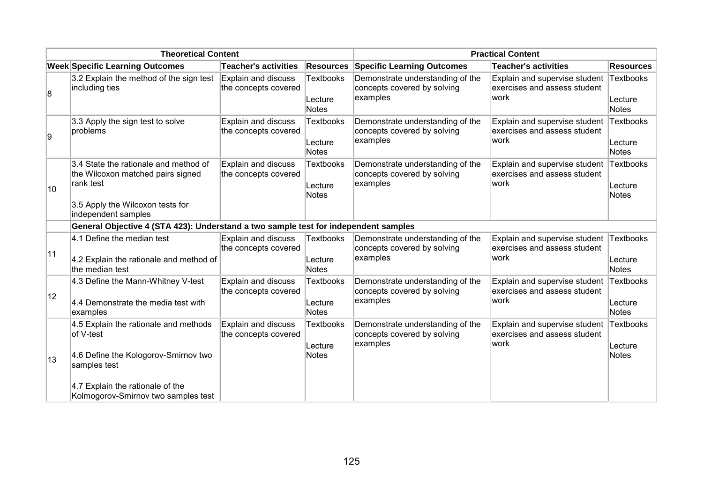| <b>Theoretical Content</b> |                                                                                                                                                                                       |                                                    | <b>Practical Content</b>             |                                                                             |                                                                        |                               |
|----------------------------|---------------------------------------------------------------------------------------------------------------------------------------------------------------------------------------|----------------------------------------------------|--------------------------------------|-----------------------------------------------------------------------------|------------------------------------------------------------------------|-------------------------------|
|                            | <b>Week Specific Learning Outcomes</b>                                                                                                                                                | <b>Teacher's activities</b>                        | <b>Resources</b>                     | <b>Specific Learning Outcomes</b>                                           | <b>Teacher's activities</b>                                            | <b>Resources</b>              |
| 8                          | 3.2 Explain the method of the sign test<br>including ties                                                                                                                             | Explain and discuss<br>the concepts covered        | <b>Textbooks</b><br>Lecture<br>Notes | Demonstrate understanding of the<br>concepts covered by solving<br>examples | Explain and supervise student<br>exercises and assess student<br> work | Textbooks<br>Lecture<br>Notes |
| g,                         | 3.3 Apply the sign test to solve<br>problems                                                                                                                                          | Explain and discuss<br>the concepts covered        | Textbooks<br>Lecture<br>Notes        | Demonstrate understanding of the<br>concepts covered by solving<br>examples | Explain and supervise student<br>exercises and assess student<br>work  | Textbooks<br>Lecture<br>Notes |
| 10                         | 3.4 State the rationale and method of<br>the Wilcoxon matched pairs signed<br>rank test<br>3.5 Apply the Wilcoxon tests for<br>independent samples                                    | Explain and discuss<br>the concepts covered        | <b>Textbooks</b><br>Lecture<br>Notes | Demonstrate understanding of the<br>concepts covered by solving<br>examples | Explain and supervise student<br>exercises and assess student<br>lwork | Textbooks<br>Lecture<br>Notes |
|                            | General Objective 4 (STA 423): Understand a two sample test for independent samples                                                                                                   |                                                    |                                      |                                                                             |                                                                        |                               |
| 11                         | 4.1 Define the median test<br>4.2 Explain the rationale and method of<br>the median test                                                                                              | <b>Explain and discuss</b><br>the concepts covered | <b>Textbooks</b><br>Lecture<br>Notes | Demonstrate understanding of the<br>concepts covered by solving<br>examples | Explain and supervise student<br>exercises and assess student<br>work  | Textbooks<br>Lecture<br>Notes |
| 12                         | 4.3 Define the Mann-Whitney V-test<br>4.4 Demonstrate the media test with<br>examples                                                                                                 | Explain and discuss<br>the concepts covered        | <b>Textbooks</b><br>Lecture<br>Notes | Demonstrate understanding of the<br>concepts covered by solving<br>examples | Explain and supervise student<br>exercises and assess student<br>work  | Textbooks<br>Lecture<br>Notes |
| 13                         | 4.5 Explain the rationale and methods<br>of V-test<br>4.6 Define the Kologorov-Smirnov two<br>samples test<br>4.7 Explain the rationale of the<br>Kolmogorov-Smirnov two samples test | <b>Explain and discuss</b><br>the concepts covered | <b>Textbooks</b><br>Lecture<br>Notes | Demonstrate understanding of the<br>concepts covered by solving<br>examples | Explain and supervise student<br>exercises and assess student<br>work  | Textbooks<br>Lecture<br>Notes |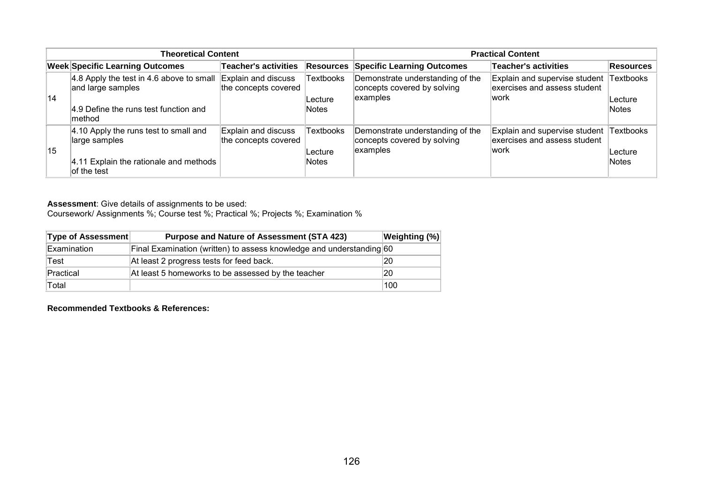| <b>Theoretical Content</b> |                                                                                                                                               |                                             | <b>Practical Content</b>              |                                                                             |                                                                        |                                      |
|----------------------------|-----------------------------------------------------------------------------------------------------------------------------------------------|---------------------------------------------|---------------------------------------|-----------------------------------------------------------------------------|------------------------------------------------------------------------|--------------------------------------|
|                            | <b>Week Specific Learning Outcomes</b>                                                                                                        | <b>Teacher's activities</b>                 | Resources                             | <b>Specific Learning Outcomes</b>                                           | <b>Teacher's activities</b>                                            | Resources                            |
| 14                         | 4.8 Apply the test in 4.6 above to small $\vert$ Explain and discuss<br>and large samples<br>4.9 Define the runs test function and<br>lmethod | the concepts covered                        | <b>Textbooks</b><br>Lecture<br>Notes  | Demonstrate understanding of the<br>concepts covered by solving<br>examples | Explain and supervise student<br>exercises and assess student<br>lwork | <b>Textbooks</b><br>Lecture<br>Notes |
| 15                         | 4.10 Apply the runs test to small and<br>large samples<br>4.11 Explain the rationale and methods<br>lof the test                              | Explain and discuss<br>the concepts covered | <b>Textbooks</b><br>∣Lecture<br>Notes | Demonstrate understanding of the<br>concepts covered by solving<br>examples | Explain and supervise student<br>exercises and assess student<br>lwork | <b>Textbooks</b><br>Lecture<br>Notes |

Coursework/ Assignments %; Course test %; Practical %; Projects %; Examination %

| <b>Type of Assessment</b> | <b>Purpose and Nature of Assessment (STA 423)</b>                    | Weighting (%) |
|---------------------------|----------------------------------------------------------------------|---------------|
| Examination               | Final Examination (written) to assess knowledge and understanding 60 |               |
| Test                      | At least 2 progress tests for feed back.                             | 20            |
| Practical                 | At least 5 homeworks to be assessed by the teacher                   | 20            |
| Total                     |                                                                      | 100           |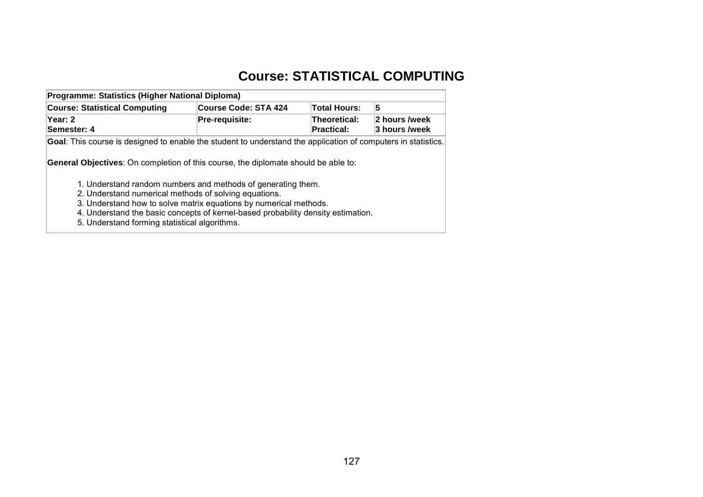# **Course: STATISTICAL COMPUTING**

| Programme: Statistics (Higher National Diploma)                                                                                                                                                                                                                                |                             |                                          |                                |  |  |  |  |
|--------------------------------------------------------------------------------------------------------------------------------------------------------------------------------------------------------------------------------------------------------------------------------|-----------------------------|------------------------------------------|--------------------------------|--|--|--|--|
| <b>Course: Statistical Computing</b>                                                                                                                                                                                                                                           | <b>Course Code: STA 424</b> | <b>Total Hours:</b>                      | 5                              |  |  |  |  |
| Year: 2<br>Semester: 4                                                                                                                                                                                                                                                         | Pre-requisite:              | <b>Theoretical:</b><br><b>Practical:</b> | 2 hours /week<br>3 hours /week |  |  |  |  |
| <b>Goal:</b> This course is designed to enable the student to understand the application of computers in statistics.<br><b>General Objectives:</b> On completion of this course, the diplomate should be able to:                                                              |                             |                                          |                                |  |  |  |  |
| 1. Understand random numbers and methods of generating them.<br>2. Understand numerical methods of solving equations.<br>3. Understand how to solve matrix equations by numerical methods.<br>4. Understand the basic concepts of kernel-based probability density estimation. |                             |                                          |                                |  |  |  |  |

5. Understand forming statistical algorithms.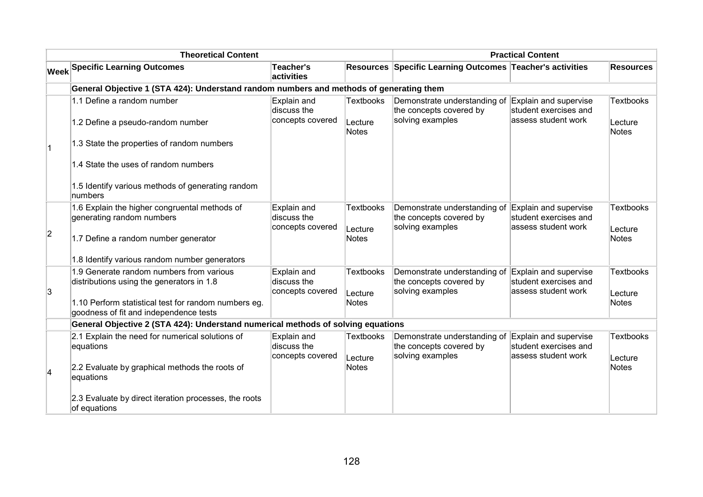| <b>Theoretical Content</b> |                                                                                                                                                                                         |                                                |                                             | <b>Practical Content</b>                                                    |                                                                       |                                      |  |
|----------------------------|-----------------------------------------------------------------------------------------------------------------------------------------------------------------------------------------|------------------------------------------------|---------------------------------------------|-----------------------------------------------------------------------------|-----------------------------------------------------------------------|--------------------------------------|--|
|                            | <b>Week Specific Learning Outcomes</b>                                                                                                                                                  | <b>Teacher's</b><br>activities                 |                                             | Resources Specific Learning Outcomes Teacher's activities                   |                                                                       | <b>Resources</b>                     |  |
|                            | General Objective 1 (STA 424): Understand random numbers and methods of generating them                                                                                                 |                                                |                                             |                                                                             |                                                                       |                                      |  |
|                            | 1.1 Define a random number<br>1.2 Define a pseudo-random number                                                                                                                         | Explain and<br>discuss the<br>concepts covered | <b>Textbooks</b><br>Lecture                 | Demonstrate understanding of<br>the concepts covered by<br>solving examples | Explain and supervise<br>student exercises and<br>assess student work | <b>Textbooks</b><br>Lecture          |  |
|                            | 1.3 State the properties of random numbers                                                                                                                                              |                                                | <b>Notes</b>                                |                                                                             |                                                                       | Notes                                |  |
|                            | 1.4 State the uses of random numbers                                                                                                                                                    |                                                |                                             |                                                                             |                                                                       |                                      |  |
|                            | 1.5 Identify various methods of generating random<br>numbers                                                                                                                            |                                                |                                             |                                                                             |                                                                       |                                      |  |
| 2                          | 1.6 Explain the higher congruental methods of<br>generating random numbers<br>1.7 Define a random number generator                                                                      | Explain and<br>discuss the<br>concepts covered | <b>Textbooks</b><br>Lecture<br><b>Notes</b> | Demonstrate understanding of<br>the concepts covered by<br>solving examples | Explain and supervise<br>student exercises and<br>assess student work | <b>Textbooks</b><br>Lecture<br>Notes |  |
|                            | 1.8 Identify various random number generators                                                                                                                                           |                                                |                                             |                                                                             |                                                                       |                                      |  |
| 3                          | 1.9 Generate random numbers from various<br>distributions using the generators in 1.8<br>1.10 Perform statistical test for random numbers eg.<br>goodness of fit and independence tests | Explain and<br>discuss the<br>concepts covered | <b>Textbooks</b><br>Lecture<br><b>Notes</b> | Demonstrate understanding of<br>the concepts covered by<br>solving examples | Explain and supervise<br>student exercises and<br>assess student work | <b>Textbooks</b><br>Lecture<br>Notes |  |
|                            | General Objective 2 (STA 424): Understand numerical methods of solving equations                                                                                                        |                                                |                                             |                                                                             |                                                                       |                                      |  |
|                            | 2.1 Explain the need for numerical solutions of<br>equations                                                                                                                            | Explain and<br>discuss the<br>concepts covered | <b>Textbooks</b><br>Lecture                 | Demonstrate understanding of<br>the concepts covered by<br>solving examples | Explain and supervise<br>student exercises and<br>assess student work | <b>Textbooks</b><br>Lecture          |  |
|                            | 2.2 Evaluate by graphical methods the roots of<br>equations                                                                                                                             |                                                | Notes                                       |                                                                             |                                                                       | <b>Notes</b>                         |  |
|                            | 2.3 Evaluate by direct iteration processes, the roots<br>of equations                                                                                                                   |                                                |                                             |                                                                             |                                                                       |                                      |  |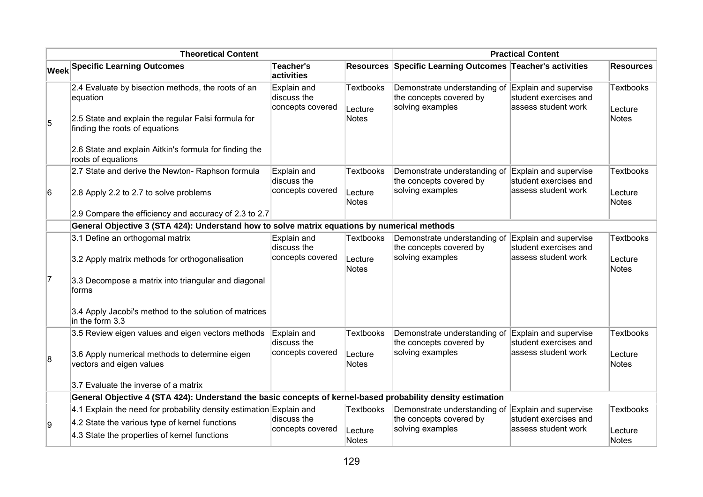| <b>Theoretical Content</b> |                                                                                                             |                                                |                             | <b>Practical Content</b>                                                    |                                                                       |                             |  |
|----------------------------|-------------------------------------------------------------------------------------------------------------|------------------------------------------------|-----------------------------|-----------------------------------------------------------------------------|-----------------------------------------------------------------------|-----------------------------|--|
|                            | <b>Week Specific Learning Outcomes</b>                                                                      | Teacher's<br>activities                        |                             | Resources Specific Learning Outcomes Teacher's activities                   |                                                                       | <b>Resources</b>            |  |
|                            | 2.4 Evaluate by bisection methods, the roots of an<br>equation                                              | Explain and<br>discuss the<br>concepts covered | <b>Textbooks</b><br>Lecture | Demonstrate understanding of<br>the concepts covered by<br>solving examples | Explain and supervise<br>student exercises and<br>assess student work | <b>Textbooks</b><br>Lecture |  |
| 5                          | 2.5 State and explain the regular Falsi formula for<br>finding the roots of equations                       |                                                | Notes                       |                                                                             |                                                                       | Notes                       |  |
|                            | 2.6 State and explain Aitkin's formula for finding the<br>roots of equations                                |                                                |                             |                                                                             |                                                                       |                             |  |
|                            | 2.7 State and derive the Newton- Raphson formula                                                            | Explain and<br>discuss the                     | <b>Textbooks</b>            | Demonstrate understanding of<br>the concepts covered by                     | Explain and supervise<br>student exercises and                        | <b>Textbooks</b>            |  |
| 6                          | 2.8 Apply 2.2 to 2.7 to solve problems                                                                      | concepts covered                               | Lecture<br><b>Notes</b>     | solving examples                                                            | assess student work                                                   | Lecture<br>Notes            |  |
|                            | 2.9 Compare the efficiency and accuracy of 2.3 to 2.7                                                       |                                                |                             |                                                                             |                                                                       |                             |  |
|                            | General Objective 3 (STA 424): Understand how to solve matrix equations by numerical methods                |                                                |                             |                                                                             |                                                                       |                             |  |
|                            | 3.1 Define an orthogomal matrix                                                                             | Explain and<br>discuss the                     | <b>Textbooks</b>            | Demonstrate understanding of<br>the concepts covered by                     | Explain and supervise<br>student exercises and                        | <b>Textbooks</b>            |  |
|                            | 3.2 Apply matrix methods for orthogonalisation                                                              | concepts covered                               | Lecture<br><b>Notes</b>     | solving examples                                                            | assess student work                                                   | Lecture<br>Notes            |  |
| 17                         | 3.3 Decompose a matrix into triangular and diagonal<br>forms                                                |                                                |                             |                                                                             |                                                                       |                             |  |
|                            | 3.4 Apply Jacobi's method to the solution of matrices<br>$\ln$ the form 3.3                                 |                                                |                             |                                                                             |                                                                       |                             |  |
|                            | 3.5 Review eigen values and eigen vectors methods                                                           | Explain and<br>discuss the                     | <b>Textbooks</b>            | Demonstrate understanding of<br>the concepts covered by                     | Explain and supervise<br>student exercises and                        | <b>Textbooks</b>            |  |
| 8                          | 3.6 Apply numerical methods to determine eigen<br>vectors and eigen values                                  | concepts covered                               | Lecture<br>Notes            | solving examples                                                            | assess student work                                                   | Lecture<br>Notes            |  |
|                            | 3.7 Evaluate the inverse of a matrix                                                                        |                                                |                             |                                                                             |                                                                       |                             |  |
|                            | General Objective 4 (STA 424): Understand the basic concepts of kernel-based probability density estimation |                                                |                             |                                                                             |                                                                       |                             |  |
|                            | 4.1 Explain the need for probability density estimation Explain and                                         |                                                | <b>Textbooks</b>            | Demonstrate understanding of                                                | Explain and supervise                                                 | <b>Textbooks</b>            |  |
| g,                         | 4.2 State the various type of kernel functions                                                              | discuss the                                    |                             | the concepts covered by                                                     | student exercises and                                                 |                             |  |
|                            | 4.3 State the properties of kernel functions                                                                | concepts covered                               | Lecture<br>Notes            | solving examples                                                            | assess student work                                                   | Lecture<br>Notes            |  |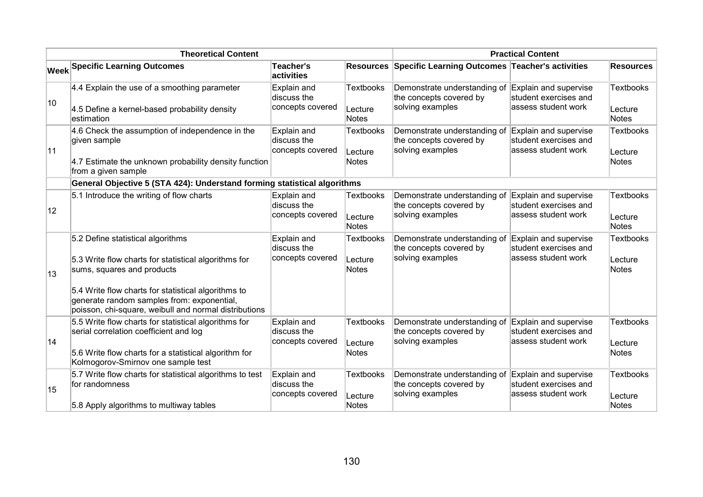| <b>Theoretical Content</b> |                                                                                                                                                                                                                                                                                       |                                                |                                             | <b>Practical Content</b>                                                    |                                                                        |                                      |  |
|----------------------------|---------------------------------------------------------------------------------------------------------------------------------------------------------------------------------------------------------------------------------------------------------------------------------------|------------------------------------------------|---------------------------------------------|-----------------------------------------------------------------------------|------------------------------------------------------------------------|--------------------------------------|--|
|                            | <b>Week Specific Learning Outcomes</b>                                                                                                                                                                                                                                                | <b>Teacher's</b><br>activities                 |                                             | Resources Specific Learning Outcomes Teacher's activities                   |                                                                        | <b>Resources</b>                     |  |
| 10                         | $4.4$ Explain the use of a smoothing parameter<br>4.5 Define a kernel-based probability density<br>estimation                                                                                                                                                                         | Explain and<br>discuss the<br>concepts covered | <b>Textbooks</b><br>Lecture<br><b>Notes</b> | Demonstrate understanding of<br>the concepts covered by<br>solving examples | Explain and supervise<br>student exercises and<br>lassess student work | <b>Textbooks</b><br>Lecture<br>Notes |  |
| 11                         | 4.6 Check the assumption of independence in the<br>given sample<br>4.7 Estimate the unknown probability density function<br>from a given sample                                                                                                                                       | Explain and<br>discuss the<br>concepts covered | <b>Textbooks</b><br>Lecture<br><b>Notes</b> | Demonstrate understanding of<br>the concepts covered by<br>solving examples | Explain and supervise<br>student exercises and<br>assess student work  | <b>Textbooks</b><br>Lecture<br>Notes |  |
|                            | General Objective 5 (STA 424): Understand forming statistical algorithms                                                                                                                                                                                                              |                                                |                                             |                                                                             |                                                                        |                                      |  |
| 12                         | 5.1 Introduce the writing of flow charts                                                                                                                                                                                                                                              | Explain and<br>discuss the<br>concepts covered | <b>Textbooks</b><br>Lecture<br><b>Notes</b> | Demonstrate understanding of<br>the concepts covered by<br>solving examples | Explain and supervise<br>student exercises and<br>lassess student work | <b>Textbooks</b><br>Lecture<br>Notes |  |
| ∣13                        | 5.2 Define statistical algorithms<br>5.3 Write flow charts for statistical algorithms for<br>sums, squares and products<br>5.4 Write flow charts for statistical algorithms to<br>generate random samples from: exponential,<br>poisson, chi-square, weibull and normal distributions | Explain and<br>discuss the<br>concepts covered | Textbooks<br>Lecture<br><b>Notes</b>        | Demonstrate understanding of<br>the concepts covered by<br>solving examples | Explain and supervise<br>student exercises and<br>assess student work  | <b>Textbooks</b><br>Lecture<br>Notes |  |
| 14                         | 5.5 Write flow charts for statistical algorithms for<br>serial correlation coefficient and log<br>5.6 Write flow charts for a statistical algorithm for<br>Kolmogorov-Smirnov one sample test                                                                                         | Explain and<br>discuss the<br>concepts covered | <b>Textbooks</b><br>Lecture<br><b>Notes</b> | Demonstrate understanding of<br>the concepts covered by<br>solving examples | Explain and supervise<br>student exercises and<br>lassess student work | <b>Textbooks</b><br>Lecture<br>Notes |  |
| 15                         | 5.7 Write flow charts for statistical algorithms to test<br>for randomness<br>5.8 Apply algorithms to multiway tables                                                                                                                                                                 | Explain and<br>discuss the<br>concepts covered | <b>Textbooks</b><br>Lecture<br><b>Notes</b> | Demonstrate understanding of<br>the concepts covered by<br>solving examples | Explain and supervise<br>student exercises and<br>assess student work  | <b>Textbooks</b><br>Lecture<br>Notes |  |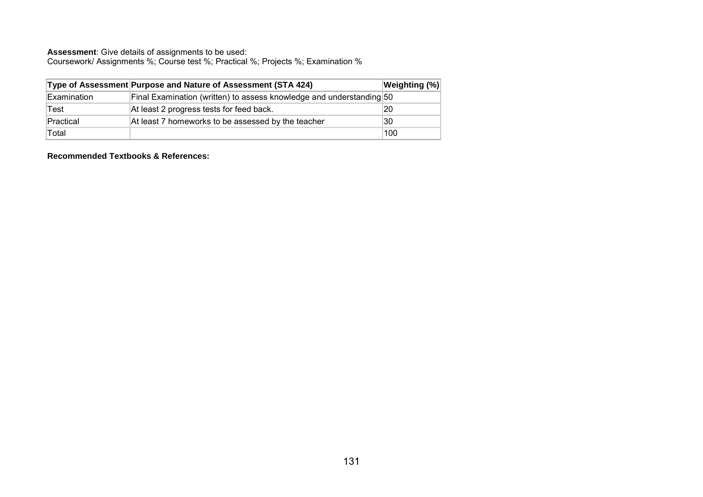Coursework/ Assignments %; Course test %; Practical %; Projects %; Examination %

|             | Type of Assessment Purpose and Nature of Assessment (STA 424)        | Weighting (%) |
|-------------|----------------------------------------------------------------------|---------------|
| Examination | Final Examination (written) to assess knowledge and understanding 50 |               |
| Test        | At least 2 progress tests for feed back.                             | 20            |
| Practical   | At least 7 homeworks to be assessed by the teacher                   | 30            |
| Total       |                                                                      | 100           |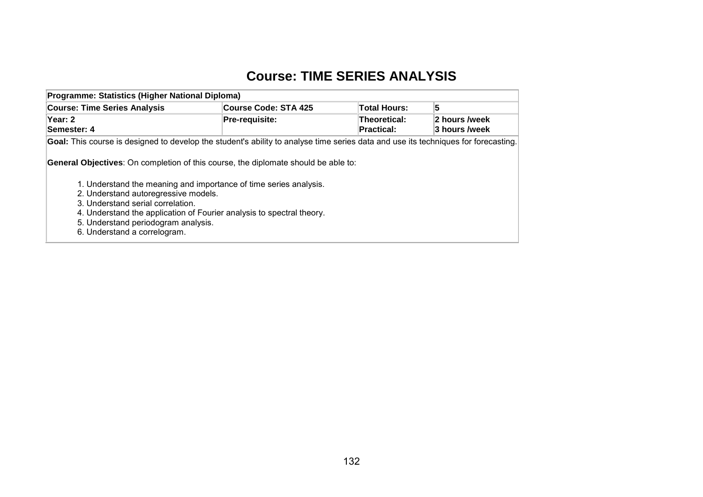## **Course: TIME SERIES ANALYSIS**

| Programme: Statistics (Higher National Diploma)                                                                                    |                       |                                   |                                |  |  |  |  |  |
|------------------------------------------------------------------------------------------------------------------------------------|-----------------------|-----------------------------------|--------------------------------|--|--|--|--|--|
| <b>Course: Time Series Analysis</b>                                                                                                | Course Code: STA 425  | <b>Total Hours:</b>               | 5                              |  |  |  |  |  |
| Year: 2<br>Semester: 4                                                                                                             | <b>Pre-requisite:</b> | Theoretical:<br><b>Practical:</b> | 2 hours /week<br>3 hours /week |  |  |  |  |  |
| Goal: This course is designed to develop the student's ability to analyse time series data and use its techniques for forecasting. |                       |                                   |                                |  |  |  |  |  |
| <b>General Objectives:</b> On completion of this course, the diplomate should be able to:                                          |                       |                                   |                                |  |  |  |  |  |
| 1. Understand the meaning and importance of time series analysis.                                                                  |                       |                                   |                                |  |  |  |  |  |
| 2. Understand autoregressive models.<br>3. Understand serial correlation.                                                          |                       |                                   |                                |  |  |  |  |  |
| 4. Understand the application of Fourier analysis to spectral theory.<br>5. Understand periodogram analysis.                       |                       |                                   |                                |  |  |  |  |  |
| 6. Understand a correlogram.                                                                                                       |                       |                                   |                                |  |  |  |  |  |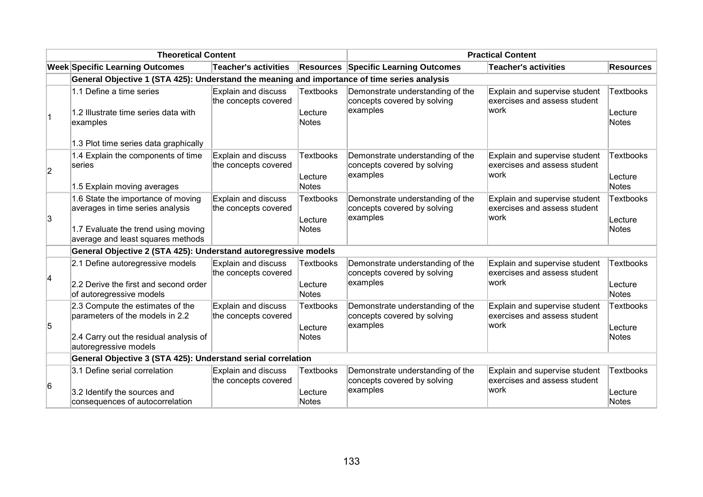| <b>Theoretical Content</b> |                                                                                                                                                    |                                                    | <b>Practical Content</b>                    |                                                                             |                                                                       |                                      |
|----------------------------|----------------------------------------------------------------------------------------------------------------------------------------------------|----------------------------------------------------|---------------------------------------------|-----------------------------------------------------------------------------|-----------------------------------------------------------------------|--------------------------------------|
|                            | <b>Week Specific Learning Outcomes</b>                                                                                                             | Teacher's activities                               |                                             | <b>Resources Specific Learning Outcomes</b>                                 | <b>Teacher's activities</b>                                           | <b>Resources</b>                     |
|                            | General Objective 1 (STA 425): Understand the meaning and importance of time series analysis                                                       |                                                    |                                             |                                                                             |                                                                       |                                      |
| $\overline{1}$             | 1.1 Define a time series<br>1.2 Illustrate time series data with<br>examples<br>1.3 Plot time series data graphically                              | Explain and discuss<br>the concepts covered        | <b>Textbooks</b><br>Lecture<br><b>Notes</b> | Demonstrate understanding of the<br>concepts covered by solving<br>examples | Explain and supervise student<br>exercises and assess student<br>work | Textbooks<br>Lecture<br>Notes        |
| $ 2\rangle$                | 1.4 Explain the components of time<br>series<br>1.5 Explain moving averages                                                                        | Explain and discuss<br>the concepts covered        | <b>Textbooks</b><br>Lecture<br>Notes        | Demonstrate understanding of the<br>concepts covered by solving<br>examples | Explain and supervise student<br>exercises and assess student<br>work | <b>Textbooks</b><br>Lecture<br>Notes |
| 3                          | 1.6 State the importance of moving<br>averages in time series analysis<br>1.7 Evaluate the trend using moving<br>average and least squares methods | <b>Explain and discuss</b><br>the concepts covered | <b>Textbooks</b><br>Lecture<br><b>Notes</b> | Demonstrate understanding of the<br>concepts covered by solving<br>examples | Explain and supervise student<br>exercises and assess student<br>work | Textbooks<br>Lecture<br>Notes        |
|                            | General Objective 2 (STA 425): Understand autoregressive models                                                                                    |                                                    |                                             |                                                                             |                                                                       |                                      |
| 14                         | 2.1 Define autoregressive models<br>2.2 Derive the first and second order<br>of autoregressive models                                              | Explain and discuss<br>the concepts covered        | <b>Textbooks</b><br>Lecture<br>Notes        | Demonstrate understanding of the<br>concepts covered by solving<br>examples | Explain and supervise student<br>exercises and assess student<br>work | Textbooks<br>Lecture<br>Notes        |
| 5                          | 2.3 Compute the estimates of the<br>parameters of the models in 2.2<br>2.4 Carry out the residual analysis of<br>autoregressive models             | Explain and discuss<br>the concepts covered        | <b>Textbooks</b><br>Lecture<br><b>Notes</b> | Demonstrate understanding of the<br>concepts covered by solving<br>examples | Explain and supervise student<br>exercises and assess student<br>work | Textbooks<br>Lecture<br>Notes        |
|                            | General Objective 3 (STA 425): Understand serial correlation                                                                                       |                                                    |                                             |                                                                             |                                                                       |                                      |
| 6                          | 3.1 Define serial correlation<br>3.2 Identify the sources and<br>consequences of autocorrelation                                                   | <b>Explain and discuss</b><br>the concepts covered | <b>Textbooks</b><br>Lecture<br><b>Notes</b> | Demonstrate understanding of the<br>concepts covered by solving<br>examples | Explain and supervise student<br>exercises and assess student<br>work | Textbooks<br>Lecture<br>Notes        |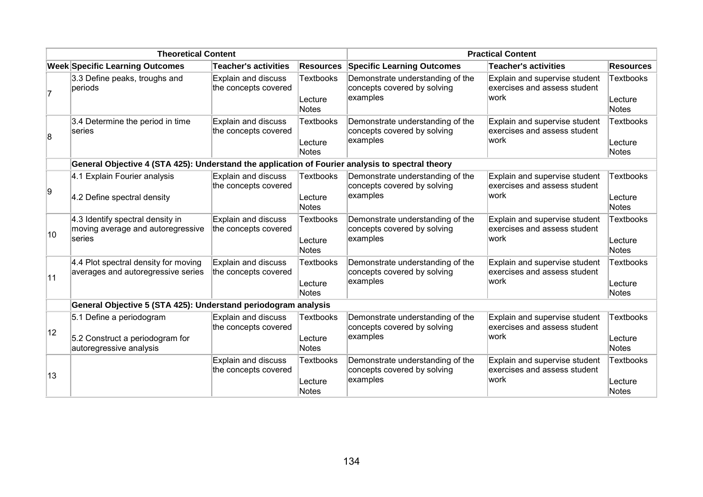| <b>Theoretical Content</b> |                                                                                                  |                                                    | <b>Practical Content</b>             |                                                                             |                                                                        |                               |
|----------------------------|--------------------------------------------------------------------------------------------------|----------------------------------------------------|--------------------------------------|-----------------------------------------------------------------------------|------------------------------------------------------------------------|-------------------------------|
|                            | <b>Week Specific Learning Outcomes</b>                                                           | <b>Teacher's activities</b>                        | <b>Resources</b>                     | <b>Specific Learning Outcomes</b>                                           | Teacher's activities                                                   | <b>Resources</b>              |
|                            | 3.3 Define peaks, troughs and<br>periods                                                         | <b>Explain and discuss</b><br>the concepts covered | <b>Textbooks</b><br>Lecture<br>Notes | Demonstrate understanding of the<br>concepts covered by solving<br>examples | Explain and supervise student<br>exercises and assess student<br>lwork | Textbooks<br>Lecture<br>Notes |
| $\overline{\mathbf{8}}$    | 3.4 Determine the period in time<br>series                                                       | Explain and discuss<br>the concepts covered        | <b>Textbooks</b><br>Lecture<br>Notes | Demonstrate understanding of the<br>concepts covered by solving<br>examples | Explain and supervise student<br>exercises and assess student<br>lwork | Textbooks<br>Lecture<br>Notes |
|                            | General Objective 4 (STA 425): Understand the application of Fourier analysis to spectral theory |                                                    |                                      |                                                                             |                                                                        |                               |
| 9                          | 4.1 Explain Fourier analysis<br>4.2 Define spectral density                                      | <b>Explain and discuss</b><br>the concepts covered | <b>Textbooks</b><br>Lecture<br>Notes | Demonstrate understanding of the<br>concepts covered by solving<br>examples | Explain and supervise student<br>exercises and assess student<br>work  | Textbooks<br>Lecture<br>Notes |
| 10                         | 4.3 Identify spectral density in<br>moving average and autoregressive<br>series                  | <b>Explain and discuss</b><br>the concepts covered | <b>Textbooks</b><br>Lecture<br>Notes | Demonstrate understanding of the<br>concepts covered by solving<br>examples | Explain and supervise student<br>exercises and assess student<br>lwork | Textbooks<br>Lecture<br>Notes |
| 11                         | 4.4 Plot spectral density for moving<br>averages and autoregressive series                       | Explain and discuss<br>the concepts covered        | <b>Textbooks</b><br>Lecture<br>Notes | Demonstrate understanding of the<br>concepts covered by solving<br>examples | Explain and supervise student<br>exercises and assess student<br>lwork | Textbooks<br>Lecture<br>Notes |
|                            | General Objective 5 (STA 425): Understand periodogram analysis                                   |                                                    |                                      |                                                                             |                                                                        |                               |
| 12                         | 5.1 Define a periodogram<br>5.2 Construct a periodogram for<br>autoregressive analysis           | Explain and discuss<br>the concepts covered        | <b>Textbooks</b><br>Lecture<br>Notes | Demonstrate understanding of the<br>concepts covered by solving<br>examples | Explain and supervise student<br>exercises and assess student<br>work  | Textbooks<br>Lecture<br>Notes |
| 13                         |                                                                                                  | <b>Explain and discuss</b><br>the concepts covered | <b>Textbooks</b><br>Lecture<br>Notes | Demonstrate understanding of the<br>concepts covered by solving<br>examples | Explain and supervise student<br>exercises and assess student<br>work  | Textbooks<br>Lecture<br>Notes |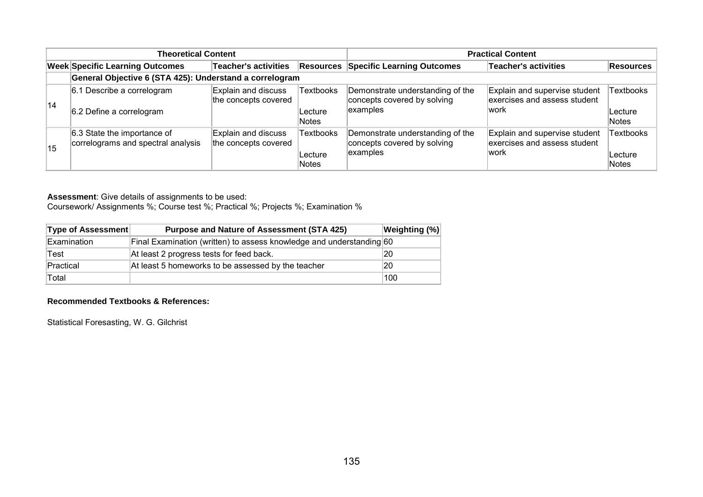| <b>Theoretical Content</b> |                                                                   |                                             |                                      | <b>Practical Content</b>                                                     |                                                                       |                                      |  |
|----------------------------|-------------------------------------------------------------------|---------------------------------------------|--------------------------------------|------------------------------------------------------------------------------|-----------------------------------------------------------------------|--------------------------------------|--|
|                            | <b>Week Specific Learning Outcomes</b>                            | <b>Teacher's activities</b>                 | Resources                            | <b>Specific Learning Outcomes</b>                                            | <b>Teacher's activities</b>                                           | Resources                            |  |
|                            | General Objective 6 (STA 425): Understand a correlogram           |                                             |                                      |                                                                              |                                                                       |                                      |  |
| 14                         | 6.1 Describe a correlogram<br>6.2 Define a correlogram            | Explain and discuss<br>the concepts covered | <b>Textbooks</b><br>Lecture<br>Notes | Demonstrate understanding of the<br>concepts covered by solving<br>lexamples | Explain and supervise student<br>exercises and assess student<br>work | Textbooks<br>Lecture<br>Notes        |  |
| 15                         | 6.3 State the importance of<br>correlograms and spectral analysis | Explain and discuss<br>the concepts covered | <b>Textbooks</b><br>Lecture<br>Notes | Demonstrate understanding of the<br>concepts covered by solving<br>examples  | Explain and supervise student<br>exercises and assess student<br>work | <b>Textbooks</b><br>Lecture<br>Notes |  |

Coursework/ Assignments %; Course test %; Practical %; Projects %; Examination %

| Type of Assessment | <b>Purpose and Nature of Assessment (STA 425)</b>                    | <b>Weighting (%)</b> |
|--------------------|----------------------------------------------------------------------|----------------------|
| Examination        | Final Examination (written) to assess knowledge and understanding 60 |                      |
| Test               | At least 2 progress tests for feed back.                             | 20                   |
| Practical          | At least 5 homeworks to be assessed by the teacher                   | 20                   |
| Total              |                                                                      | 100                  |

#### **Recommended Textbooks & References:**

Statistical Foresasting, W. G. Gilchrist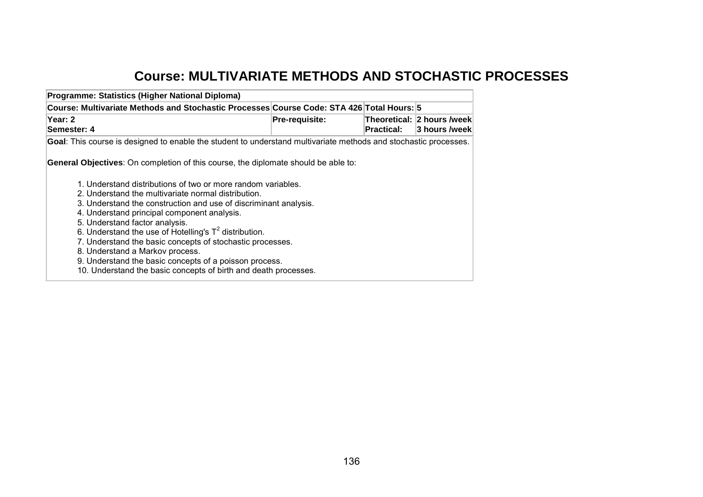# **Course: MULTIVARIATE METHODS AND STOCHASTIC PROCESSES**

| Programme: Statistics (Higher National Diploma)                                                                                                                                                                                                                                                                                                                                                                                                                                                                                   |                |            |                 |
|-----------------------------------------------------------------------------------------------------------------------------------------------------------------------------------------------------------------------------------------------------------------------------------------------------------------------------------------------------------------------------------------------------------------------------------------------------------------------------------------------------------------------------------|----------------|------------|-----------------|
| Course: Multivariate Methods and Stochastic Processes Course Code: STA 426 Total Hours: 5                                                                                                                                                                                                                                                                                                                                                                                                                                         |                |            |                 |
| Year: 2<br>Semester: 4                                                                                                                                                                                                                                                                                                                                                                                                                                                                                                            | Pre-requisite: | Practical: | ∣3 hours /week∣ |
| Goal: This course is designed to enable the student to understand multivariate methods and stochastic processes.                                                                                                                                                                                                                                                                                                                                                                                                                  |                |            |                 |
| <b>General Objectives:</b> On completion of this course, the diplomate should be able to:<br>1. Understand distributions of two or more random variables.<br>2. Understand the multivariate normal distribution.<br>3. Understand the construction and use of discriminant analysis.<br>4. Understand principal component analysis.<br>5. Understand factor analysis.<br>6. Understand the use of Hotelling's $T^2$ distribution.<br>7. Understand the basic concepts of stochastic processes.<br>8. Understand a Markov process. |                |            |                 |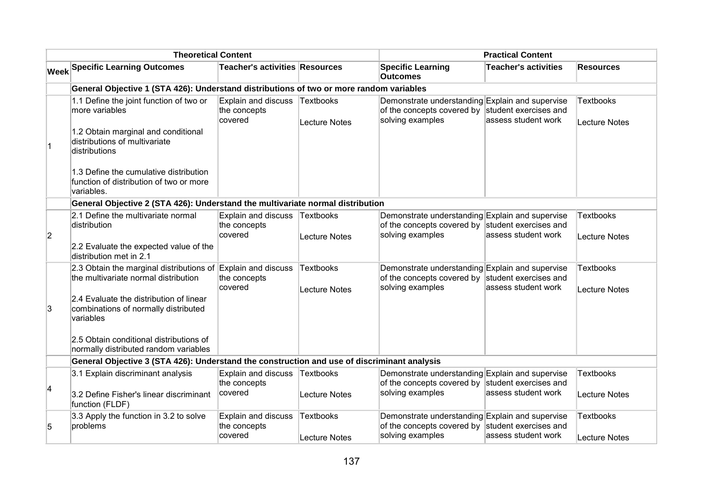|                | <b>Theoretical Content</b>                                                                                                                                                                           |                                                       |                                          |                                                                                                                         | <b>Practical Content</b>    |                                          |  |  |
|----------------|------------------------------------------------------------------------------------------------------------------------------------------------------------------------------------------------------|-------------------------------------------------------|------------------------------------------|-------------------------------------------------------------------------------------------------------------------------|-----------------------------|------------------------------------------|--|--|
|                | <b>Week Specific Learning Outcomes</b>                                                                                                                                                               | <b>Teacher's activities Resources</b>                 |                                          | <b>Specific Learning</b><br><b>Outcomes</b>                                                                             | <b>Teacher's activities</b> | <b>Resources</b>                         |  |  |
|                | General Objective 1 (STA 426): Understand distributions of two or more random variables                                                                                                              |                                                       |                                          |                                                                                                                         |                             |                                          |  |  |
| $\vert$ 1      | 1.1 Define the joint function of two or<br>more variables<br>1.2 Obtain marginal and conditional<br>distributions of multivariate<br>distributions                                                   | <b>Explain and discuss</b><br>the concepts<br>covered | Textbooks<br><b>Lecture Notes</b>        | Demonstrate understanding Explain and supervise<br>of the concepts covered by student exercises and<br>solving examples | assess student work         | <b>Textbooks</b><br>Lecture Notes        |  |  |
|                | 1.3 Define the cumulative distribution<br>function of distribution of two or more<br>variables.                                                                                                      |                                                       |                                          |                                                                                                                         |                             |                                          |  |  |
|                | General Objective 2 (STA 426): Understand the multivariate normal distribution                                                                                                                       |                                                       |                                          |                                                                                                                         |                             |                                          |  |  |
| $\overline{2}$ | 2.1 Define the multivariate normal<br>distribution<br>2.2 Evaluate the expected value of the<br>distribution met in 2.1                                                                              | <b>Explain and discuss</b><br>the concepts<br>covered | Textbooks<br><b>Lecture Notes</b>        | Demonstrate understanding Explain and supervise<br>of the concepts covered by student exercises and<br>solving examples | assess student work         | <b>Textbooks</b><br><b>Lecture Notes</b> |  |  |
| 3              | 2.3 Obtain the marginal distributions of Explain and discuss<br>the multivariate normal distribution<br>2.4 Evaluate the distribution of linear<br>combinations of normally distributed<br>variables | the concepts<br>covered                               | <b>Textbooks</b><br><b>Lecture Notes</b> | Demonstrate understanding Explain and supervise<br>of the concepts covered by student exercises and<br>solving examples | assess student work         | <b>Textbooks</b><br><b>Lecture Notes</b> |  |  |
|                | 2.5 Obtain conditional distributions of<br>normally distributed random variables                                                                                                                     |                                                       |                                          |                                                                                                                         |                             |                                          |  |  |
|                | General Objective 3 (STA 426): Understand the construction and use of discriminant analysis                                                                                                          |                                                       |                                          |                                                                                                                         |                             |                                          |  |  |
| 4              | 3.1 Explain discriminant analysis<br>3.2 Define Fisher's linear discriminant<br>function (FLDF)                                                                                                      | Explain and discuss<br>the concepts<br>covered        | Textbooks<br><b>Lecture Notes</b>        | Demonstrate understanding Explain and supervise<br>of the concepts covered by student exercises and<br>solving examples | assess student work         | <b>Textbooks</b><br><b>Lecture Notes</b> |  |  |
| 5              | 3.3 Apply the function in 3.2 to solve<br>problems                                                                                                                                                   | Explain and discuss<br>the concepts<br>covered        | Textbooks<br>Lecture Notes               | Demonstrate understanding Explain and supervise<br>of the concepts covered by student exercises and<br>solving examples | assess student work         | <b>Textbooks</b><br>Lecture Notes        |  |  |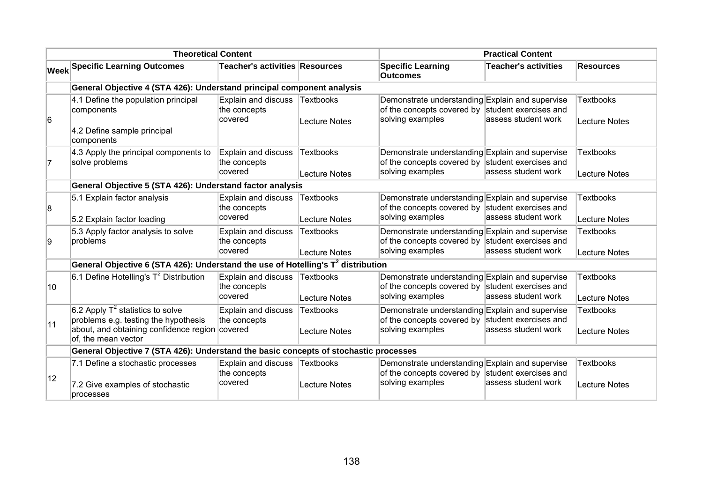|              | <b>Theoretical Content</b>                                                                                                                           |                                                       |                                   | <b>Practical Content</b>                                                                                                |                                              |                                          |
|--------------|------------------------------------------------------------------------------------------------------------------------------------------------------|-------------------------------------------------------|-----------------------------------|-------------------------------------------------------------------------------------------------------------------------|----------------------------------------------|------------------------------------------|
|              | <b>Week Specific Learning Outcomes</b>                                                                                                               | <b>Teacher's activities Resources</b>                 |                                   | <b>Specific Learning</b><br><b>Outcomes</b>                                                                             | <b>Teacher's activities</b>                  | <b>Resources</b>                         |
|              | General Objective 4 (STA 426): Understand principal component analysis                                                                               |                                                       |                                   |                                                                                                                         |                                              |                                          |
| 6            | 4.1 Define the population principal<br>components<br>4.2 Define sample principal<br>components                                                       | Explain and discuss<br>the concepts<br>covered        | Textbooks<br><b>Lecture Notes</b> | Demonstrate understanding Explain and supervise<br>of the concepts covered by student exercises and<br>solving examples | assess student work                          | <b>Textbooks</b><br><b>Lecture Notes</b> |
| 7            | 4.3 Apply the principal components to<br>solve problems                                                                                              | <b>Explain and discuss</b><br>the concepts<br>covered | Textbooks<br><b>Lecture Notes</b> | Demonstrate understanding Explain and supervise<br>of the concepts covered by student exercises and<br>solving examples | assess student work                          | <b>Textbooks</b><br>Lecture Notes        |
|              | General Objective 5 (STA 426): Understand factor analysis                                                                                            |                                                       |                                   |                                                                                                                         |                                              |                                          |
| 8            | 5.1 Explain factor analysis<br>5.2 Explain factor loading                                                                                            | Explain and discuss<br>the concepts<br>covered        | <b>Textbooks</b><br>Lecture Notes | Demonstrate understanding Explain and supervise<br>of the concepts covered by<br>solving examples                       | student exercises and<br>assess student work | Textbooks<br>Lecture Notes               |
| 9            | 5.3 Apply factor analysis to solve<br>problems                                                                                                       | Explain and discuss<br>the concepts<br>covered        | <b>Textbooks</b><br>Lecture Notes | Demonstrate understanding Explain and supervise<br>of the concepts covered by student exercises and<br>solving examples | assess student work                          | <b>Textbooks</b><br>Lecture Notes        |
|              | General Objective 6 (STA 426): Understand the use of Hotelling's T <sup>2</sup> distribution                                                         |                                                       |                                   |                                                                                                                         |                                              |                                          |
| $ 10\rangle$ | 6.1 Define Hotelling's $T^2$ Distribution                                                                                                            | Explain and discuss<br>the concepts<br>covered        | Textbooks<br>Lecture Notes        | Demonstrate understanding Explain and supervise<br>of the concepts covered by student exercises and<br>solving examples | assess student work                          | <b>Textbooks</b><br>Lecture Notes        |
| 11           | 6.2 Apply $T^2$ statistics to solve<br>problems e.g. testing the hypothesis<br>about, and obtaining confidence region covered<br>of, the mean vector | Explain and discuss<br>the concepts                   | <b>Textbooks</b><br>Lecture Notes | Demonstrate understanding Explain and supervise<br>of the concepts covered by<br>solving examples                       | student exercises and<br>assess student work | <b>Textbooks</b><br>Lecture Notes        |
|              | General Objective 7 (STA 426): Understand the basic concepts of stochastic processes                                                                 |                                                       |                                   |                                                                                                                         |                                              |                                          |
| 12           | 7.1 Define a stochastic processes<br>7.2 Give examples of stochastic<br>processes                                                                    | Explain and discuss<br>the concepts<br>covered        | Textbooks<br><b>Lecture Notes</b> | Demonstrate understanding Explain and supervise<br>of the concepts covered by student exercises and<br>solving examples | assess student work                          | <b>Textbooks</b><br><b>Lecture Notes</b> |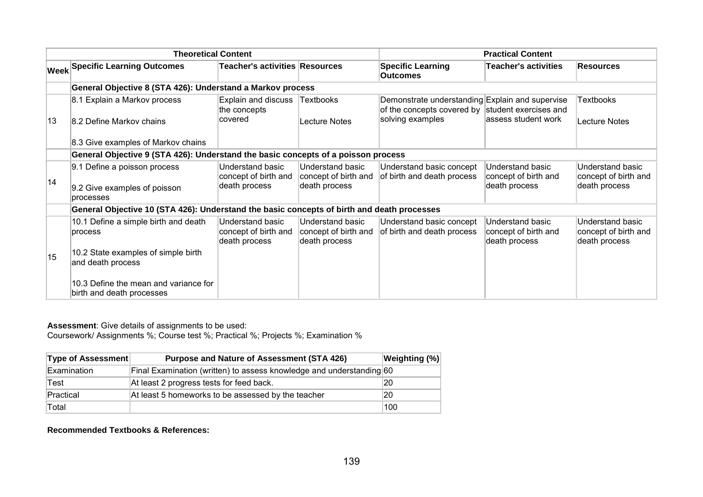|    | <b>Theoretical Content</b>                                                                 |                                                           |                                                           |                                                                                                     | <b>Practical Content</b>                                  |                                                           |  |
|----|--------------------------------------------------------------------------------------------|-----------------------------------------------------------|-----------------------------------------------------------|-----------------------------------------------------------------------------------------------------|-----------------------------------------------------------|-----------------------------------------------------------|--|
|    | <b>Week Specific Learning Outcomes</b>                                                     | Teacher's activities Resources                            |                                                           | <b>Specific Learning</b><br><b>Outcomes</b>                                                         | <b>Teacher's activities</b>                               | <b>Resources</b>                                          |  |
|    | General Objective 8 (STA 426): Understand a Markov process                                 |                                                           |                                                           |                                                                                                     |                                                           |                                                           |  |
|    | 8.1 Explain a Markov process                                                               | Explain and discuss<br>the concepts                       | <b>Textbooks</b>                                          | Demonstrate understanding Explain and supervise<br>of the concepts covered by student exercises and |                                                           | Textbooks                                                 |  |
| 13 | 8.2 Define Markov chains                                                                   | covered                                                   | Lecture Notes                                             | solving examples                                                                                    | lassess student work                                      | Lecture Notes                                             |  |
|    | 8.3 Give examples of Markov chains                                                         |                                                           |                                                           |                                                                                                     |                                                           |                                                           |  |
|    | General Objective 9 (STA 426): Understand the basic concepts of a poisson process          |                                                           |                                                           |                                                                                                     |                                                           |                                                           |  |
|    | 9.1 Define a poisson process                                                               | Understand basic<br>concept of birth and                  | Understand basic<br>concept of birth and                  | Understand basic concept<br>of birth and death process                                              | Understand basic<br>concept of birth and                  | Understand basic<br>concept of birth and                  |  |
| 14 | 9.2 Give examples of poisson<br>processes                                                  | death process                                             | death process                                             |                                                                                                     | death process                                             | death process                                             |  |
|    | General Objective 10 (STA 426): Understand the basic concepts of birth and death processes |                                                           |                                                           |                                                                                                     |                                                           |                                                           |  |
|    | 10.1 Define a simple birth and death<br>process                                            | Understand basic<br>concept of birth and<br>death process | Understand basic<br>concept of birth and<br>death process | Understand basic concept<br>of birth and death process                                              | Understand basic<br>concept of birth and<br>death process | Understand basic<br>concept of birth and<br>death process |  |
| 15 | 10.2 State examples of simple birth<br>and death process                                   |                                                           |                                                           |                                                                                                     |                                                           |                                                           |  |
|    | 10.3 Define the mean and variance for<br>birth and death processes                         |                                                           |                                                           |                                                                                                     |                                                           |                                                           |  |

Coursework/ Assignments %; Course test %; Practical %; Projects %; Examination %

| <b>Type of Assessment</b> | <b>Purpose and Nature of Assessment (STA 426)</b>                    | <b>Weighting (%)</b> |
|---------------------------|----------------------------------------------------------------------|----------------------|
| Examination               | Final Examination (written) to assess knowledge and understanding 60 |                      |
| Test                      | At least 2 progress tests for feed back.                             | 20                   |
| Practical                 | At least 5 homeworks to be assessed by the teacher                   | 20                   |
| Total                     |                                                                      | 100                  |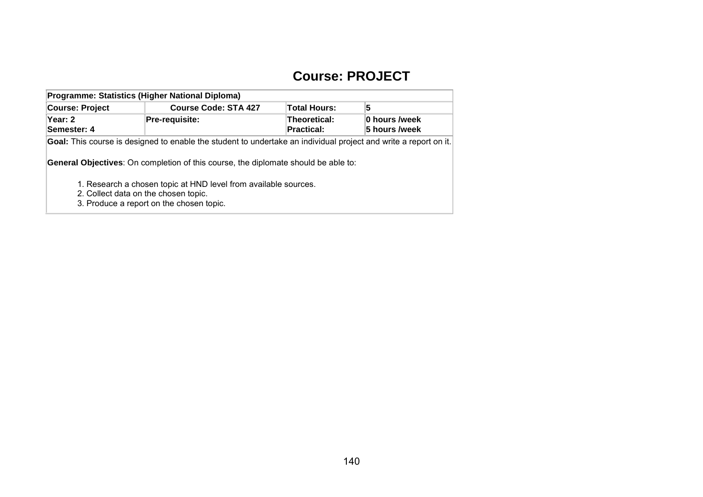## **Course: PROJECT**

| Programme: Statistics (Higher National Diploma)                                                                  |                                          |                                          |                                |  |  |  |  |
|------------------------------------------------------------------------------------------------------------------|------------------------------------------|------------------------------------------|--------------------------------|--|--|--|--|
| <b>Course: Project</b>                                                                                           | <b>Course Code: STA 427</b>              | <b>Total Hours:</b>                      | 5                              |  |  |  |  |
| Year: 2<br>Semester: 4                                                                                           | Pre-requisite:                           | <b>Theoretical:</b><br><b>Practical:</b> | 0 hours /week<br>5 hours /week |  |  |  |  |
| Goal: This course is designed to enable the student to undertake an individual project and write a report on it. |                                          |                                          |                                |  |  |  |  |
| <b>General Objectives:</b> On completion of this course, the diplomate should be able to:                        |                                          |                                          |                                |  |  |  |  |
| 1. Research a chosen topic at HND level from available sources.                                                  |                                          |                                          |                                |  |  |  |  |
|                                                                                                                  | 2. Collect data on the chosen topic.     |                                          |                                |  |  |  |  |
|                                                                                                                  | 3. Produce a report on the chosen topic. |                                          |                                |  |  |  |  |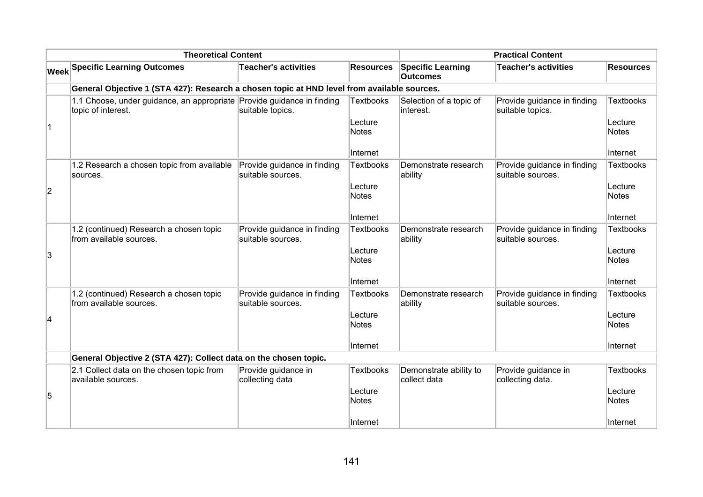| <b>Theoretical Content</b> |                                                                                              |                                                  |                         | <b>Practical Content</b>                    |                                                  |                         |  |  |
|----------------------------|----------------------------------------------------------------------------------------------|--------------------------------------------------|-------------------------|---------------------------------------------|--------------------------------------------------|-------------------------|--|--|
|                            | <b>Week Specific Learning Outcomes</b>                                                       | <b>Teacher's activities</b>                      | <b>Resources</b>        | <b>Specific Learning</b><br><b>Outcomes</b> | <b>Teacher's activities</b>                      | <b>Resources</b>        |  |  |
|                            | General Objective 1 (STA 427): Research a chosen topic at HND level from available sources.  |                                                  |                         |                                             |                                                  |                         |  |  |
|                            | 1.1 Choose, under guidance, an appropriate Provide guidance in finding<br>topic of interest. | suitable topics.                                 | <b>Textbooks</b>        | Selection of a topic of<br>interest.        | Provide guidance in finding<br>suitable topics.  | <b>Textbooks</b>        |  |  |
| $\overline{1}$             |                                                                                              |                                                  | Lecture<br><b>Notes</b> |                                             |                                                  | Lecture<br><b>Notes</b> |  |  |
|                            |                                                                                              |                                                  | Internet                |                                             |                                                  | Internet                |  |  |
|                            | 1.2 Research a chosen topic from available<br>sources.                                       | Provide guidance in finding<br>suitable sources. | <b>Textbooks</b>        | Demonstrate research<br>ability             | Provide guidance in finding<br>suitable sources. | <b>Textbooks</b>        |  |  |
| $\overline{c}$             |                                                                                              |                                                  | Lecture<br><b>Notes</b> |                                             |                                                  | Lecture<br>Notes        |  |  |
|                            |                                                                                              |                                                  | Internet                |                                             |                                                  | Internet                |  |  |
|                            | 1.2 (continued) Research a chosen topic<br>from available sources.                           | Provide guidance in finding<br>suitable sources. | <b>Textbooks</b>        | Demonstrate research<br>ability             | Provide guidance in finding<br>suitable sources. | <b>Textbooks</b>        |  |  |
| 3                          |                                                                                              |                                                  | Lecture<br><b>Notes</b> |                                             |                                                  | Lecture<br>Notes        |  |  |
|                            |                                                                                              |                                                  | Internet                |                                             |                                                  | Internet                |  |  |
|                            | 1.2 (continued) Research a chosen topic<br>from available sources.                           | Provide guidance in finding<br>suitable sources. | <b>Textbooks</b>        | Demonstrate research<br>ability             | Provide guidance in finding<br>suitable sources. | <b>Textbooks</b>        |  |  |
| 4                          |                                                                                              |                                                  | Lecture<br><b>Notes</b> |                                             |                                                  | Lecture<br>Notes        |  |  |
|                            |                                                                                              |                                                  | Internet                |                                             |                                                  | Internet                |  |  |
|                            | General Objective 2 (STA 427): Collect data on the chosen topic.                             |                                                  |                         |                                             |                                                  |                         |  |  |
|                            | 2.1 Collect data on the chosen topic from<br>available sources.                              | Provide guidance in<br>collecting data           | <b>Textbooks</b>        | Demonstrate ability to<br>collect data      | Provide guidance in<br>collecting data.          | Textbooks               |  |  |
| 5                          |                                                                                              |                                                  | Lecture<br><b>Notes</b> |                                             |                                                  | Lecture<br>Notes        |  |  |
|                            |                                                                                              |                                                  | Internet                |                                             |                                                  | ∣Internet               |  |  |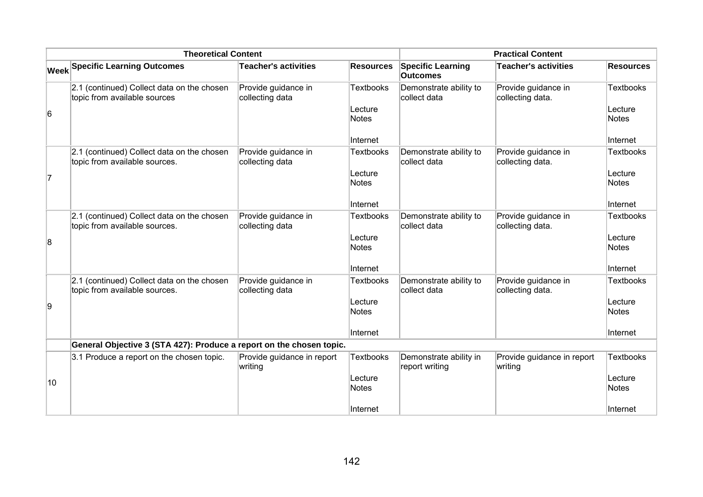| <b>Theoretical Content</b> |                                                                             |                                        |                         | <b>Practical Content</b>                    |                                         |                         |  |  |
|----------------------------|-----------------------------------------------------------------------------|----------------------------------------|-------------------------|---------------------------------------------|-----------------------------------------|-------------------------|--|--|
|                            | Week Specific Learning Outcomes                                             | <b>Teacher's activities</b>            | <b>Resources</b>        | <b>Specific Learning</b><br><b>Outcomes</b> | <b>Teacher's activities</b>             | <b>Resources</b>        |  |  |
|                            | 2.1 (continued) Collect data on the chosen<br>topic from available sources  | Provide guidance in<br>collecting data | <b>Textbooks</b>        | Demonstrate ability to<br>collect data      | Provide guidance in<br>collecting data. | <b>Textbooks</b>        |  |  |
| 6                          |                                                                             |                                        | Lecture<br><b>Notes</b> |                                             |                                         | Lecture<br><b>Notes</b> |  |  |
|                            |                                                                             |                                        | Internet                |                                             |                                         | Internet                |  |  |
|                            | 2.1 (continued) Collect data on the chosen<br>topic from available sources. | Provide guidance in<br>collecting data | <b>Textbooks</b>        | Demonstrate ability to<br>collect data      | Provide guidance in<br>collecting data. | <b>Textbooks</b>        |  |  |
| 7                          |                                                                             |                                        | Lecture<br><b>Notes</b> |                                             |                                         | Lecture<br><b>Notes</b> |  |  |
|                            |                                                                             |                                        | Internet                |                                             |                                         | Internet                |  |  |
|                            | 2.1 (continued) Collect data on the chosen<br>topic from available sources. | Provide guidance in<br>collecting data | <b>Textbooks</b>        | Demonstrate ability to<br>collect data      | Provide guidance in<br>collecting data. | Textbooks               |  |  |
| 8                          |                                                                             |                                        | Lecture<br><b>Notes</b> |                                             |                                         | Lecture<br><b>Notes</b> |  |  |
|                            |                                                                             |                                        | Internet                |                                             |                                         | Internet                |  |  |
|                            | 2.1 (continued) Collect data on the chosen<br>topic from available sources. | Provide guidance in<br>collecting data | <b>Textbooks</b>        | Demonstrate ability to<br>collect data      | Provide guidance in<br>collecting data. | <b>Textbooks</b>        |  |  |
| 9                          |                                                                             |                                        | Lecture<br><b>Notes</b> |                                             |                                         | Lecture<br><b>Notes</b> |  |  |
|                            |                                                                             |                                        | Internet                |                                             |                                         | Internet                |  |  |
|                            | General Objective 3 (STA 427): Produce a report on the chosen topic.        |                                        |                         |                                             |                                         |                         |  |  |
|                            | 3.1 Produce a report on the chosen topic.                                   | Provide guidance in report<br>writing  | <b>Textbooks</b>        | Demonstrate ability in<br>report writing    | Provide guidance in report<br>writing   | <b>Textbooks</b>        |  |  |
| 10                         |                                                                             |                                        | Lecture<br><b>Notes</b> |                                             |                                         | Lecture<br>Notes        |  |  |
|                            |                                                                             |                                        | Internet                |                                             |                                         | Internet                |  |  |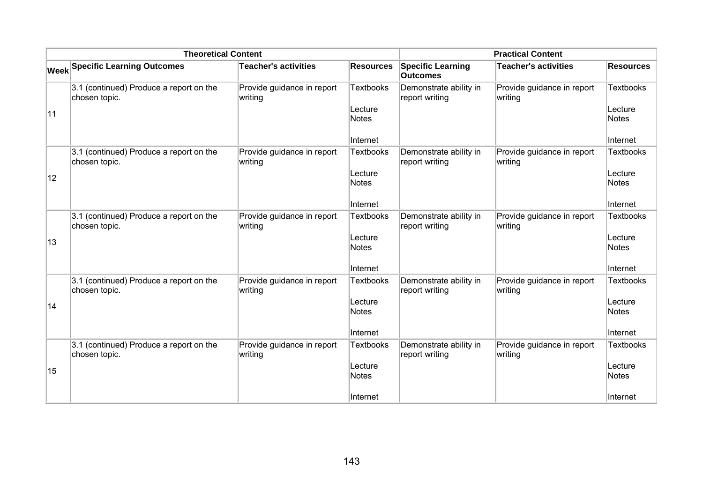| <b>Theoretical Content</b> |                                                          |                                       |                                                         | <b>Practical Content</b>                    |                                       |                                                         |
|----------------------------|----------------------------------------------------------|---------------------------------------|---------------------------------------------------------|---------------------------------------------|---------------------------------------|---------------------------------------------------------|
|                            | Week Specific Learning Outcomes                          | <b>Teacher's activities</b>           | <b>Resources</b>                                        | <b>Specific Learning</b><br><b>Outcomes</b> | <b>Teacher's activities</b>           | <b>Resources</b>                                        |
| 11                         | 3.1 (continued) Produce a report on the<br>chosen topic. | Provide guidance in report<br>writing | <b>Textbooks</b><br>Lecture<br><b>Notes</b><br>Internet | Demonstrate ability in<br>report writing    | Provide guidance in report<br>writing | <b>Textbooks</b><br>Lecture<br><b>Notes</b><br>Internet |
| 12                         | 3.1 (continued) Produce a report on the<br>chosen topic. | Provide guidance in report<br>writing | <b>Textbooks</b><br>Lecture<br><b>Notes</b><br>Internet | Demonstrate ability in<br>report writing    | Provide guidance in report<br>writing | <b>Textbooks</b><br>Lecture<br><b>Notes</b><br>Internet |
| 13                         | 3.1 (continued) Produce a report on the<br>chosen topic. | Provide guidance in report<br>writing | <b>Textbooks</b><br>Lecture<br><b>Notes</b><br>Internet | Demonstrate ability in<br>report writing    | Provide guidance in report<br>writing | <b>Textbooks</b><br>Lecture<br><b>Notes</b><br>Internet |
| 14                         | 3.1 (continued) Produce a report on the<br>chosen topic. | Provide guidance in report<br>writing | <b>Textbooks</b><br>Lecture<br><b>Notes</b><br>Internet | Demonstrate ability in<br>report writing    | Provide guidance in report<br>writing | <b>Textbooks</b><br>Lecture<br><b>Notes</b><br>Internet |
| 15                         | 3.1 (continued) Produce a report on the<br>chosen topic. | Provide guidance in report<br>writing | <b>Textbooks</b><br>Lecture<br><b>Notes</b><br>Internet | Demonstrate ability in<br>report writing    | Provide guidance in report<br>writing | <b>Textbooks</b><br>Lecture<br><b>Notes</b><br>Internet |